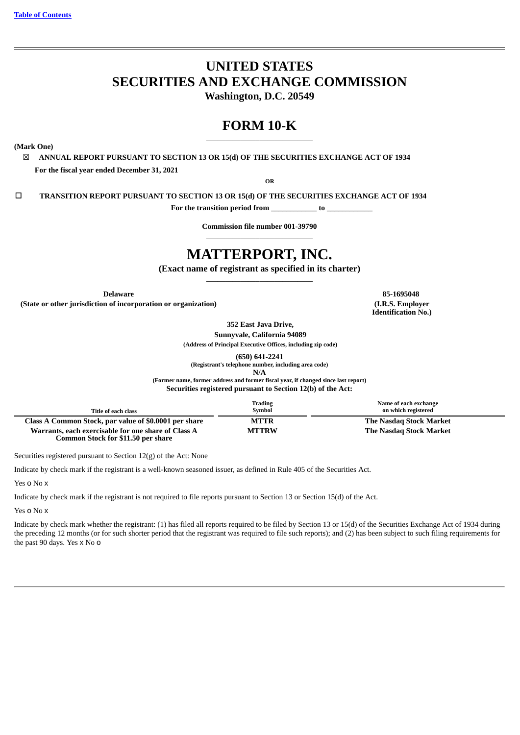# **UNITED STATES SECURITIES AND EXCHANGE COMMISSION**

**Washington, D.C. 20549** \_\_\_\_\_\_\_\_\_\_\_\_\_\_\_\_\_\_\_\_\_\_\_\_\_\_\_\_

# **FORM 10-K**  $\overline{\phantom{a}}$  , where  $\overline{\phantom{a}}$  , where  $\overline{\phantom{a}}$  , where  $\overline{\phantom{a}}$

**(Mark One)**

☒ **ANNUAL REPORT PURSUANT TO SECTION 13 OR 15(d) OF THE SECURITIES EXCHANGE ACT OF 1934 For the fiscal year ended December 31, 2021**

**OR**

☐ **TRANSITION REPORT PURSUANT TO SECTION 13 OR 15(d) OF THE SECURITIES EXCHANGE ACT OF 1934**

**For the transition period from \_\_\_\_\_\_\_\_\_\_\_\_ to \_\_\_\_\_\_\_\_\_\_\_\_**

**Commission file number 001-39790** \_\_\_\_\_\_\_\_\_\_\_\_\_\_\_\_\_\_\_\_\_\_\_\_\_\_\_\_

# **MATTERPORT, INC.**

**(Exact name of registrant as specified in its charter)** \_\_\_\_\_\_\_\_\_\_\_\_\_\_\_\_\_\_\_\_\_\_\_\_\_\_\_\_

**(State or other jurisdiction of incorporation or organization) (I.R.S. Employer**

**352 East Java Drive,**

**Sunnyvale, California 94089**

**(Address of Principal Executive Offices, including zip code)**

**(650) 641-2241**

**(Registrant's telephone number, including area code)**

**N/A (Former name, former address and former fiscal year, if changed since last report) Securities registered pursuant to Section 12(b) of the Act:**

| Title of each class                                                                       | Trading<br>Symbol | Name of each exchange<br>on which registered |  |
|-------------------------------------------------------------------------------------------|-------------------|----------------------------------------------|--|
| Class A Common Stock, par value of \$0.0001 per share                                     | <b>MTTR</b>       | The Nasdag Stock Market                      |  |
| Warrants, each exercisable for one share of Class A<br>Common Stock for \$11.50 per share | <b>MTTRW</b>      | The Nasdag Stock Market                      |  |

Securities registered pursuant to Section 12(g) of the Act: None

Indicate by check mark if the registrant is a well-known seasoned issuer, as defined in Rule 405 of the Securities Act.

Yes o No x

Indicate by check mark if the registrant is not required to file reports pursuant to Section 13 or Section 15(d) of the Act.

Yes o No x

Indicate by check mark whether the registrant: (1) has filed all reports required to be filed by Section 13 or 15(d) of the Securities Exchange Act of 1934 during the preceding 12 months (or for such shorter period that the registrant was required to file such reports); and (2) has been subject to such filing requirements for the past 90 days. Yes x No o

**Delaware 85-1695048 Identification No.)**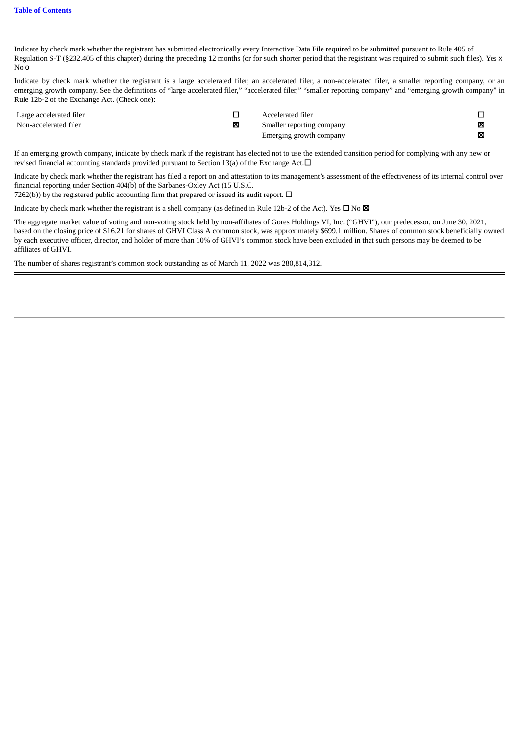Indicate by check mark whether the registrant has submitted electronically every Interactive Data File required to be submitted pursuant to Rule 405 of Regulation S-T (§232.405 of this chapter) during the preceding 12 months (or for such shorter period that the registrant was required to submit such files). Yes x No o

Indicate by check mark whether the registrant is a large accelerated filer, an accelerated filer, a non-accelerated filer, a smaller reporting company, or an emerging growth company. See the definitions of "large accelerated filer," "accelerated filer," "smaller reporting company" and "emerging growth company" in Rule 12b-2 of the Exchange Act. (Check one):

| Large accelerated filer | Accelerated filer         |   |
|-------------------------|---------------------------|---|
| Non-accelerated filer   | Smaller reporting company | ⊠ |
|                         | Emerging growth company   | ⊠ |

If an emerging growth company, indicate by check mark if the registrant has elected not to use the extended transition period for complying with any new or revised financial accounting standards provided pursuant to Section 13(a) of the Exchange Act. $□$ 

Indicate by check mark whether the registrant has filed a report on and attestation to its management's assessment of the effectiveness of its internal control over financial reporting under Section 404(b) of the Sarbanes-Oxley Act (15 U.S.C.

7262(b)) by the registered public accounting firm that prepared or issued its audit report.  $\Box$ 

Indicate by check mark whether the registrant is a shell company (as defined in Rule 12b-2 of the Act). Yes  $\Box$  No  $\boxtimes$ 

The aggregate market value of voting and non-voting stock held by non-affiliates of Gores Holdings VI, Inc. ("GHVI"), our predecessor, on June 30, 2021, based on the closing price of \$16.21 for shares of GHVI Class A common stock, was approximately \$699.1 million. Shares of common stock beneficially owned by each executive officer, director, and holder of more than 10% of GHVI's common stock have been excluded in that such persons may be deemed to be affiliates of GHVI.

<span id="page-1-0"></span>The number of shares registrant's common stock outstanding as of March 11, 2022 was 280,814,312.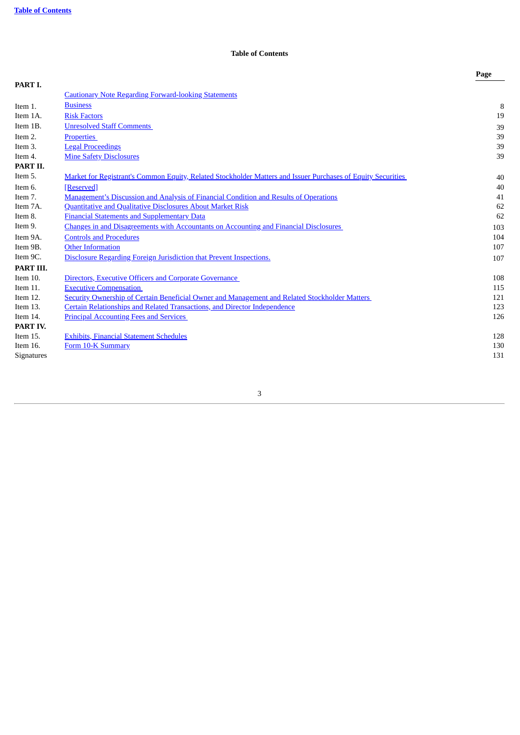# **Table of Contents**

<span id="page-2-0"></span>

|            |                                                                                                              | Page |
|------------|--------------------------------------------------------------------------------------------------------------|------|
| PART I.    |                                                                                                              |      |
|            | <b>Cautionary Note Regarding Forward-looking Statements</b>                                                  |      |
| Item 1.    | <b>Business</b>                                                                                              | 8    |
| Item 1A.   | <b>Risk Factors</b>                                                                                          | 19   |
| Item 1B.   | <b>Unresolved Staff Comments</b>                                                                             | 39   |
| Item 2.    | <b>Properties</b>                                                                                            | 39   |
| Item 3.    | <b>Legal Proceedings</b>                                                                                     | 39   |
| Item 4.    | <b>Mine Safety Disclosures</b>                                                                               | 39   |
| PART II.   |                                                                                                              |      |
| Item 5.    | Market for Registrant's Common Equity, Related Stockholder Matters and Issuer Purchases of Equity Securities | 40   |
| Item 6.    | [Reserved]                                                                                                   | 40   |
| Item 7.    | Management's Discussion and Analysis of Financial Condition and Results of Operations                        | 41   |
| Item 7A.   | <b>Quantitative and Qualitative Disclosures About Market Risk</b>                                            | 62   |
| Item 8.    | <b>Financial Statements and Supplementary Data</b>                                                           | 62   |
| Item 9.    | <b>Changes in and Disagreements with Accountants on Accounting and Financial Disclosures</b>                 | 103  |
| Item 9A.   | <b>Controls and Procedures</b>                                                                               | 104  |
| Item 9B.   | <b>Other Information</b>                                                                                     | 107  |
| Item 9C.   | Disclosure Regarding Foreign Jurisdiction that Prevent Inspections.                                          | 107  |
| PART III.  |                                                                                                              |      |
| Item 10.   | <b>Directors, Executive Officers and Corporate Governance</b>                                                | 108  |
| Item 11.   | <b>Executive Compensation</b>                                                                                | 115  |
| Item 12.   | Security Ownership of Certain Beneficial Owner and Management and Related Stockholder Matters                | 121  |
| Item 13.   | <b>Certain Relationships and Related Transactions, and Director Independence</b>                             | 123  |
| Item 14.   | <b>Principal Accounting Fees and Services</b>                                                                | 126  |
| PART IV.   |                                                                                                              |      |
| Item 15.   | <b>Exhibits, Financial Statement Schedules</b>                                                               | 128  |
| Item 16.   | Form 10-K Summary                                                                                            | 130  |
| Signatures |                                                                                                              | 131  |
|            |                                                                                                              |      |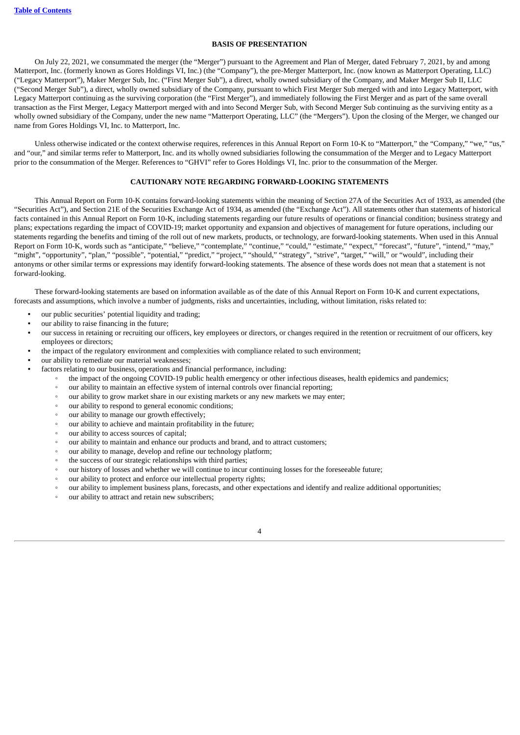# **BASIS OF PRESENTATION**

On July 22, 2021, we consummated the merger (the "Merger") pursuant to the Agreement and Plan of Merger, dated February 7, 2021, by and among Matterport, Inc. (formerly known as Gores Holdings VI, Inc.) (the "Company"), the pre-Merger Matterport, Inc. (now known as Matterport Operating, LLC) ("Legacy Matterport"), Maker Merger Sub, Inc. ("First Merger Sub"), a direct, wholly owned subsidiary of the Company, and Maker Merger Sub II, LLC ("Second Merger Sub"), a direct, wholly owned subsidiary of the Company, pursuant to which First Merger Sub merged with and into Legacy Matterport, with Legacy Matterport continuing as the surviving corporation (the "First Merger"), and immediately following the First Merger and as part of the same overall transaction as the First Merger, Legacy Matterport merged with and into Second Merger Sub, with Second Merger Sub continuing as the surviving entity as a wholly owned subsidiary of the Company, under the new name "Matterport Operating, LLC" (the "Mergers"). Upon the closing of the Merger, we changed our name from Gores Holdings VI, Inc. to Matterport, Inc.

Unless otherwise indicated or the context otherwise requires, references in this Annual Report on Form 10-K to "Matterport," the "Company," "we," "us," and "our," and similar terms refer to Matterport, Inc. and its wholly owned subsidiaries following the consummation of the Merger and to Legacy Matterport prior to the consummation of the Merger. References to "GHVI" refer to Gores Holdings VI, Inc. prior to the consummation of the Merger.

# **CAUTIONARY NOTE REGARDING FORWARD-LOOKING STATEMENTS**

This Annual Report on Form 10-K contains forward-looking statements within the meaning of Section 27A of the Securities Act of 1933, as amended (the "Securities Act"), and Section 21E of the Securities Exchange Act of 1934, as amended (the "Exchange Act"). All statements other than statements of historical facts contained in this Annual Report on Form 10-K, including statements regarding our future results of operations or financial condition; business strategy and plans; expectations regarding the impact of COVID-19; market opportunity and expansion and objectives of management for future operations, including our statements regarding the benefits and timing of the roll out of new markets, products, or technology, are forward-looking statements. When used in this Annual Report on Form 10-K, words such as "anticipate," "believe," "contemplate," "continue," "could," "estimate," "expect," "forecast", "future", "intend," "may," "might", "opportunity", "plan," "possible", "potential," "predict," "project," "should," "strategy", "strive", "target," "will," or "would", including their antonyms or other similar terms or expressions may identify forward-looking statements. The absence of these words does not mean that a statement is not forward-looking.

These forward-looking statements are based on information available as of the date of this Annual Report on Form 10-K and current expectations, forecasts and assumptions, which involve a number of judgments, risks and uncertainties, including, without limitation, risks related to:

- our public securities' potential liquidity and trading;
- our ability to raise financing in the future;
- our success in retaining or recruiting our officers, key employees or directors, or changes required in the retention or recruitment of our officers, key employees or directors;
- the impact of the regulatory environment and complexities with compliance related to such environment;
- our ability to remediate our material weaknesses;
	- factors relating to our business, operations and financial performance, including:
		- the impact of the ongoing COVID-19 public health emergency or other infectious diseases, health epidemics and pandemics;
		- our ability to maintain an effective system of internal controls over financial reporting;
		- our ability to grow market share in our existing markets or any new markets we may enter;
		- our ability to respond to general economic conditions;
		- our ability to manage our growth effectively;
		- our ability to achieve and maintain profitability in the future;
		- our ability to access sources of capital;
		- our ability to maintain and enhance our products and brand, and to attract customers;
		- our ability to manage, develop and refine our technology platform;
		- the success of our strategic relationships with third parties;
		- our history of losses and whether we will continue to incur continuing losses for the foreseeable future;
		- our ability to protect and enforce our intellectual property rights;
		- our ability to implement business plans, forecasts, and other expectations and identify and realize additional opportunities;
		- our ability to attract and retain new subscribers;

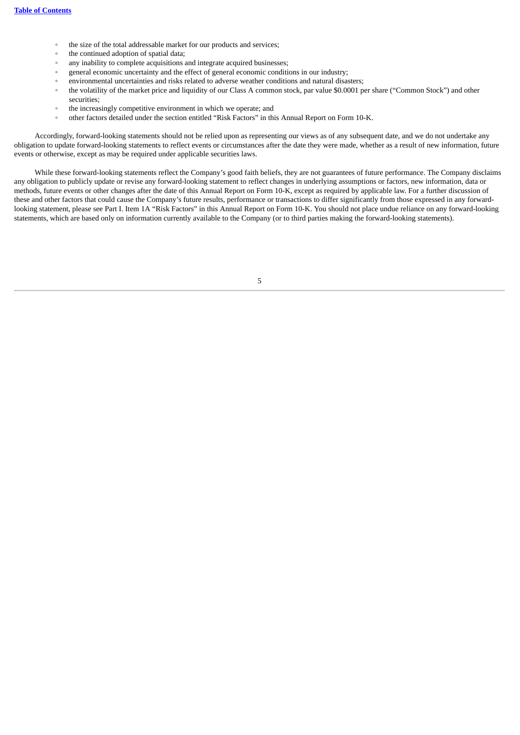- the size of the total addressable market for our products and services;
- the continued adoption of spatial data;
- any inability to complete acquisitions and integrate acquired businesses;
- general economic uncertainty and the effect of general economic conditions in our industry;
- environmental uncertainties and risks related to adverse weather conditions and natural disasters;
- the volatility of the market price and liquidity of our Class A common stock, par value \$0.0001 per share ("Common Stock") and other securities;
- the increasingly competitive environment in which we operate; and
- other factors detailed under the section entitled "Risk Factors" in this Annual Report on Form 10-K.

Accordingly, forward-looking statements should not be relied upon as representing our views as of any subsequent date, and we do not undertake any obligation to update forward-looking statements to reflect events or circumstances after the date they were made, whether as a result of new information, future events or otherwise, except as may be required under applicable securities laws.

While these forward-looking statements reflect the Company's good faith beliefs, they are not guarantees of future performance. The Company disclaims any obligation to publicly update or revise any forward-looking statement to reflect changes in underlying assumptions or factors, new information, data or methods, future events or other changes after the date of this Annual Report on Form 10-K, except as required by applicable law. For a further discussion of these and other factors that could cause the Company's future results, performance or transactions to differ significantly from those expressed in any forwardlooking statement, please see Part I. Item 1A "Risk Factors" in this Annual Report on Form 10-K. You should not place undue reliance on any forward-looking statements, which are based only on information currently available to the Company (or to third parties making the forward-looking statements).

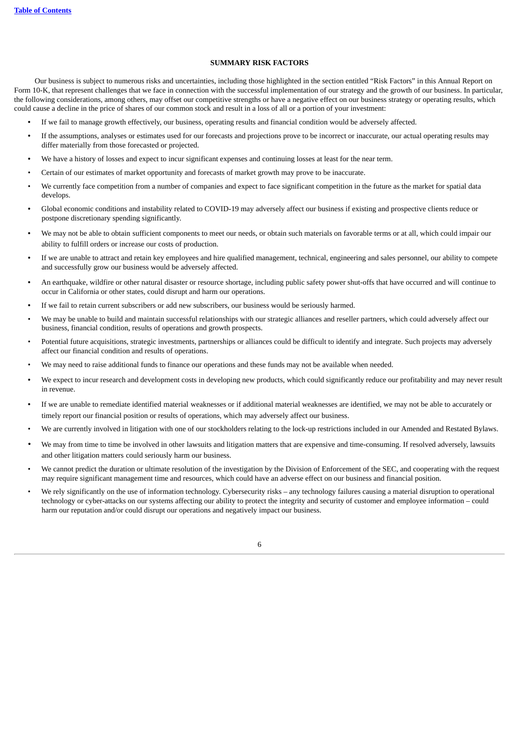# **SUMMARY RISK FACTORS**

Our business is subject to numerous risks and uncertainties, including those highlighted in the section entitled "Risk Factors" in this Annual Report on Form 10-K, that represent challenges that we face in connection with the successful implementation of our strategy and the growth of our business. In particular, the following considerations, among others, may offset our competitive strengths or have a negative effect on our business strategy or operating results, which could cause a decline in the price of shares of our common stock and result in a loss of all or a portion of your investment:

- If we fail to manage growth effectively, our business, operating results and financial condition would be adversely affected.
- If the assumptions, analyses or estimates used for our forecasts and projections prove to be incorrect or inaccurate, our actual operating results may differ materially from those forecasted or projected.
- We have a history of losses and expect to incur significant expenses and continuing losses at least for the near term.
- Certain of our estimates of market opportunity and forecasts of market growth may prove to be inaccurate.
- We currently face competition from a number of companies and expect to face significant competition in the future as the market for spatial data develops.
- Global economic conditions and instability related to COVID-19 may adversely affect our business if existing and prospective clients reduce or postpone discretionary spending significantly.
- We may not be able to obtain sufficient components to meet our needs, or obtain such materials on favorable terms or at all, which could impair our ability to fulfill orders or increase our costs of production.
- If we are unable to attract and retain key employees and hire qualified management, technical, engineering and sales personnel, our ability to compete and successfully grow our business would be adversely affected.
- An earthquake, wildfire or other natural disaster or resource shortage, including public safety power shut-offs that have occurred and will continue to occur in California or other states, could disrupt and harm our operations.
- If we fail to retain current subscribers or add new subscribers, our business would be seriously harmed.
- We may be unable to build and maintain successful relationships with our strategic alliances and reseller partners, which could adversely affect our business, financial condition, results of operations and growth prospects.
- Potential future acquisitions, strategic investments, partnerships or alliances could be difficult to identify and integrate. Such projects may adversely affect our financial condition and results of operations.
- We may need to raise additional funds to finance our operations and these funds may not be available when needed.
- We expect to incur research and development costs in developing new products, which could significantly reduce our profitability and may never result in revenue.
- If we are unable to remediate identified material weaknesses or if additional material weaknesses are identified, we may not be able to accurately or timely report our financial position or results of operations, which may adversely affect our business.
- We are currently involved in litigation with one of our stockholders relating to the lock-up restrictions included in our Amended and Restated Bylaws.
- We may from time to time be involved in other lawsuits and litigation matters that are expensive and time-consuming. If resolved adversely, lawsuits and other litigation matters could seriously harm our business.
- We cannot predict the duration or ultimate resolution of the investigation by the Division of Enforcement of the SEC, and cooperating with the request may require significant management time and resources, which could have an adverse effect on our business and financial position.
- We rely significantly on the use of information technology. Cybersecurity risks any technology failures causing a material disruption to operational technology or cyber-attacks on our systems affecting our ability to protect the integrity and security of customer and employee information – could harm our reputation and/or could disrupt our operations and negatively impact our business.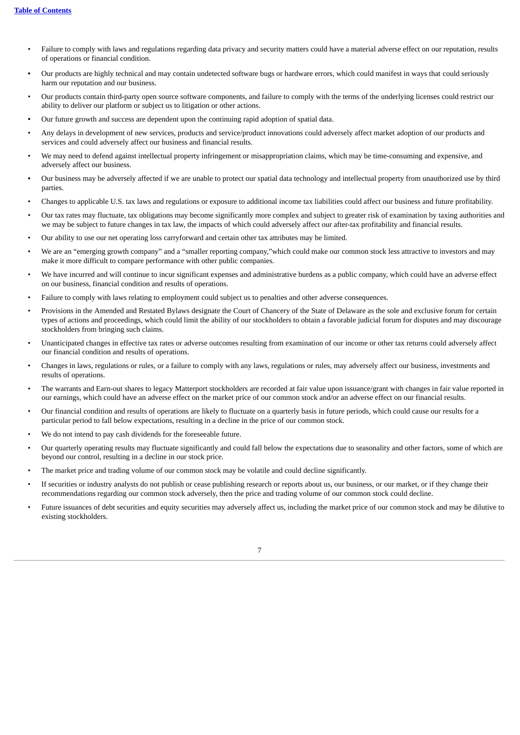- Failure to comply with laws and regulations regarding data privacy and security matters could have a material adverse effect on our reputation, results of operations or financial condition.
- Our products are highly technical and may contain undetected software bugs or hardware errors, which could manifest in ways that could seriously harm our reputation and our business.
- Our products contain third-party open source software components, and failure to comply with the terms of the underlying licenses could restrict our ability to deliver our platform or subject us to litigation or other actions.
- Our future growth and success are dependent upon the continuing rapid adoption of spatial data.
- Any delays in development of new services, products and service/product innovations could adversely affect market adoption of our products and services and could adversely affect our business and financial results.
- We may need to defend against intellectual property infringement or misappropriation claims, which may be time-consuming and expensive, and adversely affect our business.
- Our business may be adversely affected if we are unable to protect our spatial data technology and intellectual property from unauthorized use by third parties.
- Changes to applicable U.S. tax laws and regulations or exposure to additional income tax liabilities could affect our business and future profitability.
- Our tax rates may fluctuate, tax obligations may become significantly more complex and subject to greater risk of examination by taxing authorities and we may be subject to future changes in tax law, the impacts of which could adversely affect our after-tax profitability and financial results.
- Our ability to use our net operating loss carryforward and certain other tax attributes may be limited.
- We are an "emerging growth company" and a "smaller reporting company,"which could make our common stock less attractive to investors and may make it more difficult to compare performance with other public companies.
- We have incurred and will continue to incur significant expenses and administrative burdens as a public company, which could have an adverse effect on our business, financial condition and results of operations.
- Failure to comply with laws relating to employment could subject us to penalties and other adverse consequences.
- Provisions in the Amended and Restated Bylaws designate the Court of Chancery of the State of Delaware as the sole and exclusive forum for certain types of actions and proceedings, which could limit the ability of our stockholders to obtain a favorable judicial forum for disputes and may discourage stockholders from bringing such claims.
- Unanticipated changes in effective tax rates or adverse outcomes resulting from examination of our income or other tax returns could adversely affect our financial condition and results of operations.
- Changes in laws, regulations or rules, or a failure to comply with any laws, regulations or rules, may adversely affect our business, investments and results of operations.
- The warrants and Earn-out shares to legacy Matterport stockholders are recorded at fair value upon issuance/grant with changes in fair value reported in our earnings, which could have an adverse effect on the market price of our common stock and/or an adverse effect on our financial results.
- Our financial condition and results of operations are likely to fluctuate on a quarterly basis in future periods, which could cause our results for a particular period to fall below expectations, resulting in a decline in the price of our common stock.
- We do not intend to pay cash dividends for the foreseeable future.
- Our quarterly operating results may fluctuate significantly and could fall below the expectations due to seasonality and other factors, some of which are beyond our control, resulting in a decline in our stock price.
- The market price and trading volume of our common stock may be volatile and could decline significantly.
- If securities or industry analysts do not publish or cease publishing research or reports about us, our business, or our market, or if they change their recommendations regarding our common stock adversely, then the price and trading volume of our common stock could decline.
- <span id="page-6-0"></span>• Future issuances of debt securities and equity securities may adversely affect us, including the market price of our common stock and may be dilutive to existing stockholders.

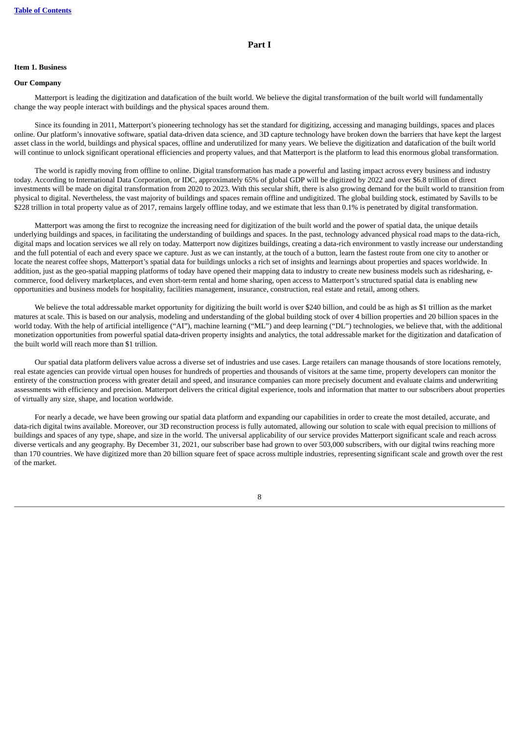## <span id="page-7-0"></span>**Item 1. Business**

# **Our Company**

Matterport is leading the digitization and datafication of the built world. We believe the digital transformation of the built world will fundamentally change the way people interact with buildings and the physical spaces around them.

Since its founding in 2011, Matterport's pioneering technology has set the standard for digitizing, accessing and managing buildings, spaces and places online. Our platform's innovative software, spatial data-driven data science, and 3D capture technology have broken down the barriers that have kept the largest asset class in the world, buildings and physical spaces, offline and underutilized for many years. We believe the digitization and datafication of the built world will continue to unlock significant operational efficiencies and property values, and that Matterport is the platform to lead this enormous global transformation.

The world is rapidly moving from offline to online. Digital transformation has made a powerful and lasting impact across every business and industry today. According to International Data Corporation, or IDC, approximately 65% of global GDP will be digitized by 2022 and over \$6.8 trillion of direct investments will be made on digital transformation from 2020 to 2023. With this secular shift, there is also growing demand for the built world to transition from physical to digital. Nevertheless, the vast majority of buildings and spaces remain offline and undigitized. The global building stock, estimated by Savills to be \$228 trillion in total property value as of 2017, remains largely offline today, and we estimate that less than 0.1% is penetrated by digital transformation.

Matterport was among the first to recognize the increasing need for digitization of the built world and the power of spatial data, the unique details underlying buildings and spaces, in facilitating the understanding of buildings and spaces. In the past, technology advanced physical road maps to the data-rich, digital maps and location services we all rely on today. Matterport now digitizes buildings, creating a data-rich environment to vastly increase our understanding and the full potential of each and every space we capture. Just as we can instantly, at the touch of a button, learn the fastest route from one city to another or locate the nearest coffee shops, Matterport's spatial data for buildings unlocks a rich set of insights and learnings about properties and spaces worldwide. In addition, just as the geo-spatial mapping platforms of today have opened their mapping data to industry to create new business models such as ridesharing, ecommerce, food delivery marketplaces, and even short-term rental and home sharing, open access to Matterport's structured spatial data is enabling new opportunities and business models for hospitality, facilities management, insurance, construction, real estate and retail, among others.

We believe the total addressable market opportunity for digitizing the built world is over \$240 billion, and could be as high as \$1 trillion as the market matures at scale. This is based on our analysis, modeling and understanding of the global building stock of over 4 billion properties and 20 billion spaces in the world today. With the help of artificial intelligence ("AI"), machine learning ("ML") and deep learning ("DL") technologies, we believe that, with the additional monetization opportunities from powerful spatial data-driven property insights and analytics, the total addressable market for the digitization and datafication of the built world will reach more than \$1 trillion.

Our spatial data platform delivers value across a diverse set of industries and use cases. Large retailers can manage thousands of store locations remotely, real estate agencies can provide virtual open houses for hundreds of properties and thousands of visitors at the same time, property developers can monitor the entirety of the construction process with greater detail and speed, and insurance companies can more precisely document and evaluate claims and underwriting assessments with efficiency and precision. Matterport delivers the critical digital experience, tools and information that matter to our subscribers about properties of virtually any size, shape, and location worldwide.

For nearly a decade, we have been growing our spatial data platform and expanding our capabilities in order to create the most detailed, accurate, and data-rich digital twins available. Moreover, our 3D reconstruction process is fully automated, allowing our solution to scale with equal precision to millions of buildings and spaces of any type, shape, and size in the world. The universal applicability of our service provides Matterport significant scale and reach across diverse verticals and any geography. By December 31, 2021, our subscriber base had grown to over 503,000 subscribers, with our digital twins reaching more than 170 countries. We have digitized more than 20 billion square feet of space across multiple industries, representing significant scale and growth over the rest of the market.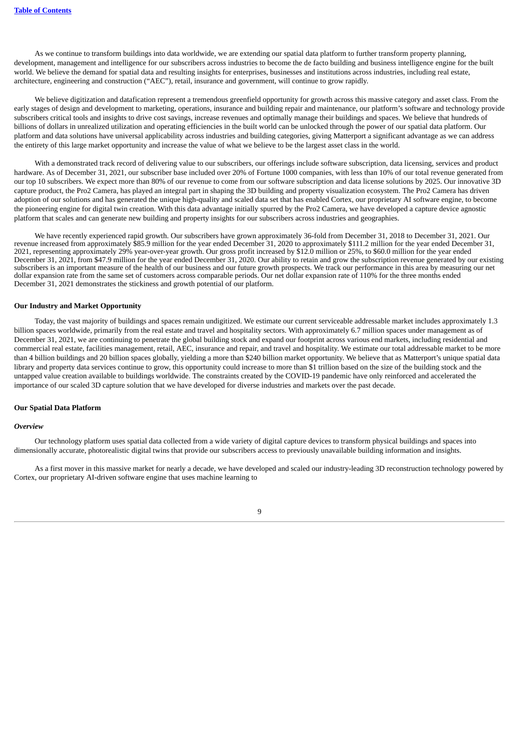As we continue to transform buildings into data worldwide, we are extending our spatial data platform to further transform property planning, development, management and intelligence for our subscribers across industries to become the de facto building and business intelligence engine for the built world. We believe the demand for spatial data and resulting insights for enterprises, businesses and institutions across industries, including real estate, architecture, engineering and construction ("AEC"), retail, insurance and government, will continue to grow rapidly.

We believe digitization and datafication represent a tremendous greenfield opportunity for growth across this massive category and asset class. From the early stages of design and development to marketing, operations, insurance and building repair and maintenance, our platform's software and technology provide subscribers critical tools and insights to drive cost savings, increase revenues and optimally manage their buildings and spaces. We believe that hundreds of billions of dollars in unrealized utilization and operating efficiencies in the built world can be unlocked through the power of our spatial data platform. Our platform and data solutions have universal applicability across industries and building categories, giving Matterport a significant advantage as we can address the entirety of this large market opportunity and increase the value of what we believe to be the largest asset class in the world.

With a demonstrated track record of delivering value to our subscribers, our offerings include software subscription, data licensing, services and product hardware. As of December 31, 2021, our subscriber base included over 20% of Fortune 1000 companies, with less than 10% of our total revenue generated from our top 10 subscribers. We expect more than 80% of our revenue to come from our software subscription and data license solutions by 2025. Our innovative 3D capture product, the Pro2 Camera, has played an integral part in shaping the 3D building and property visualization ecosystem. The Pro2 Camera has driven adoption of our solutions and has generated the unique high-quality and scaled data set that has enabled Cortex, our proprietary AI software engine, to become the pioneering engine for digital twin creation. With this data advantage initially spurred by the Pro2 Camera, we have developed a capture device agnostic platform that scales and can generate new building and property insights for our subscribers across industries and geographies.

We have recently experienced rapid growth. Our subscribers have grown approximately 36-fold from December 31, 2018 to December 31, 2021. Our revenue increased from approximately \$85.9 million for the year ended December 31, 2020 to approximately \$111.2 million for the year ended December 31, 2021, representing approximately 29% year-over-year growth. Our gross profit increased by \$12.0 million or 25%, to \$60.0 million for the year ended December 31, 2021, from \$47.9 million for the year ended December 31, 2020. Our ability to retain and grow the subscription revenue generated by our existing subscribers is an important measure of the health of our business and our future growth prospects. We track our performance in this area by measuring our net dollar expansion rate from the same set of customers across comparable periods. Our net dollar expansion rate of 110% for the three months ended December 31, 2021 demonstrates the stickiness and growth potential of our platform.

## **Our Industry and Market Opportunity**

Today, the vast majority of buildings and spaces remain undigitized. We estimate our current serviceable addressable market includes approximately 1.3 billion spaces worldwide, primarily from the real estate and travel and hospitality sectors. With approximately 6.7 million spaces under management as of December 31, 2021, we are continuing to penetrate the global building stock and expand our footprint across various end markets, including residential and commercial real estate, facilities management, retail, AEC, insurance and repair, and travel and hospitality. We estimate our total addressable market to be more than 4 billion buildings and 20 billion spaces globally, yielding a more than \$240 billion market opportunity. We believe that as Matterport's unique spatial data library and property data services continue to grow, this opportunity could increase to more than \$1 trillion based on the size of the building stock and the untapped value creation available to buildings worldwide. The constraints created by the COVID-19 pandemic have only reinforced and accelerated the importance of our scaled 3D capture solution that we have developed for diverse industries and markets over the past decade.

# **Our Spatial Data Platform**

#### *Overview*

Our technology platform uses spatial data collected from a wide variety of digital capture devices to transform physical buildings and spaces into dimensionally accurate, photorealistic digital twins that provide our subscribers access to previously unavailable building information and insights.

As a first mover in this massive market for nearly a decade, we have developed and scaled our industry-leading 3D reconstruction technology powered by Cortex, our proprietary AI-driven software engine that uses machine learning to

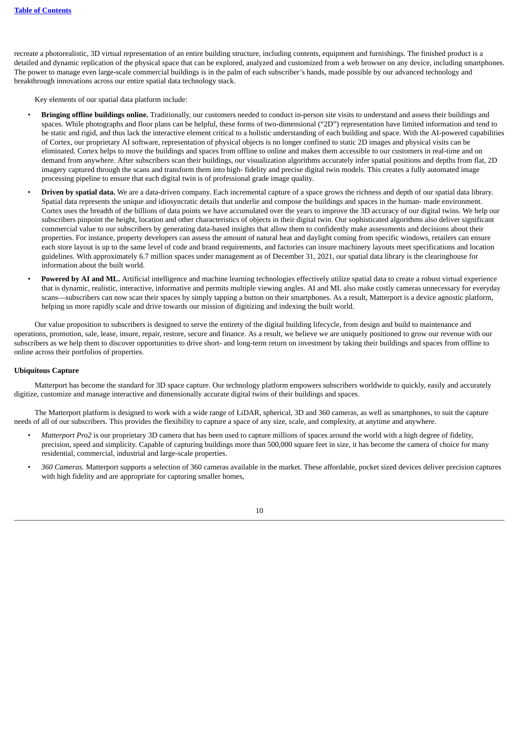recreate a photorealistic, 3D virtual representation of an entire building structure, including contents, equipment and furnishings. The finished product is a detailed and dynamic replication of the physical space that can be explored, analyzed and customized from a web browser on any device, including smartphones. The power to manage even large-scale commercial buildings is in the palm of each subscriber's hands, made possible by our advanced technology and breakthrough innovations across our entire spatial data technology stack.

Key elements of our spatial data platform include:

- **Bringing offline buildings online.** Traditionally, our customers needed to conduct in-person site visits to understand and assess their buildings and spaces. While photographs and floor plans can be helpful, these forms of two-dimensional ("2D") representation have limited information and tend to be static and rigid, and thus lack the interactive element critical to a holistic understanding of each building and space. With the AI-powered capabilities of Cortex, our proprietary AI software, representation of physical objects is no longer confined to static 2D images and physical visits can be eliminated. Cortex helps to move the buildings and spaces from offline to online and makes them accessible to our customers in real-time and on demand from anywhere. After subscribers scan their buildings, our visualization algorithms accurately infer spatial positions and depths from flat, 2D imagery captured through the scans and transform them into high- fidelity and precise digital twin models. This creates a fully automated image processing pipeline to ensure that each digital twin is of professional grade image quality.
- **Driven by spatial data.** We are a data-driven company. Each incremental capture of a space grows the richness and depth of our spatial data library. Spatial data represents the unique and idiosyncratic details that underlie and compose the buildings and spaces in the human- made environment. Cortex uses the breadth of the billions of data points we have accumulated over the years to improve the 3D accuracy of our digital twins. We help our subscribers pinpoint the height, location and other characteristics of objects in their digital twin. Our sophisticated algorithms also deliver significant commercial value to our subscribers by generating data-based insights that allow them to confidently make assessments and decisions about their properties. For instance, property developers can assess the amount of natural heat and daylight coming from specific windows, retailers can ensure each store layout is up to the same level of code and brand requirements, and factories can insure machinery layouts meet specifications and location guidelines. With approximately 6.7 million spaces under management as of December 31, 2021, our spatial data library is the clearinghouse for information about the built world.
- **Powered by AI and ML.** Artificial intelligence and machine learning technologies effectively utilize spatial data to create a robust virtual experience that is dynamic, realistic, interactive, informative and permits multiple viewing angles. AI and ML also make costly cameras unnecessary for everyday scans—subscribers can now scan their spaces by simply tapping a button on their smartphones. As a result, Matterport is a device agnostic platform, helping us more rapidly scale and drive towards our mission of digitizing and indexing the built world.

Our value proposition to subscribers is designed to serve the entirety of the digital building lifecycle, from design and build to maintenance and operations, promotion, sale, lease, insure, repair, restore, secure and finance. As a result, we believe we are uniquely positioned to grow our revenue with our subscribers as we help them to discover opportunities to drive short- and long-term return on investment by taking their buildings and spaces from offline to online across their portfolios of properties.

# **Ubiquitous Capture**

Matterport has become the standard for 3D space capture. Our technology platform empowers subscribers worldwide to quickly, easily and accurately digitize, customize and manage interactive and dimensionally accurate digital twins of their buildings and spaces.

The Matterport platform is designed to work with a wide range of LiDAR, spherical, 3D and 360 cameras, as well as smartphones, to suit the capture needs of all of our subscribers. This provides the flexibility to capture a space of any size, scale, and complexity, at anytime and anywhere.

- *Matterport Pro2* is our proprietary 3D camera that has been used to capture millions of spaces around the world with a high degree of fidelity, precision, speed and simplicity. Capable of capturing buildings more than 500,000 square feet in size, it has become the camera of choice for many residential, commercial, industrial and large-scale properties.
- *360 Cameras.* Matterport supports a selection of 360 cameras available in the market. These affordable, pocket sized devices deliver precision captures with high fidelity and are appropriate for capturing smaller homes,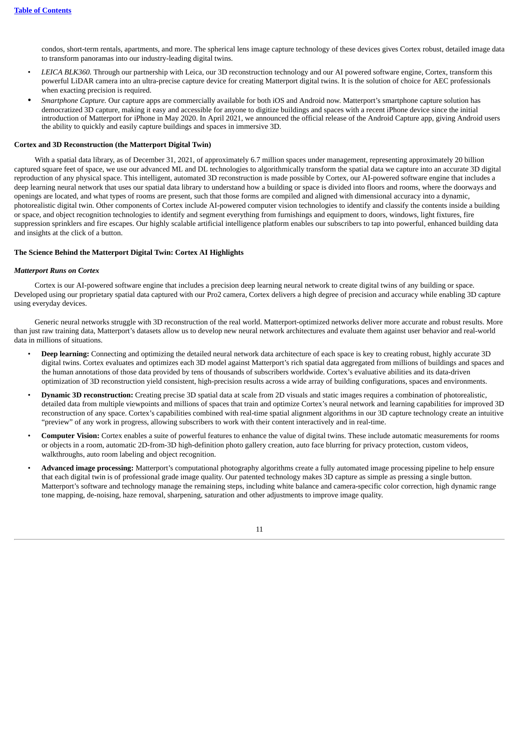condos, short-term rentals, apartments, and more. The spherical lens image capture technology of these devices gives Cortex robust, detailed image data to transform panoramas into our industry-leading digital twins.

- *LEICA BLK360.* Through our partnership with Leica, our 3D reconstruction technology and our AI powered software engine, Cortex, transform this powerful LiDAR camera into an ultra-precise capture device for creating Matterport digital twins. It is the solution of choice for AEC professionals when exacting precision is required.
- *Smartphone Capture.* Our capture apps are commercially available for both iOS and Android now. Matterport's smartphone capture solution has democratized 3D capture, making it easy and accessible for anyone to digitize buildings and spaces with a recent iPhone device since the initial introduction of Matterport for iPhone in May 2020. In April 2021, we announced the official release of the Android Capture app, giving Android users the ability to quickly and easily capture buildings and spaces in immersive 3D.

# **Cortex and 3D Reconstruction (the Matterport Digital Twin)**

With a spatial data library, as of December 31, 2021, of approximately 6.7 million spaces under management, representing approximately 20 billion captured square feet of space, we use our advanced ML and DL technologies to algorithmically transform the spatial data we capture into an accurate 3D digital reproduction of any physical space. This intelligent, automated 3D reconstruction is made possible by Cortex, our AI-powered software engine that includes a deep learning neural network that uses our spatial data library to understand how a building or space is divided into floors and rooms, where the doorways and openings are located, and what types of rooms are present, such that those forms are compiled and aligned with dimensional accuracy into a dynamic, photorealistic digital twin. Other components of Cortex include AI-powered computer vision technologies to identify and classify the contents inside a building or space, and object recognition technologies to identify and segment everything from furnishings and equipment to doors, windows, light fixtures, fire suppression sprinklers and fire escapes. Our highly scalable artificial intelligence platform enables our subscribers to tap into powerful, enhanced building data and insights at the click of a button.

# **The Science Behind the Matterport Digital Twin: Cortex AI Highlights**

## *Matterport Runs on Cortex*

Cortex is our AI-powered software engine that includes a precision deep learning neural network to create digital twins of any building or space. Developed using our proprietary spatial data captured with our Pro2 camera, Cortex delivers a high degree of precision and accuracy while enabling 3D capture using everyday devices.

Generic neural networks struggle with 3D reconstruction of the real world. Matterport-optimized networks deliver more accurate and robust results. More than just raw training data, Matterport's datasets allow us to develop new neural network architectures and evaluate them against user behavior and real-world data in millions of situations.

- **Deep learning:** Connecting and optimizing the detailed neural network data architecture of each space is key to creating robust, highly accurate 3D digital twins. Cortex evaluates and optimizes each 3D model against Matterport's rich spatial data aggregated from millions of buildings and spaces and the human annotations of those data provided by tens of thousands of subscribers worldwide. Cortex's evaluative abilities and its data-driven optimization of 3D reconstruction yield consistent, high-precision results across a wide array of building configurations, spaces and environments.
- **Dynamic 3D reconstruction:** Creating precise 3D spatial data at scale from 2D visuals and static images requires a combination of photorealistic, detailed data from multiple viewpoints and millions of spaces that train and optimize Cortex's neural network and learning capabilities for improved 3D reconstruction of any space. Cortex's capabilities combined with real-time spatial alignment algorithms in our 3D capture technology create an intuitive "preview" of any work in progress, allowing subscribers to work with their content interactively and in real-time.
- **Computer Vision:** Cortex enables a suite of powerful features to enhance the value of digital twins. These include automatic measurements for rooms or objects in a room, automatic 2D-from-3D high-definition photo gallery creation, auto face blurring for privacy protection, custom videos, walkthroughs, auto room labeling and object recognition.
- **Advanced image processing:** Matterport's computational photography algorithms create a fully automated image processing pipeline to help ensure that each digital twin is of professional grade image quality. Our patented technology makes 3D capture as simple as pressing a single button. Matterport's software and technology manage the remaining steps, including white balance and camera-specific color correction, high dynamic range tone mapping, de-noising, haze removal, sharpening, saturation and other adjustments to improve image quality.

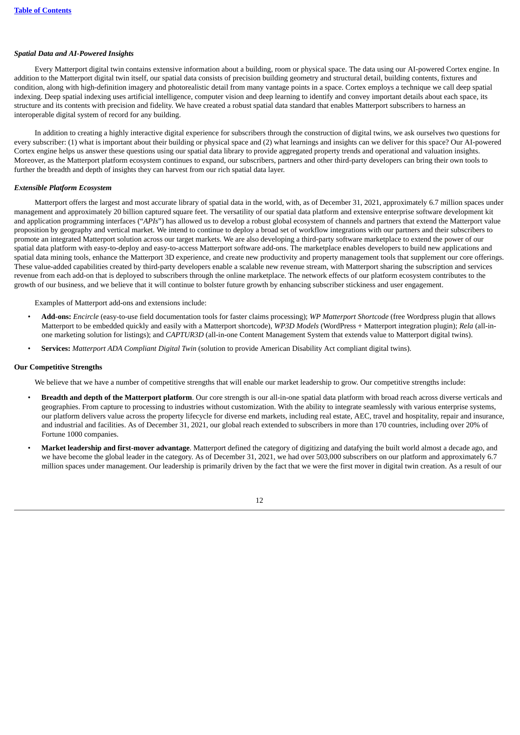# *Spatial Data and AI-Powered Insights*

Every Matterport digital twin contains extensive information about a building, room or physical space. The data using our AI-powered Cortex engine. In addition to the Matterport digital twin itself, our spatial data consists of precision building geometry and structural detail, building contents, fixtures and condition, along with high-definition imagery and photorealistic detail from many vantage points in a space. Cortex employs a technique we call deep spatial indexing. Deep spatial indexing uses artificial intelligence, computer vision and deep learning to identify and convey important details about each space, its structure and its contents with precision and fidelity. We have created a robust spatial data standard that enables Matterport subscribers to harness an interoperable digital system of record for any building.

In addition to creating a highly interactive digital experience for subscribers through the construction of digital twins, we ask ourselves two questions for every subscriber: (1) what is important about their building or physical space and (2) what learnings and insights can we deliver for this space? Our AI-powered Cortex engine helps us answer these questions using our spatial data library to provide aggregated property trends and operational and valuation insights. Moreover, as the Matterport platform ecosystem continues to expand, our subscribers, partners and other third-party developers can bring their own tools to further the breadth and depth of insights they can harvest from our rich spatial data layer.

## *Extensible Platform Ecosystem*

Matterport offers the largest and most accurate library of spatial data in the world, with, as of December 31, 2021, approximately 6.7 million spaces under management and approximately 20 billion captured square feet. The versatility of our spatial data platform and extensive enterprise software development kit and application programming interfaces ("*APIs*") has allowed us to develop a robust global ecosystem of channels and partners that extend the Matterport value proposition by geography and vertical market. We intend to continue to deploy a broad set of workflow integrations with our partners and their subscribers to promote an integrated Matterport solution across our target markets. We are also developing a third-party software marketplace to extend the power of our spatial data platform with easy-to-deploy and easy-to-access Matterport software add-ons. The marketplace enables developers to build new applications and spatial data mining tools, enhance the Matterport 3D experience, and create new productivity and property management tools that supplement our core offerings. These value-added capabilities created by third-party developers enable a scalable new revenue stream, with Matterport sharing the subscription and services revenue from each add-on that is deployed to subscribers through the online marketplace. The network effects of our platform ecosystem contributes to the growth of our business, and we believe that it will continue to bolster future growth by enhancing subscriber stickiness and user engagement.

Examples of Matterport add-ons and extensions include:

- **Add-ons:** *Encircle* (easy-to-use field documentation tools for faster claims processing); *WP Matterport Shortcode* (free Wordpress plugin that allows Matterport to be embedded quickly and easily with a Matterport shortcode), *WP3D Models* (WordPress + Matterport integration plugin); *Rela* (all-inone marketing solution for listings); and *CAPTUR3D* (all-in-one Content Management System that extends value to Matterport digital twins).
- **Services:** *Matterport ADA Compliant Digital Twin* (solution to provide American Disability Act compliant digital twins).

## **Our Competitive Strengths**

We believe that we have a number of competitive strengths that will enable our market leadership to grow. Our competitive strengths include:

- **Breadth and depth of the Matterport platform**. Our core strength is our all-in-one spatial data platform with broad reach across diverse verticals and geographies. From capture to processing to industries without customization. With the ability to integrate seamlessly with various enterprise systems, our platform delivers value across the property lifecycle for diverse end markets, including real estate, AEC, travel and hospitality, repair and insurance, and industrial and facilities. As of December 31, 2021, our global reach extended to subscribers in more than 170 countries, including over 20% of Fortune 1000 companies.
- **Market leadership and first-mover advantage**. Matterport defined the category of digitizing and datafying the built world almost a decade ago, and we have become the global leader in the category. As of December 31, 2021, we had over 503,000 subscribers on our platform and approximately 6.7 million spaces under management. Our leadership is primarily driven by the fact that we were the first mover in digital twin creation. As a result of our

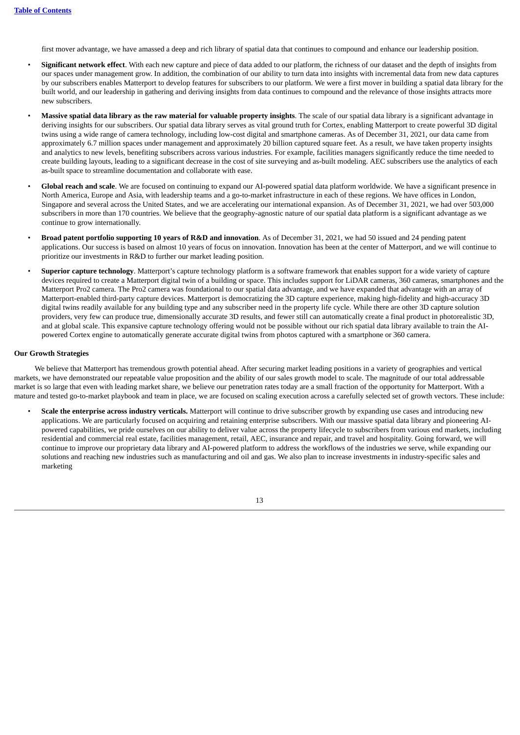first mover advantage, we have amassed a deep and rich library of spatial data that continues to compound and enhance our leadership position.

- **Significant network effect**. With each new capture and piece of data added to our platform, the richness of our dataset and the depth of insights from our spaces under management grow. In addition, the combination of our ability to turn data into insights with incremental data from new data captures by our subscribers enables Matterport to develop features for subscribers to our platform. We were a first mover in building a spatial data library for the built world, and our leadership in gathering and deriving insights from data continues to compound and the relevance of those insights attracts more new subscribers.
- Massive spatial data library as the raw material for valuable property insights. The scale of our spatial data library is a significant advantage in deriving insights for our subscribers. Our spatial data library serves as vital ground truth for Cortex, enabling Matterport to create powerful 3D digital twins using a wide range of camera technology, including low-cost digital and smartphone cameras. As of December 31, 2021, our data came from approximately 6.7 million spaces under management and approximately 20 billion captured square feet. As a result, we have taken property insights and analytics to new levels, benefiting subscribers across various industries. For example, facilities managers significantly reduce the time needed to create building layouts, leading to a significant decrease in the cost of site surveying and as-built modeling. AEC subscribers use the analytics of each as-built space to streamline documentation and collaborate with ease.
- **Global reach and scale**. We are focused on continuing to expand our AI-powered spatial data platform worldwide. We have a significant presence in North America, Europe and Asia, with leadership teams and a go-to-market infrastructure in each of these regions. We have offices in London, Singapore and several across the United States, and we are accelerating our international expansion. As of December 31, 2021, we had over 503,000 subscribers in more than 170 countries. We believe that the geography-agnostic nature of our spatial data platform is a significant advantage as we continue to grow internationally.
- **Broad patent portfolio supporting 10 years of R&D and innovation**. As of December 31, 2021, we had 50 issued and 24 pending patent applications. Our success is based on almost 10 years of focus on innovation. Innovation has been at the center of Matterport, and we will continue to prioritize our investments in R&D to further our market leading position.
- **Superior capture technology**. Matterport's capture technology platform is a software framework that enables support for a wide variety of capture devices required to create a Matterport digital twin of a building or space. This includes support for LiDAR cameras, 360 cameras, smartphones and the Matterport Pro2 camera. The Pro2 camera was foundational to our spatial data advantage, and we have expanded that advantage with an array of Matterport-enabled third-party capture devices. Matterport is democratizing the 3D capture experience, making high-fidelity and high-accuracy 3D digital twins readily available for any building type and any subscriber need in the property life cycle. While there are other 3D capture solution providers, very few can produce true, dimensionally accurate 3D results, and fewer still can automatically create a final product in photorealistic 3D, and at global scale. This expansive capture technology offering would not be possible without our rich spatial data library available to train the AIpowered Cortex engine to automatically generate accurate digital twins from photos captured with a smartphone or 360 camera.

# **Our Growth Strategies**

We believe that Matterport has tremendous growth potential ahead. After securing market leading positions in a variety of geographies and vertical markets, we have demonstrated our repeatable value proposition and the ability of our sales growth model to scale. The magnitude of our total addressable market is so large that even with leading market share, we believe our penetration rates today are a small fraction of the opportunity for Matterport. With a mature and tested go-to-market playbook and team in place, we are focused on scaling execution across a carefully selected set of growth vectors. These include:

• **Scale the enterprise across industry verticals.** Matterport will continue to drive subscriber growth by expanding use cases and introducing new applications. We are particularly focused on acquiring and retaining enterprise subscribers. With our massive spatial data library and pioneering AIpowered capabilities, we pride ourselves on our ability to deliver value across the property lifecycle to subscribers from various end markets, including residential and commercial real estate, facilities management, retail, AEC, insurance and repair, and travel and hospitality. Going forward, we will continue to improve our proprietary data library and AI-powered platform to address the workflows of the industries we serve, while expanding our solutions and reaching new industries such as manufacturing and oil and gas. We also plan to increase investments in industry-specific sales and marketing

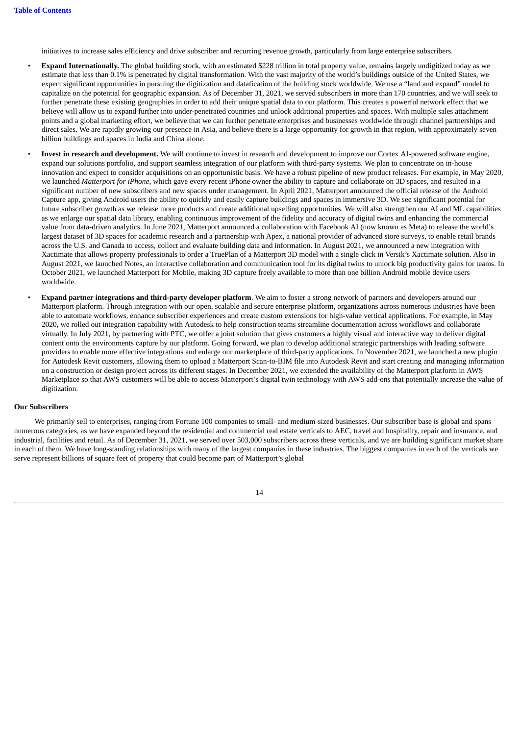initiatives to increase sales efficiency and drive subscriber and recurring revenue growth, particularly from large enterprise subscribers.

- **Expand Internationally.** The global building stock, with an estimated \$228 trillion in total property value, remains largely undigitized today as we estimate that less than 0.1% is penetrated by digital transformation. With the vast majority of the world's buildings outside of the United States, we expect significant opportunities in pursuing the digitization and datafication of the building stock worldwide. We use a "land and expand" model to capitalize on the potential for geographic expansion. As of December 31, 2021, we served subscribers in more than 170 countries, and we will seek to further penetrate these existing geographies in order to add their unique spatial data to our platform. This creates a powerful network effect that we believe will allow us to expand further into under-penetrated countries and unlock additional properties and spaces. With multiple sales attachment points and a global marketing effort, we believe that we can further penetrate enterprises and businesses worldwide through channel partnerships and direct sales. We are rapidly growing our presence in Asia, and believe there is a large opportunity for growth in that region, with approximately seven billion buildings and spaces in India and China alone.
- **Invest in research and development.** We will continue to invest in research and development to improve our Cortex AI-powered software engine, expand our solutions portfolio, and support seamless integration of our platform with third-party systems. We plan to concentrate on in-house innovation and expect to consider acquisitions on an opportunistic basis. We have a robust pipeline of new product releases. For example, in May 2020, we launched *Matterport for iPhone*, which gave every recent iPhone owner the ability to capture and collaborate on 3D spaces, and resulted in a significant number of new subscribers and new spaces under management. In April 2021, Matterport announced the official release of the Android Capture app, giving Android users the ability to quickly and easily capture buildings and spaces in immersive 3D. We see significant potential for future subscriber growth as we release more products and create additional upselling opportunities. We will also strengthen our AI and ML capabilities as we enlarge our spatial data library, enabling continuous improvement of the fidelity and accuracy of digital twins and enhancing the commercial value from data-driven analytics. In June 2021, Matterport announced a collaboration with Facebook AI (now known as Meta) to release the world's largest dataset of 3D spaces for academic research and a partnership with Apex, a national provider of advanced store surveys, to enable retail brands across the U.S. and Canada to access, collect and evaluate building data and information. In August 2021, we announced a new integration with Xactimate that allows property professionals to order a TruePlan of a Matterport 3D model with a single click in Versik's Xactimate solution. Also in August 2021, we launched Notes, an interactive collaboration and communication tool for its digital twins to unlock big productivity gains for teams. In October 2021, we launched Matterport for Mobile, making 3D capture freely available to more than one billion Android mobile device users worldwide.
- **Expand partner integrations and third-party developer platform**. We aim to foster a strong network of partners and developers around our Matterport platform. Through integration with our open, scalable and secure enterprise platform, organizations across numerous industries have been able to automate workflows, enhance subscriber experiences and create custom extensions for high-value vertical applications. For example, in May 2020, we rolled out integration capability with Autodesk to help construction teams streamline documentation across workflows and collaborate virtually. In July 2021, by partnering with PTC, we offer a joint solution that gives customers a highly visual and interactive way to deliver digital content onto the environments capture by our platform. Going forward, we plan to develop additional strategic partnerships with leading software providers to enable more effective integrations and enlarge our marketplace of third-party applications. In November 2021, we launched a new plugin for Autodesk Revit customers, allowing them to upload a Matterport Scan-to-BIM file into Autodesk Revit and start creating and managing information on a construction or design project across its different stages. In December 2021, we extended the availability of the Matterport platform in AWS Marketplace so that AWS customers will be able to access Matterport's digital twin technology with AWS add-ons that potentially increase the value of digitization.

# **Our Subscribers**

We primarily sell to enterprises, ranging from Fortune 100 companies to small- and medium-sized businesses. Our subscriber base is global and spans numerous categories, as we have expanded beyond the residential and commercial real estate verticals to AEC, travel and hospitality, repair and insurance, and industrial, facilities and retail. As of December 31, 2021, we served over 503,000 subscribers across these verticals, and we are building significant market share in each of them. We have long-standing relationships with many of the largest companies in these industries. The biggest companies in each of the verticals we serve represent billions of square feet of property that could become part of Matterport's global

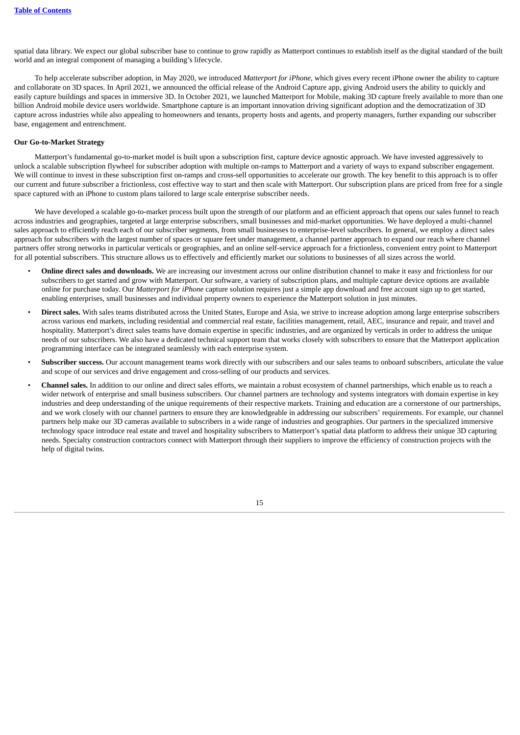spatial data library. We expect our global subscriber base to continue to grow rapidly as Matterport continues to establish itself as the digital standard of the built world and an integral component of managing a building's lifecycle.

To help accelerate subscriber adoption, in May 2020, we introduced *Matterport for iPhone*, which gives every recent iPhone owner the ability to capture and collaborate on 3D spaces. In April 2021, we announced the official release of the Android Capture app, giving Android users the ability to quickly and easily capture buildings and spaces in immersive 3D. In October 2021, we launched Matterport for Mobile, making 3D capture freely available to more than one billion Android mobile device users worldwide. Smartphone capture is an important innovation driving significant adoption and the democratization of 3D capture across industries while also appealing to homeowners and tenants, property hosts and agents, and property managers, further expanding our subscriber base, engagement and entrenchment.

# **Our Go-to-Market Strategy**

Matterport's fundamental go-to-market model is built upon a subscription first, capture device agnostic approach. We have invested aggressively to unlock a scalable subscription flywheel for subscriber adoption with multiple on-ramps to Matterport and a variety of ways to expand subscriber engagement. We will continue to invest in these subscription first on-ramps and cross-sell opportunities to accelerate our growth. The key benefit to this approach is to offer our current and future subscriber a frictionless, cost effective way to start and then scale with Matterport. Our subscription plans are priced from free for a single space captured with an iPhone to custom plans tailored to large scale enterprise subscriber needs.

We have developed a scalable go-to-market process built upon the strength of our platform and an efficient approach that opens our sales funnel to reach across industries and geographies, targeted at large enterprise subscribers, small businesses and mid-market opportunities. We have deployed a multi-channel sales approach to efficiently reach each of our subscriber segments, from small businesses to enterprise-level subscribers. In general, we employ a direct sales approach for subscribers with the largest number of spaces or square feet under management, a channel partner approach to expand our reach where channel partners offer strong networks in particular verticals or geographies, and an online self-service approach for a frictionless, convenient entry point to Matterport for all potential subscribers. This structure allows us to effectively and efficiently market our solutions to businesses of all sizes across the world.

- **Online direct sales and downloads.** We are increasing our investment across our online distribution channel to make it easy and frictionless for our subscribers to get started and grow with Matterport. Our software, a variety of subscription plans, and multiple capture device options are available online for purchase today. Our *Matterport for iPhone* capture solution requires just a simple app download and free account sign up to get started, enabling enterprises, small businesses and individual property owners to experience the Matterport solution in just minutes.
- **Direct sales.** With sales teams distributed across the United States, Europe and Asia, we strive to increase adoption among large enterprise subscribers across various end markets, including residential and commercial real estate, facilities management, retail, AEC, insurance and repair, and travel and hospitality. Matterport's direct sales teams have domain expertise in specific industries, and are organized by verticals in order to address the unique needs of our subscribers. We also have a dedicated technical support team that works closely with subscribers to ensure that the Matterport application programming interface can be integrated seamlessly with each enterprise system.
- **Subscriber success.** Our account management teams work directly with our subscribers and our sales teams to onboard subscribers, articulate the value and scope of our services and drive engagement and cross-selling of our products and services.
- **Channel sales.** In addition to our online and direct sales efforts, we maintain a robust ecosystem of channel partnerships, which enable us to reach a wider network of enterprise and small business subscribers. Our channel partners are technology and systems integrators with domain expertise in key industries and deep understanding of the unique requirements of their respective markets. Training and education are a cornerstone of our partnerships, and we work closely with our channel partners to ensure they are knowledgeable in addressing our subscribers' requirements. For example, our channel partners help make our 3D cameras available to subscribers in a wide range of industries and geographies. Our partners in the specialized immersive technology space introduce real estate and travel and hospitality subscribers to Matterport's spatial data platform to address their unique 3D capturing needs. Specialty construction contractors connect with Matterport through their suppliers to improve the efficiency of construction projects with the help of digital twins.

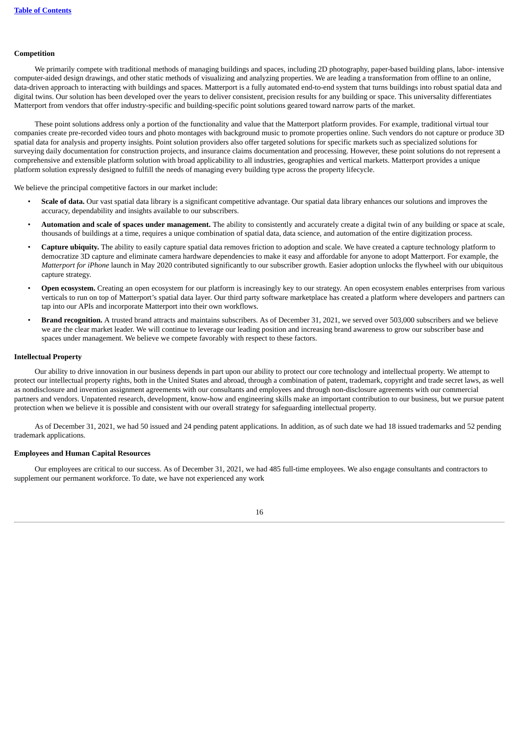# **Competition**

We primarily compete with traditional methods of managing buildings and spaces, including 2D photography, paper-based building plans, labor- intensive computer-aided design drawings, and other static methods of visualizing and analyzing properties. We are leading a transformation from offline to an online, data-driven approach to interacting with buildings and spaces. Matterport is a fully automated end-to-end system that turns buildings into robust spatial data and digital twins. Our solution has been developed over the years to deliver consistent, precision results for any building or space. This universality differentiates Matterport from vendors that offer industry-specific and building-specific point solutions geared toward narrow parts of the market.

These point solutions address only a portion of the functionality and value that the Matterport platform provides. For example, traditional virtual tour companies create pre-recorded video tours and photo montages with background music to promote properties online. Such vendors do not capture or produce 3D spatial data for analysis and property insights. Point solution providers also offer targeted solutions for specific markets such as specialized solutions for surveying daily documentation for construction projects, and insurance claims documentation and processing. However, these point solutions do not represent a comprehensive and extensible platform solution with broad applicability to all industries, geographies and vertical markets. Matterport provides a unique platform solution expressly designed to fulfill the needs of managing every building type across the property lifecycle.

We believe the principal competitive factors in our market include:

- **Scale of data.** Our vast spatial data library is a significant competitive advantage. Our spatial data library enhances our solutions and improves the accuracy, dependability and insights available to our subscribers.
- **Automation and scale of spaces under management.** The ability to consistently and accurately create a digital twin of any building or space at scale, thousands of buildings at a time, requires a unique combination of spatial data, data science, and automation of the entire digitization process.
- **Capture ubiquity.** The ability to easily capture spatial data removes friction to adoption and scale. We have created a capture technology platform to democratize 3D capture and eliminate camera hardware dependencies to make it easy and affordable for anyone to adopt Matterport. For example, the *Matterport for iPhone* launch in May 2020 contributed significantly to our subscriber growth. Easier adoption unlocks the flywheel with our ubiquitous capture strategy.
- **Open ecosystem.** Creating an open ecosystem for our platform is increasingly key to our strategy. An open ecosystem enables enterprises from various verticals to run on top of Matterport's spatial data layer. Our third party software marketplace has created a platform where developers and partners can tap into our APIs and incorporate Matterport into their own workflows.
- **Brand recognition.** A trusted brand attracts and maintains subscribers. As of December 31, 2021, we served over 503,000 subscribers and we believe we are the clear market leader. We will continue to leverage our leading position and increasing brand awareness to grow our subscriber base and spaces under management. We believe we compete favorably with respect to these factors.

## **Intellectual Property**

Our ability to drive innovation in our business depends in part upon our ability to protect our core technology and intellectual property. We attempt to protect our intellectual property rights, both in the United States and abroad, through a combination of patent, trademark, copyright and trade secret laws, as well as nondisclosure and invention assignment agreements with our consultants and employees and through non-disclosure agreements with our commercial partners and vendors. Unpatented research, development, know-how and engineering skills make an important contribution to our business, but we pursue patent protection when we believe it is possible and consistent with our overall strategy for safeguarding intellectual property.

As of December 31, 2021, we had 50 issued and 24 pending patent applications. In addition, as of such date we had 18 issued trademarks and 52 pending trademark applications.

# **Employees and Human Capital Resources**

Our employees are critical to our success. As of December 31, 2021, we had 485 full-time employees. We also engage consultants and contractors to supplement our permanent workforce. To date, we have not experienced any work

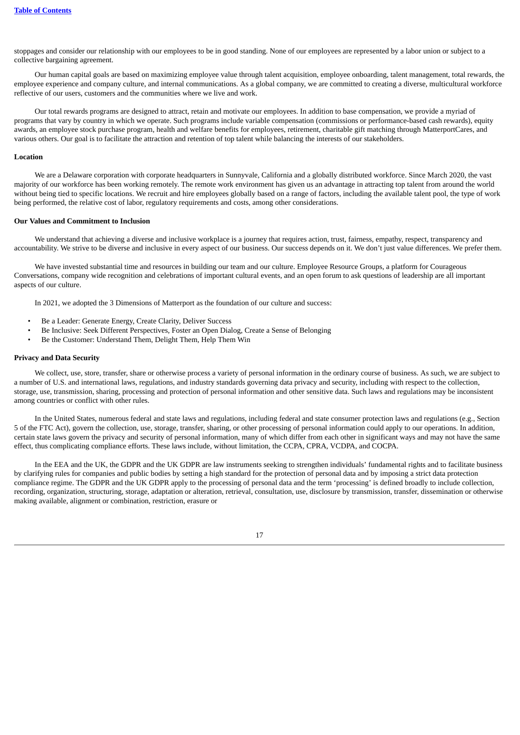stoppages and consider our relationship with our employees to be in good standing. None of our employees are represented by a labor union or subject to a collective bargaining agreement.

Our human capital goals are based on maximizing employee value through talent acquisition, employee onboarding, talent management, total rewards, the employee experience and company culture, and internal communications. As a global company, we are committed to creating a diverse, multicultural workforce reflective of our users, customers and the communities where we live and work.

Our total rewards programs are designed to attract, retain and motivate our employees. In addition to base compensation, we provide a myriad of programs that vary by country in which we operate. Such programs include variable compensation (commissions or performance-based cash rewards), equity awards, an employee stock purchase program, health and welfare benefits for employees, retirement, charitable gift matching through MatterportCares, and various others. Our goal is to facilitate the attraction and retention of top talent while balancing the interests of our stakeholders.

# **Location**

We are a Delaware corporation with corporate headquarters in Sunnyvale, California and a globally distributed workforce. Since March 2020, the vast majority of our workforce has been working remotely. The remote work environment has given us an advantage in attracting top talent from around the world without being tied to specific locations. We recruit and hire employees globally based on a range of factors, including the available talent pool, the type of work being performed, the relative cost of labor, regulatory requirements and costs, among other considerations.

## **Our Values and Commitment to Inclusion**

We understand that achieving a diverse and inclusive workplace is a journey that requires action, trust, fairness, empathy, respect, transparency and accountability. We strive to be diverse and inclusive in every aspect of our business. Our success depends on it. We don't just value differences. We prefer them.

We have invested substantial time and resources in building our team and our culture. Employee Resource Groups, a platform for Courageous Conversations, company wide recognition and celebrations of important cultural events, and an open forum to ask questions of leadership are all important aspects of our culture.

In 2021, we adopted the 3 Dimensions of Matterport as the foundation of our culture and success:

- Be a Leader: Generate Energy, Create Clarity, Deliver Success
- Be Inclusive: Seek Different Perspectives, Foster an Open Dialog, Create a Sense of Belonging
- Be the Customer: Understand Them, Delight Them, Help Them Win

# **Privacy and Data Security**

We collect, use, store, transfer, share or otherwise process a variety of personal information in the ordinary course of business. As such, we are subject to a number of U.S. and international laws, regulations, and industry standards governing data privacy and security, including with respect to the collection, storage, use, transmission, sharing, processing and protection of personal information and other sensitive data. Such laws and regulations may be inconsistent among countries or conflict with other rules.

In the United States, numerous federal and state laws and regulations, including federal and state consumer protection laws and regulations (e.g., Section 5 of the FTC Act), govern the collection, use, storage, transfer, sharing, or other processing of personal information could apply to our operations. In addition, certain state laws govern the privacy and security of personal information, many of which differ from each other in significant ways and may not have the same effect, thus complicating compliance efforts. These laws include, without limitation, the CCPA, CPRA, VCDPA, and COCPA.

In the EEA and the UK, the GDPR and the UK GDPR are law instruments seeking to strengthen individuals' fundamental rights and to facilitate business by clarifying rules for companies and public bodies by setting a high standard for the protection of personal data and by imposing a strict data protection compliance regime. The GDPR and the UK GDPR apply to the processing of personal data and the term 'processing' is defined broadly to include collection, recording, organization, structuring, storage, adaptation or alteration, retrieval, consultation, use, disclosure by transmission, transfer, dissemination or otherwise making available, alignment or combination, restriction, erasure or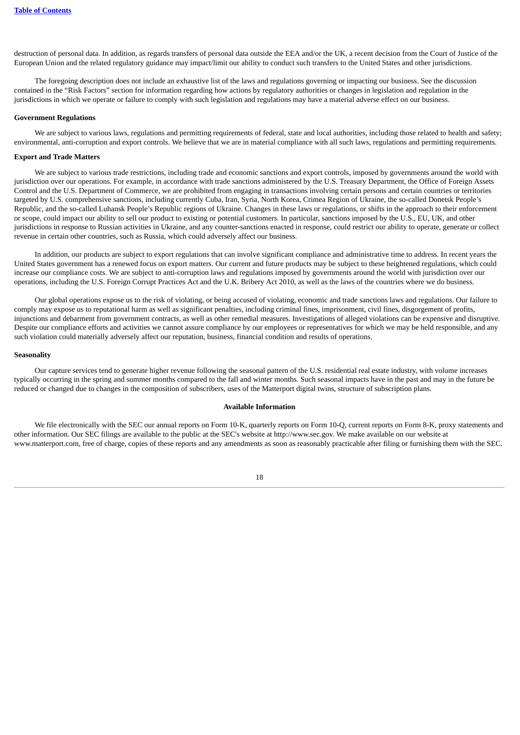destruction of personal data. In addition, as regards transfers of personal data outside the EEA and/or the UK, a recent decision from the Court of Justice of the European Union and the related regulatory guidance may impact/limit our ability to conduct such transfers to the United States and other jurisdictions.

The foregoing description does not include an exhaustive list of the laws and regulations governing or impacting our business. See the discussion contained in the "Risk Factors" section for information regarding how actions by regulatory authorities or changes in legislation and regulation in the jurisdictions in which we operate or failure to comply with such legislation and regulations may have a material adverse effect on our business.

## **Government Regulations**

We are subject to various laws, regulations and permitting requirements of federal, state and local authorities, including those related to health and safety; environmental, anti-corruption and export controls. We believe that we are in material compliance with all such laws, regulations and permitting requirements.

## **Export and Trade Matters**

We are subject to various trade restrictions, including trade and economic sanctions and export controls, imposed by governments around the world with jurisdiction over our operations. For example, in accordance with trade sanctions administered by the U.S. Treasury Department, the Office of Foreign Assets Control and the U.S. Department of Commerce, we are prohibited from engaging in transactions involving certain persons and certain countries or territories targeted by U.S. comprehensive sanctions, including currently Cuba, Iran, Syria, North Korea, Crimea Region of Ukraine, the so-called Donetsk People's Republic, and the so-called Luhansk People's Republic regions of Ukraine. Changes in these laws or regulations, or shifts in the approach to their enforcement or scope, could impact our ability to sell our product to existing or potential customers. In particular, sanctions imposed by the U.S., EU, UK, and other jurisdictions in response to Russian activities in Ukraine, and any counter-sanctions enacted in response, could restrict our ability to operate, generate or collect revenue in certain other countries, such as Russia, which could adversely affect our business.

In addition, our products are subject to export regulations that can involve significant compliance and administrative time to address. In recent years the United States government has a renewed focus on export matters. Our current and future products may be subject to these heightened regulations, which could increase our compliance costs. We are subject to anti-corruption laws and regulations imposed by governments around the world with jurisdiction over our operations, including the U.S. Foreign Corrupt Practices Act and the U.K. Bribery Act 2010, as well as the laws of the countries where we do business.

Our global operations expose us to the risk of violating, or being accused of violating, economic and trade sanctions laws and regulations. Our failure to comply may expose us to reputational harm as well as significant penalties, including criminal fines, imprisonment, civil fines, disgorgement of profits, injunctions and debarment from government contracts, as well as other remedial measures. Investigations of alleged violations can be expensive and disruptive. Despite our compliance efforts and activities we cannot assure compliance by our employees or representatives for which we may be held responsible, and any such violation could materially adversely affect our reputation, business, financial condition and results of operations.

## **Seasonality**

Our capture services tend to generate higher revenue following the seasonal pattern of the U.S. residential real estate industry, with volume increases typically occurring in the spring and summer months compared to the fall and winter months. Such seasonal impacts have in the past and may in the future be reduced or changed due to changes in the composition of subscribers, uses of the Matterport digital twins, structure of subscription plans.

## **Available Information**

<span id="page-17-0"></span>We file electronically with the SEC our annual reports on Form 10-K, quarterly reports on Form 10-Q, current reports on Form 8-K, proxy statements and other information. Our SEC filings are available to the public at the SEC's website at http://www.sec.gov. We make available on our website at www.matterport.com, free of charge, copies of these reports and any amendments as soon as reasonably practicable after filing or furnishing them with the SEC.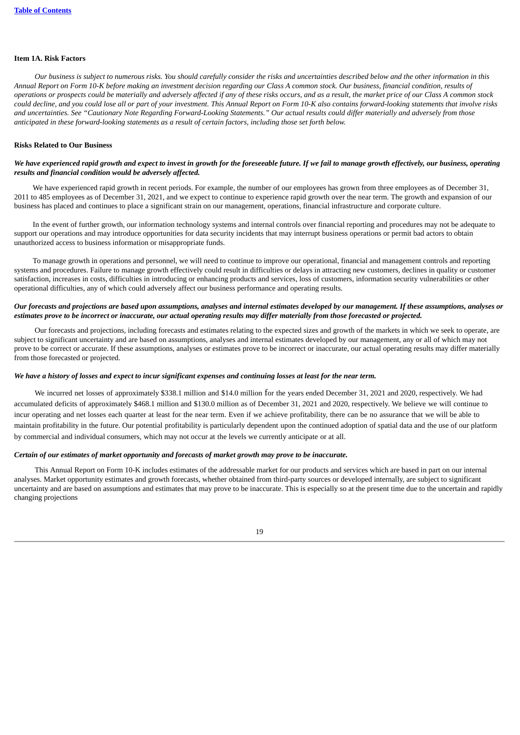## **Item 1A. Risk Factors**

Our business is subject to numerous risks. You should carefully consider the risks and uncertainties described below and the other information in this Annual Report on Form 10-K before making an investment decision regarding our Class A common stock. Our business, financial condition, results of operations or prospects could be materially and adversely affected if any of these risks occurs, and as a result, the market price of our Class A common stock could decline, and you could lose all or part of your investment. This Annual Report on Form 10-K also contains forward-looking statements that involve risks and uncertainties. See "Cautionary Note Regarding Forward-Looking Statements." Our actual results could differ materially and adversely from those *anticipated in these forward-looking statements as a result of certain factors, including those set forth below.*

# **Risks Related to Our Business**

# We have experienced rapid growth and expect to invest in growth for the foreseeable future. If we fail to manage growth effectively, our business, operating *results and financial condition would be adversely affected.*

We have experienced rapid growth in recent periods. For example, the number of our employees has grown from three employees as of December 31, 2011 to 485 employees as of December 31, 2021, and we expect to continue to experience rapid growth over the near term. The growth and expansion of our business has placed and continues to place a significant strain on our management, operations, financial infrastructure and corporate culture.

In the event of further growth, our information technology systems and internal controls over financial reporting and procedures may not be adequate to support our operations and may introduce opportunities for data security incidents that may interrupt business operations or permit bad actors to obtain unauthorized access to business information or misappropriate funds.

To manage growth in operations and personnel, we will need to continue to improve our operational, financial and management controls and reporting systems and procedures. Failure to manage growth effectively could result in difficulties or delays in attracting new customers, declines in quality or customer satisfaction, increases in costs, difficulties in introducing or enhancing products and services, loss of customers, information security vulnerabilities or other operational difficulties, any of which could adversely affect our business performance and operating results.

# Our forecasts and projections are based upon assumptions, analyses and internal estimates developed by our management. If these assumptions, analyses or estimates prove to be incorrect or inaccurate, our actual operating results may differ materially from those forecasted or projected.

Our forecasts and projections, including forecasts and estimates relating to the expected sizes and growth of the markets in which we seek to operate, are subject to significant uncertainty and are based on assumptions, analyses and internal estimates developed by our management, any or all of which may not prove to be correct or accurate. If these assumptions, analyses or estimates prove to be incorrect or inaccurate, our actual operating results may differ materially from those forecasted or projected.

# We have a history of losses and expect to incur significant expenses and continuing losses at least for the near term.

We incurred net losses of approximately \$338.1 million and \$14.0 million for the years ended December 31, 2021 and 2020, respectively. We had accumulated deficits of approximately \$468.1 million and \$130.0 million as of December 31, 2021 and 2020, respectively. We believe we will continue to incur operating and net losses each quarter at least for the near term. Even if we achieve profitability, there can be no assurance that we will be able to maintain profitability in the future. Our potential profitability is particularly dependent upon the continued adoption of spatial data and the use of our platform by commercial and individual consumers, which may not occur at the levels we currently anticipate or at all.

## *Certain of our estimates of market opportunity and forecasts of market growth may prove to be inaccurate.*

This Annual Report on Form 10-K includes estimates of the addressable market for our products and services which are based in part on our internal analyses. Market opportunity estimates and growth forecasts, whether obtained from third-party sources or developed internally, are subject to significant uncertainty and are based on assumptions and estimates that may prove to be inaccurate. This is especially so at the present time due to the uncertain and rapidly changing projections

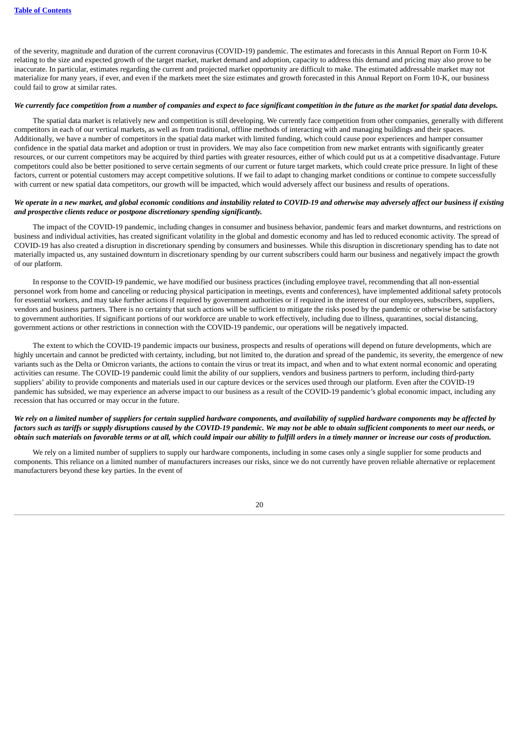of the severity, magnitude and duration of the current coronavirus (COVID-19) pandemic. The estimates and forecasts in this Annual Report on Form 10-K relating to the size and expected growth of the target market, market demand and adoption, capacity to address this demand and pricing may also prove to be inaccurate. In particular, estimates regarding the current and projected market opportunity are difficult to make. The estimated addressable market may not materialize for many years, if ever, and even if the markets meet the size estimates and growth forecasted in this Annual Report on Form 10-K, our business could fail to grow at similar rates.

## We currently face competition from a number of companies and expect to face sianificant competition in the future as the market for spatial data develops.

The spatial data market is relatively new and competition is still developing. We currently face competition from other companies, generally with different competitors in each of our vertical markets, as well as from traditional, offline methods of interacting with and managing buildings and their spaces. Additionally, we have a number of competitors in the spatial data market with limited funding, which could cause poor experiences and hamper consumer confidence in the spatial data market and adoption or trust in providers. We may also face competition from new market entrants with significantly greater resources, or our current competitors may be acquired by third parties with greater resources, either of which could put us at a competitive disadvantage. Future competitors could also be better positioned to serve certain segments of our current or future target markets, which could create price pressure. In light of these factors, current or potential customers may accept competitive solutions. If we fail to adapt to changing market conditions or continue to compete successfully with current or new spatial data competitors, our growth will be impacted, which would adversely affect our business and results of operations.

# We operate in a new market, and global economic conditions and instability related to COVID-19 and otherwise may adversely affect our business if existing *and prospective clients reduce or postpone discretionary spending significantly.*

The impact of the COVID-19 pandemic, including changes in consumer and business behavior, pandemic fears and market downturns, and restrictions on business and individual activities, has created significant volatility in the global and domestic economy and has led to reduced economic activity. The spread of COVID-19 has also created a disruption in discretionary spending by consumers and businesses. While this disruption in discretionary spending has to date not materially impacted us, any sustained downturn in discretionary spending by our current subscribers could harm our business and negatively impact the growth of our platform.

In response to the COVID-19 pandemic, we have modified our business practices (including employee travel, recommending that all non-essential personnel work from home and canceling or reducing physical participation in meetings, events and conferences), have implemented additional safety protocols for essential workers, and may take further actions if required by government authorities or if required in the interest of our employees, subscribers, suppliers, vendors and business partners. There is no certainty that such actions will be sufficient to mitigate the risks posed by the pandemic or otherwise be satisfactory to government authorities. If significant portions of our workforce are unable to work effectively, including due to illness, quarantines, social distancing, government actions or other restrictions in connection with the COVID-19 pandemic, our operations will be negatively impacted.

The extent to which the COVID-19 pandemic impacts our business, prospects and results of operations will depend on future developments, which are highly uncertain and cannot be predicted with certainty, including, but not limited to, the duration and spread of the pandemic, its severity, the emergence of new variants such as the Delta or Omicron variants, the actions to contain the virus or treat its impact, and when and to what extent normal economic and operating activities can resume. The COVID-19 pandemic could limit the ability of our suppliers, vendors and business partners to perform, including third-party suppliers' ability to provide components and materials used in our capture devices or the services used through our platform. Even after the COVID-19 pandemic has subsided, we may experience an adverse impact to our business as a result of the COVID-19 pandemic's global economic impact, including any recession that has occurred or may occur in the future.

# We rely on a limited number of suppliers for certain supplied hardware components, and availability of supplied hardware components may be affected by factors such as tariffs or supply disruptions caused by the COVID-19 pandemic. We may not be able to obtain sufficient components to meet our needs, or obtain such materials on favorable terms or at all, which could impair our ability to fulfill orders in a timely manner or increase our costs of production.

We rely on a limited number of suppliers to supply our hardware components, including in some cases only a single supplier for some products and components. This reliance on a limited number of manufacturers increases our risks, since we do not currently have proven reliable alternative or replacement manufacturers beyond these key parties. In the event of

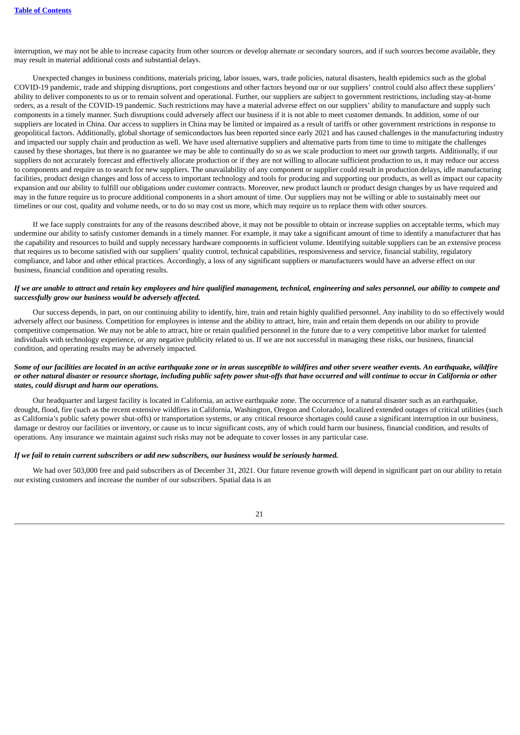interruption, we may not be able to increase capacity from other sources or develop alternate or secondary sources, and if such sources become available, they may result in material additional costs and substantial delays.

Unexpected changes in business conditions, materials pricing, labor issues, wars, trade policies, natural disasters, health epidemics such as the global COVID-19 pandemic, trade and shipping disruptions, port congestions and other factors beyond our or our suppliers' control could also affect these suppliers' ability to deliver components to us or to remain solvent and operational. Further, our suppliers are subject to government restrictions, including stay-at-home orders, as a result of the COVID-19 pandemic. Such restrictions may have a material adverse effect on our suppliers' ability to manufacture and supply such components in a timely manner. Such disruptions could adversely affect our business if it is not able to meet customer demands. In addition, some of our suppliers are located in China. Our access to suppliers in China may be limited or impaired as a result of tariffs or other government restrictions in response to geopolitical factors. Additionally, global shortage of semiconductors has been reported since early 2021 and has caused challenges in the manufacturing industry and impacted our supply chain and production as well. We have used alternative suppliers and alternative parts from time to time to mitigate the challenges caused by these shortages, but there is no guarantee we may be able to continually do so as we scale production to meet our growth targets. Additionally, if our suppliers do not accurately forecast and effectively allocate production or if they are not willing to allocate sufficient production to us, it may reduce our access to components and require us to search for new suppliers. The unavailability of any component or supplier could result in production delays, idle manufacturing facilities, product design changes and loss of access to important technology and tools for producing and supporting our products, as well as impact our capacity expansion and our ability to fulfill our obligations under customer contracts. Moreover, new product launch or product design changes by us have required and may in the future require us to procure additional components in a short amount of time. Our suppliers may not be willing or able to sustainably meet our timelines or our cost, quality and volume needs, or to do so may cost us more, which may require us to replace them with other sources.

If we face supply constraints for any of the reasons described above, it may not be possible to obtain or increase supplies on acceptable terms, which may undermine our ability to satisfy customer demands in a timely manner. For example, it may take a significant amount of time to identify a manufacturer that has the capability and resources to build and supply necessary hardware components in sufficient volume. Identifying suitable suppliers can be an extensive process that requires us to become satisfied with our suppliers' quality control, technical capabilities, responsiveness and service, financial stability, regulatory compliance, and labor and other ethical practices. Accordingly, a loss of any significant suppliers or manufacturers would have an adverse effect on our business, financial condition and operating results.

# If we are unable to attract and retain key employees and hire qualified management, technical, engineering and sales personnel, our ability to compete and *successfully grow our business would be adversely affected.*

Our success depends, in part, on our continuing ability to identify, hire, train and retain highly qualified personnel. Any inability to do so effectively would adversely affect our business. Competition for employees is intense and the ability to attract, hire, train and retain them depends on our ability to provide competitive compensation. We may not be able to attract, hire or retain qualified personnel in the future due to a very competitive labor market for talented individuals with technology experience, or any negative publicity related to us. If we are not successful in managing these risks, our business, financial condition, and operating results may be adversely impacted.

# Some of our facilities are located in an active earthquake zone or in areas susceptible to wildfires and other severe weather events. An earthquake, wildfire or other natural disaster or resource shortage, including public safety power shut-offs that have occurred and will continue to occur in California or other *states, could disrupt and harm our operations.*

Our headquarter and largest facility is located in California, an active earthquake zone. The occurrence of a natural disaster such as an earthquake, drought, flood, fire (such as the recent extensive wildfires in California, Washington, Oregon and Colorado), localized extended outages of critical utilities (such as California's public safety power shut-offs) or transportation systems, or any critical resource shortages could cause a significant interruption in our business, damage or destroy our facilities or inventory, or cause us to incur significant costs, any of which could harm our business, financial condition, and results of operations. Any insurance we maintain against such risks may not be adequate to cover losses in any particular case.

# *If we fail to retain current subscribers or add new subscribers, our business would be seriously harmed.*

We had over 503,000 free and paid subscribers as of December 31, 2021. Our future revenue growth will depend in significant part on our ability to retain our existing customers and increase the number of our subscribers. Spatial data is an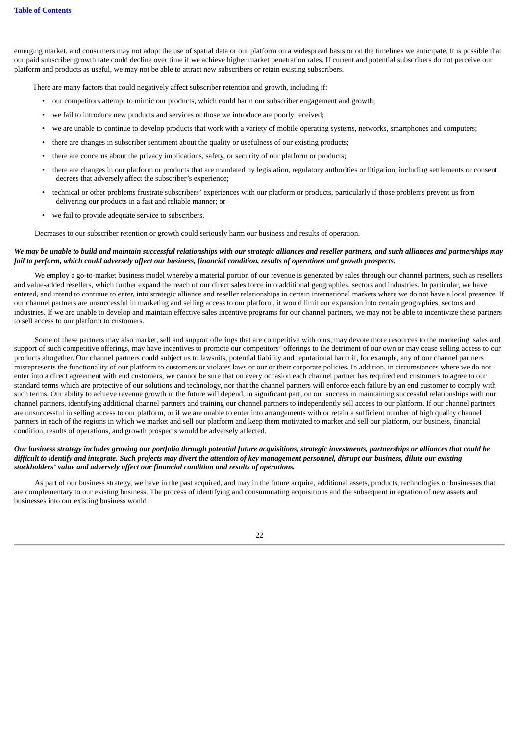emerging market, and consumers may not adopt the use of spatial data or our platform on a widespread basis or on the timelines we anticipate. It is possible that our paid subscriber growth rate could decline over time if we achieve higher market penetration rates. If current and potential subscribers do not perceive our platform and products as useful, we may not be able to attract new subscribers or retain existing subscribers.

There are many factors that could negatively affect subscriber retention and growth, including if:

- our competitors attempt to mimic our products, which could harm our subscriber engagement and growth;
- we fail to introduce new products and services or those we introduce are poorly received;
- we are unable to continue to develop products that work with a variety of mobile operating systems, networks, smartphones and computers;
- there are changes in subscriber sentiment about the quality or usefulness of our existing products;
- there are concerns about the privacy implications, safety, or security of our platform or products;
- there are changes in our platform or products that are mandated by legislation, regulatory authorities or litigation, including settlements or consent decrees that adversely affect the subscriber's experience;
- technical or other problems frustrate subscribers' experiences with our platform or products, particularly if those problems prevent us from delivering our products in a fast and reliable manner; or
- we fail to provide adequate service to subscribers.

Decreases to our subscriber retention or growth could seriously harm our business and results of operation.

# We may be unable to build and maintain successful relationships with our strategic alliances and reseller partners, and such alliances and partnerships may fail to perform, which could adversely affect our business, financial condition, results of operations and growth prospects.

We employ a go-to-market business model whereby a material portion of our revenue is generated by sales through our channel partners, such as resellers and value-added resellers, which further expand the reach of our direct sales force into additional geographies, sectors and industries. In particular, we have entered, and intend to continue to enter, into strategic alliance and reseller relationships in certain international markets where we do not have a local presence. If our channel partners are unsuccessful in marketing and selling access to our platform, it would limit our expansion into certain geographies, sectors and industries. If we are unable to develop and maintain effective sales incentive programs for our channel partners, we may not be able to incentivize these partners to sell access to our platform to customers.

Some of these partners may also market, sell and support offerings that are competitive with ours, may devote more resources to the marketing, sales and support of such competitive offerings, may have incentives to promote our competitors' offerings to the detriment of our own or may cease selling access to our products altogether. Our channel partners could subject us to lawsuits, potential liability and reputational harm if, for example, any of our channel partners misrepresents the functionality of our platform to customers or violates laws or our or their corporate policies. In addition, in circumstances where we do not enter into a direct agreement with end customers, we cannot be sure that on every occasion each channel partner has required end customers to agree to our standard terms which are protective of our solutions and technology, nor that the channel partners will enforce each failure by an end customer to comply with such terms. Our ability to achieve revenue growth in the future will depend, in significant part, on our success in maintaining successful relationships with our channel partners, identifying additional channel partners and training our channel partners to independently sell access to our platform. If our channel partners are unsuccessful in selling access to our platform, or if we are unable to enter into arrangements with or retain a sufficient number of high quality channel partners in each of the regions in which we market and sell our platform and keep them motivated to market and sell our platform, our business, financial condition, results of operations, and growth prospects would be adversely affected.

# Our business strategy includes growing our portfolio through potential future acquisitions, strategic investments, partnerships or alliances that could be difficult to identify and integrate. Such projects may divert the attention of key management personnel, disrupt our business, dilute our existing *stockholders' value and adversely affect our financial condition and results of operations.*

As part of our business strategy, we have in the past acquired, and may in the future acquire, additional assets, products, technologies or businesses that are complementary to our existing business. The process of identifying and consummating acquisitions and the subsequent integration of new assets and businesses into our existing business would

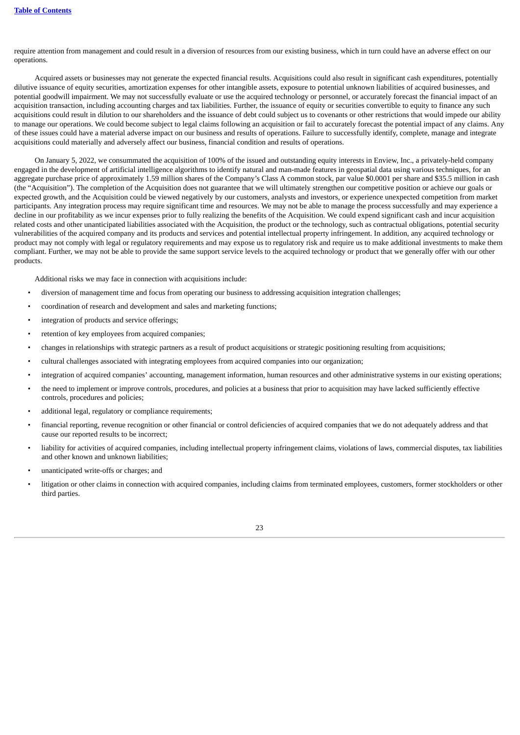require attention from management and could result in a diversion of resources from our existing business, which in turn could have an adverse effect on our operations.

Acquired assets or businesses may not generate the expected financial results. Acquisitions could also result in significant cash expenditures, potentially dilutive issuance of equity securities, amortization expenses for other intangible assets, exposure to potential unknown liabilities of acquired businesses, and potential goodwill impairment. We may not successfully evaluate or use the acquired technology or personnel, or accurately forecast the financial impact of an acquisition transaction, including accounting charges and tax liabilities. Further, the issuance of equity or securities convertible to equity to finance any such acquisitions could result in dilution to our shareholders and the issuance of debt could subject us to covenants or other restrictions that would impede our ability to manage our operations. We could become subject to legal claims following an acquisition or fail to accurately forecast the potential impact of any claims. Any of these issues could have a material adverse impact on our business and results of operations. Failure to successfully identify, complete, manage and integrate acquisitions could materially and adversely affect our business, financial condition and results of operations.

On January 5, 2022, we consummated the acquisition of 100% of the issued and outstanding equity interests in Enview, Inc., a privately-held company engaged in the development of artificial intelligence algorithms to identify natural and man-made features in geospatial data using various techniques, for an aggregate purchase price of approximately 1.59 million shares of the Company's Class A common stock, par value \$0.0001 per share and \$35.5 million in cash (the "Acquisition"). The completion of the Acquisition does not guarantee that we will ultimately strengthen our competitive position or achieve our goals or expected growth, and the Acquisition could be viewed negatively by our customers, analysts and investors, or experience unexpected competition from market participants. Any integration process may require significant time and resources. We may not be able to manage the process successfully and may experience a decline in our profitability as we incur expenses prior to fully realizing the benefits of the Acquisition. We could expend significant cash and incur acquisition related costs and other unanticipated liabilities associated with the Acquisition, the product or the technology, such as contractual obligations, potential security vulnerabilities of the acquired company and its products and services and potential intellectual property infringement. In addition, any acquired technology or product may not comply with legal or regulatory requirements and may expose us to regulatory risk and require us to make additional investments to make them compliant. Further, we may not be able to provide the same support service levels to the acquired technology or product that we generally offer with our other products.

Additional risks we may face in connection with acquisitions include:

- diversion of management time and focus from operating our business to addressing acquisition integration challenges;
- coordination of research and development and sales and marketing functions;
- integration of products and service offerings;
- retention of key employees from acquired companies;
- changes in relationships with strategic partners as a result of product acquisitions or strategic positioning resulting from acquisitions;
- cultural challenges associated with integrating employees from acquired companies into our organization;
- integration of acquired companies' accounting, management information, human resources and other administrative systems in our existing operations;
- the need to implement or improve controls, procedures, and policies at a business that prior to acquisition may have lacked sufficiently effective controls, procedures and policies;
- additional legal, regulatory or compliance requirements;
- financial reporting, revenue recognition or other financial or control deficiencies of acquired companies that we do not adequately address and that cause our reported results to be incorrect;
- liability for activities of acquired companies, including intellectual property infringement claims, violations of laws, commercial disputes, tax liabilities and other known and unknown liabilities;
- unanticipated write-offs or charges; and
- litigation or other claims in connection with acquired companies, including claims from terminated employees, customers, former stockholders or other third parties.

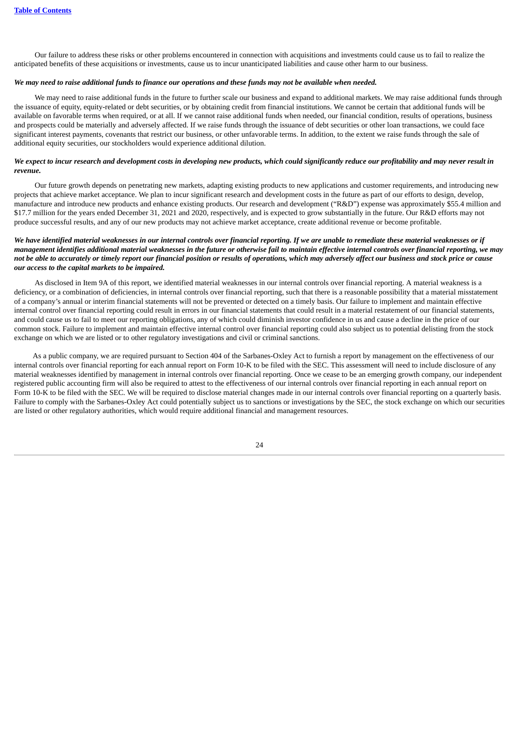Our failure to address these risks or other problems encountered in connection with acquisitions and investments could cause us to fail to realize the anticipated benefits of these acquisitions or investments, cause us to incur unanticipated liabilities and cause other harm to our business.

# We may need to raise additional funds to finance our operations and these funds may not be available when needed.

We may need to raise additional funds in the future to further scale our business and expand to additional markets. We may raise additional funds through the issuance of equity, equity-related or debt securities, or by obtaining credit from financial institutions. We cannot be certain that additional funds will be available on favorable terms when required, or at all. If we cannot raise additional funds when needed, our financial condition, results of operations, business and prospects could be materially and adversely affected. If we raise funds through the issuance of debt securities or other loan transactions, we could face significant interest payments, covenants that restrict our business, or other unfavorable terms. In addition, to the extent we raise funds through the sale of additional equity securities, our stockholders would experience additional dilution.

# We expect to incur research and development costs in developing new products, which could significantly reduce our profitability and may never result in *revenue.*

Our future growth depends on penetrating new markets, adapting existing products to new applications and customer requirements, and introducing new projects that achieve market acceptance. We plan to incur significant research and development costs in the future as part of our efforts to design, develop, manufacture and introduce new products and enhance existing products. Our research and development ("R&D") expense was approximately \$55.4 million and \$17.7 million for the years ended December 31, 2021 and 2020, respectively, and is expected to grow substantially in the future. Our R&D efforts may not produce successful results, and any of our new products may not achieve market acceptance, create additional revenue or become profitable.

# We have identified material weaknesses in our internal controls over financial reporting. If we are unable to remediate these material weaknesses or if management identifies additional material weaknesses in the future or otherwise fail to maintain effective internal controls over financial reporting, we may not be able to accurately or timely report our financial position or results of operations, which may adversely affect our business and stock price or cause *our access to the capital markets to be impaired.*

As disclosed in Item 9A of this report, we identified material weaknesses in our internal controls over financial reporting. A material weakness is a deficiency, or a combination of deficiencies, in internal controls over financial reporting, such that there is a reasonable possibility that a material misstatement of a company's annual or interim financial statements will not be prevented or detected on a timely basis. Our failure to implement and maintain effective internal control over financial reporting could result in errors in our financial statements that could result in a material restatement of our financial statements, and could cause us to fail to meet our reporting obligations, any of which could diminish investor confidence in us and cause a decline in the price of our common stock. Failure to implement and maintain effective internal control over financial reporting could also subject us to potential delisting from the stock exchange on which we are listed or to other regulatory investigations and civil or criminal sanctions.

As a public company, we are required pursuant to Section 404 of the Sarbanes-Oxley Act to furnish a report by management on the effectiveness of our internal controls over financial reporting for each annual report on Form 10-K to be filed with the SEC. This assessment will need to include disclosure of any material weaknesses identified by management in internal controls over financial reporting. Once we cease to be an emerging growth company, our independent registered public accounting firm will also be required to attest to the effectiveness of our internal controls over financial reporting in each annual report on Form 10-K to be filed with the SEC. We will be required to disclose material changes made in our internal controls over financial reporting on a quarterly basis. Failure to comply with the Sarbanes-Oxley Act could potentially subject us to sanctions or investigations by the SEC, the stock exchange on which our securities are listed or other regulatory authorities, which would require additional financial and management resources.

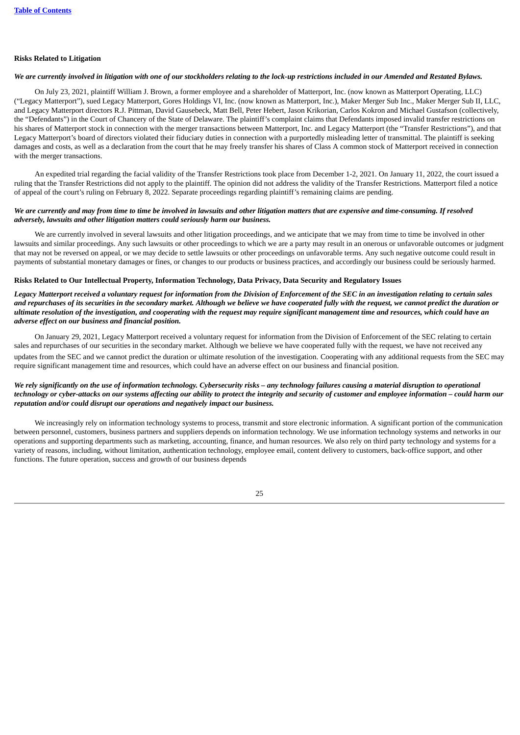## **Risks Related to Litigation**

## We are currently involved in litigation with one of our stockholders relating to the lock-up restrictions included in our Amended and Restated Bylaws.

On July 23, 2021, plaintiff William J. Brown, a former employee and a shareholder of Matterport, Inc. (now known as Matterport Operating, LLC) ("Legacy Matterport"), sued Legacy Matterport, Gores Holdings VI, Inc. (now known as Matterport, Inc.), Maker Merger Sub Inc., Maker Merger Sub II, LLC, and Legacy Matterport directors R.J. Pittman, David Gausebeck, Matt Bell, Peter Hebert, Jason Krikorian, Carlos Kokron and Michael Gustafson (collectively, the "Defendants") in the Court of Chancery of the State of Delaware. The plaintiff's complaint claims that Defendants imposed invalid transfer restrictions on his shares of Matterport stock in connection with the merger transactions between Matterport, Inc. and Legacy Matterport (the "Transfer Restrictions"), and that Legacy Matterport's board of directors violated their fiduciary duties in connection with a purportedly misleading letter of transmittal. The plaintiff is seeking damages and costs, as well as a declaration from the court that he may freely transfer his shares of Class A common stock of Matterport received in connection with the merger transactions.

An expedited trial regarding the facial validity of the Transfer Restrictions took place from December 1-2, 2021. On January 11, 2022, the court issued a ruling that the Transfer Restrictions did not apply to the plaintiff. The opinion did not address the validity of the Transfer Restrictions. Matterport filed a notice of appeal of the court's ruling on February 8, 2022. Separate proceedings regarding plaintiff's remaining claims are pending.

# We are currently and may from time to time be involved in lawsuits and other litigation matters that are expensive and time-consuming. If resolved *adversely, lawsuits and other litigation matters could seriously harm our business.*

We are currently involved in several lawsuits and other litigation proceedings, and we anticipate that we may from time to time be involved in other lawsuits and similar proceedings. Any such lawsuits or other proceedings to which we are a party may result in an onerous or unfavorable outcomes or judgment that may not be reversed on appeal, or we may decide to settle lawsuits or other proceedings on unfavorable terms. Any such negative outcome could result in payments of substantial monetary damages or fines, or changes to our products or business practices, and accordingly our business could be seriously harmed.

# **Risks Related to Our Intellectual Property, Information Technology, Data Privacy, Data Security and Regulatory Issues**

Legacy Matterport received a voluntary request for information from the Division of Enforcement of the SEC in an investigation relating to certain sales and repurchases of its securities in the secondary market. Although we believe we have cooperated fully with the request, we cannot predict the duration or ultimate resolution of the investigation, and cooperating with the request may require significant management time and resources, which could have an *adverse effect on our business and financial position.*

On January 29, 2021, Legacy Matterport received a voluntary request for information from the Division of Enforcement of the SEC relating to certain sales and repurchases of our securities in the secondary market. Although we believe we have cooperated fully with the request, we have not received any updates from the SEC and we cannot predict the duration or ultimate resolution of the investigation. Cooperating with any additional requests from the SEC may require significant management time and resources, which could have an adverse effect on our business and financial position.

# We rely significantly on the use of information technology. Cybersecurity risks – any technology failures causing a material disruption to operational technology or cyber-attacks on our systems affecting our ability to protect the integrity and security of customer and employee information – could harm our *reputation and/or could disrupt our operations and negatively impact our business.*

We increasingly rely on information technology systems to process, transmit and store electronic information. A significant portion of the communication between personnel, customers, business partners and suppliers depends on information technology. We use information technology systems and networks in our operations and supporting departments such as marketing, accounting, finance, and human resources. We also rely on third party technology and systems for a variety of reasons, including, without limitation, authentication technology, employee email, content delivery to customers, back-office support, and other functions. The future operation, success and growth of our business depends

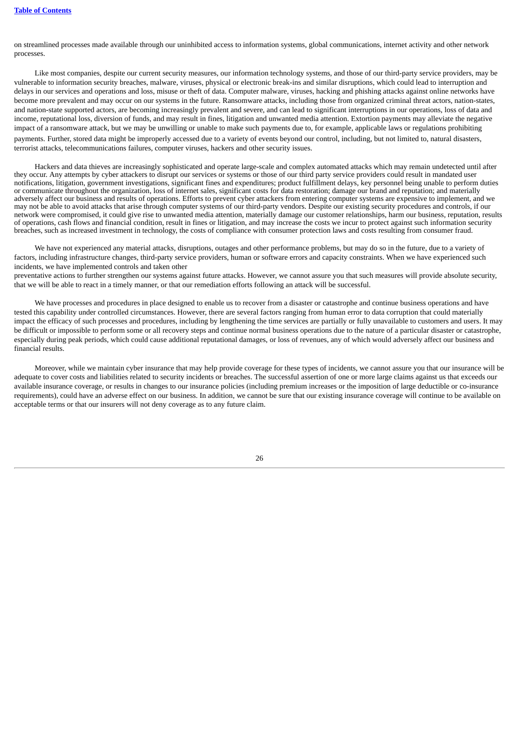on streamlined processes made available through our uninhibited access to information systems, global communications, internet activity and other network processes.

Like most companies, despite our current security measures, our information technology systems, and those of our third-party service providers, may be vulnerable to information security breaches, malware, viruses, physical or electronic break-ins and similar disruptions, which could lead to interruption and delays in our services and operations and loss, misuse or theft of data. Computer malware, viruses, hacking and phishing attacks against online networks have become more prevalent and may occur on our systems in the future. Ransomware attacks, including those from organized criminal threat actors, nation-states, and nation-state supported actors, are becoming increasingly prevalent and severe, and can lead to significant interruptions in our operations, loss of data and income, reputational loss, diversion of funds, and may result in fines, litigation and unwanted media attention. Extortion payments may alleviate the negative impact of a ransomware attack, but we may be unwilling or unable to make such payments due to, for example, applicable laws or regulations prohibiting payments. Further, stored data might be improperly accessed due to a variety of events beyond our control, including, but not limited to, natural disasters, terrorist attacks, telecommunications failures, computer viruses, hackers and other security issues.

Hackers and data thieves are increasingly sophisticated and operate large-scale and complex automated attacks which may remain undetected until after they occur. Any attempts by cyber attackers to disrupt our services or systems or those of our third party service providers could result in mandated user notifications, litigation, government investigations, significant fines and expenditures; product fulfillment delays, key personnel being unable to perform duties or communicate throughout the organization, loss of internet sales, significant costs for data restoration; damage our brand and reputation; and materially adversely affect our business and results of operations. Efforts to prevent cyber attackers from entering computer systems are expensive to implement, and we may not be able to avoid attacks that arise through computer systems of our third-party vendors. Despite our existing security procedures and controls, if our network were compromised, it could give rise to unwanted media attention, materially damage our customer relationships, harm our business, reputation, results of operations, cash flows and financial condition, result in fines or litigation, and may increase the costs we incur to protect against such information security breaches, such as increased investment in technology, the costs of compliance with consumer protection laws and costs resulting from consumer fraud.

We have not experienced any material attacks, disruptions, outages and other performance problems, but may do so in the future, due to a variety of factors, including infrastructure changes, third-party service providers, human or software errors and capacity constraints. When we have experienced such incidents, we have implemented controls and taken other

preventative actions to further strengthen our systems against future attacks. However, we cannot assure you that such measures will provide absolute security, that we will be able to react in a timely manner, or that our remediation efforts following an attack will be successful.

We have processes and procedures in place designed to enable us to recover from a disaster or catastrophe and continue business operations and have tested this capability under controlled circumstances. However, there are several factors ranging from human error to data corruption that could materially impact the efficacy of such processes and procedures, including by lengthening the time services are partially or fully unavailable to customers and users. It may be difficult or impossible to perform some or all recovery steps and continue normal business operations due to the nature of a particular disaster or catastrophe, especially during peak periods, which could cause additional reputational damages, or loss of revenues, any of which would adversely affect our business and financial results.

Moreover, while we maintain cyber insurance that may help provide coverage for these types of incidents, we cannot assure you that our insurance will be adequate to cover costs and liabilities related to security incidents or breaches. The successful assertion of one or more large claims against us that exceeds our available insurance coverage, or results in changes to our insurance policies (including premium increases or the imposition of large deductible or co-insurance requirements), could have an adverse effect on our business. In addition, we cannot be sure that our existing insurance coverage will continue to be available on acceptable terms or that our insurers will not deny coverage as to any future claim.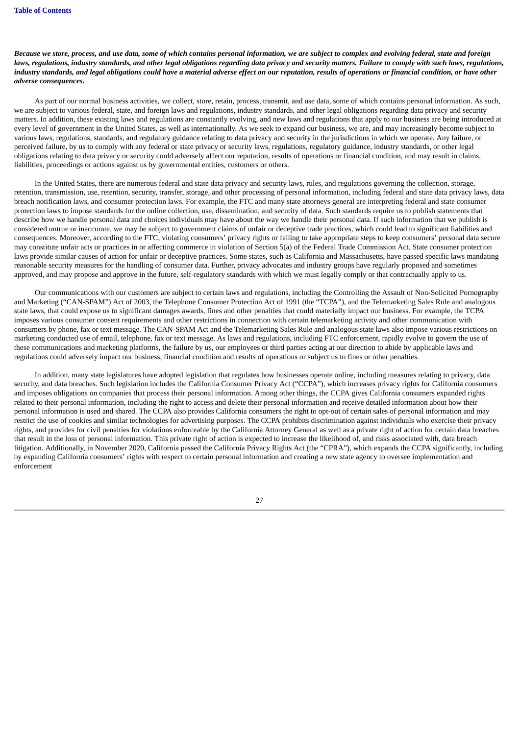Because we store, process, and use data, some of which contains personal information, we are subject to complex and evolving federal, state and foreign laws, regulations, industry standards, and other legal obligations regarding data privacy and security matters. Failure to comply with such laws, regulations, industry standards, and legal obligations could have a material adverse effect on our reputation, results of operations or financial condition, or have other *adverse consequences.*

As part of our normal business activities, we collect, store, retain, process, transmit, and use data, some of which contains personal information. As such, we are subject to various federal, state, and foreign laws and regulations, industry standards, and other legal obligations regarding data privacy and security matters. In addition, these existing laws and regulations are constantly evolving, and new laws and regulations that apply to our business are being introduced at every level of government in the United States, as well as internationally. As we seek to expand our business, we are, and may increasingly become subject to various laws, regulations, standards, and regulatory guidance relating to data privacy and security in the jurisdictions in which we operate. Any failure, or perceived failure, by us to comply with any federal or state privacy or security laws, regulations, regulatory guidance, industry standards, or other legal obligations relating to data privacy or security could adversely affect our reputation, results of operations or financial condition, and may result in claims, liabilities, proceedings or actions against us by governmental entities, customers or others.

In the United States, there are numerous federal and state data privacy and security laws, rules, and regulations governing the collection, storage, retention, transmission, use, retention, security, transfer, storage, and other processing of personal information, including federal and state data privacy laws, data breach notification laws, and consumer protection laws. For example, the FTC and many state attorneys general are interpreting federal and state consumer protection laws to impose standards for the online collection, use, dissemination, and security of data. Such standards require us to publish statements that describe how we handle personal data and choices individuals may have about the way we handle their personal data. If such information that we publish is considered untrue or inaccurate, we may be subject to government claims of unfair or deceptive trade practices, which could lead to significant liabilities and consequences. Moreover, according to the FTC, violating consumers' privacy rights or failing to take appropriate steps to keep consumers' personal data secure may constitute unfair acts or practices in or affecting commerce in violation of Section 5(a) of the Federal Trade Commission Act. State consumer protection laws provide similar causes of action for unfair or deceptive practices. Some states, such as California and Massachusetts, have passed specific laws mandating reasonable security measures for the handling of consumer data. Further, privacy advocates and industry groups have regularly proposed and sometimes approved, and may propose and approve in the future, self-regulatory standards with which we must legally comply or that contractually apply to us.

Our communications with our customers are subject to certain laws and regulations, including the Controlling the Assault of Non-Solicited Pornography and Marketing ("CAN-SPAM") Act of 2003, the Telephone Consumer Protection Act of 1991 (the "TCPA"), and the Telemarketing Sales Rule and analogous state laws, that could expose us to significant damages awards, fines and other penalties that could materially impact our business. For example, the TCPA imposes various consumer consent requirements and other restrictions in connection with certain telemarketing activity and other communication with consumers by phone, fax or text message. The CAN-SPAM Act and the Telemarketing Sales Rule and analogous state laws also impose various restrictions on marketing conducted use of email, telephone, fax or text message. As laws and regulations, including FTC enforcement, rapidly evolve to govern the use of these communications and marketing platforms, the failure by us, our employees or third parties acting at our direction to abide by applicable laws and regulations could adversely impact our business, financial condition and results of operations or subject us to fines or other penalties.

In addition, many state legislatures have adopted legislation that regulates how businesses operate online, including measures relating to privacy, data security, and data breaches. Such legislation includes the California Consumer Privacy Act ("CCPA"), which increases privacy rights for California consumers and imposes obligations on companies that process their personal information. Among other things, the CCPA gives California consumers expanded rights related to their personal information, including the right to access and delete their personal information and receive detailed information about how their personal information is used and shared. The CCPA also provides California consumers the right to opt-out of certain sales of personal information and may restrict the use of cookies and similar technologies for advertising purposes. The CCPA prohibits discrimination against individuals who exercise their privacy rights, and provides for civil penalties for violations enforceable by the California Attorney General as well as a private right of action for certain data breaches that result in the loss of personal information. This private right of action is expected to increase the likelihood of, and risks associated with, data breach litigation. Additionally, in November 2020, California passed the California Privacy Rights Act (the "CPRA"), which expands the CCPA significantly, including by expanding California consumers' rights with respect to certain personal information and creating a new state agency to oversee implementation and enforcement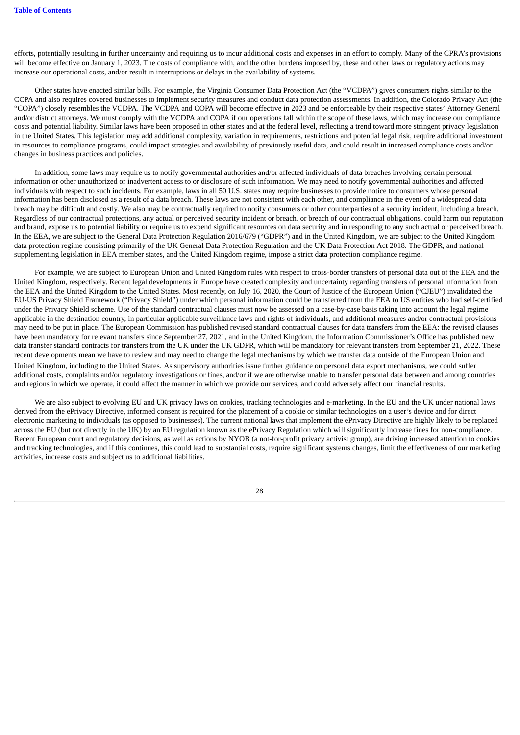efforts, potentially resulting in further uncertainty and requiring us to incur additional costs and expenses in an effort to comply. Many of the CPRA's provisions will become effective on January 1, 2023. The costs of compliance with, and the other burdens imposed by, these and other laws or regulatory actions may increase our operational costs, and/or result in interruptions or delays in the availability of systems.

Other states have enacted similar bills. For example, the Virginia Consumer Data Protection Act (the "VCDPA") gives consumers rights similar to the CCPA and also requires covered businesses to implement security measures and conduct data protection assessments. In addition, the Colorado Privacy Act (the "COPA") closely resembles the VCDPA. The VCDPA and COPA will become effective in 2023 and be enforceable by their respective states' Attorney General and/or district attorneys. We must comply with the VCDPA and COPA if our operations fall within the scope of these laws, which may increase our compliance costs and potential liability. Similar laws have been proposed in other states and at the federal level, reflecting a trend toward more stringent privacy legislation in the United States. This legislation may add additional complexity, variation in requirements, restrictions and potential legal risk, require additional investment in resources to compliance programs, could impact strategies and availability of previously useful data, and could result in increased compliance costs and/or changes in business practices and policies.

In addition, some laws may require us to notify governmental authorities and/or affected individuals of data breaches involving certain personal information or other unauthorized or inadvertent access to or disclosure of such information. We may need to notify governmental authorities and affected individuals with respect to such incidents. For example, laws in all 50 U.S. states may require businesses to provide notice to consumers whose personal information has been disclosed as a result of a data breach. These laws are not consistent with each other, and compliance in the event of a widespread data breach may be difficult and costly. We also may be contractually required to notify consumers or other counterparties of a security incident, including a breach. Regardless of our contractual protections, any actual or perceived security incident or breach, or breach of our contractual obligations, could harm our reputation and brand, expose us to potential liability or require us to expend significant resources on data security and in responding to any such actual or perceived breach. In the EEA, we are subject to the General Data Protection Regulation 2016/679 ("GDPR") and in the United Kingdom, we are subject to the United Kingdom data protection regime consisting primarily of the UK General Data Protection Regulation and the UK Data Protection Act 2018. The GDPR, and national supplementing legislation in EEA member states, and the United Kingdom regime, impose a strict data protection compliance regime.

For example, we are subject to European Union and United Kingdom rules with respect to cross-border transfers of personal data out of the EEA and the United Kingdom, respectively. Recent legal developments in Europe have created complexity and uncertainty regarding transfers of personal information from the EEA and the United Kingdom to the United States. Most recently, on July 16, 2020, the Court of Justice of the European Union ("CJEU") invalidated the EU-US Privacy Shield Framework ("Privacy Shield") under which personal information could be transferred from the EEA to US entities who had self-certified under the Privacy Shield scheme. Use of the standard contractual clauses must now be assessed on a case-by-case basis taking into account the legal regime applicable in the destination country, in particular applicable surveillance laws and rights of individuals, and additional measures and/or contractual provisions may need to be put in place. The European Commission has published revised standard contractual clauses for data transfers from the EEA: the revised clauses have been mandatory for relevant transfers since September 27, 2021, and in the United Kingdom, the Information Commissioner's Office has published new data transfer standard contracts for transfers from the UK under the UK GDPR, which will be mandatory for relevant transfers from September 21, 2022. These recent developments mean we have to review and may need to change the legal mechanisms by which we transfer data outside of the European Union and United Kingdom, including to the United States. As supervisory authorities issue further guidance on personal data export mechanisms, we could suffer additional costs, complaints and/or regulatory investigations or fines, and/or if we are otherwise unable to transfer personal data between and among countries and regions in which we operate, it could affect the manner in which we provide our services, and could adversely affect our financial results.

We are also subject to evolving EU and UK privacy laws on cookies, tracking technologies and e-marketing. In the EU and the UK under national laws derived from the ePrivacy Directive, informed consent is required for the placement of a cookie or similar technologies on a user's device and for direct electronic marketing to individuals (as opposed to businesses). The current national laws that implement the ePrivacy Directive are highly likely to be replaced across the EU (but not directly in the UK) by an EU regulation known as the ePrivacy Regulation which will significantly increase fines for non-compliance. Recent European court and regulatory decisions, as well as actions by NYOB (a not-for-profit privacy activist group), are driving increased attention to cookies and tracking technologies, and if this continues, this could lead to substantial costs, require significant systems changes, limit the effectiveness of our marketing activities, increase costs and subject us to additional liabilities.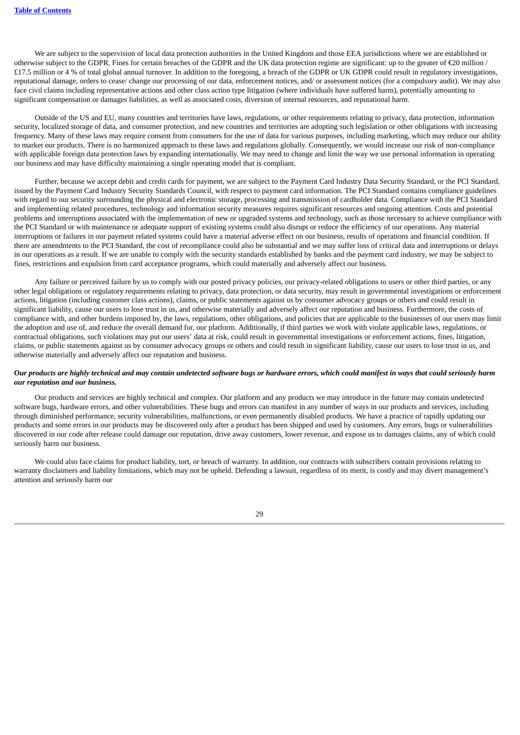We are subject to the supervision of local data protection authorities in the United Kingdom and those EEA jurisdictions where we are established or otherwise subject to the GDPR. Fines for certain breaches of the GDPR and the UK data protection regime are significant: up to the greater of  $\epsilon$ 20 million / £17.5 million or 4 % of total global annual turnover. In addition to the foregoing, a breach of the GDPR or UK GDPR could result in regulatory investigations, reputational damage, orders to cease/ change our processing of our data, enforcement notices, and/ or assessment notices (for a compulsory audit). We may also face civil claims including representative actions and other class action type litigation (where individuals have suffered harm), potentially amounting to significant compensation or damages liabilities, as well as associated costs, diversion of internal resources, and reputational harm.

Outside of the US and EU, many countries and territories have laws, regulations, or other requirements relating to privacy, data protection, information security, localized storage of data, and consumer protection, and new countries and territories are adopting such legislation or other obligations with increasing frequency. Many of these laws may require consent from consumers for the use of data for various purposes, including marketing, which may reduce our ability to market our products. There is no harmonized approach to these laws and regulations globally. Consequently, we would increase our risk of non-compliance with applicable foreign data protection laws by expanding internationally. We may need to change and limit the way we use personal information in operating our business and may have difficulty maintaining a single operating model that is compliant.

Further, because we accept debit and credit cards for payment, we are subject to the Payment Card Industry Data Security Standard, or the PCI Standard, issued by the Payment Card Industry Security Standards Council, with respect to payment card information. The PCI Standard contains compliance guidelines with regard to our security surrounding the physical and electronic storage, processing and transmission of cardholder data. Compliance with the PCI Standard and implementing related procedures, technology and information security measures requires significant resources and ongoing attention. Costs and potential problems and interruptions associated with the implementation of new or upgraded systems and technology, such as those necessary to achieve compliance with the PCI Standard or with maintenance or adequate support of existing systems could also disrupt or reduce the efficiency of our operations. Any material interruptions or failures in our payment related systems could have a material adverse effect on our business, results of operations and financial condition. If there are amendments to the PCI Standard, the cost of recompliance could also be substantial and we may suffer loss of critical data and interruptions or delays in our operations as a result. If we are unable to comply with the security standards established by banks and the payment card industry, we may be subject to fines, restrictions and expulsion from card acceptance programs, which could materially and adversely affect our business.

Any failure or perceived failure by us to comply with our posted privacy policies, our privacy-related obligations to users or other third parties, or any other legal obligations or regulatory requirements relating to privacy, data protection, or data security, may result in governmental investigations or enforcement actions, litigation (including customer class actions), claims, or public statements against us by consumer advocacy groups or others and could result in significant liability, cause our users to lose trust in us, and otherwise materially and adversely affect our reputation and business. Furthermore, the costs of compliance with, and other burdens imposed by, the laws, regulations, other obligations, and policies that are applicable to the businesses of our users may limit the adoption and use of, and reduce the overall demand for, our platform. Additionally, if third parties we work with violate applicable laws, regulations, or contractual obligations, such violations may put our users' data at risk, could result in governmental investigations or enforcement actions, fines, litigation, claims, or public statements against us by consumer advocacy groups or others and could result in significant liability, cause our users to lose trust in us, and otherwise materially and adversely affect our reputation and business.

## Our products are highly technical and may contain undetected software bugs or hardware errors, which could manifest in ways that could seriously harm *our reputation and our business.*

Our products and services are highly technical and complex. Our platform and any products we may introduce in the future may contain undetected software bugs, hardware errors, and other vulnerabilities. These bugs and errors can manifest in any number of ways in our products and services, including through diminished performance, security vulnerabilities, malfunctions, or even permanently disabled products. We have a practice of rapidly updating our products and some errors in our products may be discovered only after a product has been shipped and used by customers. Any errors, bugs or vulnerabilities discovered in our code after release could damage our reputation, drive away customers, lower revenue, and expose us to damages claims, any of which could seriously harm our business.

We could also face claims for product liability, tort, or breach of warranty. In addition, our contracts with subscribers contain provisions relating to warranty disclaimers and liability limitations, which may not be upheld. Defending a lawsuit, regardless of its merit, is costly and may divert management's attention and seriously harm our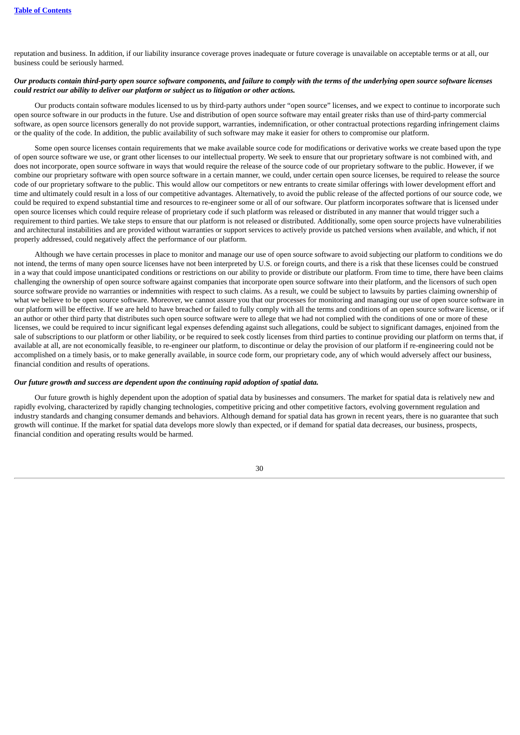reputation and business. In addition, if our liability insurance coverage proves inadequate or future coverage is unavailable on acceptable terms or at all, our business could be seriously harmed.

# Our products contain third-party open source software components, and failure to comply with the terms of the underlying open source software licenses *could restrict our ability to deliver our platform or subject us to litigation or other actions.*

Our products contain software modules licensed to us by third-party authors under "open source" licenses, and we expect to continue to incorporate such open source software in our products in the future. Use and distribution of open source software may entail greater risks than use of third-party commercial software, as open source licensors generally do not provide support, warranties, indemnification, or other contractual protections regarding infringement claims or the quality of the code. In addition, the public availability of such software may make it easier for others to compromise our platform.

Some open source licenses contain requirements that we make available source code for modifications or derivative works we create based upon the type of open source software we use, or grant other licenses to our intellectual property. We seek to ensure that our proprietary software is not combined with, and does not incorporate, open source software in ways that would require the release of the source code of our proprietary software to the public. However, if we combine our proprietary software with open source software in a certain manner, we could, under certain open source licenses, be required to release the source code of our proprietary software to the public. This would allow our competitors or new entrants to create similar offerings with lower development effort and time and ultimately could result in a loss of our competitive advantages. Alternatively, to avoid the public release of the affected portions of our source code, we could be required to expend substantial time and resources to re-engineer some or all of our software. Our platform incorporates software that is licensed under open source licenses which could require release of proprietary code if such platform was released or distributed in any manner that would trigger such a requirement to third parties. We take steps to ensure that our platform is not released or distributed. Additionally, some open source projects have vulnerabilities and architectural instabilities and are provided without warranties or support services to actively provide us patched versions when available, and which, if not properly addressed, could negatively affect the performance of our platform.

Although we have certain processes in place to monitor and manage our use of open source software to avoid subjecting our platform to conditions we do not intend, the terms of many open source licenses have not been interpreted by U.S. or foreign courts, and there is a risk that these licenses could be construed in a way that could impose unanticipated conditions or restrictions on our ability to provide or distribute our platform. From time to time, there have been claims challenging the ownership of open source software against companies that incorporate open source software into their platform, and the licensors of such open source software provide no warranties or indemnities with respect to such claims. As a result, we could be subject to lawsuits by parties claiming ownership of what we believe to be open source software. Moreover, we cannot assure you that our processes for monitoring and managing our use of open source software in our platform will be effective. If we are held to have breached or failed to fully comply with all the terms and conditions of an open source software license, or if an author or other third party that distributes such open source software were to allege that we had not complied with the conditions of one or more of these licenses, we could be required to incur significant legal expenses defending against such allegations, could be subject to significant damages, enjoined from the sale of subscriptions to our platform or other liability, or be required to seek costly licenses from third parties to continue providing our platform on terms that, if available at all, are not economically feasible, to re-engineer our platform, to discontinue or delay the provision of our platform if re-engineering could not be accomplished on a timely basis, or to make generally available, in source code form, our proprietary code, any of which would adversely affect our business, financial condition and results of operations.

#### *Our future growth and success are dependent upon the continuing rapid adoption of spatial data.*

Our future growth is highly dependent upon the adoption of spatial data by businesses and consumers. The market for spatial data is relatively new and rapidly evolving, characterized by rapidly changing technologies, competitive pricing and other competitive factors, evolving government regulation and industry standards and changing consumer demands and behaviors. Although demand for spatial data has grown in recent years, there is no guarantee that such growth will continue. If the market for spatial data develops more slowly than expected, or if demand for spatial data decreases, our business, prospects, financial condition and operating results would be harmed.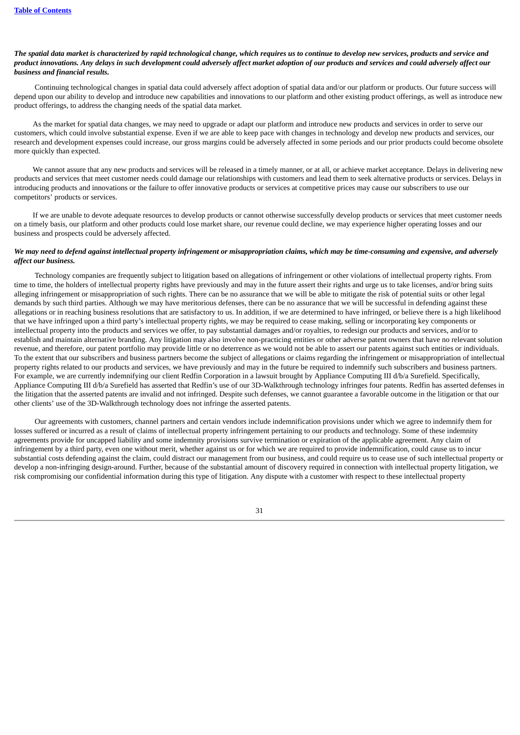# The spatial data market is characterized by rapid technological change, which requires us to continue to develop new services, products and service and product innovations. Any delays in such development could adversely affect market adoption of our products and services and could adversely affect our *business and financial results.*

Continuing technological changes in spatial data could adversely affect adoption of spatial data and/or our platform or products. Our future success will depend upon our ability to develop and introduce new capabilities and innovations to our platform and other existing product offerings, as well as introduce new product offerings, to address the changing needs of the spatial data market.

As the market for spatial data changes, we may need to upgrade or adapt our platform and introduce new products and services in order to serve our customers, which could involve substantial expense. Even if we are able to keep pace with changes in technology and develop new products and services, our research and development expenses could increase, our gross margins could be adversely affected in some periods and our prior products could become obsolete more quickly than expected.

We cannot assure that any new products and services will be released in a timely manner, or at all, or achieve market acceptance. Delays in delivering new products and services that meet customer needs could damage our relationships with customers and lead them to seek alternative products or services. Delays in introducing products and innovations or the failure to offer innovative products or services at competitive prices may cause our subscribers to use our competitors' products or services.

If we are unable to devote adequate resources to develop products or cannot otherwise successfully develop products or services that meet customer needs on a timely basis, our platform and other products could lose market share, our revenue could decline, we may experience higher operating losses and our business and prospects could be adversely affected.

# We may need to defend against intellectual property infringement or misappropriation claims, which may be time-consuming and expensive, and adversely *affect our business.*

Technology companies are frequently subject to litigation based on allegations of infringement or other violations of intellectual property rights. From time to time, the holders of intellectual property rights have previously and may in the future assert their rights and urge us to take licenses, and/or bring suits alleging infringement or misappropriation of such rights. There can be no assurance that we will be able to mitigate the risk of potential suits or other legal demands by such third parties. Although we may have meritorious defenses, there can be no assurance that we will be successful in defending against these allegations or in reaching business resolutions that are satisfactory to us. In addition, if we are determined to have infringed, or believe there is a high likelihood that we have infringed upon a third party's intellectual property rights, we may be required to cease making, selling or incorporating key components or intellectual property into the products and services we offer, to pay substantial damages and/or royalties, to redesign our products and services, and/or to establish and maintain alternative branding. Any litigation may also involve non-practicing entities or other adverse patent owners that have no relevant solution revenue, and therefore, our patent portfolio may provide little or no deterrence as we would not be able to assert our patents against such entities or individuals. To the extent that our subscribers and business partners become the subject of allegations or claims regarding the infringement or misappropriation of intellectual property rights related to our products and services, we have previously and may in the future be required to indemnify such subscribers and business partners. For example, we are currently indemnifying our client Redfin Corporation in a lawsuit brought by Appliance Computing III d/b/a Surefield. Specifically, Appliance Computing III d/b/a Surefield has asserted that Redfin's use of our 3D-Walkthrough technology infringes four patents. Redfin has asserted defenses in the litigation that the asserted patents are invalid and not infringed. Despite such defenses, we cannot guarantee a favorable outcome in the litigation or that our other clients' use of the 3D-Walkthrough technology does not infringe the asserted patents.

Our agreements with customers, channel partners and certain vendors include indemnification provisions under which we agree to indemnify them for losses suffered or incurred as a result of claims of intellectual property infringement pertaining to our products and technology. Some of these indemnity agreements provide for uncapped liability and some indemnity provisions survive termination or expiration of the applicable agreement. Any claim of infringement by a third party, even one without merit, whether against us or for which we are required to provide indemnification, could cause us to incur substantial costs defending against the claim, could distract our management from our business, and could require us to cease use of such intellectual property or develop a non-infringing design-around. Further, because of the substantial amount of discovery required in connection with intellectual property litigation, we risk compromising our confidential information during this type of litigation. Any dispute with a customer with respect to these intellectual property

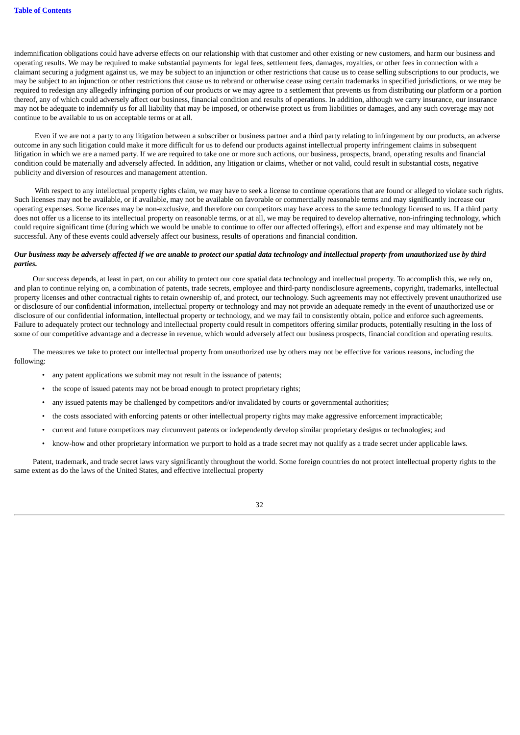indemnification obligations could have adverse effects on our relationship with that customer and other existing or new customers, and harm our business and operating results. We may be required to make substantial payments for legal fees, settlement fees, damages, royalties, or other fees in connection with a claimant securing a judgment against us, we may be subject to an injunction or other restrictions that cause us to cease selling subscriptions to our products, we may be subject to an injunction or other restrictions that cause us to rebrand or otherwise cease using certain trademarks in specified jurisdictions, or we may be required to redesign any allegedly infringing portion of our products or we may agree to a settlement that prevents us from distributing our platform or a portion thereof, any of which could adversely affect our business, financial condition and results of operations. In addition, although we carry insurance, our insurance may not be adequate to indemnify us for all liability that may be imposed, or otherwise protect us from liabilities or damages, and any such coverage may not continue to be available to us on acceptable terms or at all.

Even if we are not a party to any litigation between a subscriber or business partner and a third party relating to infringement by our products, an adverse outcome in any such litigation could make it more difficult for us to defend our products against intellectual property infringement claims in subsequent litigation in which we are a named party. If we are required to take one or more such actions, our business, prospects, brand, operating results and financial condition could be materially and adversely affected. In addition, any litigation or claims, whether or not valid, could result in substantial costs, negative publicity and diversion of resources and management attention.

With respect to any intellectual property rights claim, we may have to seek a license to continue operations that are found or alleged to violate such rights. Such licenses may not be available, or if available, may not be available on favorable or commercially reasonable terms and may significantly increase our operating expenses. Some licenses may be non-exclusive, and therefore our competitors may have access to the same technology licensed to us. If a third party does not offer us a license to its intellectual property on reasonable terms, or at all, we may be required to develop alternative, non-infringing technology, which could require significant time (during which we would be unable to continue to offer our affected offerings), effort and expense and may ultimately not be successful. Any of these events could adversely affect our business, results of operations and financial condition.

# Our business may be adversely affected if we are unable to protect our spatial data technology and intellectual property from unauthorized use by third *parties.*

Our success depends, at least in part, on our ability to protect our core spatial data technology and intellectual property. To accomplish this, we rely on, and plan to continue relying on, a combination of patents, trade secrets, employee and third-party nondisclosure agreements, copyright, trademarks, intellectual property licenses and other contractual rights to retain ownership of, and protect, our technology. Such agreements may not effectively prevent unauthorized use or disclosure of our confidential information, intellectual property or technology and may not provide an adequate remedy in the event of unauthorized use or disclosure of our confidential information, intellectual property or technology, and we may fail to consistently obtain, police and enforce such agreements. Failure to adequately protect our technology and intellectual property could result in competitors offering similar products, potentially resulting in the loss of some of our competitive advantage and a decrease in revenue, which would adversely affect our business prospects, financial condition and operating results.

The measures we take to protect our intellectual property from unauthorized use by others may not be effective for various reasons, including the following:

- any patent applications we submit may not result in the issuance of patents;
- the scope of issued patents may not be broad enough to protect proprietary rights;
- any issued patents may be challenged by competitors and/or invalidated by courts or governmental authorities;
- the costs associated with enforcing patents or other intellectual property rights may make aggressive enforcement impracticable;
- current and future competitors may circumvent patents or independently develop similar proprietary designs or technologies; and
- know-how and other proprietary information we purport to hold as a trade secret may not qualify as a trade secret under applicable laws.

Patent, trademark, and trade secret laws vary significantly throughout the world. Some foreign countries do not protect intellectual property rights to the same extent as do the laws of the United States, and effective intellectual property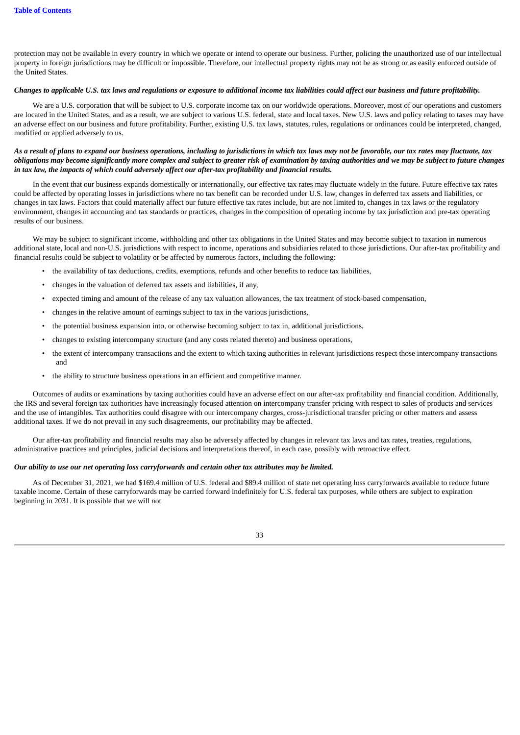protection may not be available in every country in which we operate or intend to operate our business. Further, policing the unauthorized use of our intellectual property in foreign jurisdictions may be difficult or impossible. Therefore, our intellectual property rights may not be as strong or as easily enforced outside of the United States.

# Changes to applicable U.S. tax laws and regulations or exposure to additional income tax liabilities could affect our business and future profitability.

We are a U.S. corporation that will be subject to U.S. corporate income tax on our worldwide operations. Moreover, most of our operations and customers are located in the United States, and as a result, we are subject to various U.S. federal, state and local taxes. New U.S. laws and policy relating to taxes may have an adverse effect on our business and future profitability. Further, existing U.S. tax laws, statutes, rules, regulations or ordinances could be interpreted, changed, modified or applied adversely to us.

# As a result of plans to expand our business operations, including to jurisdictions in which tax laws may not be favorable, our tax rates may fluctuate, tax obligations may become significantly more complex and subject to greater risk of examination by taxing authorities and we may be subject to future changes *in tax law, the impacts of which could adversely affect our after-tax profitability and financial results.*

In the event that our business expands domestically or internationally, our effective tax rates may fluctuate widely in the future. Future effective tax rates could be affected by operating losses in jurisdictions where no tax benefit can be recorded under U.S. law, changes in deferred tax assets and liabilities, or changes in tax laws. Factors that could materially affect our future effective tax rates include, but are not limited to, changes in tax laws or the regulatory environment, changes in accounting and tax standards or practices, changes in the composition of operating income by tax jurisdiction and pre-tax operating results of our business.

We may be subject to significant income, withholding and other tax obligations in the United States and may become subject to taxation in numerous additional state, local and non-U.S. jurisdictions with respect to income, operations and subsidiaries related to those jurisdictions. Our after-tax profitability and financial results could be subject to volatility or be affected by numerous factors, including the following:

- the availability of tax deductions, credits, exemptions, refunds and other benefits to reduce tax liabilities,
- changes in the valuation of deferred tax assets and liabilities, if any,
- expected timing and amount of the release of any tax valuation allowances, the tax treatment of stock-based compensation,
- changes in the relative amount of earnings subject to tax in the various jurisdictions,
- the potential business expansion into, or otherwise becoming subject to tax in, additional jurisdictions,
- changes to existing intercompany structure (and any costs related thereto) and business operations,
- the extent of intercompany transactions and the extent to which taxing authorities in relevant jurisdictions respect those intercompany transactions and
- the ability to structure business operations in an efficient and competitive manner.

Outcomes of audits or examinations by taxing authorities could have an adverse effect on our after-tax profitability and financial condition. Additionally, the IRS and several foreign tax authorities have increasingly focused attention on intercompany transfer pricing with respect to sales of products and services and the use of intangibles. Tax authorities could disagree with our intercompany charges, cross-jurisdictional transfer pricing or other matters and assess additional taxes. If we do not prevail in any such disagreements, our profitability may be affected.

Our after-tax profitability and financial results may also be adversely affected by changes in relevant tax laws and tax rates, treaties, regulations, administrative practices and principles, judicial decisions and interpretations thereof, in each case, possibly with retroactive effect.

## *Our ability to use our net operating loss carryforwards and certain other tax attributes may be limited.*

As of December 31, 2021, we had \$169.4 million of U.S. federal and \$89.4 million of state net operating loss carryforwards available to reduce future taxable income. Certain of these carryforwards may be carried forward indefinitely for U.S. federal tax purposes, while others are subject to expiration beginning in 2031. It is possible that we will not

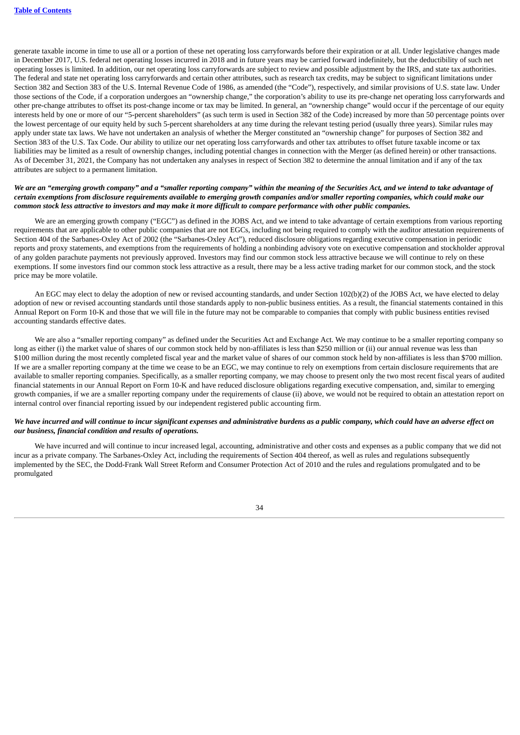generate taxable income in time to use all or a portion of these net operating loss carryforwards before their expiration or at all. Under legislative changes made in December 2017, U.S. federal net operating losses incurred in 2018 and in future years may be carried forward indefinitely, but the deductibility of such net operating losses is limited. In addition, our net operating loss carryforwards are subject to review and possible adjustment by the IRS, and state tax authorities. The federal and state net operating loss carryforwards and certain other attributes, such as research tax credits, may be subject to significant limitations under Section 382 and Section 383 of the U.S. Internal Revenue Code of 1986, as amended (the "Code"), respectively, and similar provisions of U.S. state law. Under those sections of the Code, if a corporation undergoes an "ownership change," the corporation's ability to use its pre-change net operating loss carryforwards and other pre-change attributes to offset its post-change income or tax may be limited. In general, an "ownership change" would occur if the percentage of our equity interests held by one or more of our "5-percent shareholders" (as such term is used in Section 382 of the Code) increased by more than 50 percentage points over the lowest percentage of our equity held by such 5-percent shareholders at any time during the relevant testing period (usually three years). Similar rules may apply under state tax laws. We have not undertaken an analysis of whether the Merger constituted an "ownership change" for purposes of Section 382 and Section 383 of the U.S. Tax Code. Our ability to utilize our net operating loss carryforwards and other tax attributes to offset future taxable income or tax liabilities may be limited as a result of ownership changes, including potential changes in connection with the Merger (as defined herein) or other transactions. As of December 31, 2021, the Company has not undertaken any analyses in respect of Section 382 to determine the annual limitation and if any of the tax attributes are subject to a permanent limitation.

# We are an "emerging growth company" and a "smaller reporting company" within the meaning of the Securities Act, and we intend to take advantage of certain exemptions from disclosure requirements available to emerging growth companies and/or smaller reporting companies, which could make our common stock less attractive to investors and may make it more difficult to compare performance with other public companies.

We are an emerging growth company ("EGC") as defined in the JOBS Act, and we intend to take advantage of certain exemptions from various reporting requirements that are applicable to other public companies that are not EGCs, including not being required to comply with the auditor attestation requirements of Section 404 of the Sarbanes-Oxley Act of 2002 (the "Sarbanes-Oxley Act"), reduced disclosure obligations regarding executive compensation in periodic reports and proxy statements, and exemptions from the requirements of holding a nonbinding advisory vote on executive compensation and stockholder approval of any golden parachute payments not previously approved. Investors may find our common stock less attractive because we will continue to rely on these exemptions. If some investors find our common stock less attractive as a result, there may be a less active trading market for our common stock, and the stock price may be more volatile.

An EGC may elect to delay the adoption of new or revised accounting standards, and under Section 102(b)(2) of the JOBS Act, we have elected to delay adoption of new or revised accounting standards until those standards apply to non-public business entities. As a result, the financial statements contained in this Annual Report on Form 10-K and those that we will file in the future may not be comparable to companies that comply with public business entities revised accounting standards effective dates.

We are also a "smaller reporting company" as defined under the Securities Act and Exchange Act. We may continue to be a smaller reporting company so long as either (i) the market value of shares of our common stock held by non-affiliates is less than \$250 million or (ii) our annual revenue was less than \$100 million during the most recently completed fiscal year and the market value of shares of our common stock held by non-affiliates is less than \$700 million. If we are a smaller reporting company at the time we cease to be an EGC, we may continue to rely on exemptions from certain disclosure requirements that are available to smaller reporting companies. Specifically, as a smaller reporting company, we may choose to present only the two most recent fiscal years of audited financial statements in our Annual Report on Form 10-K and have reduced disclosure obligations regarding executive compensation, and, similar to emerging growth companies, if we are a smaller reporting company under the requirements of clause (ii) above, we would not be required to obtain an attestation report on internal control over financial reporting issued by our independent registered public accounting firm.

# We have incurred and will continue to incur significant expenses and administrative burdens as a public company, which could have an adverse effect on *our business, financial condition and results of operations.*

We have incurred and will continue to incur increased legal, accounting, administrative and other costs and expenses as a public company that we did not incur as a private company. The Sarbanes-Oxley Act, including the requirements of Section 404 thereof, as well as rules and regulations subsequently implemented by the SEC, the Dodd-Frank Wall Street Reform and Consumer Protection Act of 2010 and the rules and regulations promulgated and to be promulgated

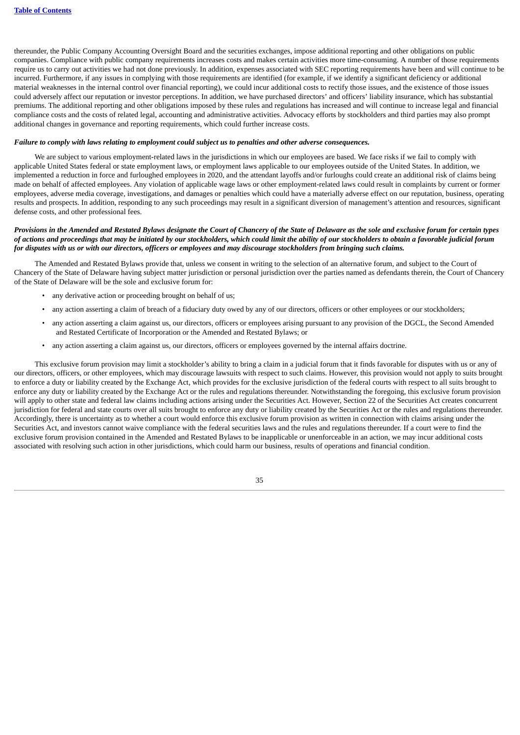thereunder, the Public Company Accounting Oversight Board and the securities exchanges, impose additional reporting and other obligations on public companies. Compliance with public company requirements increases costs and makes certain activities more time-consuming. A number of those requirements require us to carry out activities we had not done previously. In addition, expenses associated with SEC reporting requirements have been and will continue to be incurred. Furthermore, if any issues in complying with those requirements are identified (for example, if we identify a significant deficiency or additional material weaknesses in the internal control over financial reporting), we could incur additional costs to rectify those issues, and the existence of those issues could adversely affect our reputation or investor perceptions. In addition, we have purchased directors' and officers' liability insurance, which has substantial premiums. The additional reporting and other obligations imposed by these rules and regulations has increased and will continue to increase legal and financial compliance costs and the costs of related legal, accounting and administrative activities. Advocacy efforts by stockholders and third parties may also prompt additional changes in governance and reporting requirements, which could further increase costs.

# Failure to comply with laws relating to employment could subject us to penalties and other adverse consequences.

We are subject to various employment-related laws in the jurisdictions in which our employees are based. We face risks if we fail to comply with applicable United States federal or state employment laws, or employment laws applicable to our employees outside of the United States. In addition, we implemented a reduction in force and furloughed employees in 2020, and the attendant layoffs and/or furloughs could create an additional risk of claims being made on behalf of affected employees. Any violation of applicable wage laws or other employment-related laws could result in complaints by current or former employees, adverse media coverage, investigations, and damages or penalties which could have a materially adverse effect on our reputation, business, operating results and prospects. In addition, responding to any such proceedings may result in a significant diversion of management's attention and resources, significant defense costs, and other professional fees.

# Provisions in the Amended and Restated Bylaws designate the Court of Chancery of the State of Delaware as the sole and exclusive forum for certain types of actions and proceedings that may be initiated by our stockholders, which could limit the ability of our stockholders to obtain a favorable judicial forum for disputes with us or with our directors, officers or employees and may discourage stockholders from bringing such claims.

The Amended and Restated Bylaws provide that, unless we consent in writing to the selection of an alternative forum, and subject to the Court of Chancery of the State of Delaware having subject matter jurisdiction or personal jurisdiction over the parties named as defendants therein, the Court of Chancery of the State of Delaware will be the sole and exclusive forum for:

- any derivative action or proceeding brought on behalf of us;
- any action asserting a claim of breach of a fiduciary duty owed by any of our directors, officers or other employees or our stockholders;
- any action asserting a claim against us, our directors, officers or employees arising pursuant to any provision of the DGCL, the Second Amended and Restated Certificate of Incorporation or the Amended and Restated Bylaws; or
- any action asserting a claim against us, our directors, officers or employees governed by the internal affairs doctrine.

This exclusive forum provision may limit a stockholder's ability to bring a claim in a judicial forum that it finds favorable for disputes with us or any of our directors, officers, or other employees, which may discourage lawsuits with respect to such claims. However, this provision would not apply to suits brought to enforce a duty or liability created by the Exchange Act, which provides for the exclusive jurisdiction of the federal courts with respect to all suits brought to enforce any duty or liability created by the Exchange Act or the rules and regulations thereunder. Notwithstanding the foregoing, this exclusive forum provision will apply to other state and federal law claims including actions arising under the Securities Act. However, Section 22 of the Securities Act creates concurrent jurisdiction for federal and state courts over all suits brought to enforce any duty or liability created by the Securities Act or the rules and regulations thereunder. Accordingly, there is uncertainty as to whether a court would enforce this exclusive forum provision as written in connection with claims arising under the Securities Act, and investors cannot waive compliance with the federal securities laws and the rules and regulations thereunder. If a court were to find the exclusive forum provision contained in the Amended and Restated Bylaws to be inapplicable or unenforceable in an action, we may incur additional costs associated with resolving such action in other jurisdictions, which could harm our business, results of operations and financial condition.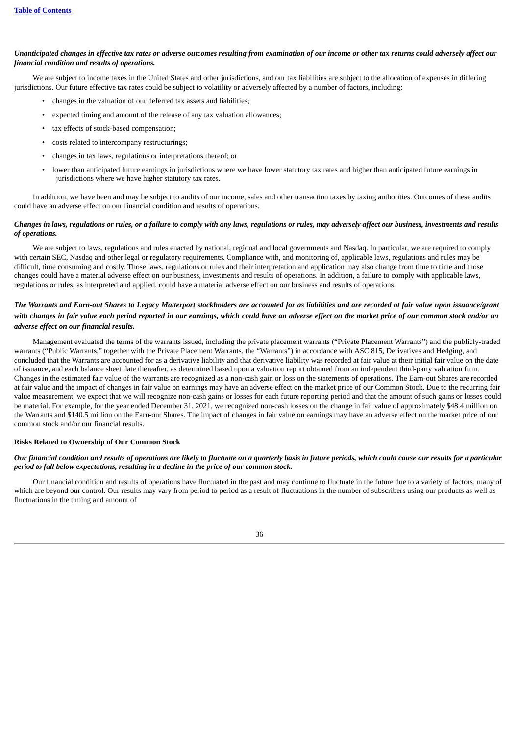# Unanticipated changes in effective tax rates or adverse outcomes resulting from examination of our income or other tax returns could adversely affect our *financial condition and results of operations.*

We are subject to income taxes in the United States and other jurisdictions, and our tax liabilities are subject to the allocation of expenses in differing jurisdictions. Our future effective tax rates could be subject to volatility or adversely affected by a number of factors, including:

- changes in the valuation of our deferred tax assets and liabilities;
- expected timing and amount of the release of any tax valuation allowances;
- tax effects of stock-based compensation;
- costs related to intercompany restructurings;
- changes in tax laws, regulations or interpretations thereof; or
- lower than anticipated future earnings in jurisdictions where we have lower statutory tax rates and higher than anticipated future earnings in jurisdictions where we have higher statutory tax rates.

In addition, we have been and may be subject to audits of our income, sales and other transaction taxes by taxing authorities. Outcomes of these audits could have an adverse effect on our financial condition and results of operations.

# Changes in laws, regulations or rules, or a failure to comply with any laws, regulations or rules, may adversely affect our business, investments and results *of operations.*

We are subject to laws, regulations and rules enacted by national, regional and local governments and Nasdaq. In particular, we are required to comply with certain SEC, Nasdaq and other legal or regulatory requirements. Compliance with, and monitoring of, applicable laws, regulations and rules may be difficult, time consuming and costly. Those laws, regulations or rules and their interpretation and application may also change from time to time and those changes could have a material adverse effect on our business, investments and results of operations. In addition, a failure to comply with applicable laws, regulations or rules, as interpreted and applied, could have a material adverse effect on our business and results of operations.

# The Warrants and Earn-out Shares to Legacy Matterport stockholders are accounted for as liabilities and are recorded at fair value upon issuance/grant with changes in fair value each period reported in our earnings, which could have an adverse effect on the market price of our common stock and/or an *adverse effect on our financial results.*

Management evaluated the terms of the warrants issued, including the private placement warrants ("Private Placement Warrants") and the publicly-traded warrants ("Public Warrants," together with the Private Placement Warrants, the "Warrants") in accordance with ASC 815, Derivatives and Hedging, and concluded that the Warrants are accounted for as a derivative liability and that derivative liability was recorded at fair value at their initial fair value on the date of issuance, and each balance sheet date thereafter, as determined based upon a valuation report obtained from an independent third-party valuation firm. Changes in the estimated fair value of the warrants are recognized as a non-cash gain or loss on the statements of operations. The Earn-out Shares are recorded at fair value and the impact of changes in fair value on earnings may have an adverse effect on the market price of our Common Stock. Due to the recurring fair value measurement, we expect that we will recognize non-cash gains or losses for each future reporting period and that the amount of such gains or losses could be material. For example, for the year ended December 31, 2021, we recognized non-cash losses on the change in fair value of approximately \$48.4 million on the Warrants and \$140.5 million on the Earn-out Shares. The impact of changes in fair value on earnings may have an adverse effect on the market price of our common stock and/or our financial results.

# **Risks Related to Ownership of Our Common Stock**

# Our financial condition and results of operations are likely to fluctuate on a quarterly basis in future periods, which could cause our results for a particular *period to fall below expectations, resulting in a decline in the price of our common stock.*

Our financial condition and results of operations have fluctuated in the past and may continue to fluctuate in the future due to a variety of factors, many of which are beyond our control. Our results may vary from period to period as a result of fluctuations in the number of subscribers using our products as well as fluctuations in the timing and amount of

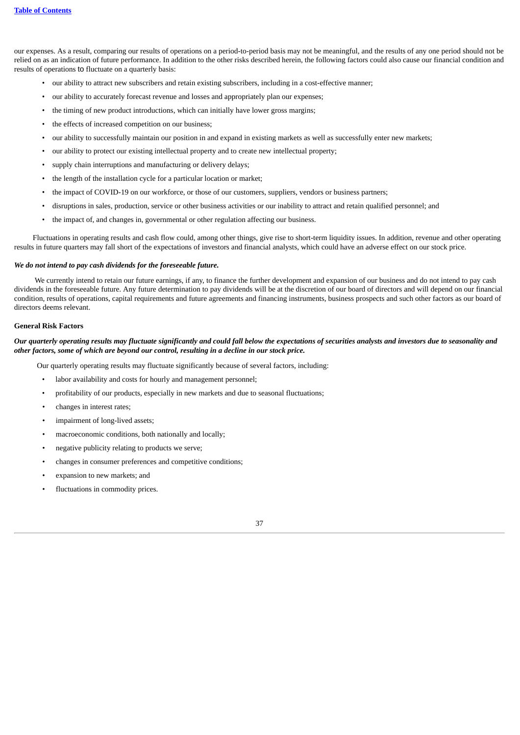our expenses. As a result, comparing our results of operations on a period-to-period basis may not be meaningful, and the results of any one period should not be relied on as an indication of future performance. In addition to the other risks described herein, the following factors could also cause our financial condition and results of operations to fluctuate on a quarterly basis:

- our ability to attract new subscribers and retain existing subscribers, including in a cost-effective manner;
- our ability to accurately forecast revenue and losses and appropriately plan our expenses;
- the timing of new product introductions, which can initially have lower gross margins;
- the effects of increased competition on our business;
- our ability to successfully maintain our position in and expand in existing markets as well as successfully enter new markets;
- our ability to protect our existing intellectual property and to create new intellectual property;
- supply chain interruptions and manufacturing or delivery delays;
- the length of the installation cycle for a particular location or market;
- the impact of COVID-19 on our workforce, or those of our customers, suppliers, vendors or business partners;
- disruptions in sales, production, service or other business activities or our inability to attract and retain qualified personnel; and
- the impact of, and changes in, governmental or other regulation affecting our business.

Fluctuations in operating results and cash flow could, among other things, give rise to short-term liquidity issues. In addition, revenue and other operating results in future quarters may fall short of the expectations of investors and financial analysts, which could have an adverse effect on our stock price.

## *We do not intend to pay cash dividends for the foreseeable future.*

We currently intend to retain our future earnings, if any, to finance the further development and expansion of our business and do not intend to pay cash dividends in the foreseeable future. Any future determination to pay dividends will be at the discretion of our board of directors and will depend on our financial condition, results of operations, capital requirements and future agreements and financing instruments, business prospects and such other factors as our board of directors deems relevant.

## **General Risk Factors**

## Our quarterly operating results may fluctuate significantly and could fall below the expectations of securities analysts and investors due to seasonality and *other factors, some of which are beyond our control, resulting in a decline in our stock price.*

Our quarterly operating results may fluctuate significantly because of several factors, including:

- labor availability and costs for hourly and management personnel;
- profitability of our products, especially in new markets and due to seasonal fluctuations;
- changes in interest rates;
- impairment of long-lived assets;
- macroeconomic conditions, both nationally and locally;
- negative publicity relating to products we serve;
- changes in consumer preferences and competitive conditions;
- expansion to new markets; and
- fluctuations in commodity prices.

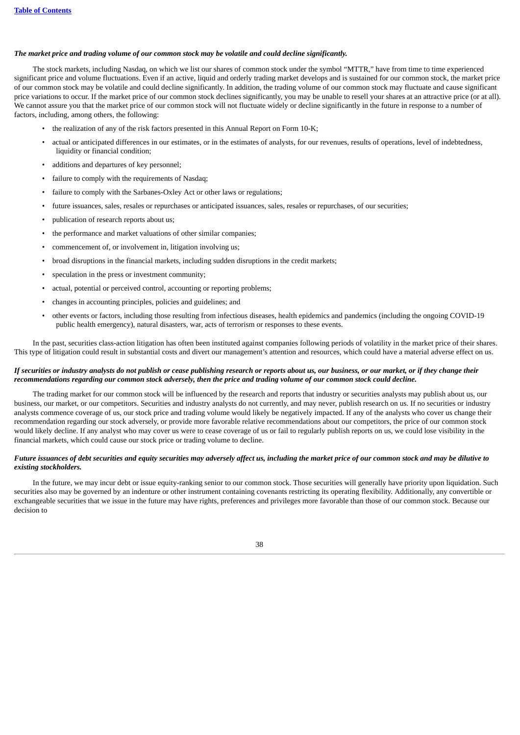## *The market price and trading volume of our common stock may be volatile and could decline significantly.*

The stock markets, including Nasdaq, on which we list our shares of common stock under the symbol "MTTR," have from time to time experienced significant price and volume fluctuations. Even if an active, liquid and orderly trading market develops and is sustained for our common stock, the market price of our common stock may be volatile and could decline significantly. In addition, the trading volume of our common stock may fluctuate and cause significant price variations to occur. If the market price of our common stock declines significantly, you may be unable to resell your shares at an attractive price (or at all). We cannot assure you that the market price of our common stock will not fluctuate widely or decline significantly in the future in response to a number of factors, including, among others, the following:

- the realization of any of the risk factors presented in this Annual Report on Form 10-K;
- actual or anticipated differences in our estimates, or in the estimates of analysts, for our revenues, results of operations, level of indebtedness, liquidity or financial condition;
- additions and departures of key personnel;
- failure to comply with the requirements of Nasdaq;
- failure to comply with the Sarbanes-Oxley Act or other laws or regulations;
- future issuances, sales, resales or repurchases or anticipated issuances, sales, resales or repurchases, of our securities;
- publication of research reports about us;
- the performance and market valuations of other similar companies;
- commencement of, or involvement in, litigation involving us;
- broad disruptions in the financial markets, including sudden disruptions in the credit markets;
- speculation in the press or investment community;
- actual, potential or perceived control, accounting or reporting problems;
- changes in accounting principles, policies and guidelines; and
- other events or factors, including those resulting from infectious diseases, health epidemics and pandemics (including the ongoing COVID-19 public health emergency), natural disasters, war, acts of terrorism or responses to these events.

In the past, securities class-action litigation has often been instituted against companies following periods of volatility in the market price of their shares. This type of litigation could result in substantial costs and divert our management's attention and resources, which could have a material adverse effect on us.

## If securities or industry analysts do not publish or cease publishing research or reports about us, our business, or our market, or if they change their recommendations regarding our common stock adversely, then the price and trading volume of our common stock could decline.

The trading market for our common stock will be influenced by the research and reports that industry or securities analysts may publish about us, our business, our market, or our competitors. Securities and industry analysts do not currently, and may never, publish research on us. If no securities or industry analysts commence coverage of us, our stock price and trading volume would likely be negatively impacted. If any of the analysts who cover us change their recommendation regarding our stock adversely, or provide more favorable relative recommendations about our competitors, the price of our common stock would likely decline. If any analyst who may cover us were to cease coverage of us or fail to regularly publish reports on us, we could lose visibility in the financial markets, which could cause our stock price or trading volume to decline.

## Future issuances of debt securities and equity securities may adversely affect us, including the market price of our common stock and may be dilutive to *existing stockholders.*

In the future, we may incur debt or issue equity-ranking senior to our common stock. Those securities will generally have priority upon liquidation. Such securities also may be governed by an indenture or other instrument containing covenants restricting its operating flexibility. Additionally, any convertible or exchangeable securities that we issue in the future may have rights, preferences and privileges more favorable than those of our common stock. Because our decision to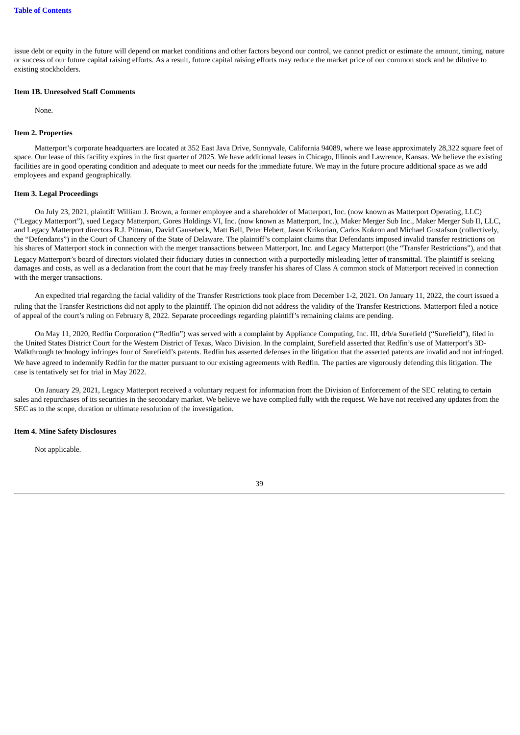issue debt or equity in the future will depend on market conditions and other factors beyond our control, we cannot predict or estimate the amount, timing, nature or success of our future capital raising efforts. As a result, future capital raising efforts may reduce the market price of our common stock and be dilutive to existing stockholders.

## **Item 1B. Unresolved Staff Comments**

None.

## **Item 2. Properties**

Matterport's corporate headquarters are located at 352 East Java Drive, Sunnyvale, California 94089, where we lease approximately 28,322 square feet of space. Our lease of this facility expires in the first quarter of 2025. We have additional leases in Chicago, Illinois and Lawrence, Kansas. We believe the existing facilities are in good operating condition and adequate to meet our needs for the immediate future. We may in the future procure additional space as we add employees and expand geographically.

#### **Item 3. Legal Proceedings**

On July 23, 2021, plaintiff William J. Brown, a former employee and a shareholder of Matterport, Inc. (now known as Matterport Operating, LLC) ("Legacy Matterport"), sued Legacy Matterport, Gores Holdings VI, Inc. (now known as Matterport, Inc.), Maker Merger Sub Inc., Maker Merger Sub II, LLC, and Legacy Matterport directors R.J. Pittman, David Gausebeck, Matt Bell, Peter Hebert, Jason Krikorian, Carlos Kokron and Michael Gustafson (collectively, the "Defendants") in the Court of Chancery of the State of Delaware. The plaintiff's complaint claims that Defendants imposed invalid transfer restrictions on his shares of Matterport stock in connection with the merger transactions between Matterport, Inc. and Legacy Matterport (the "Transfer Restrictions"), and that Legacy Matterport's board of directors violated their fiduciary duties in connection with a purportedly misleading letter of transmittal. The plaintiff is seeking damages and costs, as well as a declaration from the court that he may freely transfer his shares of Class A common stock of Matterport received in connection with the merger transactions.

An expedited trial regarding the facial validity of the Transfer Restrictions took place from December 1-2, 2021. On January 11, 2022, the court issued a ruling that the Transfer Restrictions did not apply to the plaintiff. The opinion did not address the validity of the Transfer Restrictions. Matterport filed a notice of appeal of the court's ruling on February 8, 2022. Separate proceedings regarding plaintiff's remaining claims are pending.

On May 11, 2020, Redfin Corporation ("Redfin") was served with a complaint by Appliance Computing, Inc. III, d/b/a Surefield ("Surefield"), filed in the United States District Court for the Western District of Texas, Waco Division. In the complaint, Surefield asserted that Redfin's use of Matterport's 3D-Walkthrough technology infringes four of Surefield's patents. Redfin has asserted defenses in the litigation that the asserted patents are invalid and not infringed. We have agreed to indemnify Redfin for the matter pursuant to our existing agreements with Redfin. The parties are vigorously defending this litigation. The case is tentatively set for trial in May 2022.

On January 29, 2021, Legacy Matterport received a voluntary request for information from the Division of Enforcement of the SEC relating to certain sales and repurchases of its securities in the secondary market. We believe we have complied fully with the request. We have not received any updates from the SEC as to the scope, duration or ultimate resolution of the investigation.

### **Item 4. Mine Safety Disclosures**

Not applicable.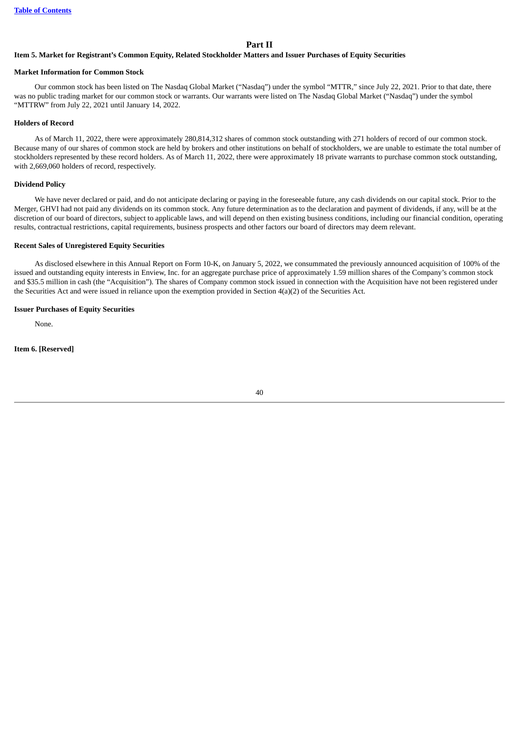**Part II**

## Item 5. Market for Registrant's Common Equity, Related Stockholder Matters and Issuer Purchases of Equity Securities

### **Market Information for Common Stock**

Our common stock has been listed on The Nasdaq Global Market ("Nasdaq") under the symbol "MTTR," since July 22, 2021. Prior to that date, there was no public trading market for our common stock or warrants. Our warrants were listed on The Nasdaq Global Market ("Nasdaq") under the symbol "MTTRW" from July 22, 2021 until January 14, 2022.

## **Holders of Record**

As of March 11, 2022, there were approximately 280,814,312 shares of common stock outstanding with 271 holders of record of our common stock. Because many of our shares of common stock are held by brokers and other institutions on behalf of stockholders, we are unable to estimate the total number of stockholders represented by these record holders. As of March 11, 2022, there were approximately 18 private warrants to purchase common stock outstanding, with 2,669,060 holders of record, respectively.

#### **Dividend Policy**

We have never declared or paid, and do not anticipate declaring or paying in the foreseeable future, any cash dividends on our capital stock. Prior to the Merger, GHVI had not paid any dividends on its common stock. Any future determination as to the declaration and payment of dividends, if any, will be at the discretion of our board of directors, subject to applicable laws, and will depend on then existing business conditions, including our financial condition, operating results, contractual restrictions, capital requirements, business prospects and other factors our board of directors may deem relevant.

## **Recent Sales of Unregistered Equity Securities**

As disclosed elsewhere in this Annual Report on Form 10-K, on January 5, 2022, we consummated the previously announced acquisition of 100% of the issued and outstanding equity interests in Enview, Inc. for an aggregate purchase price of approximately 1.59 million shares of the Company's common stock and \$35.5 million in cash (the "Acquisition"). The shares of Company common stock issued in connection with the Acquisition have not been registered under the Securities Act and were issued in reliance upon the exemption provided in Section 4(a)(2) of the Securities Act.

## **Issuer Purchases of Equity Securities**

None.

#### **Item 6. [Reserved]**

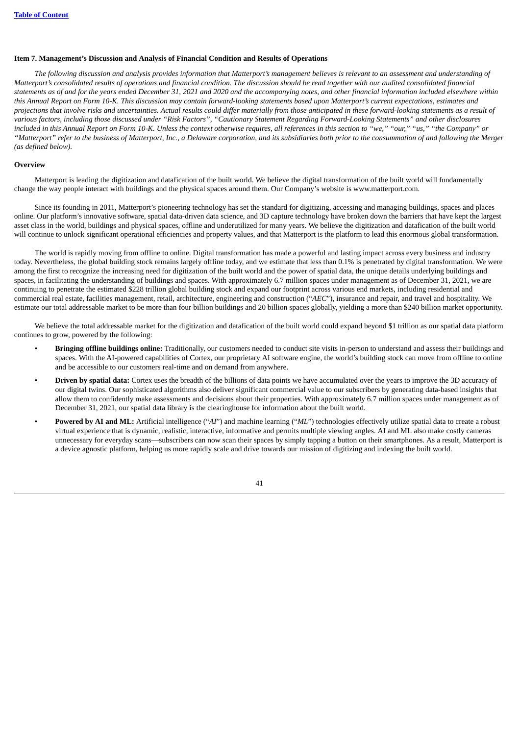## **Item 7. Management's Discussion and Analysis of Financial Condition and Results of Operations**

The following discussion and analysis provides information that Matterport's management believes is relevant to an assessment and understanding of Matterport's consolidated results of operations and financial condition. The discussion should be read together with our audited consolidated financial statements as of and for the years ended December 31, 2021 and 2020 and the accompanying notes, and other financial information included elsewhere within this Annual Report on Form 10-K. This discussion may contain forward-looking statements based upon Matterport's current expectations, estimates and projections that involve risks and uncertainties. Actual results could differ materially from those anticipated in these forward-looking statements as a result of various factors, including those discussed under "Risk Factors", "Cautionary Statement Regarding Forward-Looking Statements" and other disclosures included in this Annual Report on Form 10-K. Unless the context otherwise requires, all references in this section to "we," "our," "us," "the Company" or "Matterport" refer to the business of Matterport, Inc., a Delaware corporation, and its subsidiaries both prior to the consummation of and following the Merger *(as defined below).*

## **Overview**

Matterport is leading the digitization and datafication of the built world. We believe the digital transformation of the built world will fundamentally change the way people interact with buildings and the physical spaces around them. Our Company's website is www.matterport.com.

Since its founding in 2011, Matterport's pioneering technology has set the standard for digitizing, accessing and managing buildings, spaces and places online. Our platform's innovative software, spatial data-driven data science, and 3D capture technology have broken down the barriers that have kept the largest asset class in the world, buildings and physical spaces, offline and underutilized for many years. We believe the digitization and datafication of the built world will continue to unlock significant operational efficiencies and property values, and that Matterport is the platform to lead this enormous global transformation.

The world is rapidly moving from offline to online. Digital transformation has made a powerful and lasting impact across every business and industry today. Nevertheless, the global building stock remains largely offline today, and we estimate that less than 0.1% is penetrated by digital transformation. We were among the first to recognize the increasing need for digitization of the built world and the power of spatial data, the unique details underlying buildings and spaces, in facilitating the understanding of buildings and spaces. With approximately 6.7 million spaces under management as of December 31, 2021, we are continuing to penetrate the estimated \$228 trillion global building stock and expand our footprint across various end markets, including residential and commercial real estate, facilities management, retail, architecture, engineering and construction ("*AEC*"), insurance and repair, and travel and hospitality. We estimate our total addressable market to be more than four billion buildings and 20 billion spaces globally, yielding a more than \$240 billion market opportunity.

We believe the total addressable market for the digitization and datafication of the built world could expand beyond \$1 trillion as our spatial data platform continues to grow, powered by the following:

- **Bringing offline buildings online:** Traditionally, our customers needed to conduct site visits in-person to understand and assess their buildings and spaces. With the AI-powered capabilities of Cortex, our proprietary AI software engine, the world's building stock can move from offline to online and be accessible to our customers real-time and on demand from anywhere.
- **Driven by spatial data:** Cortex uses the breadth of the billions of data points we have accumulated over the years to improve the 3D accuracy of our digital twins. Our sophisticated algorithms also deliver significant commercial value to our subscribers by generating data-based insights that allow them to confidently make assessments and decisions about their properties. With approximately 6.7 million spaces under management as of December 31, 2021, our spatial data library is the clearinghouse for information about the built world.
- **Powered by AI and ML:** Artificial intelligence ("*AI*") and machine learning ("*ML*") technologies effectively utilize spatial data to create a robust virtual experience that is dynamic, realistic, interactive, informative and permits multiple viewing angles. AI and ML also make costly cameras unnecessary for everyday scans—subscribers can now scan their spaces by simply tapping a button on their smartphones. As a result, Matterport is a device agnostic platform, helping us more rapidly scale and drive towards our mission of digitizing and indexing the built world.

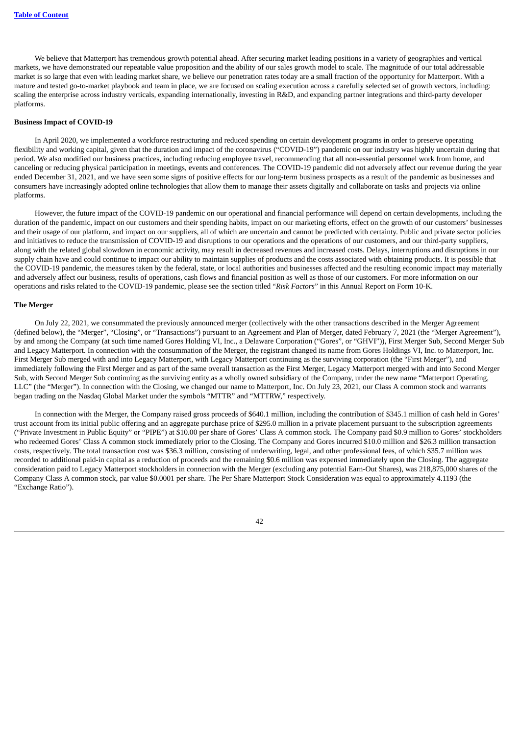We believe that Matterport has tremendous growth potential ahead. After securing market leading positions in a variety of geographies and vertical markets, we have demonstrated our repeatable value proposition and the ability of our sales growth model to scale. The magnitude of our total addressable market is so large that even with leading market share, we believe our penetration rates today are a small fraction of the opportunity for Matterport. With a mature and tested go-to-market playbook and team in place, we are focused on scaling execution across a carefully selected set of growth vectors, including: scaling the enterprise across industry verticals, expanding internationally, investing in R&D, and expanding partner integrations and third-party developer platforms.

## **Business Impact of COVID-19**

In April 2020, we implemented a workforce restructuring and reduced spending on certain development programs in order to preserve operating flexibility and working capital, given that the duration and impact of the coronavirus ("COVID-19") pandemic on our industry was highly uncertain during that period. We also modified our business practices, including reducing employee travel, recommending that all non-essential personnel work from home, and canceling or reducing physical participation in meetings, events and conferences. The COVID-19 pandemic did not adversely affect our revenue during the year ended December 31, 2021, and we have seen some signs of positive effects for our long-term business prospects as a result of the pandemic as businesses and consumers have increasingly adopted online technologies that allow them to manage their assets digitally and collaborate on tasks and projects via online platforms.

However, the future impact of the COVID-19 pandemic on our operational and financial performance will depend on certain developments, including the duration of the pandemic, impact on our customers and their spending habits, impact on our marketing efforts, effect on the growth of our customers' businesses and their usage of our platform, and impact on our suppliers, all of which are uncertain and cannot be predicted with certainty. Public and private sector policies and initiatives to reduce the transmission of COVID-19 and disruptions to our operations and the operations of our customers, and our third-party suppliers, along with the related global slowdown in economic activity, may result in decreased revenues and increased costs. Delays, interruptions and disruptions in our supply chain have and could continue to impact our ability to maintain supplies of products and the costs associated with obtaining products. It is possible that the COVID-19 pandemic, the measures taken by the federal, state, or local authorities and businesses affected and the resulting economic impact may materially and adversely affect our business, results of operations, cash flows and financial position as well as those of our customers. For more information on our operations and risks related to the COVID-19 pandemic, please see the section titled "*Risk Factors*" in this Annual Report on Form 10-K.

#### **The Merger**

On July 22, 2021, we consummated the previously announced merger (collectively with the other transactions described in the Merger Agreement (defined below), the "Merger", "Closing", or "Transactions") pursuant to an Agreement and Plan of Merger, dated February 7, 2021 (the "Merger Agreement"), by and among the Company (at such time named Gores Holding VI, Inc., a Delaware Corporation ("Gores", or "GHVI")), First Merger Sub, Second Merger Sub and Legacy Matterport. In connection with the consummation of the Merger, the registrant changed its name from Gores Holdings VI, Inc. to Matterport, Inc. First Merger Sub merged with and into Legacy Matterport, with Legacy Matterport continuing as the surviving corporation (the "First Merger"), and immediately following the First Merger and as part of the same overall transaction as the First Merger, Legacy Matterport merged with and into Second Merger Sub, with Second Merger Sub continuing as the surviving entity as a wholly owned subsidiary of the Company, under the new name "Matterport Operating, LLC" (the "Merger"). In connection with the Closing, we changed our name to Matterport, Inc. On July 23, 2021, our Class A common stock and warrants began trading on the Nasdaq Global Market under the symbols "MTTR" and "MTTRW," respectively.

In connection with the Merger, the Company raised gross proceeds of \$640.1 million, including the contribution of \$345.1 million of cash held in Gores' trust account from its initial public offering and an aggregate purchase price of \$295.0 million in a private placement pursuant to the subscription agreements ("Private Investment in Public Equity" or "PIPE") at \$10.00 per share of Gores' Class A common stock. The Company paid \$0.9 million to Gores' stockholders who redeemed Gores' Class A common stock immediately prior to the Closing. The Company and Gores incurred \$10.0 million and \$26.3 million transaction costs, respectively. The total transaction cost was \$36.3 million, consisting of underwriting, legal, and other professional fees, of which \$35.7 million was recorded to additional paid-in capital as a reduction of proceeds and the remaining \$0.6 million was expensed immediately upon the Closing. The aggregate consideration paid to Legacy Matterport stockholders in connection with the Merger (excluding any potential Earn-Out Shares), was 218,875,000 shares of the Company Class A common stock, par value \$0.0001 per share. The Per Share Matterport Stock Consideration was equal to approximately 4.1193 (the "Exchange Ratio").

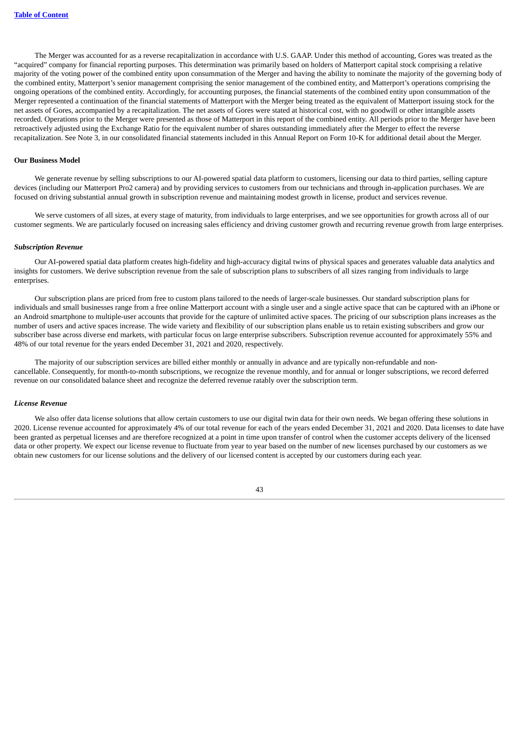The Merger was accounted for as a reverse recapitalization in accordance with U.S. GAAP. Under this method of accounting, Gores was treated as the "acquired" company for financial reporting purposes. This determination was primarily based on holders of Matterport capital stock comprising a relative majority of the voting power of the combined entity upon consummation of the Merger and having the ability to nominate the majority of the governing body of the combined entity, Matterport's senior management comprising the senior management of the combined entity, and Matterport's operations comprising the ongoing operations of the combined entity. Accordingly, for accounting purposes, the financial statements of the combined entity upon consummation of the Merger represented a continuation of the financial statements of Matterport with the Merger being treated as the equivalent of Matterport issuing stock for the net assets of Gores, accompanied by a recapitalization. The net assets of Gores were stated at historical cost, with no goodwill or other intangible assets recorded. Operations prior to the Merger were presented as those of Matterport in this report of the combined entity. All periods prior to the Merger have been retroactively adjusted using the Exchange Ratio for the equivalent number of shares outstanding immediately after the Merger to effect the reverse recapitalization. See Note 3, in our consolidated financial statements included in this Annual Report on Form 10-K for additional detail about the Merger.

#### **Our Business Model**

We generate revenue by selling subscriptions to our AI-powered spatial data platform to customers, licensing our data to third parties, selling capture devices (including our Matterport Pro2 camera) and by providing services to customers from our technicians and through in-application purchases. We are focused on driving substantial annual growth in subscription revenue and maintaining modest growth in license, product and services revenue.

We serve customers of all sizes, at every stage of maturity, from individuals to large enterprises, and we see opportunities for growth across all of our customer segments. We are particularly focused on increasing sales efficiency and driving customer growth and recurring revenue growth from large enterprises.

## *Subscription Revenue*

Our AI-powered spatial data platform creates high-fidelity and high-accuracy digital twins of physical spaces and generates valuable data analytics and insights for customers. We derive subscription revenue from the sale of subscription plans to subscribers of all sizes ranging from individuals to large enterprises.

Our subscription plans are priced from free to custom plans tailored to the needs of larger-scale businesses. Our standard subscription plans for individuals and small businesses range from a free online Matterport account with a single user and a single active space that can be captured with an iPhone or an Android smartphone to multiple-user accounts that provide for the capture of unlimited active spaces. The pricing of our subscription plans increases as the number of users and active spaces increase. The wide variety and flexibility of our subscription plans enable us to retain existing subscribers and grow our subscriber base across diverse end markets, with particular focus on large enterprise subscribers. Subscription revenue accounted for approximately 55% and 48% of our total revenue for the years ended December 31, 2021 and 2020, respectively.

The majority of our subscription services are billed either monthly or annually in advance and are typically non-refundable and noncancellable. Consequently, for month-to-month subscriptions, we recognize the revenue monthly, and for annual or longer subscriptions, we record deferred revenue on our consolidated balance sheet and recognize the deferred revenue ratably over the subscription term.

#### *License Revenue*

We also offer data license solutions that allow certain customers to use our digital twin data for their own needs. We began offering these solutions in 2020. License revenue accounted for approximately 4% of our total revenue for each of the years ended December 31, 2021 and 2020. Data licenses to date have been granted as perpetual licenses and are therefore recognized at a point in time upon transfer of control when the customer accepts delivery of the licensed data or other property. We expect our license revenue to fluctuate from year to year based on the number of new licenses purchased by our customers as we obtain new customers for our license solutions and the delivery of our licensed content is accepted by our customers during each year.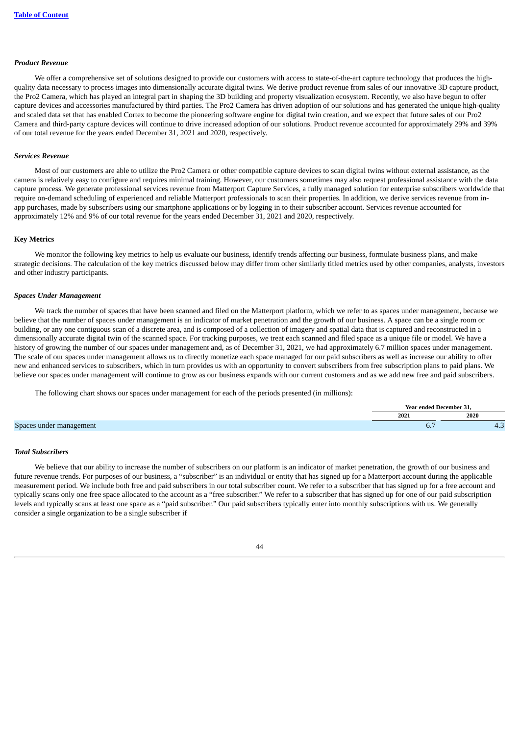## *Product Revenue*

We offer a comprehensive set of solutions designed to provide our customers with access to state-of-the-art capture technology that produces the highquality data necessary to process images into dimensionally accurate digital twins. We derive product revenue from sales of our innovative 3D capture product, the Pro2 Camera, which has played an integral part in shaping the 3D building and property visualization ecosystem. Recently, we also have begun to offer capture devices and accessories manufactured by third parties. The Pro2 Camera has driven adoption of our solutions and has generated the unique high-quality and scaled data set that has enabled Cortex to become the pioneering software engine for digital twin creation, and we expect that future sales of our Pro2 Camera and third-party capture devices will continue to drive increased adoption of our solutions. Product revenue accounted for approximately 29% and 39% of our total revenue for the years ended December 31, 2021 and 2020, respectively.

#### *Services Revenue*

Most of our customers are able to utilize the Pro2 Camera or other compatible capture devices to scan digital twins without external assistance, as the camera is relatively easy to configure and requires minimal training. However, our customers sometimes may also request professional assistance with the data capture process. We generate professional services revenue from Matterport Capture Services, a fully managed solution for enterprise subscribers worldwide that require on-demand scheduling of experienced and reliable Matterport professionals to scan their properties. In addition, we derive services revenue from inapp purchases, made by subscribers using our smartphone applications or by logging in to their subscriber account. Services revenue accounted for approximately 12% and 9% of our total revenue for the years ended December 31, 2021 and 2020, respectively.

#### **Key Metrics**

We monitor the following key metrics to help us evaluate our business, identify trends affecting our business, formulate business plans, and make strategic decisions. The calculation of the key metrics discussed below may differ from other similarly titled metrics used by other companies, analysts, investors and other industry participants.

#### *Spaces Under Management*

We track the number of spaces that have been scanned and filed on the Matterport platform, which we refer to as spaces under management, because we believe that the number of spaces under management is an indicator of market penetration and the growth of our business. A space can be a single room or building, or any one contiguous scan of a discrete area, and is composed of a collection of imagery and spatial data that is captured and reconstructed in a dimensionally accurate digital twin of the scanned space. For tracking purposes, we treat each scanned and filed space as a unique file or model. We have a history of growing the number of our spaces under management and, as of December 31, 2021, we had approximately 6.7 million spaces under management. The scale of our spaces under management allows us to directly monetize each space managed for our paid subscribers as well as increase our ability to offer new and enhanced services to subscribers, which in turn provides us with an opportunity to convert subscribers from free subscription plans to paid plans. We believe our spaces under management will continue to grow as our business expands with our current customers and as we add new free and paid subscribers.

The following chart shows our spaces under management for each of the periods presented (in millions):

|                                 | Year ended December | $\cdot$ |
|---------------------------------|---------------------|---------|
|                                 | 2021                | 2020    |
| Spaces<br>management<br>s under | $\mathbf{u}$        | -⊶      |

#### *Total Subscribers*

We believe that our ability to increase the number of subscribers on our platform is an indicator of market penetration, the growth of our business and future revenue trends. For purposes of our business, a "subscriber" is an individual or entity that has signed up for a Matterport account during the applicable measurement period. We include both free and paid subscribers in our total subscriber count. We refer to a subscriber that has signed up for a free account and typically scans only one free space allocated to the account as a "free subscriber." We refer to a subscriber that has signed up for one of our paid subscription levels and typically scans at least one space as a "paid subscriber." Our paid subscribers typically enter into monthly subscriptions with us. We generally consider a single organization to be a single subscriber if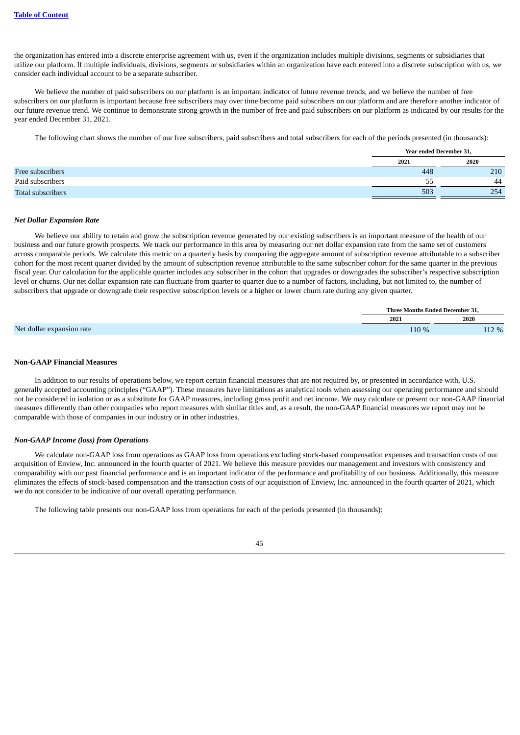the organization has entered into a discrete enterprise agreement with us, even if the organization includes multiple divisions, segments or subsidiaries that utilize our platform. If multiple individuals, divisions, segments or subsidiaries within an organization have each entered into a discrete subscription with us, we consider each individual account to be a separate subscriber.

We believe the number of paid subscribers on our platform is an important indicator of future revenue trends, and we believe the number of free subscribers on our platform is important because free subscribers may over time become paid subscribers on our platform and are therefore another indicator of our future revenue trend. We continue to demonstrate strong growth in the number of free and paid subscribers on our platform as indicated by our results for the year ended December 31, 2021.

The following chart shows the number of our free subscribers, paid subscribers and total subscribers for each of the periods presented (in thousands):

|                   | Year ended December 31, |      |
|-------------------|-------------------------|------|
|                   | 2021                    | 2020 |
| Free subscribers  | 448                     | 210  |
| Paid subscribers  |                         | 44   |
| Total subscribers | 503                     | 254  |

#### *Net Dollar Expansion Rate*

We believe our ability to retain and grow the subscription revenue generated by our existing subscribers is an important measure of the health of our business and our future growth prospects. We track our performance in this area by measuring our net dollar expansion rate from the same set of customers across comparable periods. We calculate this metric on a quarterly basis by comparing the aggregate amount of subscription revenue attributable to a subscriber cohort for the most recent quarter divided by the amount of subscription revenue attributable to the same subscriber cohort for the same quarter in the previous fiscal year. Our calculation for the applicable quarter includes any subscriber in the cohort that upgrades or downgrades the subscriber's respective subscription level or churns. Our net dollar expansion rate can fluctuate from quarter to quarter due to a number of factors, including, but not limited to, the number of subscribers that upgrade or downgrade their respective subscription levels or a higher or lower churn rate during any given quarter.

|                           | <b>Three Months Ended December 31.</b> |                   |  |  |  |
|---------------------------|----------------------------------------|-------------------|--|--|--|
|                           | 2021                                   | 2020              |  |  |  |
| Net dollar expansion rate | 110 %                                  | $\sim$ 0.7<br>ᆚᅶᄼ |  |  |  |

### **Non-GAAP Financial Measures**

In addition to our results of operations below, we report certain financial measures that are not required by, or presented in accordance with, U.S. generally accepted accounting principles ("GAAP"). These measures have limitations as analytical tools when assessing our operating performance and should not be considered in isolation or as a substitute for GAAP measures, including gross profit and net income. We may calculate or present our non-GAAP financial measures differently than other companies who report measures with similar titles and, as a result, the non-GAAP financial measures we report may not be comparable with those of companies in our industry or in other industries.

#### *Non-GAAP Income (loss) from Operations*

We calculate non-GAAP loss from operations as GAAP loss from operations excluding stock-based compensation expenses and transaction costs of our acquisition of Enview, Inc. announced in the fourth quarter of 2021. We believe this measure provides our management and investors with consistency and comparability with our past financial performance and is an important indicator of the performance and profitability of our business. Additionally, this measure eliminates the effects of stock-based compensation and the transaction costs of our acquisition of Enview, Inc. announced in the fourth quarter of 2021, which we do not consider to be indicative of our overall operating performance.

The following table presents our non-GAAP loss from operations for each of the periods presented (in thousands):

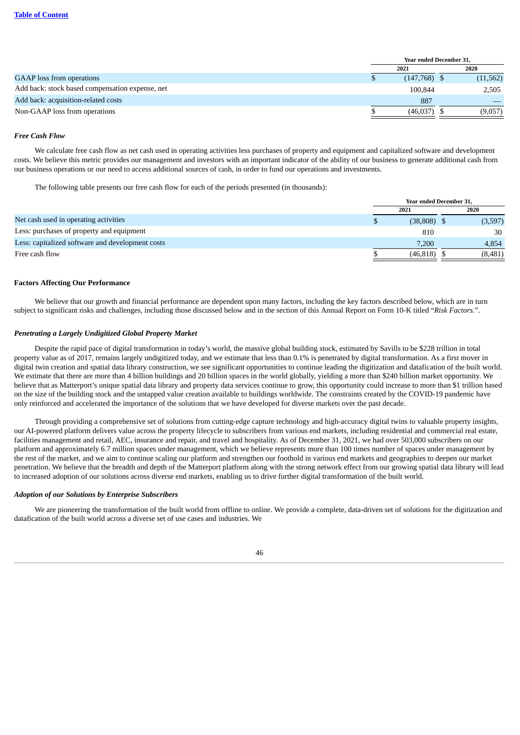|                                                 | Year ended December 31, |  |           |  |  |
|-------------------------------------------------|-------------------------|--|-----------|--|--|
|                                                 | 2021                    |  | 2020      |  |  |
| <b>GAAP</b> loss from operations                | $(147,768)$ \$          |  | (11, 562) |  |  |
| Add back: stock based compensation expense, net | 100.844                 |  | 2,505     |  |  |
| Add back: acquisition-related costs             | 887                     |  |           |  |  |
| Non-GAAP loss from operations                   | (46,037)                |  | (9,057)   |  |  |
|                                                 |                         |  |           |  |  |

### *Free Cash Flow*

We calculate free cash flow as net cash used in operating activities less purchases of property and equipment and capitalized software and development costs. We believe this metric provides our management and investors with an important indicator of the ability of our business to generate additional cash from our business operations or our need to access additional sources of cash, in order to fund our operations and investments.

The following table presents our free cash flow for each of the periods presented (in thousands):

|                                                  | Year ended December 31, |  |         |  |  |
|--------------------------------------------------|-------------------------|--|---------|--|--|
|                                                  | 2021                    |  | 2020    |  |  |
| Net cash used in operating activities            | (38, 808)               |  | (3,597) |  |  |
| Less: purchases of property and equipment        | 810                     |  | 30      |  |  |
| Less: capitalized software and development costs | 7.200                   |  | 4,854   |  |  |
| Free cash flow                                   | (46, 818)               |  | (8,481) |  |  |

### **Factors Affecting Our Performance**

We believe that our growth and financial performance are dependent upon many factors, including the key factors described below, which are in turn subject to significant risks and challenges, including those discussed below and in the section of this Annual Report on Form 10-K titled "*Risk Factors.*".

## *Penetrating a Largely Undigitized Global Property Market*

Despite the rapid pace of digital transformation in today's world, the massive global building stock, estimated by Savills to be \$228 trillion in total property value as of 2017, remains largely undigitized today, and we estimate that less than 0.1% is penetrated by digital transformation. As a first mover in digital twin creation and spatial data library construction, we see significant opportunities to continue leading the digitization and datafication of the built world. We estimate that there are more than 4 billion buildings and 20 billion spaces in the world globally, yielding a more than \$240 billion market opportunity. We believe that as Matterport's unique spatial data library and property data services continue to grow, this opportunity could increase to more than \$1 trillion based on the size of the building stock and the untapped value creation available to buildings worldwide. The constraints created by the COVID-19 pandemic have only reinforced and accelerated the importance of the solutions that we have developed for diverse markets over the past decade.

Through providing a comprehensive set of solutions from cutting-edge capture technology and high-accuracy digital twins to valuable property insights, our AI-powered platform delivers value across the property lifecycle to subscribers from various end markets, including residential and commercial real estate, facilities management and retail, AEC, insurance and repair, and travel and hospitality. As of December 31, 2021, we had over 503,000 subscribers on our platform and approximately 6.7 million spaces under management, which we believe represents more than 100 times number of spaces under management by the rest of the market, and we aim to continue scaling our platform and strengthen our foothold in various end markets and geographies to deepen our market penetration. We believe that the breadth and depth of the Matterport platform along with the strong network effect from our growing spatial data library will lead to increased adoption of our solutions across diverse end markets, enabling us to drive further digital transformation of the built world.

## *Adoption of our Solutions by Enterprise Subscribers*

We are pioneering the transformation of the built world from offline to online. We provide a complete, data-driven set of solutions for the digitization and datafication of the built world across a diverse set of use cases and industries. We

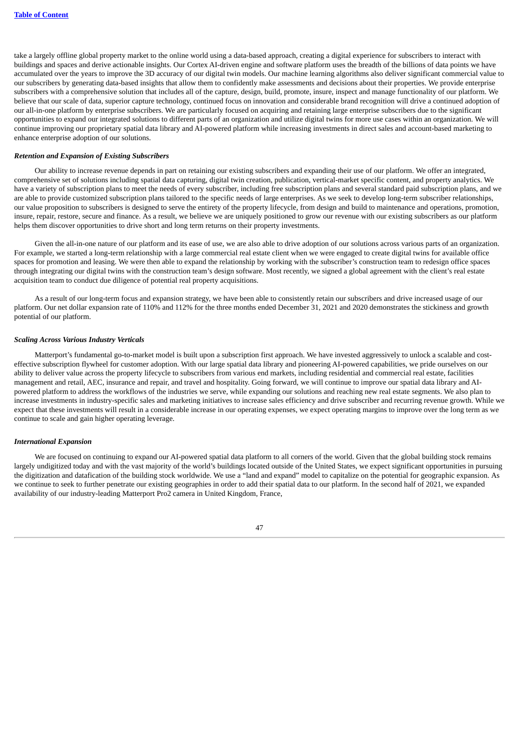take a largely offline global property market to the online world using a data-based approach, creating a digital experience for subscribers to interact with buildings and spaces and derive actionable insights. Our Cortex AI-driven engine and software platform uses the breadth of the billions of data points we have accumulated over the years to improve the 3D accuracy of our digital twin models. Our machine learning algorithms also deliver significant commercial value to our subscribers by generating data-based insights that allow them to confidently make assessments and decisions about their properties. We provide enterprise subscribers with a comprehensive solution that includes all of the capture, design, build, promote, insure, inspect and manage functionality of our platform. We believe that our scale of data, superior capture technology, continued focus on innovation and considerable brand recognition will drive a continued adoption of our all-in-one platform by enterprise subscribers. We are particularly focused on acquiring and retaining large enterprise subscribers due to the significant opportunities to expand our integrated solutions to different parts of an organization and utilize digital twins for more use cases within an organization. We will continue improving our proprietary spatial data library and AI-powered platform while increasing investments in direct sales and account-based marketing to enhance enterprise adoption of our solutions.

#### *Retention and Expansion of Existing Subscribers*

Our ability to increase revenue depends in part on retaining our existing subscribers and expanding their use of our platform. We offer an integrated, comprehensive set of solutions including spatial data capturing, digital twin creation, publication, vertical-market specific content, and property analytics. We have a variety of subscription plans to meet the needs of every subscriber, including free subscription plans and several standard paid subscription plans, and we are able to provide customized subscription plans tailored to the specific needs of large enterprises. As we seek to develop long-term subscriber relationships, our value proposition to subscribers is designed to serve the entirety of the property lifecycle, from design and build to maintenance and operations, promotion, insure, repair, restore, secure and finance. As a result, we believe we are uniquely positioned to grow our revenue with our existing subscribers as our platform helps them discover opportunities to drive short and long term returns on their property investments.

Given the all-in-one nature of our platform and its ease of use, we are also able to drive adoption of our solutions across various parts of an organization. For example, we started a long-term relationship with a large commercial real estate client when we were engaged to create digital twins for available office spaces for promotion and leasing. We were then able to expand the relationship by working with the subscriber's construction team to redesign office spaces through integrating our digital twins with the construction team's design software. Most recently, we signed a global agreement with the client's real estate acquisition team to conduct due diligence of potential real property acquisitions.

As a result of our long-term focus and expansion strategy, we have been able to consistently retain our subscribers and drive increased usage of our platform. Our net dollar expansion rate of 110% and 112% for the three months ended December 31, 2021 and 2020 demonstrates the stickiness and growth potential of our platform.

#### *Scaling Across Various Industry Verticals*

Matterport's fundamental go-to-market model is built upon a subscription first approach. We have invested aggressively to unlock a scalable and costeffective subscription flywheel for customer adoption. With our large spatial data library and pioneering AI-powered capabilities, we pride ourselves on our ability to deliver value across the property lifecycle to subscribers from various end markets, including residential and commercial real estate, facilities management and retail, AEC, insurance and repair, and travel and hospitality. Going forward, we will continue to improve our spatial data library and AIpowered platform to address the workflows of the industries we serve, while expanding our solutions and reaching new real estate segments. We also plan to increase investments in industry-specific sales and marketing initiatives to increase sales efficiency and drive subscriber and recurring revenue growth. While we expect that these investments will result in a considerable increase in our operating expenses, we expect operating margins to improve over the long term as we continue to scale and gain higher operating leverage.

#### *International Expansion*

We are focused on continuing to expand our AI-powered spatial data platform to all corners of the world. Given that the global building stock remains largely undigitized today and with the vast majority of the world's buildings located outside of the United States, we expect significant opportunities in pursuing the digitization and datafication of the building stock worldwide. We use a "land and expand" model to capitalize on the potential for geographic expansion. As we continue to seek to further penetrate our existing geographies in order to add their spatial data to our platform. In the second half of 2021, we expanded availability of our industry-leading Matterport Pro2 camera in United Kingdom, France,

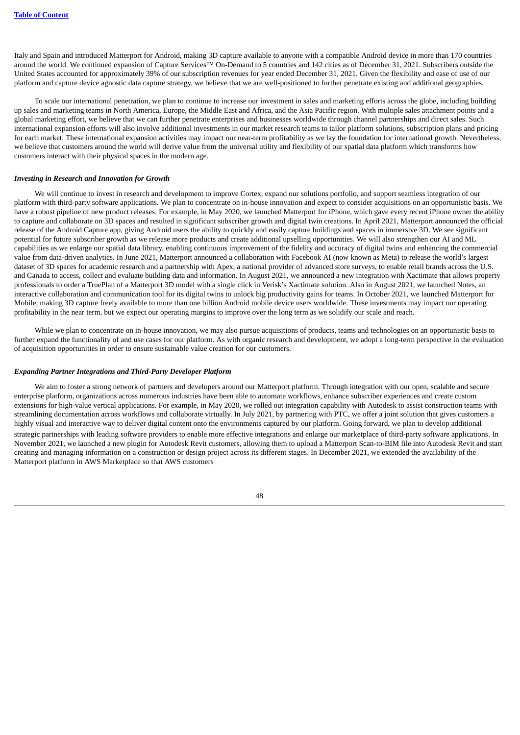Italy and Spain and introduced Matterport for Android, making 3D capture available to anyone with a compatible Android device in more than 170 countries around the world. We continued expansion of Capture Services™ On-Demand to 5 countries and 142 cities as of December 31, 2021. Subscribers outside the United States accounted for approximately 39% of our subscription revenues for year ended December 31, 2021. Given the flexibility and ease of use of our platform and capture device agnostic data capture strategy, we believe that we are well-positioned to further penetrate existing and additional geographies.

To scale our international penetration, we plan to continue to increase our investment in sales and marketing efforts across the globe, including building up sales and marketing teams in North America, Europe, the Middle East and Africa, and the Asia Pacific region. With multiple sales attachment points and a global marketing effort, we believe that we can further penetrate enterprises and businesses worldwide through channel partnerships and direct sales. Such international expansion efforts will also involve additional investments in our market research teams to tailor platform solutions, subscription plans and pricing for each market. These international expansion activities may impact our near-term profitability as we lay the foundation for international growth. Nevertheless, we believe that customers around the world will derive value from the universal utility and flexibility of our spatial data platform which transforms how customers interact with their physical spaces in the modern age.

## *Investing in Research and Innovation for Growth*

We will continue to invest in research and development to improve Cortex, expand our solutions portfolio, and support seamless integration of our platform with third-party software applications. We plan to concentrate on in-house innovation and expect to consider acquisitions on an opportunistic basis. We have a robust pipeline of new product releases. For example, in May 2020, we launched Matterport for iPhone, which gave every recent iPhone owner the ability to capture and collaborate on 3D spaces and resulted in significant subscriber growth and digital twin creations. In April 2021, Matterport announced the official release of the Android Capture app, giving Android users the ability to quickly and easily capture buildings and spaces in immersive 3D. We see significant potential for future subscriber growth as we release more products and create additional upselling opportunities. We will also strengthen our AI and ML capabilities as we enlarge our spatial data library, enabling continuous improvement of the fidelity and accuracy of digital twins and enhancing the commercial value from data-driven analytics. In June 2021, Matterport announced a collaboration with Facebook AI (now known as Meta) to release the world's largest dataset of 3D spaces for academic research and a partnership with Apex, a national provider of advanced store surveys, to enable retail brands across the U.S. and Canada to access, collect and evaluate building data and information. In August 2021, we announced a new integration with Xactimate that allows property professionals to order a TruePlan of a Matterport 3D model with a single click in Verisk's Xactimate solution. Also in August 2021, we launched Notes, an interactive collaboration and communication tool for its digital twins to unlock big productivity gains for teams. In October 2021, we launched Matterport for Mobile, making 3D capture freely available to more than one billion Android mobile device users worldwide. These investments may impact our operating profitability in the near term, but we expect our operating margins to improve over the long term as we solidify our scale and reach.

While we plan to concentrate on in-house innovation, we may also pursue acquisitions of products, teams and technologies on an opportunistic basis to further expand the functionality of and use cases for our platform. As with organic research and development, we adopt a long-term perspective in the evaluation of acquisition opportunities in order to ensure sustainable value creation for our customers.

#### *Expanding Partner Integrations and Third-Party Developer Platform*

We aim to foster a strong network of partners and developers around our Matterport platform. Through integration with our open, scalable and secure enterprise platform, organizations across numerous industries have been able to automate workflows, enhance subscriber experiences and create custom extensions for high-value vertical applications. For example, in May 2020, we rolled out integration capability with Autodesk to assist construction teams with streamlining documentation across workflows and collaborate virtually. In July 2021, by partnering with PTC, we offer a joint solution that gives customers a highly visual and interactive way to deliver digital content onto the environments captured by our platform. Going forward, we plan to develop additional strategic partnerships with leading software providers to enable more effective integrations and enlarge our marketplace of third-party software applications. In November 2021, we launched a new plugin for Autodesk Revit customers, allowing them to upload a Matterport Scan-to-BIM file into Autodesk Revit and start creating and managing information on a construction or design project across its different stages. In December 2021, we extended the availability of the Matterport platform in AWS Marketplace so that AWS customers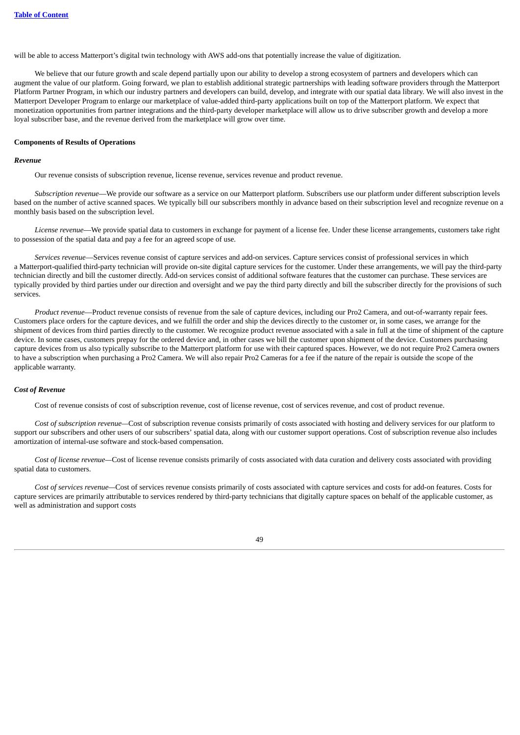will be able to access Matterport's digital twin technology with AWS add-ons that potentially increase the value of digitization.

We believe that our future growth and scale depend partially upon our ability to develop a strong ecosystem of partners and developers which can augment the value of our platform. Going forward, we plan to establish additional strategic partnerships with leading software providers through the Matterport Platform Partner Program, in which our industry partners and developers can build, develop, and integrate with our spatial data library. We will also invest in the Matterport Developer Program to enlarge our marketplace of value-added third-party applications built on top of the Matterport platform. We expect that monetization opportunities from partner integrations and the third-party developer marketplace will allow us to drive subscriber growth and develop a more loyal subscriber base, and the revenue derived from the marketplace will grow over time.

## **Components of Results of Operations**

#### *Revenue*

Our revenue consists of subscription revenue, license revenue, services revenue and product revenue.

*Subscription revenue*—We provide our software as a service on our Matterport platform. Subscribers use our platform under different subscription levels based on the number of active scanned spaces. We typically bill our subscribers monthly in advance based on their subscription level and recognize revenue on a monthly basis based on the subscription level.

*License revenue*—We provide spatial data to customers in exchange for payment of a license fee. Under these license arrangements, customers take right to possession of the spatial data and pay a fee for an agreed scope of use.

*Services revenue*—Services revenue consist of capture services and add-on services. Capture services consist of professional services in which a Matterport-qualified third-party technician will provide on-site digital capture services for the customer. Under these arrangements, we will pay the third-party technician directly and bill the customer directly. Add-on services consist of additional software features that the customer can purchase. These services are typically provided by third parties under our direction and oversight and we pay the third party directly and bill the subscriber directly for the provisions of such services.

*Product revenue*—Product revenue consists of revenue from the sale of capture devices, including our Pro2 Camera, and out-of-warranty repair fees. Customers place orders for the capture devices, and we fulfill the order and ship the devices directly to the customer or, in some cases, we arrange for the shipment of devices from third parties directly to the customer. We recognize product revenue associated with a sale in full at the time of shipment of the capture device. In some cases, customers prepay for the ordered device and, in other cases we bill the customer upon shipment of the device. Customers purchasing capture devices from us also typically subscribe to the Matterport platform for use with their captured spaces. However, we do not require Pro2 Camera owners to have a subscription when purchasing a Pro2 Camera. We will also repair Pro2 Cameras for a fee if the nature of the repair is outside the scope of the applicable warranty.

#### *Cost of Revenue*

Cost of revenue consists of cost of subscription revenue, cost of license revenue, cost of services revenue, and cost of product revenue.

*Cost of subscription revenue—*Cost of subscription revenue consists primarily of costs associated with hosting and delivery services for our platform to support our subscribers and other users of our subscribers' spatial data, along with our customer support operations. Cost of subscription revenue also includes amortization of internal-use software and stock-based compensation.

*Cost of license revenue—*Cost of license revenue consists primarily of costs associated with data curation and delivery costs associated with providing spatial data to customers.

*Cost of services revenue—*Cost of services revenue consists primarily of costs associated with capture services and costs for add-on features. Costs for capture services are primarily attributable to services rendered by third-party technicians that digitally capture spaces on behalf of the applicable customer, as well as administration and support costs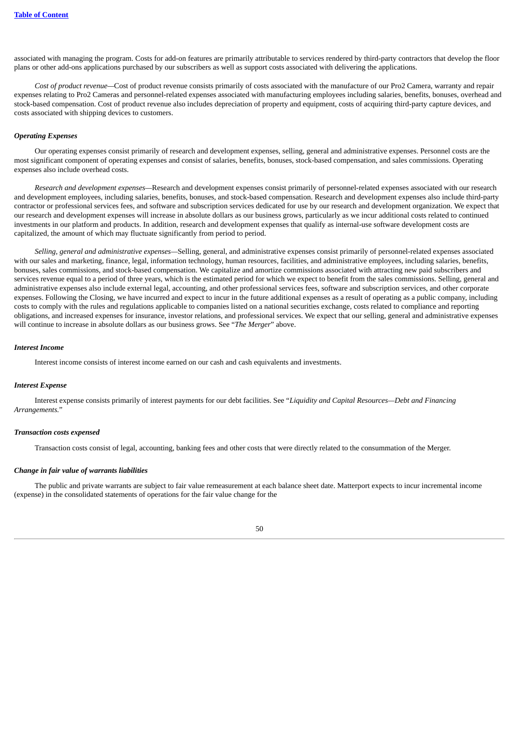associated with managing the program. Costs for add-on features are primarily attributable to services rendered by third-party contractors that develop the floor plans or other add-ons applications purchased by our subscribers as well as support costs associated with delivering the applications.

*Cost of product revenue—*Cost of product revenue consists primarily of costs associated with the manufacture of our Pro2 Camera, warranty and repair expenses relating to Pro2 Cameras and personnel-related expenses associated with manufacturing employees including salaries, benefits, bonuses, overhead and stock-based compensation. Cost of product revenue also includes depreciation of property and equipment, costs of acquiring third-party capture devices, and costs associated with shipping devices to customers.

#### *Operating Expenses*

Our operating expenses consist primarily of research and development expenses, selling, general and administrative expenses. Personnel costs are the most significant component of operating expenses and consist of salaries, benefits, bonuses, stock-based compensation, and sales commissions. Operating expenses also include overhead costs.

*Research and development expenses—*Research and development expenses consist primarily of personnel-related expenses associated with our research and development employees, including salaries, benefits, bonuses, and stock-based compensation. Research and development expenses also include third-party contractor or professional services fees, and software and subscription services dedicated for use by our research and development organization. We expect that our research and development expenses will increase in absolute dollars as our business grows, particularly as we incur additional costs related to continued investments in our platform and products. In addition, research and development expenses that qualify as internal-use software development costs are capitalized, the amount of which may fluctuate significantly from period to period.

*Selling, general and administrative expenses—*Selling, general, and administrative expenses consist primarily of personnel-related expenses associated with our sales and marketing, finance, legal, information technology, human resources, facilities, and administrative employees, including salaries, benefits, bonuses, sales commissions, and stock-based compensation. We capitalize and amortize commissions associated with attracting new paid subscribers and services revenue equal to a period of three years, which is the estimated period for which we expect to benefit from the sales commissions. Selling, general and administrative expenses also include external legal, accounting, and other professional services fees, software and subscription services, and other corporate expenses. Following the Closing, we have incurred and expect to incur in the future additional expenses as a result of operating as a public company, including costs to comply with the rules and regulations applicable to companies listed on a national securities exchange, costs related to compliance and reporting obligations, and increased expenses for insurance, investor relations, and professional services. We expect that our selling, general and administrative expenses will continue to increase in absolute dollars as our business grows. See "*The Merger*" above.

#### *Interest Income*

Interest income consists of interest income earned on our cash and cash equivalents and investments.

### *Interest Expense*

Interest expense consists primarily of interest payments for our debt facilities. See "*Liquidity and Capital Resources—Debt and Financing Arrangements.*"

#### *Transaction costs expensed*

Transaction costs consist of legal, accounting, banking fees and other costs that were directly related to the consummation of the Merger.

#### *Change in fair value of warrants liabilities*

The public and private warrants are subject to fair value remeasurement at each balance sheet date. Matterport expects to incur incremental income (expense) in the consolidated statements of operations for the fair value change for the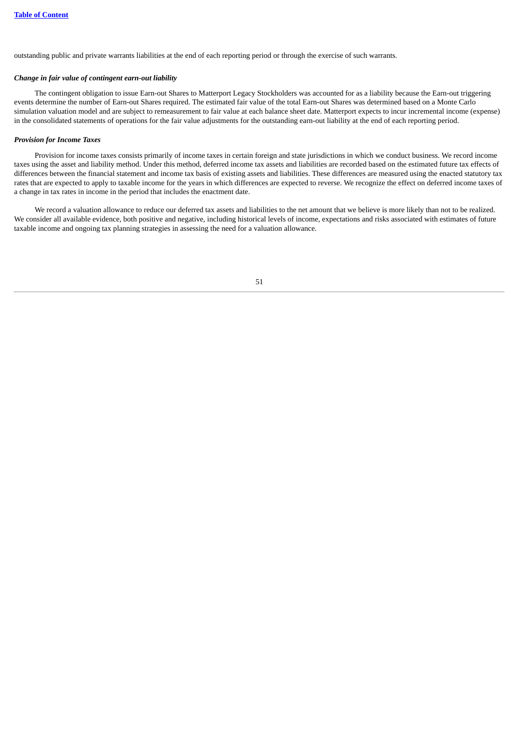outstanding public and private warrants liabilities at the end of each reporting period or through the exercise of such warrants.

## *Change in fair value of contingent earn-out liability*

The contingent obligation to issue Earn-out Shares to Matterport Legacy Stockholders was accounted for as a liability because the Earn-out triggering events determine the number of Earn-out Shares required. The estimated fair value of the total Earn-out Shares was determined based on a Monte Carlo simulation valuation model and are subject to remeasurement to fair value at each balance sheet date. Matterport expects to incur incremental income (expense) in the consolidated statements of operations for the fair value adjustments for the outstanding earn-out liability at the end of each reporting period.

## *Provision for Income Taxes*

Provision for income taxes consists primarily of income taxes in certain foreign and state jurisdictions in which we conduct business. We record income taxes using the asset and liability method. Under this method, deferred income tax assets and liabilities are recorded based on the estimated future tax effects of differences between the financial statement and income tax basis of existing assets and liabilities. These differences are measured using the enacted statutory tax rates that are expected to apply to taxable income for the years in which differences are expected to reverse. We recognize the effect on deferred income taxes of a change in tax rates in income in the period that includes the enactment date.

We record a valuation allowance to reduce our deferred tax assets and liabilities to the net amount that we believe is more likely than not to be realized. We consider all available evidence, both positive and negative, including historical levels of income, expectations and risks associated with estimates of future taxable income and ongoing tax planning strategies in assessing the need for a valuation allowance.

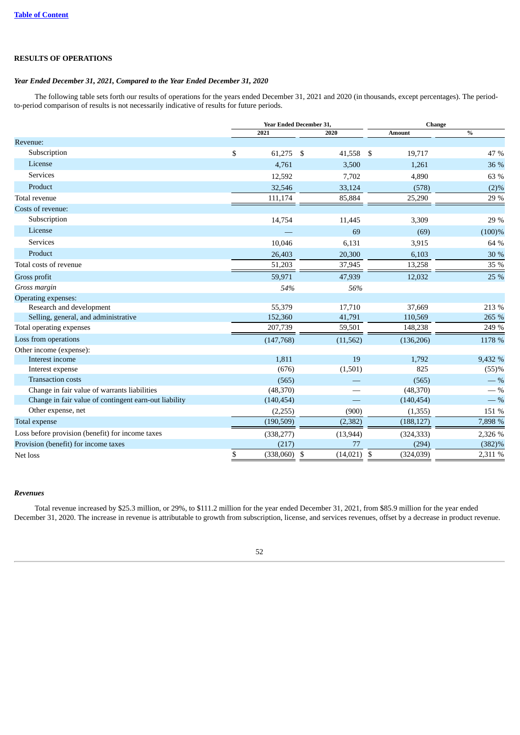## **RESULTS OF OPERATIONS**

## *Year Ended December 31, 2021, Compared to the Year Ended December 31, 2020*

The following table sets forth our results of operations for the years ended December 31, 2021 and 2020 (in thousands, except percentages). The periodto-period comparison of results is not necessarily indicative of results for future periods.

|                                                       | <b>Year Ended December 31,</b> |      |               | Change        |               |  |
|-------------------------------------------------------|--------------------------------|------|---------------|---------------|---------------|--|
|                                                       | 2021                           |      | 2020          | <b>Amount</b> | $\frac{0}{0}$ |  |
| Revenue:                                              |                                |      |               |               |               |  |
| Subscription                                          | \$<br>61,275                   | - \$ | 41,558 \$     | 19,717        | 47 %          |  |
| License                                               | 4,761                          |      | 3,500         | 1,261         | 36 %          |  |
| <b>Services</b>                                       | 12,592                         |      | 7,702         | 4,890         | 63 %          |  |
| Product                                               | 32,546                         |      | 33,124        | (578)         | (2)%          |  |
| Total revenue                                         | 111,174                        |      | 85,884        | 25,290        | 29 %          |  |
| Costs of revenue:                                     |                                |      |               |               |               |  |
| Subscription                                          | 14,754                         |      | 11,445        | 3,309         | 29 %          |  |
| License                                               |                                |      | 69            | (69)          | (100)%        |  |
| <b>Services</b>                                       | 10,046                         |      | 6,131         | 3,915         | 64 %          |  |
| Product                                               | 26,403                         |      | 20,300        | 6.103         | 30 %          |  |
| Total costs of revenue                                | 51,203                         |      | 37,945        | 13,258        | 35 %          |  |
| Gross profit                                          | 59,971                         |      | 47,939        | 12,032        | 25 %          |  |
| Gross margin                                          | 54%                            |      | 56%           |               |               |  |
| Operating expenses:                                   |                                |      |               |               |               |  |
| Research and development                              | 55,379                         |      | 17,710        | 37,669        | 213 %         |  |
| Selling, general, and administrative                  | 152,360                        |      | 41,791        | 110,569       | 265 %         |  |
| Total operating expenses                              | 207,739                        |      | 59,501        | 148,238       | 249 %         |  |
| Loss from operations                                  | (147,768)                      |      | (11, 562)     | (136, 206)    | 1178 %        |  |
| Other income (expense):                               |                                |      |               |               |               |  |
| Interest income                                       | 1,811                          |      | 19            | 1,792         | 9,432 %       |  |
| Interest expense                                      | (676)                          |      | (1,501)       | 825           | (55)%         |  |
| <b>Transaction costs</b>                              | (565)                          |      |               | (565)         | $-$ %         |  |
| Change in fair value of warrants liabilities          | (48, 370)                      |      |               | (48, 370)     | $-$ %         |  |
| Change in fair value of contingent earn-out liability | (140, 454)                     |      |               | (140, 454)    | $-$ %         |  |
| Other expense, net                                    | (2, 255)                       |      | (900)         | (1, 355)      | 151 %         |  |
| Total expense                                         | (190, 509)                     |      | (2, 382)      | (188, 127)    | 7,898 %       |  |
| Loss before provision (benefit) for income taxes      | (338, 277)                     |      | (13,944)      | (324, 333)    | 2,326 %       |  |
| Provision (benefit) for income taxes                  | (217)                          |      | 77            | (294)         | (382)%        |  |
| Net loss                                              | \$<br>$(338,060)$ \$           |      | $(14,021)$ \$ | (324, 039)    | 2,311 %       |  |

## *Revenues*

Total revenue increased by \$25.3 million, or 29%, to \$111.2 million for the year ended December 31, 2021, from \$85.9 million for the year ended December 31, 2020. The increase in revenue is attributable to growth from subscription, license, and services revenues, offset by a decrease in product revenue.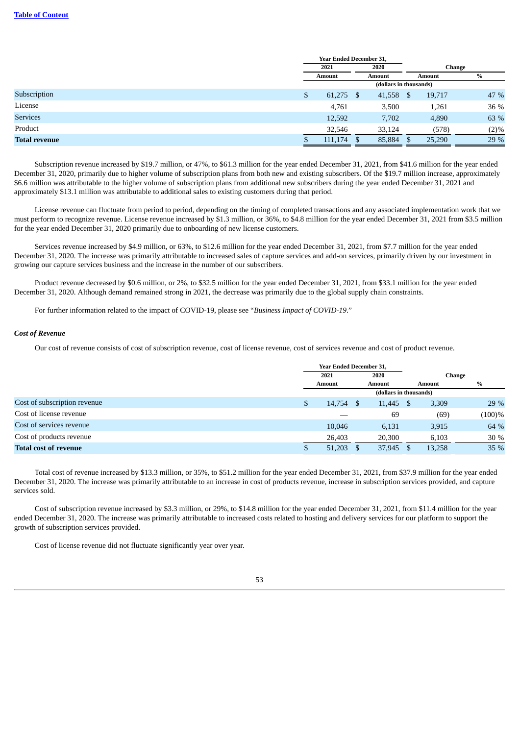|    | Year Ended December 31, |   |        |    |        |      |        |      |  |  |  |  |  |  |      |  |  |        |
|----|-------------------------|---|--------|----|--------|------|--------|------|--|--|--|--|--|--|------|--|--|--------|
|    | 2021                    |   |        |    |        |      |        |      |  |  |  |  |  |  | 2020 |  |  | Change |
|    | <b>Amount</b>           |   | Amount |    |        |      | Amount | $\%$ |  |  |  |  |  |  |      |  |  |        |
|    |                         |   |        |    |        |      |        |      |  |  |  |  |  |  |      |  |  |        |
| \$ | 61,275                  | S | 41,558 | S. | 19,717 | 47 % |        |      |  |  |  |  |  |  |      |  |  |        |
|    | 4,761                   |   | 3,500  |    | 1,261  | 36 % |        |      |  |  |  |  |  |  |      |  |  |        |
|    | 12,592                  |   | 7,702  |    | 4,890  | 63 % |        |      |  |  |  |  |  |  |      |  |  |        |
|    | 32,546                  |   | 33,124 |    | (578)  | (2)% |        |      |  |  |  |  |  |  |      |  |  |        |
|    | 111,174                 |   | 85,884 |    | 25,290 | 29 % |        |      |  |  |  |  |  |  |      |  |  |        |
|    |                         |   |        |    |        |      |        |      |  |  |  |  |  |  |      |  |  |        |

Subscription revenue increased by \$19.7 million, or 47%, to \$61.3 million for the year ended December 31, 2021, from \$41.6 million for the year ended December 31, 2020, primarily due to higher volume of subscription plans from both new and existing subscribers. Of the \$19.7 million increase, approximately \$6.6 million was attributable to the higher volume of subscription plans from additional new subscribers during the year ended December 31, 2021 and approximately \$13.1 million was attributable to additional sales to existing customers during that period.

License revenue can fluctuate from period to period, depending on the timing of completed transactions and any associated implementation work that we must perform to recognize revenue. License revenue increased by \$1.3 million, or 36%, to \$4.8 million for the year ended December 31, 2021 from \$3.5 million for the year ended December 31, 2020 primarily due to onboarding of new license customers.

Services revenue increased by \$4.9 million, or 63%, to \$12.6 million for the year ended December 31, 2021, from \$7.7 million for the year ended December 31, 2020. The increase was primarily attributable to increased sales of capture services and add-on services, primarily driven by our investment in growing our capture services business and the increase in the number of our subscribers.

Product revenue decreased by \$0.6 million, or 2%, to \$32.5 million for the year ended December 31, 2021, from \$33.1 million for the year ended December 31, 2020. Although demand remained strong in 2021, the decrease was primarily due to the global supply chain constraints.

For further information related to the impact of COVID-19, please see "*Business Impact of COVID-19*."

## *Cost of Revenue*

Our cost of revenue consists of cost of subscription revenue, cost of license revenue, cost of services revenue and cost of product revenue.

|                              | <b>Year Ended December 31,</b> |        |   |                        |  |        |           |      |  |               |        |
|------------------------------|--------------------------------|--------|---|------------------------|--|--------|-----------|------|--|---------------|--------|
|                              | 2021<br>Amount                 |        |   |                        |  |        |           | 2020 |  | <b>Change</b> |        |
|                              |                                |        |   |                        |  |        |           |      |  |               | Amount |
|                              |                                |        |   | (dollars in thousands) |  |        |           |      |  |               |        |
| Cost of subscription revenue | \$                             | 14,754 | S | $11,445$ \$            |  | 3,309  | 29 %      |      |  |               |        |
| Cost of license revenue      |                                |        |   | 69                     |  | (69)   | $(100)\%$ |      |  |               |        |
| Cost of services revenue     |                                | 10,046 |   | 6,131                  |  | 3,915  | 64 %      |      |  |               |        |
| Cost of products revenue     |                                | 26,403 |   | 20,300                 |  | 6,103  | 30 %      |      |  |               |        |
| <b>Total cost of revenue</b> |                                | 51,203 |   | 37,945                 |  | 13,258 | 35 %      |      |  |               |        |

Total cost of revenue increased by \$13.3 million, or 35%, to \$51.2 million for the year ended December 31, 2021, from \$37.9 million for the year ended December 31, 2020. The increase was primarily attributable to an increase in cost of products revenue, increase in subscription services provided, and capture services sold.

Cost of subscription revenue increased by \$3.3 million, or 29%, to \$14.8 million for the year ended December 31, 2021, from \$11.4 million for the year ended December 31, 2020. The increase was primarily attributable to increased costs related to hosting and delivery services for our platform to support the growth of subscription services provided.

Cost of license revenue did not fluctuate significantly year over year.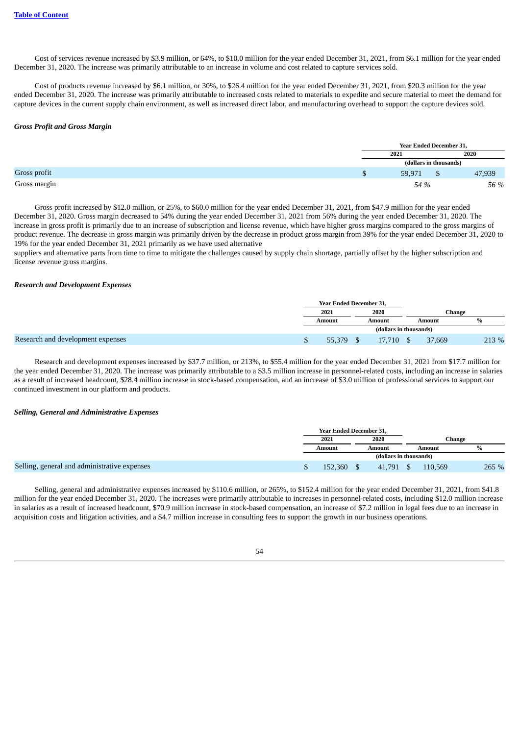Cost of services revenue increased by \$3.9 million, or 64%, to \$10.0 million for the year ended December 31, 2021, from \$6.1 million for the year ended December 31, 2020. The increase was primarily attributable to an increase in volume and cost related to capture services sold.

Cost of products revenue increased by \$6.1 million, or 30%, to \$26.4 million for the year ended December 31, 2021, from \$20.3 million for the year ended December 31, 2020. The increase was primarily attributable to increased costs related to materials to expedite and secure material to meet the demand for capture devices in the current supply chain environment, as well as increased direct labor, and manufacturing overhead to support the capture devices sold.

#### *Gross Profit and Gross Margin*

|              | <b>Year Ended December 31,</b> |  |        |  |  |  |
|--------------|--------------------------------|--|--------|--|--|--|
|              | 2021                           |  | 2020   |  |  |  |
|              | (dollars in thousands)         |  |        |  |  |  |
| Gross profit | 59,971                         |  | 47,939 |  |  |  |
| Gross margin | 54 %                           |  | 56 %   |  |  |  |

Gross profit increased by \$12.0 million, or 25%, to \$60.0 million for the year ended December 31, 2021, from \$47.9 million for the year ended December 31, 2020. Gross margin decreased to 54% during the year ended December 31, 2021 from 56% during the year ended December 31, 2020. The increase in gross profit is primarily due to an increase of subscription and license revenue, which have higher gross margins compared to the gross margins of product revenue. The decrease in gross margin was primarily driven by the decrease in product gross margin from 39% for the year ended December 31, 2020 to 19% for the year ended December 31, 2021 primarily as we have used alternative

suppliers and alternative parts from time to time to mitigate the challenges caused by supply chain shortage, partially offset by the higher subscription and license revenue gross margins.

## *Research and Development Expenses*

|                                   | <b>Year Ended December 31,</b> |        |        |        |        |        |       |  |
|-----------------------------------|--------------------------------|--------|--------|--------|--------|--------|-------|--|
|                                   | 2021                           |        | 2020   |        | Change |        |       |  |
|                                   | Amount                         |        | Amount |        | Amount |        |       |  |
|                                   | (dollars in thousands)         |        |        |        |        |        |       |  |
| Research and development expenses |                                | 55,379 |        | 17.710 |        | 37,669 | 213 % |  |

Research and development expenses increased by \$37.7 million, or 213%, to \$55.4 million for the year ended December 31, 2021 from \$17.7 million for the year ended December 31, 2020. The increase was primarily attributable to a \$3.5 million increase in personnel-related costs, including an increase in salaries as a result of increased headcount, \$28.4 million increase in stock-based compensation, and an increase of \$3.0 million of professional services to support our continued investment in our platform and products.

#### *Selling, General and Administrative Expenses*

|                                              |  | Year Ended December 31, |  |           |  |         |       |  |  |  |  |  |  |  |  |        |        |  |      |
|----------------------------------------------|--|-------------------------|--|-----------|--|---------|-------|--|--|--|--|--|--|--|--|--------|--------|--|------|
|                                              |  | 2021                    |  | 2020      |  | Change  |       |  |  |  |  |  |  |  |  |        |        |  |      |
|                                              |  | Amount                  |  |           |  |         |       |  |  |  |  |  |  |  |  | Amount | Amount |  | $\%$ |
|                                              |  | (dollars in thousands)  |  |           |  |         |       |  |  |  |  |  |  |  |  |        |        |  |      |
| Selling, general and administrative expenses |  | 152.360                 |  | 41.791 \$ |  | 110.569 | 265 % |  |  |  |  |  |  |  |  |        |        |  |      |

Selling, general and administrative expenses increased by \$110.6 million, or 265%, to \$152.4 million for the year ended December 31, 2021, from \$41.8 million for the year ended December 31, 2020. The increases were primarily attributable to increases in personnel-related costs, including \$12.0 million increase in salaries as a result of increased headcount, \$70.9 million increase in stock-based compensation, an increase of \$7.2 million in legal fees due to an increase in acquisition costs and litigation activities, and a \$4.7 million increase in consulting fees to support the growth in our business operations.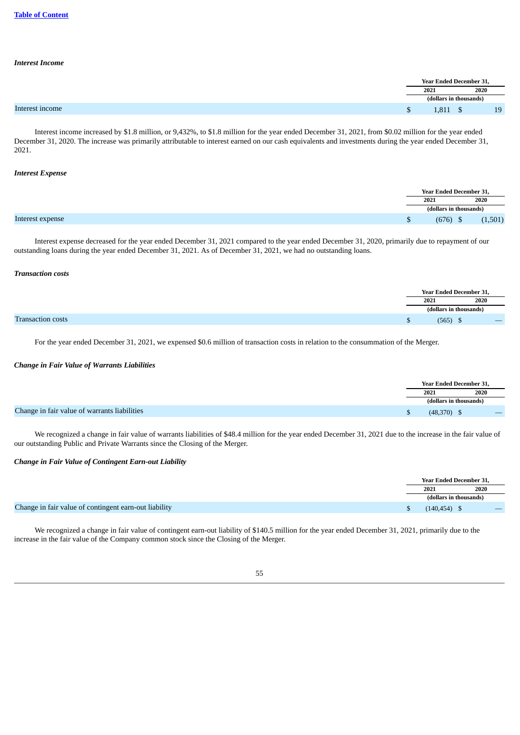## *Interest Income*

|                 | <b>Year Ended December 31,</b> |      |    |
|-----------------|--------------------------------|------|----|
|                 | 2021                           | 2020 |    |
|                 | (dollars in thousands)         |      |    |
| Interest income | 1.811                          |      | 19 |

Interest income increased by \$1.8 million, or 9,432%, to \$1.8 million for the year ended December 31, 2021, from \$0.02 million for the year ended December 31, 2020. The increase was primarily attributable to interest earned on our cash equivalents and investments during the year ended December 31, 2021.

#### *Interest Expense*

|                  |   | <b>Year Ended December 31,</b> |         |
|------------------|---|--------------------------------|---------|
|                  |   | 2021                           | 2020    |
|                  |   | (dollars in thousands)         |         |
| Interest expense | ╜ | (676)                          | (1,501) |

Interest expense decreased for the year ended December 31, 2021 compared to the year ended December 31, 2020, primarily due to repayment of our outstanding loans during the year ended December 31, 2021. As of December 31, 2021, we had no outstanding loans.

## *Transaction costs*

|                          |       | <b>Year Ended December 31,</b> |  |
|--------------------------|-------|--------------------------------|--|
|                          | 2021  | 2020                           |  |
|                          |       | (dollars in thousands)         |  |
| <b>Transaction costs</b> | (565) |                                |  |

For the year ended December 31, 2021, we expensed \$0.6 million of transaction costs in relation to the consummation of the Merger.

## *Change in Fair Value of Warrants Liabilities*

|                                              |      |          | <b>Year Ended December 31.</b> |  |
|----------------------------------------------|------|----------|--------------------------------|--|
|                                              | 2021 |          | 2020                           |  |
|                                              |      |          | (dollars in thousands)         |  |
| Change in fair value of warrants liabilities |      | (48,370) |                                |  |

We recognized a change in fair value of warrants liabilities of \$48.4 million for the year ended December 31, 2021 due to the increase in the fair value of our outstanding Public and Private Warrants since the Closing of the Merger.

## *Change in Fair Value of Contingent Earn-out Liability*

|                                                       | <b>Year Ended December 31,</b> |      |                          |
|-------------------------------------------------------|--------------------------------|------|--------------------------|
|                                                       | 2021                           | 2020 |                          |
|                                                       | (dollars in thousands)         |      |                          |
| Change in fair value of contingent earn-out liability | $(140, 454)$ \$                |      | $\overline{\phantom{a}}$ |

We recognized a change in fair value of contingent earn-out liability of \$140.5 million for the year ended December 31, 2021, primarily due to the increase in the fair value of the Company common stock since the Closing of the Merger.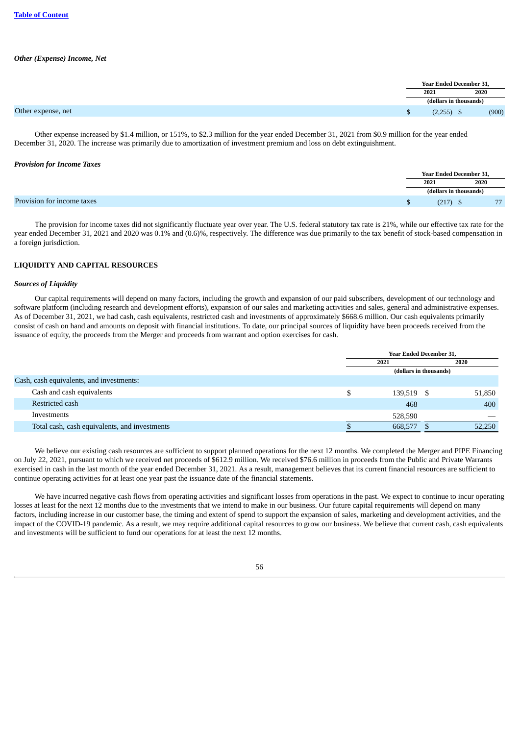#### *Other (Expense) Income, Net*

| 2021 | 2020                                                                |
|------|---------------------------------------------------------------------|
|      |                                                                     |
|      | (900)                                                               |
|      | <b>Year Ended December 31,</b><br>(dollars in thousands)<br>(2,255) |

Other expense increased by \$1.4 million, or 151%, to \$2.3 million for the year ended December 31, 2021 from \$0.9 million for the year ended December 31, 2020. The increase was primarily due to amortization of investment premium and loss on debt extinguishment.

#### *Provision for Income Taxes*

|                            | <b>Year Ended December 31,</b> |      |                |
|----------------------------|--------------------------------|------|----------------|
|                            | 2021                           | 2020 |                |
|                            | (dollars in thousands)         |      |                |
| Provision for income taxes |                                |      | $\blacksquare$ |

The provision for income taxes did not significantly fluctuate year over year. The U.S. federal statutory tax rate is 21%, while our effective tax rate for the year ended December 31, 2021 and 2020 was 0.1% and (0.6)%, respectively. The difference was due primarily to the tax benefit of stock-based compensation in a foreign jurisdiction.

## **LIQUIDITY AND CAPITAL RESOURCES**

## *Sources of Liquidity*

Our capital requirements will depend on many factors, including the growth and expansion of our paid subscribers, development of our technology and software platform (including research and development efforts), expansion of our sales and marketing activities and sales, general and administrative expenses. As of December 31, 2021, we had cash, cash equivalents, restricted cash and investments of approximately \$668.6 million. Our cash equivalents primarily consist of cash on hand and amounts on deposit with financial institutions. To date, our principal sources of liquidity have been proceeds received from the issuance of equity, the proceeds from the Merger and proceeds from warrant and option exercises for cash.

|                                               |                        | <b>Year Ended December 31,</b> |      |        |  |
|-----------------------------------------------|------------------------|--------------------------------|------|--------|--|
|                                               |                        | 2021                           | 2020 |        |  |
|                                               | (dollars in thousands) |                                |      |        |  |
| Cash, cash equivalents, and investments:      |                        |                                |      |        |  |
| Cash and cash equivalents                     |                        | 139,519 \$                     |      | 51,850 |  |
| Restricted cash                               |                        | 468                            |      | 400    |  |
| Investments                                   |                        | 528,590                        |      |        |  |
| Total cash, cash equivalents, and investments |                        | 668.577                        |      | 52,250 |  |
|                                               |                        |                                |      |        |  |

We believe our existing cash resources are sufficient to support planned operations for the next 12 months. We completed the Merger and PIPE Financing on July 22, 2021, pursuant to which we received net proceeds of \$612.9 million. We received \$76.6 million in proceeds from the Public and Private Warrants exercised in cash in the last month of the year ended December 31, 2021. As a result, management believes that its current financial resources are sufficient to continue operating activities for at least one year past the issuance date of the financial statements.

We have incurred negative cash flows from operating activities and significant losses from operations in the past. We expect to continue to incur operating losses at least for the next 12 months due to the investments that we intend to make in our business. Our future capital requirements will depend on many factors, including increase in our customer base, the timing and extent of spend to support the expansion of sales, marketing and development activities, and the impact of the COVID-19 pandemic. As a result, we may require additional capital resources to grow our business. We believe that current cash, cash equivalents and investments will be sufficient to fund our operations for at least the next 12 months.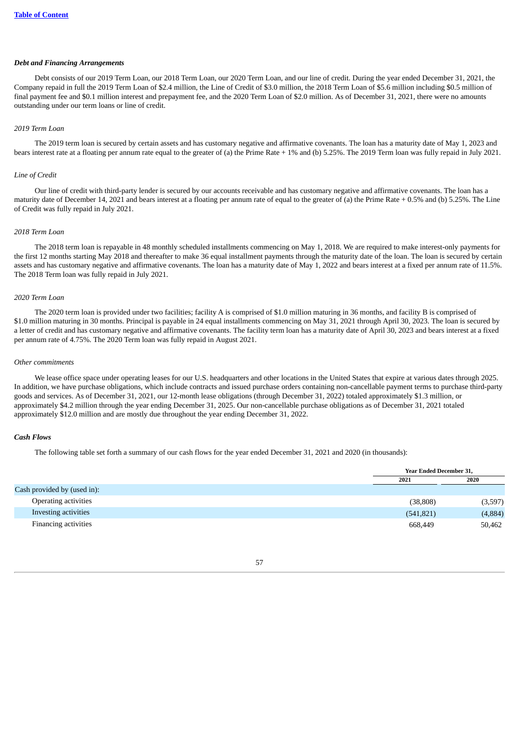## *Debt and Financing Arrangements*

Debt consists of our 2019 Term Loan, our 2018 Term Loan, our 2020 Term Loan, and our line of credit. During the year ended December 31, 2021, the Company repaid in full the 2019 Term Loan of \$2.4 million, the Line of Credit of \$3.0 million, the 2018 Term Loan of \$5.6 million including \$0.5 million of final payment fee and \$0.1 million interest and prepayment fee, and the 2020 Term Loan of \$2.0 million. As of December 31, 2021, there were no amounts outstanding under our term loans or line of credit.

## *2019 Term Loan*

The 2019 term loan is secured by certain assets and has customary negative and affirmative covenants. The loan has a maturity date of May 1, 2023 and bears interest rate at a floating per annum rate equal to the greater of (a) the Prime Rate + 1% and (b) 5.25%. The 2019 Term loan was fully repaid in July 2021.

#### *Line of Credit*

Our line of credit with third-party lender is secured by our accounts receivable and has customary negative and affirmative covenants. The loan has a maturity date of December 14, 2021 and bears interest at a floating per annum rate of equal to the greater of (a) the Prime Rate + 0.5% and (b) 5.25%. The Line of Credit was fully repaid in July 2021.

#### *2018 Term Loan*

The 2018 term loan is repayable in 48 monthly scheduled installments commencing on May 1, 2018. We are required to make interest-only payments for the first 12 months starting May 2018 and thereafter to make 36 equal installment payments through the maturity date of the loan. The loan is secured by certain assets and has customary negative and affirmative covenants. The loan has a maturity date of May 1, 2022 and bears interest at a fixed per annum rate of 11.5%. The 2018 Term loan was fully repaid in July 2021.

## *2020 Term Loan*

The 2020 term loan is provided under two facilities; facility A is comprised of \$1.0 million maturing in 36 months, and facility B is comprised of \$1.0 million maturing in 30 months. Principal is payable in 24 equal installments commencing on May 31, 2021 through April 30, 2023. The loan is secured by a letter of credit and has customary negative and affirmative covenants. The facility term loan has a maturity date of April 30, 2023 and bears interest at a fixed per annum rate of 4.75%. The 2020 Term loan was fully repaid in August 2021.

## *Other commitments*

We lease office space under operating leases for our U.S. headquarters and other locations in the United States that expire at various dates through 2025. In addition, we have purchase obligations, which include contracts and issued purchase orders containing non-cancellable payment terms to purchase third-party goods and services. As of December 31, 2021, our 12-month lease obligations (through December 31, 2022) totaled approximately \$1.3 million, or approximately \$4.2 million through the year ending December 31, 2025. Our non-cancellable purchase obligations as of December 31, 2021 totaled approximately \$12.0 million and are mostly due throughout the year ending December 31, 2022.

## *Cash Flows*

The following table set forth a summary of our cash flows for the year ended December 31, 2021 and 2020 (in thousands):

|                             | <b>Year Ended December 31,</b> |         |
|-----------------------------|--------------------------------|---------|
|                             | 2021                           | 2020    |
| Cash provided by (used in): |                                |         |
| <b>Operating activities</b> | (38, 808)                      | (3,597) |
| Investing activities        | (541, 821)                     | (4,884) |
| <b>Financing activities</b> | 668,449                        | 50,462  |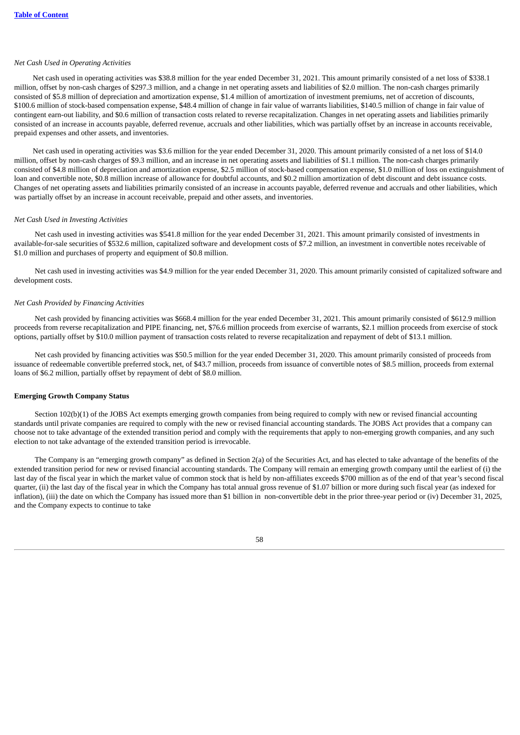#### *Net Cash Used in Operating Activities*

Net cash used in operating activities was \$38.8 million for the year ended December 31, 2021. This amount primarily consisted of a net loss of \$338.1 million, offset by non-cash charges of \$297.3 million, and a change in net operating assets and liabilities of \$2.0 million. The non-cash charges primarily consisted of \$5.8 million of depreciation and amortization expense, \$1.4 million of amortization of investment premiums, net of accretion of discounts, \$100.6 million of stock-based compensation expense, \$48.4 million of change in fair value of warrants liabilities, \$140.5 million of change in fair value of contingent earn-out liability, and \$0.6 million of transaction costs related to reverse recapitalization. Changes in net operating assets and liabilities primarily consisted of an increase in accounts payable, deferred revenue, accruals and other liabilities, which was partially offset by an increase in accounts receivable, prepaid expenses and other assets, and inventories.

Net cash used in operating activities was \$3.6 million for the year ended December 31, 2020. This amount primarily consisted of a net loss of \$14.0 million, offset by non-cash charges of \$9.3 million, and an increase in net operating assets and liabilities of \$1.1 million. The non-cash charges primarily consisted of \$4.8 million of depreciation and amortization expense, \$2.5 million of stock-based compensation expense, \$1.0 million of loss on extinguishment of loan and convertible note, \$0.8 million increase of allowance for doubtful accounts, and \$0.2 million amortization of debt discount and debt issuance costs. Changes of net operating assets and liabilities primarily consisted of an increase in accounts payable, deferred revenue and accruals and other liabilities, which was partially offset by an increase in account receivable, prepaid and other assets, and inventories.

#### *Net Cash Used in Investing Activities*

Net cash used in investing activities was \$541.8 million for the year ended December 31, 2021. This amount primarily consisted of investments in available-for-sale securities of \$532.6 million, capitalized software and development costs of \$7.2 million, an investment in convertible notes receivable of \$1.0 million and purchases of property and equipment of \$0.8 million.

Net cash used in investing activities was \$4.9 million for the year ended December 31, 2020. This amount primarily consisted of capitalized software and development costs.

#### *Net Cash Provided by Financing Activities*

Net cash provided by financing activities was \$668.4 million for the year ended December 31, 2021. This amount primarily consisted of \$612.9 million proceeds from reverse recapitalization and PIPE financing, net, \$76.6 million proceeds from exercise of warrants, \$2.1 million proceeds from exercise of stock options, partially offset by \$10.0 million payment of transaction costs related to reverse recapitalization and repayment of debt of \$13.1 million.

Net cash provided by financing activities was \$50.5 million for the year ended December 31, 2020. This amount primarily consisted of proceeds from issuance of redeemable convertible preferred stock, net, of \$43.7 million, proceeds from issuance of convertible notes of \$8.5 million, proceeds from external loans of \$6.2 million, partially offset by repayment of debt of \$8.0 million.

### **Emerging Growth Company Status**

Section 102(b)(1) of the JOBS Act exempts emerging growth companies from being required to comply with new or revised financial accounting standards until private companies are required to comply with the new or revised financial accounting standards. The JOBS Act provides that a company can choose not to take advantage of the extended transition period and comply with the requirements that apply to non-emerging growth companies, and any such election to not take advantage of the extended transition period is irrevocable.

The Company is an "emerging growth company" as defined in Section 2(a) of the Securities Act, and has elected to take advantage of the benefits of the extended transition period for new or revised financial accounting standards. The Company will remain an emerging growth company until the earliest of (i) the last day of the fiscal year in which the market value of common stock that is held by non-affiliates exceeds \$700 million as of the end of that year's second fiscal quarter, (ii) the last day of the fiscal year in which the Company has total annual gross revenue of \$1.07 billion or more during such fiscal year (as indexed for inflation), (iii) the date on which the Company has issued more than \$1 billion in non-convertible debt in the prior three-year period or (iv) December 31, 2025, and the Company expects to continue to take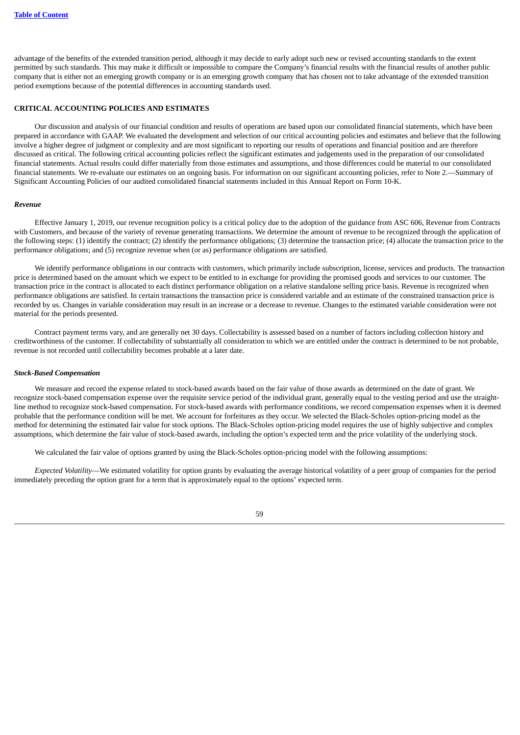advantage of the benefits of the extended transition period, although it may decide to early adopt such new or revised accounting standards to the extent permitted by such standards. This may make it difficult or impossible to compare the Company's financial results with the financial results of another public company that is either not an emerging growth company or is an emerging growth company that has chosen not to take advantage of the extended transition period exemptions because of the potential differences in accounting standards used.

## **CRITICAL ACCOUNTING POLICIES AND ESTIMATES**

Our discussion and analysis of our financial condition and results of operations are based upon our consolidated financial statements, which have been prepared in accordance with GAAP. We evaluated the development and selection of our critical accounting policies and estimates and believe that the following involve a higher degree of judgment or complexity and are most significant to reporting our results of operations and financial position and are therefore discussed as critical. The following critical accounting policies reflect the significant estimates and judgements used in the preparation of our consolidated financial statements. Actual results could differ materially from those estimates and assumptions, and those differences could be material to our consolidated financial statements. We re-evaluate our estimates on an ongoing basis. For information on our significant accounting policies, refer to Note 2.—Summary of Significant Accounting Policies of our audited consolidated financial statements included in this Annual Report on Form 10-K.

## *Revenue*

Effective January 1, 2019, our revenue recognition policy is a critical policy due to the adoption of the guidance from ASC 606, Revenue from Contracts with Customers, and because of the variety of revenue generating transactions. We determine the amount of revenue to be recognized through the application of the following steps: (1) identify the contract; (2) identify the performance obligations; (3) determine the transaction price; (4) allocate the transaction price to the performance obligations; and (5) recognize revenue when (or as) performance obligations are satisfied.

We identify performance obligations in our contracts with customers, which primarily include subscription, license, services and products. The transaction price is determined based on the amount which we expect to be entitled to in exchange for providing the promised goods and services to our customer. The transaction price in the contract is allocated to each distinct performance obligation on a relative standalone selling price basis. Revenue is recognized when performance obligations are satisfied. In certain transactions the transaction price is considered variable and an estimate of the constrained transaction price is recorded by us. Changes in variable consideration may result in an increase or a decrease to revenue. Changes to the estimated variable consideration were not material for the periods presented.

Contract payment terms vary, and are generally net 30 days. Collectability is assessed based on a number of factors including collection history and creditworthiness of the customer. If collectability of substantially all consideration to which we are entitled under the contract is determined to be not probable, revenue is not recorded until collectability becomes probable at a later date.

#### *Stock-Based Compensation*

We measure and record the expense related to stock-based awards based on the fair value of those awards as determined on the date of grant. We recognize stock-based compensation expense over the requisite service period of the individual grant, generally equal to the vesting period and use the straightline method to recognize stock-based compensation. For stock-based awards with performance conditions, we record compensation expenses when it is deemed probable that the performance condition will be met. We account for forfeitures as they occur. We selected the Black-Scholes option-pricing model as the method for determining the estimated fair value for stock options. The Black-Scholes option-pricing model requires the use of highly subjective and complex assumptions, which determine the fair value of stock-based awards, including the option's expected term and the price volatility of the underlying stock.

We calculated the fair value of options granted by using the Black-Scholes option-pricing model with the following assumptions:

*Expected Volatility*—We estimated volatility for option grants by evaluating the average historical volatility of a peer group of companies for the period immediately preceding the option grant for a term that is approximately equal to the options' expected term.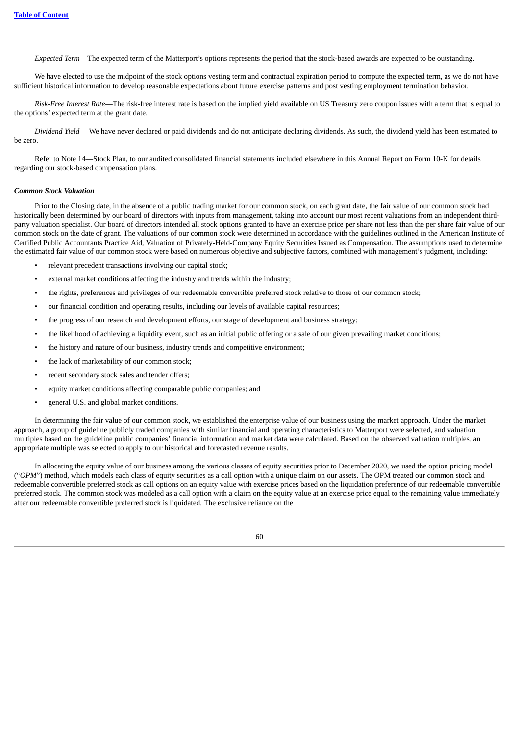*Expected Term*—The expected term of the Matterport's options represents the period that the stock-based awards are expected to be outstanding.

We have elected to use the midpoint of the stock options vesting term and contractual expiration period to compute the expected term, as we do not have sufficient historical information to develop reasonable expectations about future exercise patterns and post vesting employment termination behavior.

*Risk-Free Interest Rate*—The risk-free interest rate is based on the implied yield available on US Treasury zero coupon issues with a term that is equal to the options' expected term at the grant date.

*Dividend Yield* —We have never declared or paid dividends and do not anticipate declaring dividends. As such, the dividend yield has been estimated to be zero.

Refer to Note 14—Stock Plan, to our audited consolidated financial statements included elsewhere in this Annual Report on Form 10-K for details regarding our stock-based compensation plans.

#### *Common Stock Valuation*

Prior to the Closing date, in the absence of a public trading market for our common stock, on each grant date, the fair value of our common stock had historically been determined by our board of directors with inputs from management, taking into account our most recent valuations from an independent thirdparty valuation specialist. Our board of directors intended all stock options granted to have an exercise price per share not less than the per share fair value of our common stock on the date of grant. The valuations of our common stock were determined in accordance with the guidelines outlined in the American Institute of Certified Public Accountants Practice Aid, Valuation of Privately-Held-Company Equity Securities Issued as Compensation. The assumptions used to determine the estimated fair value of our common stock were based on numerous objective and subjective factors, combined with management's judgment, including:

- relevant precedent transactions involving our capital stock;
- external market conditions affecting the industry and trends within the industry;
- the rights, preferences and privileges of our redeemable convertible preferred stock relative to those of our common stock;
- our financial condition and operating results, including our levels of available capital resources;
- the progress of our research and development efforts, our stage of development and business strategy;
- the likelihood of achieving a liquidity event, such as an initial public offering or a sale of our given prevailing market conditions;
- the history and nature of our business, industry trends and competitive environment;
- the lack of marketability of our common stock;
- recent secondary stock sales and tender offers;
- equity market conditions affecting comparable public companies; and
- general U.S. and global market conditions.

In determining the fair value of our common stock, we established the enterprise value of our business using the market approach. Under the market approach, a group of guideline publicly traded companies with similar financial and operating characteristics to Matterport were selected, and valuation multiples based on the guideline public companies' financial information and market data were calculated. Based on the observed valuation multiples, an appropriate multiple was selected to apply to our historical and forecasted revenue results.

In allocating the equity value of our business among the various classes of equity securities prior to December 2020, we used the option pricing model ("*OPM*") method, which models each class of equity securities as a call option with a unique claim on our assets. The OPM treated our common stock and redeemable convertible preferred stock as call options on an equity value with exercise prices based on the liquidation preference of our redeemable convertible preferred stock. The common stock was modeled as a call option with a claim on the equity value at an exercise price equal to the remaining value immediately after our redeemable convertible preferred stock is liquidated. The exclusive reliance on the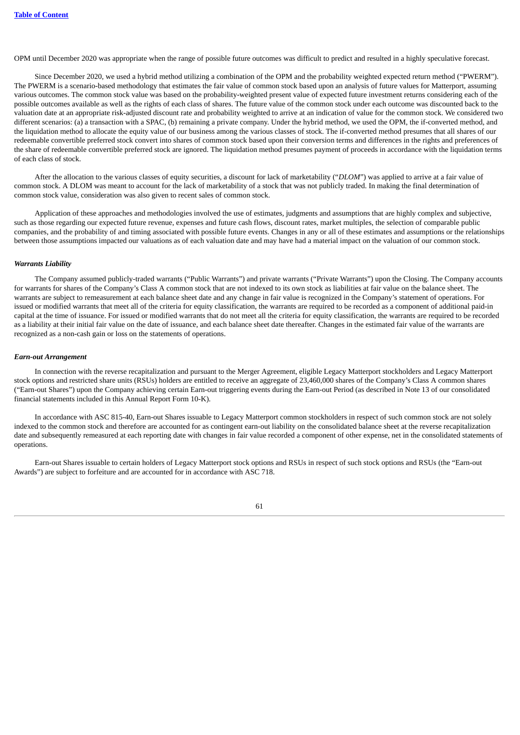OPM until December 2020 was appropriate when the range of possible future outcomes was difficult to predict and resulted in a highly speculative forecast.

Since December 2020, we used a hybrid method utilizing a combination of the OPM and the probability weighted expected return method ("PWERM"). The PWERM is a scenario-based methodology that estimates the fair value of common stock based upon an analysis of future values for Matterport, assuming various outcomes. The common stock value was based on the probability-weighted present value of expected future investment returns considering each of the possible outcomes available as well as the rights of each class of shares. The future value of the common stock under each outcome was discounted back to the valuation date at an appropriate risk-adjusted discount rate and probability weighted to arrive at an indication of value for the common stock. We considered two different scenarios: (a) a transaction with a SPAC, (b) remaining a private company. Under the hybrid method, we used the OPM, the if-converted method, and the liquidation method to allocate the equity value of our business among the various classes of stock. The if-converted method presumes that all shares of our redeemable convertible preferred stock convert into shares of common stock based upon their conversion terms and differences in the rights and preferences of the share of redeemable convertible preferred stock are ignored. The liquidation method presumes payment of proceeds in accordance with the liquidation terms of each class of stock.

After the allocation to the various classes of equity securities, a discount for lack of marketability ("*DLOM*") was applied to arrive at a fair value of common stock. A DLOM was meant to account for the lack of marketability of a stock that was not publicly traded. In making the final determination of common stock value, consideration was also given to recent sales of common stock.

Application of these approaches and methodologies involved the use of estimates, judgments and assumptions that are highly complex and subjective, such as those regarding our expected future revenue, expenses and future cash flows, discount rates, market multiples, the selection of comparable public companies, and the probability of and timing associated with possible future events. Changes in any or all of these estimates and assumptions or the relationships between those assumptions impacted our valuations as of each valuation date and may have had a material impact on the valuation of our common stock.

## *Warrants Liability*

The Company assumed publicly-traded warrants ("Public Warrants") and private warrants ("Private Warrants") upon the Closing. The Company accounts for warrants for shares of the Company's Class A common stock that are not indexed to its own stock as liabilities at fair value on the balance sheet. The warrants are subject to remeasurement at each balance sheet date and any change in fair value is recognized in the Company's statement of operations. For issued or modified warrants that meet all of the criteria for equity classification, the warrants are required to be recorded as a component of additional paid-in capital at the time of issuance. For issued or modified warrants that do not meet all the criteria for equity classification, the warrants are required to be recorded as a liability at their initial fair value on the date of issuance, and each balance sheet date thereafter. Changes in the estimated fair value of the warrants are recognized as a non-cash gain or loss on the statements of operations.

#### *Earn-out Arrangement*

In connection with the reverse recapitalization and pursuant to the Merger Agreement, eligible Legacy Matterport stockholders and Legacy Matterport stock options and restricted share units (RSUs) holders are entitled to receive an aggregate of 23,460,000 shares of the Company's Class A common shares ("Earn-out Shares") upon the Company achieving certain Earn-out triggering events during the Earn-out Period (as described in Note 13 of our consolidated financial statements included in this Annual Report Form 10-K).

In accordance with ASC 815-40, Earn-out Shares issuable to Legacy Matterport common stockholders in respect of such common stock are not solely indexed to the common stock and therefore are accounted for as contingent earn-out liability on the consolidated balance sheet at the reverse recapitalization date and subsequently remeasured at each reporting date with changes in fair value recorded a component of other expense, net in the consolidated statements of operations.

Earn-out Shares issuable to certain holders of Legacy Matterport stock options and RSUs in respect of such stock options and RSUs (the "Earn-out Awards") are subject to forfeiture and are accounted for in accordance with ASC 718.

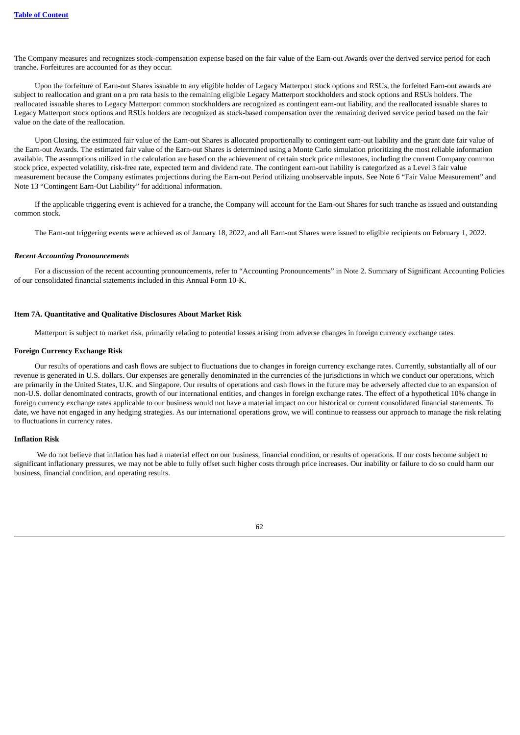The Company measures and recognizes stock-compensation expense based on the fair value of the Earn-out Awards over the derived service period for each tranche. Forfeitures are accounted for as they occur.

Upon the forfeiture of Earn-out Shares issuable to any eligible holder of Legacy Matterport stock options and RSUs, the forfeited Earn-out awards are subject to reallocation and grant on a pro rata basis to the remaining eligible Legacy Matterport stockholders and stock options and RSUs holders. The reallocated issuable shares to Legacy Matterport common stockholders are recognized as contingent earn-out liability, and the reallocated issuable shares to Legacy Matterport stock options and RSUs holders are recognized as stock-based compensation over the remaining derived service period based on the fair value on the date of the reallocation.

Upon Closing, the estimated fair value of the Earn-out Shares is allocated proportionally to contingent earn-out liability and the grant date fair value of the Earn-out Awards. The estimated fair value of the Earn-out Shares is determined using a Monte Carlo simulation prioritizing the most reliable information available. The assumptions utilized in the calculation are based on the achievement of certain stock price milestones, including the current Company common stock price, expected volatility, risk-free rate, expected term and dividend rate. The contingent earn-out liability is categorized as a Level 3 fair value measurement because the Company estimates projections during the Earn-out Period utilizing unobservable inputs. See Note 6 "Fair Value Measurement" and Note 13 "Contingent Earn-Out Liability" for additional information.

If the applicable triggering event is achieved for a tranche, the Company will account for the Earn-out Shares for such tranche as issued and outstanding common stock.

The Earn-out triggering events were achieved as of January 18, 2022, and all Earn-out Shares were issued to eligible recipients on February 1, 2022.

#### *Recent Accounting Pronouncements*

For a discussion of the recent accounting pronouncements, refer to "Accounting Pronouncements" in Note 2. Summary of Significant Accounting Policies of our consolidated financial statements included in this Annual Form 10-K.

### **Item 7A. Quantitative and Qualitative Disclosures About Market Risk**

Matterport is subject to market risk, primarily relating to potential losses arising from adverse changes in foreign currency exchange rates.

## **Foreign Currency Exchange Risk**

Our results of operations and cash flows are subject to fluctuations due to changes in foreign currency exchange rates. Currently, substantially all of our revenue is generated in U.S. dollars. Our expenses are generally denominated in the currencies of the jurisdictions in which we conduct our operations, which are primarily in the United States, U.K. and Singapore. Our results of operations and cash flows in the future may be adversely affected due to an expansion of non-U.S. dollar denominated contracts, growth of our international entities, and changes in foreign exchange rates. The effect of a hypothetical 10% change in foreign currency exchange rates applicable to our business would not have a material impact on our historical or current consolidated financial statements. To date, we have not engaged in any hedging strategies. As our international operations grow, we will continue to reassess our approach to manage the risk relating to fluctuations in currency rates.

## **Inflation Risk**

We do not believe that inflation has had a material effect on our business, financial condition, or results of operations. If our costs become subject to significant inflationary pressures, we may not be able to fully offset such higher costs through price increases. Our inability or failure to do so could harm our business, financial condition, and operating results.

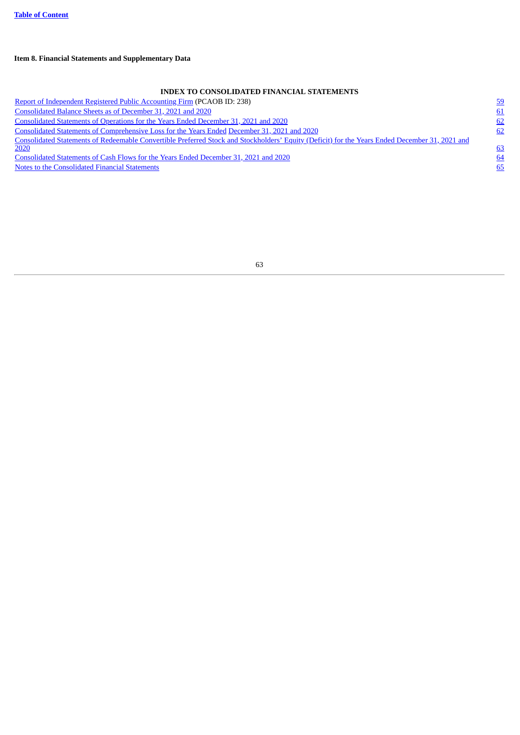# **Item 8. Financial Statements and Supplementary Data**

# **INDEX TO CONSOLIDATED FINANCIAL STATEMENTS**

<span id="page-62-0"></span>

| <b>Report of Independent Registered Public Accounting Firm (PCAOB ID: 238)</b>                                                                 | 59        |
|------------------------------------------------------------------------------------------------------------------------------------------------|-----------|
| Consolidated Balance Sheets as of December 31, 2021 and 2020                                                                                   | <u>61</u> |
| Consolidated Statements of Operations for the Years Ended December 31, 2021 and 2020                                                           | 62        |
| Consolidated Statements of Comprehensive Loss for the Years Ended December 31, 2021 and 2020                                                   | <u>62</u> |
| Consolidated Statements of Redeemable Convertible Preferred Stock and Stockholders' Equity (Deficit) for the Years Ended December 31, 2021 and |           |
| 2020                                                                                                                                           | 63        |
| Consolidated Statements of Cash Flows for the Years Ended December 31, 2021 and 2020                                                           | 64        |
| Notes to the Consolidated Financial Statements                                                                                                 | 65        |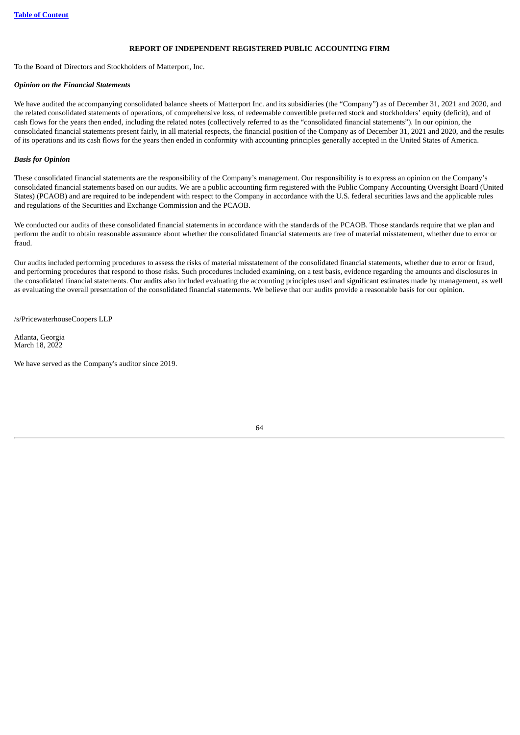## **REPORT OF INDEPENDENT REGISTERED PUBLIC ACCOUNTING FIRM**

To the Board of Directors and Stockholders of Matterport, Inc.

#### *Opinion on the Financial Statements*

We have audited the accompanying consolidated balance sheets of Matterport Inc. and its subsidiaries (the "Company") as of December 31, 2021 and 2020, and the related consolidated statements of operations, of comprehensive loss, of redeemable convertible preferred stock and stockholders' equity (deficit), and of cash flows for the years then ended, including the related notes (collectively referred to as the "consolidated financial statements"). In our opinion, the consolidated financial statements present fairly, in all material respects, the financial position of the Company as of December 31, 2021 and 2020, and the results of its operations and its cash flows for the years then ended in conformity with accounting principles generally accepted in the United States of America.

## *Basis for Opinion*

These consolidated financial statements are the responsibility of the Company's management. Our responsibility is to express an opinion on the Company's consolidated financial statements based on our audits. We are a public accounting firm registered with the Public Company Accounting Oversight Board (United States) (PCAOB) and are required to be independent with respect to the Company in accordance with the U.S. federal securities laws and the applicable rules and regulations of the Securities and Exchange Commission and the PCAOB.

We conducted our audits of these consolidated financial statements in accordance with the standards of the PCAOB. Those standards require that we plan and perform the audit to obtain reasonable assurance about whether the consolidated financial statements are free of material misstatement, whether due to error or fraud.

Our audits included performing procedures to assess the risks of material misstatement of the consolidated financial statements, whether due to error or fraud, and performing procedures that respond to those risks. Such procedures included examining, on a test basis, evidence regarding the amounts and disclosures in the consolidated financial statements. Our audits also included evaluating the accounting principles used and significant estimates made by management, as well as evaluating the overall presentation of the consolidated financial statements. We believe that our audits provide a reasonable basis for our opinion.

/s/PricewaterhouseCoopers LLP

Atlanta, Georgia March 18, 2022

<span id="page-63-0"></span>We have served as the Company's auditor since 2019.

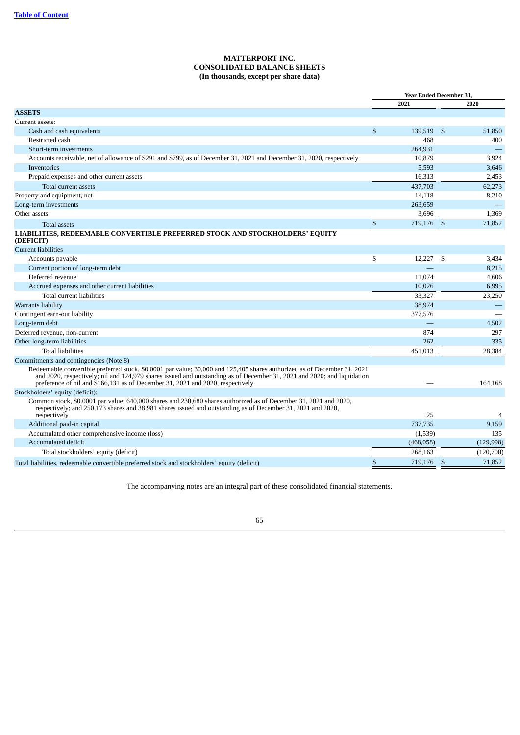## **MATTERPORT INC. CONSOLIDATED BALANCE SHEETS (In thousands, except per share data)**

|                                                                                                                                                                                                                                                                                                                                       |              | <b>Year Ended December 31,</b> |              |                |
|---------------------------------------------------------------------------------------------------------------------------------------------------------------------------------------------------------------------------------------------------------------------------------------------------------------------------------------|--------------|--------------------------------|--------------|----------------|
|                                                                                                                                                                                                                                                                                                                                       |              | 2021                           |              | 2020           |
| <b>ASSETS</b>                                                                                                                                                                                                                                                                                                                         |              |                                |              |                |
| Current assets:                                                                                                                                                                                                                                                                                                                       |              |                                |              |                |
| Cash and cash equivalents                                                                                                                                                                                                                                                                                                             | \$           | 139.519                        | \$           | 51,850         |
| Restricted cash                                                                                                                                                                                                                                                                                                                       |              | 468                            |              | 400            |
| Short-term investments                                                                                                                                                                                                                                                                                                                |              | 264,931                        |              |                |
| Accounts receivable, net of allowance of \$291 and \$799, as of December 31, 2021 and December 31, 2020, respectively                                                                                                                                                                                                                 |              | 10,879                         |              | 3,924          |
| Inventories                                                                                                                                                                                                                                                                                                                           |              | 5,593                          |              | 3,646          |
| Prepaid expenses and other current assets                                                                                                                                                                                                                                                                                             |              | 16,313                         |              | 2,453          |
| Total current assets                                                                                                                                                                                                                                                                                                                  |              | 437,703                        |              | 62,273         |
| Property and equipment, net                                                                                                                                                                                                                                                                                                           |              | 14,118                         |              | 8,210          |
| Long-term investments                                                                                                                                                                                                                                                                                                                 |              | 263,659                        |              |                |
| Other assets                                                                                                                                                                                                                                                                                                                          |              | 3,696                          |              | 1,369          |
| <b>Total assets</b>                                                                                                                                                                                                                                                                                                                   | $\mathbb{S}$ | 719,176                        | \$           | 71,852         |
| LIABILITIES, REDEEMABLE CONVERTIBLE PREFERRED STOCK AND STOCKHOLDERS' EQUITY                                                                                                                                                                                                                                                          |              |                                |              |                |
| (DEFICIT)                                                                                                                                                                                                                                                                                                                             |              |                                |              |                |
| <b>Current liabilities</b>                                                                                                                                                                                                                                                                                                            |              |                                |              |                |
| Accounts payable                                                                                                                                                                                                                                                                                                                      | \$           | 12,227                         | \$           | 3,434          |
| Current portion of long-term debt                                                                                                                                                                                                                                                                                                     |              |                                |              | 8,215          |
| Deferred revenue                                                                                                                                                                                                                                                                                                                      |              | 11,074                         |              | 4,606          |
| Accrued expenses and other current liabilities                                                                                                                                                                                                                                                                                        |              | 10,026                         |              | 6,995          |
| Total current liabilities                                                                                                                                                                                                                                                                                                             |              | 33,327                         |              | 23,250         |
| Warrants liability                                                                                                                                                                                                                                                                                                                    |              | 38,974                         |              |                |
| Contingent earn-out liability                                                                                                                                                                                                                                                                                                         |              | 377,576                        |              |                |
| Long-term debt                                                                                                                                                                                                                                                                                                                        |              |                                |              | 4,502          |
| Deferred revenue, non-current                                                                                                                                                                                                                                                                                                         |              | 874                            |              | 297            |
| Other long-term liabilities                                                                                                                                                                                                                                                                                                           |              | 262                            |              | 335            |
| <b>Total liabilities</b>                                                                                                                                                                                                                                                                                                              |              | 451,013                        |              | 28,384         |
| Commitments and contingencies (Note 8)                                                                                                                                                                                                                                                                                                |              |                                |              |                |
| Redeemable convertible preferred stock, \$0.0001 par value; 30,000 and 125,405 shares authorized as of December 31, 2021<br>and 2020, respectively; nil and 124,979 shares issued and outstanding as of December 31, 2021 and 2020; and liquidation<br>preference of nil and \$166,131 as of December 31, 2021 and 2020, respectively |              |                                |              | 164,168        |
| Stockholders' equity (deficit):                                                                                                                                                                                                                                                                                                       |              |                                |              |                |
| Common stock, \$0.0001 par value; 640,000 shares and 230,680 shares authorized as of December 31, 2021 and 2020,<br>respectively; and 250,173 shares and 38,981 shares issued and outstanding as of December 31, 2021 and 2020,<br>respectively                                                                                       |              | 25                             |              | $\overline{4}$ |
| Additional paid-in capital                                                                                                                                                                                                                                                                                                            |              | 737,735                        |              | 9,159          |
| Accumulated other comprehensive income (loss)                                                                                                                                                                                                                                                                                         |              | (1,539)                        |              | 135            |
| Accumulated deficit                                                                                                                                                                                                                                                                                                                   |              | (468, 058)                     |              | (129,998)      |
| Total stockholders' equity (deficit)                                                                                                                                                                                                                                                                                                  |              | 268,163                        |              | (120,700)      |
| Total liabilities, redeemable convertible preferred stock and stockholders' equity (deficit)                                                                                                                                                                                                                                          | $\mathbb{S}$ | 719,176                        | $\mathbb{S}$ | 71,852         |

<span id="page-64-0"></span>The accompanying notes are an integral part of these consolidated financial statements.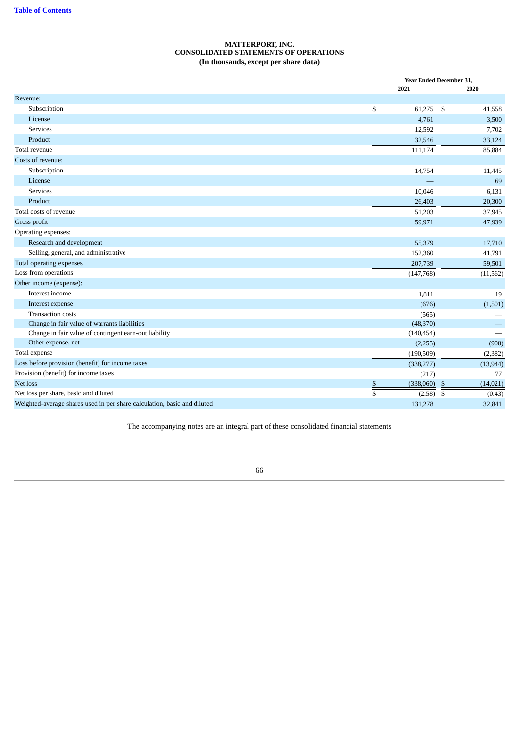## **MATTERPORT, INC. CONSOLIDATED STATEMENTS OF OPERATIONS (In thousands, except per share data)**

|                                                                          |                            | <b>Year Ended December 31,</b> |           |  |
|--------------------------------------------------------------------------|----------------------------|--------------------------------|-----------|--|
|                                                                          | 2021                       |                                | 2020      |  |
| Revenue:                                                                 |                            |                                |           |  |
| Subscription                                                             | \$                         | 61,275 \$                      | 41,558    |  |
| License                                                                  | 4,761                      |                                | 3,500     |  |
| <b>Services</b>                                                          | 12,592                     |                                | 7,702     |  |
| Product                                                                  | 32,546                     |                                | 33,124    |  |
| Total revenue                                                            | 111,174                    |                                | 85,884    |  |
| Costs of revenue:                                                        |                            |                                |           |  |
| Subscription                                                             | 14,754                     |                                | 11,445    |  |
| License                                                                  |                            |                                | 69        |  |
| Services                                                                 | 10,046                     |                                | 6,131     |  |
| Product                                                                  | 26,403                     |                                | 20,300    |  |
| Total costs of revenue                                                   | 51,203                     |                                | 37,945    |  |
| Gross profit                                                             | 59,971                     |                                | 47,939    |  |
| Operating expenses:                                                      |                            |                                |           |  |
| Research and development                                                 | 55,379                     |                                | 17,710    |  |
| Selling, general, and administrative                                     | 152,360                    |                                | 41,791    |  |
| Total operating expenses                                                 | 207,739                    |                                | 59,501    |  |
| Loss from operations                                                     | (147, 768)                 |                                | (11, 562) |  |
| Other income (expense):                                                  |                            |                                |           |  |
| Interest income                                                          | 1,811                      |                                | 19        |  |
| Interest expense                                                         |                            | (676)                          | (1,501)   |  |
| <b>Transaction costs</b>                                                 | (565)                      |                                |           |  |
| Change in fair value of warrants liabilities                             | (48, 370)                  |                                |           |  |
| Change in fair value of contingent earn-out liability                    | (140, 454)                 |                                |           |  |
| Other expense, net                                                       | (2,255)                    |                                | (900)     |  |
| Total expense                                                            | (190, 509)                 |                                | (2, 382)  |  |
| Loss before provision (benefit) for income taxes                         | (338, 277)                 |                                | (13, 944) |  |
| Provision (benefit) for income taxes                                     |                            | (217)                          | 77        |  |
| Net loss                                                                 | $\frac{1}{2}$<br>(338,060) | $\mathbf{\mathcal{S}}$         | (14, 021) |  |
| Net loss per share, basic and diluted                                    | \$                         | $(2.58)$ \$                    | (0.43)    |  |
| Weighted-average shares used in per share calculation, basic and diluted | 131,278                    |                                | 32,841    |  |

<span id="page-65-0"></span>The accompanying notes are an integral part of these consolidated financial statements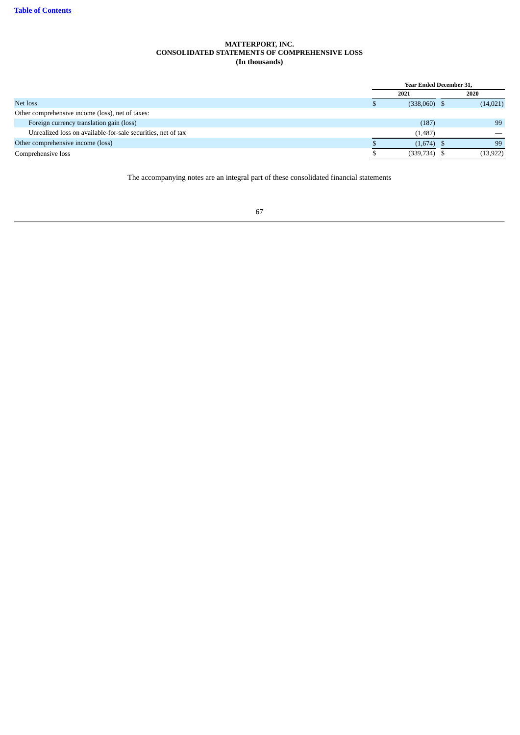## **MATTERPORT, INC. CONSOLIDATED STATEMENTS OF COMPREHENSIVE LOSS (In thousands)**

|                                                              | <b>Year Ended December 31,</b> |  |           |  |
|--------------------------------------------------------------|--------------------------------|--|-----------|--|
|                                                              | 2021                           |  | 2020      |  |
| Net loss                                                     | $(338,060)$ \$                 |  | (14,021)  |  |
| Other comprehensive income (loss), net of taxes:             |                                |  |           |  |
| Foreign currency translation gain (loss)                     | (187)                          |  | 99        |  |
| Unrealized loss on available-for-sale securities, net of tax | (1,487)                        |  | _         |  |
| Other comprehensive income (loss)                            | $(1,674)$ \$                   |  | 99        |  |
| Comprehensive loss                                           | (339,734)                      |  | (13, 922) |  |
|                                                              |                                |  |           |  |

<span id="page-66-0"></span>The accompanying notes are an integral part of these consolidated financial statements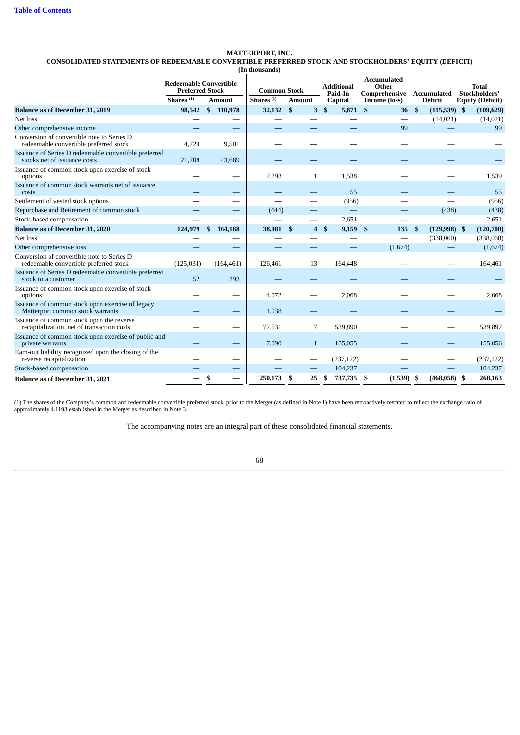#### **MATTERPORT, INC. CONSOLIDATED STATEMENTS OF REDEEMABLE CONVERTIBLE PREFERRED STOCK AND STOCKHOLDERS' EQUITY (DEFICIT) (In thousands)**

|                                                                                         | <b>Redeemable Convertible</b><br><b>Preferred Stock</b><br>Shares <sup>(1)</sup> |              | <b>Amount</b> | Shares <sup>(1)</sup> | <b>Common Stock</b><br><b>Amount</b> |                | <b>Additional</b><br>Paid-In<br>Capital |            | <b>Accumulated</b><br>Other<br>Comprehensive Accumulated<br>Income (loss) |         | <b>Deficit</b> |                 | <b>Total</b><br>Stockholders'<br><b>Equity (Deficit)</b> |            |
|-----------------------------------------------------------------------------------------|----------------------------------------------------------------------------------|--------------|---------------|-----------------------|--------------------------------------|----------------|-----------------------------------------|------------|---------------------------------------------------------------------------|---------|----------------|-----------------|----------------------------------------------------------|------------|
| <b>Balance as of December 31, 2019</b>                                                  | 98,542                                                                           | $\mathbf{s}$ | 110,978       | 32,132                | $\mathbf{s}$                         | 3 <sup>1</sup> | $\mathbf{s}$                            | $5,871$ \$ |                                                                           | 36      | -S             | $(115,539)$ \$  |                                                          | (109, 629) |
| Net loss                                                                                |                                                                                  |              |               |                       |                                      |                |                                         |            |                                                                           |         |                | (14, 021)       |                                                          | (14, 021)  |
| Other comprehensive income                                                              |                                                                                  |              |               |                       |                                      |                |                                         |            |                                                                           | 99      |                |                 |                                                          | 99         |
| Conversion of convertible note to Series D<br>redeemable convertible preferred stock    | 4,729                                                                            |              | 9,501         |                       |                                      |                |                                         |            |                                                                           |         |                |                 |                                                          |            |
| Issuance of Series D redeemable convertible preferred<br>stocks net of issuance costs   | 21,708                                                                           |              | 43,689        |                       |                                      |                |                                         |            |                                                                           |         |                |                 |                                                          |            |
| Issuance of common stock upon exercise of stock<br>options                              |                                                                                  |              |               | 7,293                 |                                      | $\mathbf{1}$   |                                         | 1,538      |                                                                           |         |                |                 |                                                          | 1,539      |
| Issuance of common stock warrants net of issuance<br>costs                              |                                                                                  |              |               |                       |                                      |                |                                         | 55         |                                                                           |         |                |                 |                                                          | 55         |
| Settlement of vested stock options                                                      |                                                                                  |              |               |                       |                                      |                |                                         | (956)      |                                                                           |         |                |                 |                                                          | (956)      |
| Repurchase and Retirement of common stock                                               |                                                                                  |              |               | (444)                 |                                      |                |                                         |            |                                                                           |         |                | (438)           |                                                          | (438)      |
| Stock-based compensation                                                                |                                                                                  |              |               |                       |                                      |                |                                         | 2,651      |                                                                           |         |                |                 |                                                          | 2,651      |
| <b>Balance as of December 31, 2020</b>                                                  | 124,979                                                                          | $\mathbf{s}$ | 164,168       | 38,981 \$             |                                      | $\overline{4}$ | $\mathbf{s}$                            | $9,159$ \$ |                                                                           | 135     | $\mathbf{s}$   | $(129,998)$ \$  |                                                          | (120, 700) |
| Net loss                                                                                |                                                                                  |              |               |                       |                                      |                |                                         |            |                                                                           |         |                | (338,060)       |                                                          | (338,060)  |
| Other comprehensive loss                                                                |                                                                                  |              |               |                       |                                      |                |                                         |            |                                                                           | (1,674) |                |                 |                                                          | (1,674)    |
| Conversion of convertible note to Series D<br>redeemable convertible preferred stock    | (125, 031)                                                                       |              | (164, 461)    | 126,461               |                                      | 13             |                                         | 164,448    |                                                                           |         |                |                 |                                                          | 164,461    |
| Issuance of Series D redeemable convertible preferred<br>stock to a customer            | 52                                                                               |              | 293           |                       |                                      |                |                                         |            |                                                                           |         |                |                 |                                                          |            |
| Issuance of common stock upon exercise of stock<br>options                              |                                                                                  |              |               | 4,072                 |                                      |                |                                         | 2,068      |                                                                           |         |                |                 |                                                          | 2.068      |
| Issuance of common stock upon exercise of legacy<br>Matterport common stock warrants    |                                                                                  |              |               | 1,038                 |                                      |                |                                         |            |                                                                           |         |                |                 |                                                          |            |
| Issuance of common stock upon the reverse<br>recapitalization, net of transaction costs |                                                                                  |              |               | 72,531                |                                      | 7              |                                         | 539,890    |                                                                           |         |                |                 |                                                          | 539,897    |
| Issuance of common stock upon exercise of public and<br>private warrants                |                                                                                  |              |               | 7,090                 |                                      | $\mathbf{1}$   |                                         | 155,055    |                                                                           |         |                |                 |                                                          | 155,056    |
| Earn-out liability recognized upon the closing of the<br>reverse recapitalization       |                                                                                  |              |               |                       |                                      |                |                                         | (237, 122) |                                                                           |         |                |                 |                                                          | (237, 122) |
| Stock-based compensation                                                                |                                                                                  |              |               |                       |                                      |                |                                         | 104,237    |                                                                           |         |                |                 |                                                          | 104,237    |
| <b>Balance as of December 31, 2021</b>                                                  | —                                                                                | \$           |               | 250,173               | \$                                   | 25             | \$                                      | 737,735 \$ |                                                                           | (1,539) | -\$            | $(468, 058)$ \$ |                                                          | 268,163    |

<span id="page-67-0"></span>(1) The shares of the Company's common and redeemable convertible preferred stock, prior to the Merger (as defined in Note 1) have been retroactively restated to reflect the exchange ratio of<br>approximately 4.1193 establish

The accompanying notes are an integral part of these consolidated financial statements.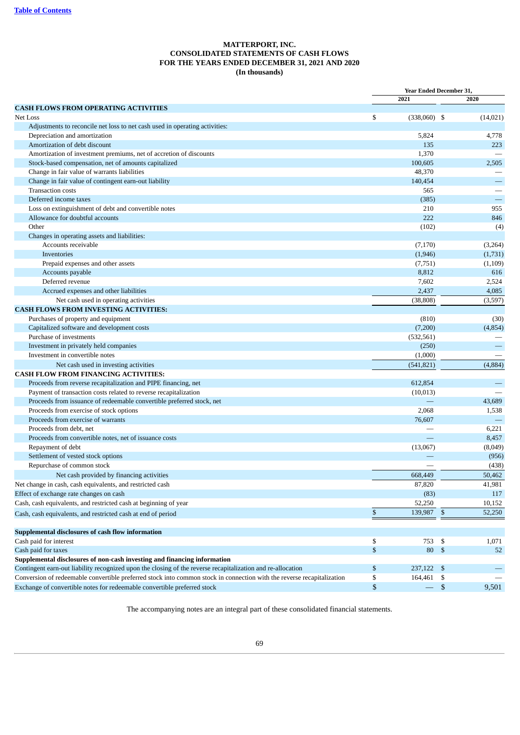## **MATTERPORT, INC. CONSOLIDATED STATEMENTS OF CASH FLOWS FOR THE YEARS ENDED DECEMBER 31, 2021 AND 2020 (In thousands)**

|                                                                                                                        | Year Ended December 31, |                |                |           |
|------------------------------------------------------------------------------------------------------------------------|-------------------------|----------------|----------------|-----------|
|                                                                                                                        |                         | 2021           |                | 2020      |
| <b>CASH FLOWS FROM OPERATING ACTIVITIES</b>                                                                            |                         |                |                |           |
| Net Loss                                                                                                               | \$                      | $(338,060)$ \$ |                | (14, 021) |
| Adjustments to reconcile net loss to net cash used in operating activities:                                            |                         |                |                |           |
| Depreciation and amortization                                                                                          |                         | 5,824          |                | 4,778     |
| Amortization of debt discount                                                                                          |                         | 135            |                | 223       |
| Amortization of investment premiums, net of accretion of discounts                                                     |                         | 1,370          |                |           |
| Stock-based compensation, net of amounts capitalized                                                                   |                         | 100,605        |                | 2,505     |
| Change in fair value of warrants liabilities                                                                           |                         | 48,370         |                |           |
| Change in fair value of contingent earn-out liability                                                                  |                         | 140,454        |                |           |
| <b>Transaction costs</b>                                                                                               |                         | 565            |                |           |
| Deferred income taxes                                                                                                  |                         | (385)          |                |           |
| Loss on extinguishment of debt and convertible notes                                                                   |                         | 210            |                | 955       |
| Allowance for doubtful accounts                                                                                        |                         | 222            |                | 846       |
| Other                                                                                                                  |                         | (102)          |                | (4)       |
| Changes in operating assets and liabilities:                                                                           |                         |                |                |           |
| Accounts receivable                                                                                                    |                         | (7,170)        |                | (3,264)   |
| Inventories                                                                                                            |                         | (1,946)        |                | (1,731)   |
| Prepaid expenses and other assets                                                                                      |                         | (7, 751)       |                | (1, 109)  |
| Accounts payable                                                                                                       |                         | 8,812          |                | 616       |
| Deferred revenue                                                                                                       |                         | 7,602          |                | 2,524     |
| Accrued expenses and other liabilities                                                                                 |                         | 2,437          |                | 4,085     |
| Net cash used in operating activities                                                                                  |                         | (38, 808)      |                | (3,597)   |
| <b>CASH FLOWS FROM INVESTING ACTIVITIES:</b>                                                                           |                         |                |                |           |
| Purchases of property and equipment                                                                                    |                         | (810)          |                | (30)      |
| Capitalized software and development costs                                                                             |                         | (7,200)        |                | (4, 854)  |
| Purchase of investments                                                                                                |                         | (532, 561)     |                |           |
| Investment in privately held companies                                                                                 |                         | (250)          |                |           |
| Investment in convertible notes                                                                                        |                         | (1,000)        |                |           |
| Net cash used in investing activities                                                                                  |                         |                |                |           |
| <b>CASH FLOW FROM FINANCING ACTIVITIES:</b>                                                                            |                         | (541, 821)     |                | (4,884)   |
|                                                                                                                        |                         |                |                |           |
| Proceeds from reverse recapitalization and PIPE financing, net                                                         |                         | 612,854        |                |           |
| Payment of transaction costs related to reverse recapitalization                                                       |                         | (10, 013)      |                |           |
| Proceeds from issuance of redeemable convertible preferred stock, net                                                  |                         |                |                | 43,689    |
| Proceeds from exercise of stock options                                                                                |                         | 2,068          |                | 1,538     |
| Proceeds from exercise of warrants                                                                                     |                         | 76,607         |                |           |
| Proceeds from debt, net                                                                                                |                         |                |                | 6,221     |
| Proceeds from convertible notes, net of issuance costs                                                                 |                         |                |                | 8,457     |
| Repayment of debt                                                                                                      |                         | (13,067)       |                | (8,049)   |
| Settlement of vested stock options                                                                                     |                         |                |                | (956)     |
| Repurchase of common stock                                                                                             |                         |                |                | (438)     |
| Net cash provided by financing activities                                                                              |                         | 668,449        |                | 50,462    |
| Net change in cash, cash equivalents, and restricted cash                                                              |                         | 87,820         |                | 41,981    |
| Effect of exchange rate changes on cash                                                                                |                         | (83)           |                | 117       |
| Cash, cash equivalents, and restricted cash at beginning of year                                                       |                         | 52,250         |                | 10,152    |
| Cash, cash equivalents, and restricted cash at end of period                                                           | \$                      | 139,987        | $\mathfrak{S}$ | 52,250    |
| Supplemental disclosures of cash flow information                                                                      |                         |                |                |           |
| Cash paid for interest                                                                                                 | \$                      | 753            | \$             | 1,071     |
| Cash paid for taxes                                                                                                    | \$                      | 80             | $\sqrt{5}$     | 52        |
| Supplemental disclosures of non-cash investing and financing information                                               |                         |                |                |           |
| Contingent earn-out liability recognized upon the closing of the reverse recapitalization and re-allocation            | \$                      | 237,122 \$     |                |           |
| Conversion of redeemable convertible preferred stock into common stock in connection with the reverse recapitalization | \$                      | 164,461 \$     |                |           |
| Exchange of convertible notes for redeemable convertible preferred stock                                               | \$                      |                | $\mathfrak{F}$ | 9,501     |
|                                                                                                                        |                         |                |                |           |

<span id="page-68-0"></span>The accompanying notes are an integral part of these consolidated financial statements.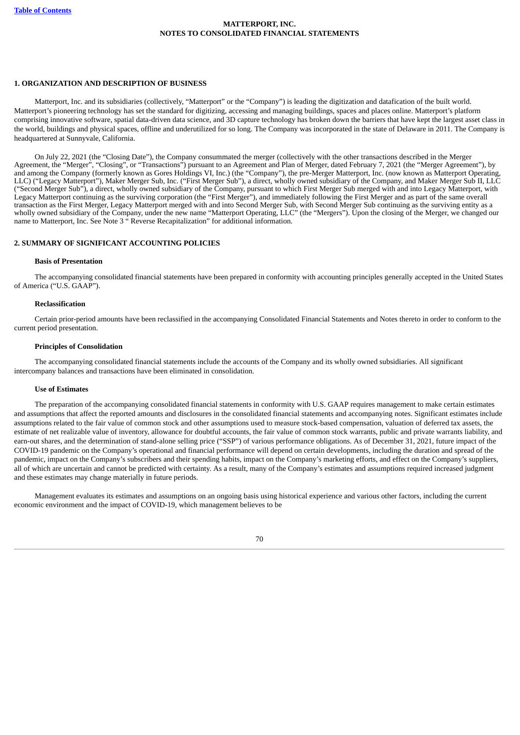## **MATTERPORT, INC. NOTES TO CONSOLIDATED FINANCIAL STATEMENTS**

## **1. ORGANIZATION AND DESCRIPTION OF BUSINESS**

Matterport, Inc. and its subsidiaries (collectively, "Matterport" or the "Company") is leading the digitization and datafication of the built world. Matterport's pioneering technology has set the standard for digitizing, accessing and managing buildings, spaces and places online. Matterport's platform comprising innovative software, spatial data-driven data science, and 3D capture technology has broken down the barriers that have kept the largest asset class in the world, buildings and physical spaces, offline and underutilized for so long. The Company was incorporated in the state of Delaware in 2011. The Company is headquartered at Sunnyvale, California.

On July 22, 2021 (the "Closing Date"), the Company consummated the merger (collectively with the other transactions described in the Merger Agreement, the "Merger", "Closing", or "Transactions") pursuant to an Agreement and Plan of Merger, dated February 7, 2021 (the "Merger Agreement"), by and among the Company (formerly known as Gores Holdings VI, Inc.) (the "Company"), the pre-Merger Matterport, Inc. (now known as Matterport Operating, LLC) ("Legacy Matterport"), Maker Merger Sub, Inc. ("First Merger Sub"), a direct, wholly owned subsidiary of the Company, and Maker Merger Sub II, LLC ("Second Merger Sub"), a direct, wholly owned subsidiary of the Company, pursuant to which First Merger Sub merged with and into Legacy Matterport, with Legacy Matterport continuing as the surviving corporation (the "First Merger"), and immediately following the First Merger and as part of the same overall transaction as the First Merger, Legacy Matterport merged with and into Second Merger Sub, with Second Merger Sub continuing as the surviving entity as a wholly owned subsidiary of the Company, under the new name "Matterport Operating, LLC" (the "Mergers"). Upon the closing of the Merger, we changed our name to Matterport, Inc. See Note 3 " Reverse Recapitalization" for additional information.

## **2. SUMMARY OF SIGNIFICANT ACCOUNTING POLICIES**

#### **Basis of Presentation**

The accompanying consolidated financial statements have been prepared in conformity with accounting principles generally accepted in the United States of America ("U.S. GAAP").

### **Reclassification**

Certain prior-period amounts have been reclassified in the accompanying Consolidated Financial Statements and Notes thereto in order to conform to the current period presentation.

#### **Principles of Consolidation**

The accompanying consolidated financial statements include the accounts of the Company and its wholly owned subsidiaries. All significant intercompany balances and transactions have been eliminated in consolidation.

#### **Use of Estimates**

The preparation of the accompanying consolidated financial statements in conformity with U.S. GAAP requires management to make certain estimates and assumptions that affect the reported amounts and disclosures in the consolidated financial statements and accompanying notes. Significant estimates include assumptions related to the fair value of common stock and other assumptions used to measure stock-based compensation, valuation of deferred tax assets, the estimate of net realizable value of inventory, allowance for doubtful accounts, the fair value of common stock warrants, public and private warrants liability, and earn-out shares, and the determination of stand-alone selling price ("SSP") of various performance obligations. As of December 31, 2021, future impact of the COVID-19 pandemic on the Company's operational and financial performance will depend on certain developments, including the duration and spread of the pandemic, impact on the Company's subscribers and their spending habits, impact on the Company's marketing efforts, and effect on the Company's suppliers, all of which are uncertain and cannot be predicted with certainty. As a result, many of the Company's estimates and assumptions required increased judgment and these estimates may change materially in future periods.

Management evaluates its estimates and assumptions on an ongoing basis using historical experience and various other factors, including the current economic environment and the impact of COVID-19, which management believes to be

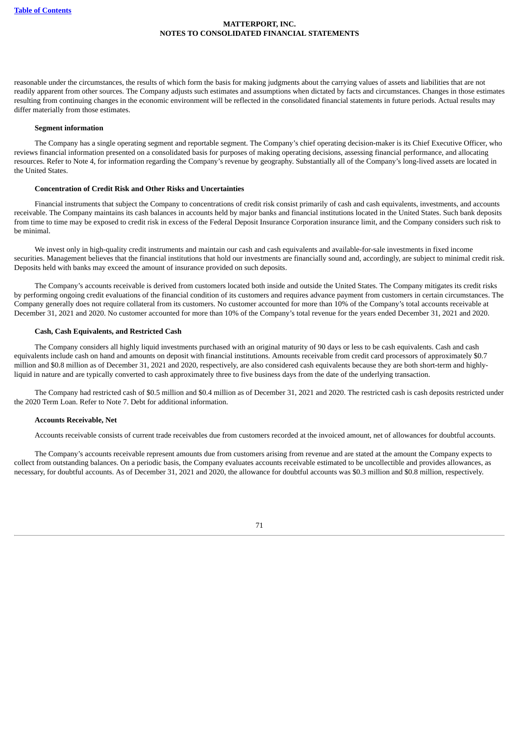## **MATTERPORT, INC. NOTES TO CONSOLIDATED FINANCIAL STATEMENTS**

reasonable under the circumstances, the results of which form the basis for making judgments about the carrying values of assets and liabilities that are not readily apparent from other sources. The Company adjusts such estimates and assumptions when dictated by facts and circumstances. Changes in those estimates resulting from continuing changes in the economic environment will be reflected in the consolidated financial statements in future periods. Actual results may differ materially from those estimates.

## **Segment information**

The Company has a single operating segment and reportable segment. The Company's chief operating decision-maker is its Chief Executive Officer, who reviews financial information presented on a consolidated basis for purposes of making operating decisions, assessing financial performance, and allocating resources. Refer to Note 4, for information regarding the Company's revenue by geography. Substantially all of the Company's long-lived assets are located in the United States.

## **Concentration of Credit Risk and Other Risks and Uncertainties**

Financial instruments that subject the Company to concentrations of credit risk consist primarily of cash and cash equivalents, investments, and accounts receivable. The Company maintains its cash balances in accounts held by major banks and financial institutions located in the United States. Such bank deposits from time to time may be exposed to credit risk in excess of the Federal Deposit Insurance Corporation insurance limit, and the Company considers such risk to be minimal.

We invest only in high-quality credit instruments and maintain our cash and cash equivalents and available-for-sale investments in fixed income securities. Management believes that the financial institutions that hold our investments are financially sound and, accordingly, are subject to minimal credit risk. Deposits held with banks may exceed the amount of insurance provided on such deposits.

The Company's accounts receivable is derived from customers located both inside and outside the United States. The Company mitigates its credit risks by performing ongoing credit evaluations of the financial condition of its customers and requires advance payment from customers in certain circumstances. The Company generally does not require collateral from its customers. No customer accounted for more than 10% of the Company's total accounts receivable at December 31, 2021 and 2020. No customer accounted for more than 10% of the Company's total revenue for the years ended December 31, 2021 and 2020.

## **Cash, Cash Equivalents, and Restricted Cash**

The Company considers all highly liquid investments purchased with an original maturity of 90 days or less to be cash equivalents. Cash and cash equivalents include cash on hand and amounts on deposit with financial institutions. Amounts receivable from credit card processors of approximately \$0.7 million and \$0.8 million as of December 31, 2021 and 2020, respectively, are also considered cash equivalents because they are both short-term and highlyliquid in nature and are typically converted to cash approximately three to five business days from the date of the underlying transaction.

The Company had restricted cash of \$0.5 million and \$0.4 million as of December 31, 2021 and 2020. The restricted cash is cash deposits restricted under the 2020 Term Loan. Refer to Note 7. Debt for additional information.

#### **Accounts Receivable, Net**

Accounts receivable consists of current trade receivables due from customers recorded at the invoiced amount, net of allowances for doubtful accounts.

The Company's accounts receivable represent amounts due from customers arising from revenue and are stated at the amount the Company expects to collect from outstanding balances. On a periodic basis, the Company evaluates accounts receivable estimated to be uncollectible and provides allowances, as necessary, for doubtful accounts. As of December 31, 2021 and 2020, the allowance for doubtful accounts was \$0.3 million and \$0.8 million, respectively.

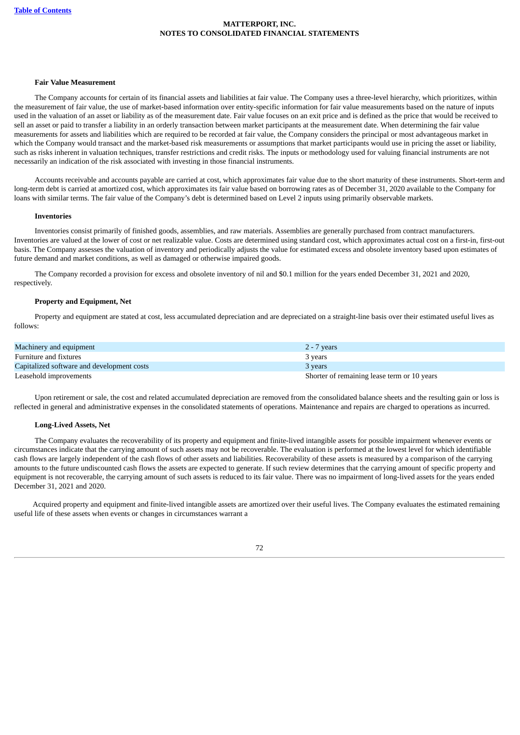## **MATTERPORT, INC. NOTES TO CONSOLIDATED FINANCIAL STATEMENTS**

#### **Fair Value Measurement**

The Company accounts for certain of its financial assets and liabilities at fair value. The Company uses a three-level hierarchy, which prioritizes, within the measurement of fair value, the use of market-based information over entity-specific information for fair value measurements based on the nature of inputs used in the valuation of an asset or liability as of the measurement date. Fair value focuses on an exit price and is defined as the price that would be received to sell an asset or paid to transfer a liability in an orderly transaction between market participants at the measurement date. When determining the fair value measurements for assets and liabilities which are required to be recorded at fair value, the Company considers the principal or most advantageous market in which the Company would transact and the market-based risk measurements or assumptions that market participants would use in pricing the asset or liability, such as risks inherent in valuation techniques, transfer restrictions and credit risks. The inputs or methodology used for valuing financial instruments are not necessarily an indication of the risk associated with investing in those financial instruments.

Accounts receivable and accounts payable are carried at cost, which approximates fair value due to the short maturity of these instruments. Short-term and long-term debt is carried at amortized cost, which approximates its fair value based on borrowing rates as of December 31, 2020 available to the Company for loans with similar terms. The fair value of the Company's debt is determined based on Level 2 inputs using primarily observable markets.

#### **Inventories**

Inventories consist primarily of finished goods, assemblies, and raw materials. Assemblies are generally purchased from contract manufacturers. Inventories are valued at the lower of cost or net realizable value. Costs are determined using standard cost, which approximates actual cost on a first-in, first-out basis. The Company assesses the valuation of inventory and periodically adjusts the value for estimated excess and obsolete inventory based upon estimates of future demand and market conditions, as well as damaged or otherwise impaired goods.

The Company recorded a provision for excess and obsolete inventory of nil and \$0.1 million for the years ended December 31, 2021 and 2020, respectively.

## **Property and Equipment, Net**

Property and equipment are stated at cost, less accumulated depreciation and are depreciated on a straight-line basis over their estimated useful lives as follows:

| Machinery and equipment                    | 2 - 7 years                                 |
|--------------------------------------------|---------------------------------------------|
| Furniture and fixtures                     | 3 years                                     |
| Capitalized software and development costs | 3 years                                     |
| Leasehold improvements                     | Shorter of remaining lease term or 10 years |

Upon retirement or sale, the cost and related accumulated depreciation are removed from the consolidated balance sheets and the resulting gain or loss is reflected in general and administrative expenses in the consolidated statements of operations. Maintenance and repairs are charged to operations as incurred.

## **Long-Lived Assets, Net**

The Company evaluates the recoverability of its property and equipment and finite-lived intangible assets for possible impairment whenever events or circumstances indicate that the carrying amount of such assets may not be recoverable. The evaluation is performed at the lowest level for which identifiable cash flows are largely independent of the cash flows of other assets and liabilities. Recoverability of these assets is measured by a comparison of the carrying amounts to the future undiscounted cash flows the assets are expected to generate. If such review determines that the carrying amount of specific property and equipment is not recoverable, the carrying amount of such assets is reduced to its fair value. There was no impairment of long-lived assets for the years ended December 31, 2021 and 2020.

Acquired property and equipment and finite-lived intangible assets are amortized over their useful lives. The Company evaluates the estimated remaining useful life of these assets when events or changes in circumstances warrant a

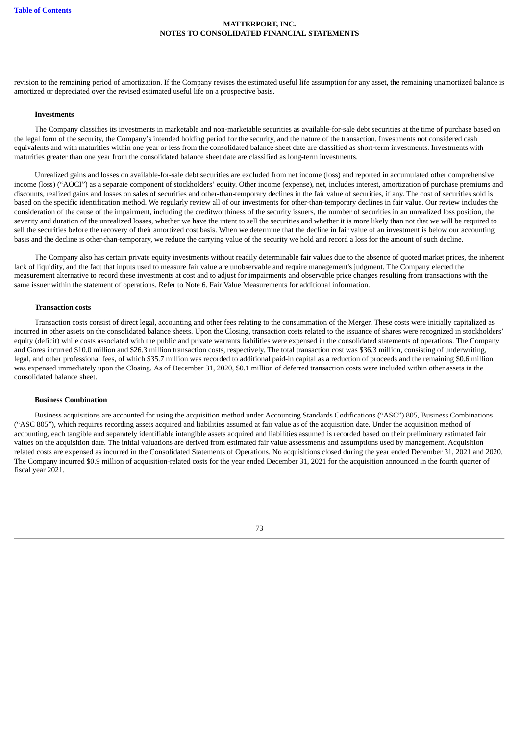revision to the remaining period of amortization. If the Company revises the estimated useful life assumption for any asset, the remaining unamortized balance is amortized or depreciated over the revised estimated useful life on a prospective basis.

#### **Investments**

The Company classifies its investments in marketable and non-marketable securities as available-for-sale debt securities at the time of purchase based on the legal form of the security, the Company's intended holding period for the security, and the nature of the transaction. Investments not considered cash equivalents and with maturities within one year or less from the consolidated balance sheet date are classified as short-term investments. Investments with maturities greater than one year from the consolidated balance sheet date are classified as long-term investments.

Unrealized gains and losses on available-for-sale debt securities are excluded from net income (loss) and reported in accumulated other comprehensive income (loss) ("AOCI") as a separate component of stockholders' equity. Other income (expense), net, includes interest, amortization of purchase premiums and discounts, realized gains and losses on sales of securities and other-than-temporary declines in the fair value of securities, if any. The cost of securities sold is based on the specific identification method. We regularly review all of our investments for other-than-temporary declines in fair value. Our review includes the consideration of the cause of the impairment, including the creditworthiness of the security issuers, the number of securities in an unrealized loss position, the severity and duration of the unrealized losses, whether we have the intent to sell the securities and whether it is more likely than not that we will be required to sell the securities before the recovery of their amortized cost basis. When we determine that the decline in fair value of an investment is below our accounting basis and the decline is other-than-temporary, we reduce the carrying value of the security we hold and record a loss for the amount of such decline.

The Company also has certain private equity investments without readily determinable fair values due to the absence of quoted market prices, the inherent lack of liquidity, and the fact that inputs used to measure fair value are unobservable and require management's judgment. The Company elected the measurement alternative to record these investments at cost and to adjust for impairments and observable price changes resulting from transactions with the same issuer within the statement of operations. Refer to Note 6. Fair Value Measurements for additional information.

#### **Transaction costs**

Transaction costs consist of direct legal, accounting and other fees relating to the consummation of the Merger. These costs were initially capitalized as incurred in other assets on the consolidated balance sheets. Upon the Closing, transaction costs related to the issuance of shares were recognized in stockholders' equity (deficit) while costs associated with the public and private warrants liabilities were expensed in the consolidated statements of operations. The Company and Gores incurred \$10.0 million and \$26.3 million transaction costs, respectively. The total transaction cost was \$36.3 million, consisting of underwriting, legal, and other professional fees, of which \$35.7 million was recorded to additional paid-in capital as a reduction of proceeds and the remaining \$0.6 million was expensed immediately upon the Closing. As of December 31, 2020, \$0.1 million of deferred transaction costs were included within other assets in the consolidated balance sheet.

### **Business Combination**

Business acquisitions are accounted for using the acquisition method under Accounting Standards Codifications ("ASC") 805, Business Combinations ("ASC 805"), which requires recording assets acquired and liabilities assumed at fair value as of the acquisition date. Under the acquisition method of accounting, each tangible and separately identifiable intangible assets acquired and liabilities assumed is recorded based on their preliminary estimated fair values on the acquisition date. The initial valuations are derived from estimated fair value assessments and assumptions used by management. Acquisition related costs are expensed as incurred in the Consolidated Statements of Operations. No acquisitions closed during the year ended December 31, 2021 and 2020. The Company incurred \$0.9 million of acquisition-related costs for the year ended December 31, 2021 for the acquisition announced in the fourth quarter of fiscal year 2021.

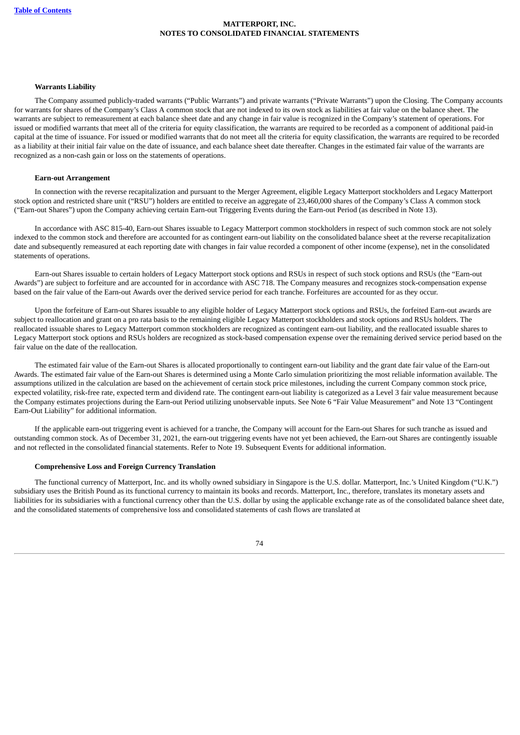#### **Warrants Liability**

The Company assumed publicly-traded warrants ("Public Warrants") and private warrants ("Private Warrants") upon the Closing. The Company accounts for warrants for shares of the Company's Class A common stock that are not indexed to its own stock as liabilities at fair value on the balance sheet. The warrants are subject to remeasurement at each balance sheet date and any change in fair value is recognized in the Company's statement of operations. For issued or modified warrants that meet all of the criteria for equity classification, the warrants are required to be recorded as a component of additional paid-in capital at the time of issuance. For issued or modified warrants that do not meet all the criteria for equity classification, the warrants are required to be recorded as a liability at their initial fair value on the date of issuance, and each balance sheet date thereafter. Changes in the estimated fair value of the warrants are recognized as a non-cash gain or loss on the statements of operations.

#### **Earn-out Arrangement**

In connection with the reverse recapitalization and pursuant to the Merger Agreement, eligible Legacy Matterport stockholders and Legacy Matterport stock option and restricted share unit ("RSU") holders are entitled to receive an aggregate of 23,460,000 shares of the Company's Class A common stock ("Earn-out Shares") upon the Company achieving certain Earn-out Triggering Events during the Earn-out Period (as described in Note 13).

In accordance with ASC 815-40, Earn-out Shares issuable to Legacy Matterport common stockholders in respect of such common stock are not solely indexed to the common stock and therefore are accounted for as contingent earn-out liability on the consolidated balance sheet at the reverse recapitalization date and subsequently remeasured at each reporting date with changes in fair value recorded a component of other income (expense), net in the consolidated statements of operations.

Earn-out Shares issuable to certain holders of Legacy Matterport stock options and RSUs in respect of such stock options and RSUs (the "Earn-out Awards") are subject to forfeiture and are accounted for in accordance with ASC 718. The Company measures and recognizes stock-compensation expense based on the fair value of the Earn-out Awards over the derived service period for each tranche. Forfeitures are accounted for as they occur.

Upon the forfeiture of Earn-out Shares issuable to any eligible holder of Legacy Matterport stock options and RSUs, the forfeited Earn-out awards are subject to reallocation and grant on a pro rata basis to the remaining eligible Legacy Matterport stockholders and stock options and RSUs holders. The reallocated issuable shares to Legacy Matterport common stockholders are recognized as contingent earn-out liability, and the reallocated issuable shares to Legacy Matterport stock options and RSUs holders are recognized as stock-based compensation expense over the remaining derived service period based on the fair value on the date of the reallocation.

The estimated fair value of the Earn-out Shares is allocated proportionally to contingent earn-out liability and the grant date fair value of the Earn-out Awards. The estimated fair value of the Earn-out Shares is determined using a Monte Carlo simulation prioritizing the most reliable information available. The assumptions utilized in the calculation are based on the achievement of certain stock price milestones, including the current Company common stock price, expected volatility, risk-free rate, expected term and dividend rate. The contingent earn-out liability is categorized as a Level 3 fair value measurement because the Company estimates projections during the Earn-out Period utilizing unobservable inputs. See Note 6 "Fair Value Measurement" and Note 13 "Contingent Earn-Out Liability" for additional information.

If the applicable earn-out triggering event is achieved for a tranche, the Company will account for the Earn-out Shares for such tranche as issued and outstanding common stock. As of December 31, 2021, the earn-out triggering events have not yet been achieved, the Earn-out Shares are contingently issuable and not reflected in the consolidated financial statements. Refer to Note 19. Subsequent Events for additional information.

#### **Comprehensive Loss and Foreign Currency Translation**

The functional currency of Matterport, Inc. and its wholly owned subsidiary in Singapore is the U.S. dollar. Matterport, Inc.'s United Kingdom ("U.K.") subsidiary uses the British Pound as its functional currency to maintain its books and records. Matterport, Inc., therefore, translates its monetary assets and liabilities for its subsidiaries with a functional currency other than the U.S. dollar by using the applicable exchange rate as of the consolidated balance sheet date, and the consolidated statements of comprehensive loss and consolidated statements of cash flows are translated at

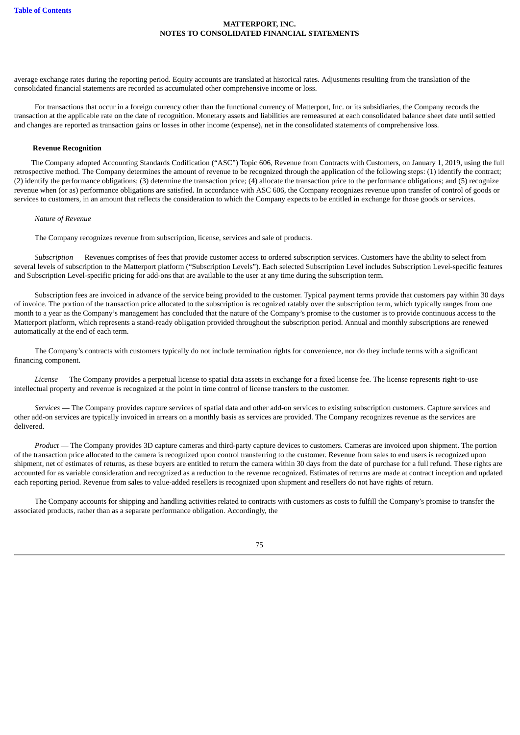average exchange rates during the reporting period. Equity accounts are translated at historical rates. Adjustments resulting from the translation of the consolidated financial statements are recorded as accumulated other comprehensive income or loss.

For transactions that occur in a foreign currency other than the functional currency of Matterport, Inc. or its subsidiaries, the Company records the transaction at the applicable rate on the date of recognition. Monetary assets and liabilities are remeasured at each consolidated balance sheet date until settled and changes are reported as transaction gains or losses in other income (expense), net in the consolidated statements of comprehensive loss.

#### **Revenue Recognition**

The Company adopted Accounting Standards Codification ("ASC") Topic 606, Revenue from Contracts with Customers, on January 1, 2019, using the full retrospective method. The Company determines the amount of revenue to be recognized through the application of the following steps: (1) identify the contract; (2) identify the performance obligations; (3) determine the transaction price; (4) allocate the transaction price to the performance obligations; and (5) recognize revenue when (or as) performance obligations are satisfied. In accordance with ASC 606, the Company recognizes revenue upon transfer of control of goods or services to customers, in an amount that reflects the consideration to which the Company expects to be entitled in exchange for those goods or services.

#### *Nature of Revenue*

The Company recognizes revenue from subscription, license, services and sale of products.

*Subscription* — Revenues comprises of fees that provide customer access to ordered subscription services. Customers have the ability to select from several levels of subscription to the Matterport platform ("Subscription Levels"). Each selected Subscription Level includes Subscription Level-specific features and Subscription Level-specific pricing for add-ons that are available to the user at any time during the subscription term.

Subscription fees are invoiced in advance of the service being provided to the customer. Typical payment terms provide that customers pay within 30 days of invoice. The portion of the transaction price allocated to the subscription is recognized ratably over the subscription term, which typically ranges from one month to a year as the Company's management has concluded that the nature of the Company's promise to the customer is to provide continuous access to the Matterport platform, which represents a stand-ready obligation provided throughout the subscription period. Annual and monthly subscriptions are renewed automatically at the end of each term.

The Company's contracts with customers typically do not include termination rights for convenience, nor do they include terms with a significant financing component.

*License* — The Company provides a perpetual license to spatial data assets in exchange for a fixed license fee. The license represents right-to-use intellectual property and revenue is recognized at the point in time control of license transfers to the customer.

*Services* — The Company provides capture services of spatial data and other add-on services to existing subscription customers. Capture services and other add-on services are typically invoiced in arrears on a monthly basis as services are provided. The Company recognizes revenue as the services are delivered.

*Product* — The Company provides 3D capture cameras and third-party capture devices to customers. Cameras are invoiced upon shipment. The portion of the transaction price allocated to the camera is recognized upon control transferring to the customer. Revenue from sales to end users is recognized upon shipment, net of estimates of returns, as these buyers are entitled to return the camera within 30 days from the date of purchase for a full refund. These rights are accounted for as variable consideration and recognized as a reduction to the revenue recognized. Estimates of returns are made at contract inception and updated each reporting period. Revenue from sales to value-added resellers is recognized upon shipment and resellers do not have rights of return.

The Company accounts for shipping and handling activities related to contracts with customers as costs to fulfill the Company's promise to transfer the associated products, rather than as a separate performance obligation. Accordingly, the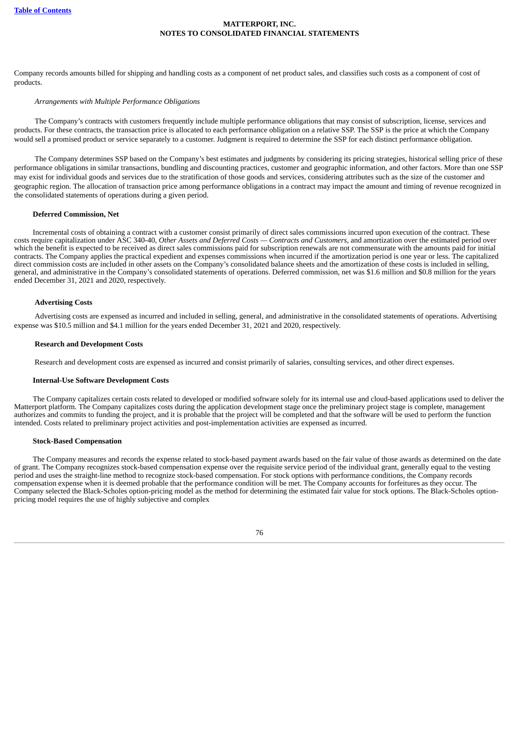Company records amounts billed for shipping and handling costs as a component of net product sales, and classifies such costs as a component of cost of products.

#### *Arrangements with Multiple Performance Obligations*

The Company's contracts with customers frequently include multiple performance obligations that may consist of subscription, license, services and products. For these contracts, the transaction price is allocated to each performance obligation on a relative SSP. The SSP is the price at which the Company would sell a promised product or service separately to a customer. Judgment is required to determine the SSP for each distinct performance obligation.

The Company determines SSP based on the Company's best estimates and judgments by considering its pricing strategies, historical selling price of these performance obligations in similar transactions, bundling and discounting practices, customer and geographic information, and other factors. More than one SSP may exist for individual goods and services due to the stratification of those goods and services, considering attributes such as the size of the customer and geographic region. The allocation of transaction price among performance obligations in a contract may impact the amount and timing of revenue recognized in the consolidated statements of operations during a given period.

#### **Deferred Commission, Net**

Incremental costs of obtaining a contract with a customer consist primarily of direct sales commissions incurred upon execution of the contract. These costs require capitalization under ASC 340-40, *Other Assets and Deferred Costs — Contracts and Customers*, and amortization over the estimated period over which the benefit is expected to be received as direct sales commissions paid for subscription renewals are not commensurate with the amounts paid for initial contracts. The Company applies the practical expedient and expenses commissions when incurred if the amortization period is one year or less. The capitalized direct commission costs are included in other assets on the Company's consolidated balance sheets and the amortization of these costs is included in selling, general, and administrative in the Company's consolidated statements of operations. Deferred commission, net was \$1.6 million and \$0.8 million for the years ended December 31, 2021 and 2020, respectively.

#### **Advertising Costs**

Advertising costs are expensed as incurred and included in selling, general, and administrative in the consolidated statements of operations. Advertising expense was \$10.5 million and \$4.1 million for the years ended December 31, 2021 and 2020, respectively.

#### **Research and Development Costs**

Research and development costs are expensed as incurred and consist primarily of salaries, consulting services, and other direct expenses.

#### **Internal-Use Software Development Costs**

The Company capitalizes certain costs related to developed or modified software solely for its internal use and cloud-based applications used to deliver the Matterport platform. The Company capitalizes costs during the application development stage once the preliminary project stage is complete, management authorizes and commits to funding the project, and it is probable that the project will be completed and that the software will be used to perform the function intended. Costs related to preliminary project activities and post-implementation activities are expensed as incurred.

#### **Stock-Based Compensation**

The Company measures and records the expense related to stock-based payment awards based on the fair value of those awards as determined on the date of grant. The Company recognizes stock-based compensation expense over the requisite service period of the individual grant, generally equal to the vesting period and uses the straight-line method to recognize stock-based compensation. For stock options with performance conditions, the Company records compensation expense when it is deemed probable that the performance condition will be met. The Company accounts for forfeitures as they occur. The Company selected the Black-Scholes option-pricing model as the method for determining the estimated fair value for stock options. The Black-Scholes optionpricing model requires the use of highly subjective and complex

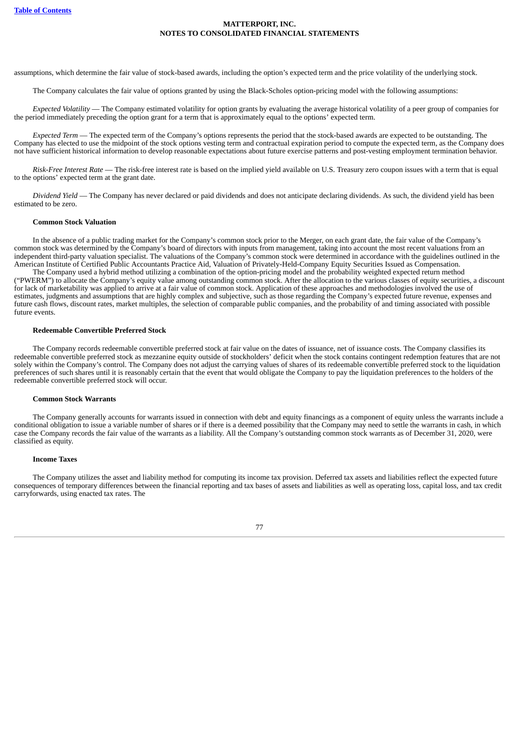assumptions, which determine the fair value of stock-based awards, including the option's expected term and the price volatility of the underlying stock.

The Company calculates the fair value of options granted by using the Black-Scholes option-pricing model with the following assumptions:

*Expected Volatility* — The Company estimated volatility for option grants by evaluating the average historical volatility of a peer group of companies for the period immediately preceding the option grant for a term that is approximately equal to the options' expected term.

*Expected Term* — The expected term of the Company's options represents the period that the stock-based awards are expected to be outstanding. The Company has elected to use the midpoint of the stock options vesting term and contractual expiration period to compute the expected term, as the Company does not have sufficient historical information to develop reasonable expectations about future exercise patterns and post-vesting employment termination behavior.

*Risk-Free Interest Rate* — The risk-free interest rate is based on the implied yield available on U.S. Treasury zero coupon issues with a term that is equal to the options' expected term at the grant date.

*Dividend Yield* — The Company has never declared or paid dividends and does not anticipate declaring dividends. As such, the dividend yield has been estimated to be zero.

#### **Common Stock Valuation**

In the absence of a public trading market for the Company's common stock prior to the Merger, on each grant date, the fair value of the Company's common stock was determined by the Company's board of directors with inputs from management, taking into account the most recent valuations from an independent third-party valuation specialist. The valuations of the Company's common stock were determined in accordance with the guidelines outlined in the American Institute of Certified Public Accountants Practice Aid, Valuation of Privately-Held-Company Equity Securities Issued as Compensation.

The Company used a hybrid method utilizing a combination of the option-pricing model and the probability weighted expected return method ("PWERM") to allocate the Company's equity value among outstanding common stock. After the allocation to the various classes of equity securities, a discount for lack of marketability was applied to arrive at a fair value of common stock. Application of these approaches and methodologies involved the use of estimates, judgments and assumptions that are highly complex and subjective, such as those regarding the Company's expected future revenue, expenses and future cash flows, discount rates, market multiples, the selection of comparable public companies, and the probability of and timing associated with possible future events.

### **Redeemable Convertible Preferred Stock**

The Company records redeemable convertible preferred stock at fair value on the dates of issuance, net of issuance costs. The Company classifies its redeemable convertible preferred stock as mezzanine equity outside of stockholders' deficit when the stock contains contingent redemption features that are not solely within the Company's control. The Company does not adjust the carrying values of shares of its redeemable convertible preferred stock to the liquidation preferences of such shares until it is reasonably certain that the event that would obligate the Company to pay the liquidation preferences to the holders of the redeemable convertible preferred stock will occur.

#### **Common Stock Warrants**

The Company generally accounts for warrants issued in connection with debt and equity financings as a component of equity unless the warrants include a conditional obligation to issue a variable number of shares or if there is a deemed possibility that the Company may need to settle the warrants in cash, in which case the Company records the fair value of the warrants as a liability. All the Company's outstanding common stock warrants as of December 31, 2020, were classified as equity.

#### **Income Taxes**

The Company utilizes the asset and liability method for computing its income tax provision. Deferred tax assets and liabilities reflect the expected future consequences of temporary differences between the financial reporting and tax bases of assets and liabilities as well as operating loss, capital loss, and tax credit carryforwards, using enacted tax rates. The

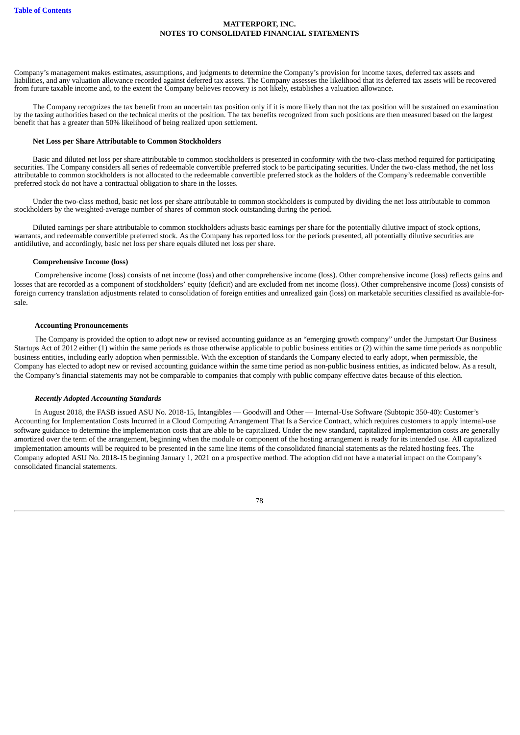Company's management makes estimates, assumptions, and judgments to determine the Company's provision for income taxes, deferred tax assets and liabilities, and any valuation allowance recorded against deferred tax assets. The Company assesses the likelihood that its deferred tax assets will be recovered from future taxable income and, to the extent the Company believes recovery is not likely, establishes a valuation allowance.

The Company recognizes the tax benefit from an uncertain tax position only if it is more likely than not the tax position will be sustained on examination by the taxing authorities based on the technical merits of the position. The tax benefits recognized from such positions are then measured based on the largest benefit that has a greater than 50% likelihood of being realized upon settlement.

#### **Net Loss per Share Attributable to Common Stockholders**

Basic and diluted net loss per share attributable to common stockholders is presented in conformity with the two-class method required for participating securities. The Company considers all series of redeemable convertible preferred stock to be participating securities. Under the two-class method, the net loss attributable to common stockholders is not allocated to the redeemable convertible preferred stock as the holders of the Company's redeemable convertible preferred stock do not have a contractual obligation to share in the losses.

Under the two-class method, basic net loss per share attributable to common stockholders is computed by dividing the net loss attributable to common stockholders by the weighted-average number of shares of common stock outstanding during the period.

Diluted earnings per share attributable to common stockholders adjusts basic earnings per share for the potentially dilutive impact of stock options, warrants, and redeemable convertible preferred stock. As the Company has reported loss for the periods presented, all potentially dilutive securities are antidilutive, and accordingly, basic net loss per share equals diluted net loss per share.

### **Comprehensive Income (loss)**

Comprehensive income (loss) consists of net income (loss) and other comprehensive income (loss). Other comprehensive income (loss) reflects gains and losses that are recorded as a component of stockholders' equity (deficit) and are excluded from net income (loss). Other comprehensive income (loss) consists of foreign currency translation adjustments related to consolidation of foreign entities and unrealized gain (loss) on marketable securities classified as available-forsale.

#### **Accounting Pronouncements**

The Company is provided the option to adopt new or revised accounting guidance as an "emerging growth company" under the Jumpstart Our Business Startups Act of 2012 either (1) within the same periods as those otherwise applicable to public business entities or (2) within the same time periods as nonpublic business entities, including early adoption when permissible. With the exception of standards the Company elected to early adopt, when permissible, the Company has elected to adopt new or revised accounting guidance within the same time period as non-public business entities, as indicated below. As a result, the Company's financial statements may not be comparable to companies that comply with public company effective dates because of this election.

### *Recently Adopted Accounting Standards*

In August 2018, the FASB issued ASU No. 2018-15, Intangibles — Goodwill and Other — Internal-Use Software (Subtopic 350-40): Customer's Accounting for Implementation Costs Incurred in a Cloud Computing Arrangement That Is a Service Contract, which requires customers to apply internal-use software guidance to determine the implementation costs that are able to be capitalized. Under the new standard, capitalized implementation costs are generally amortized over the term of the arrangement, beginning when the module or component of the hosting arrangement is ready for its intended use. All capitalized implementation amounts will be required to be presented in the same line items of the consolidated financial statements as the related hosting fees. The Company adopted ASU No. 2018-15 beginning January 1, 2021 on a prospective method. The adoption did not have a material impact on the Company's consolidated financial statements.

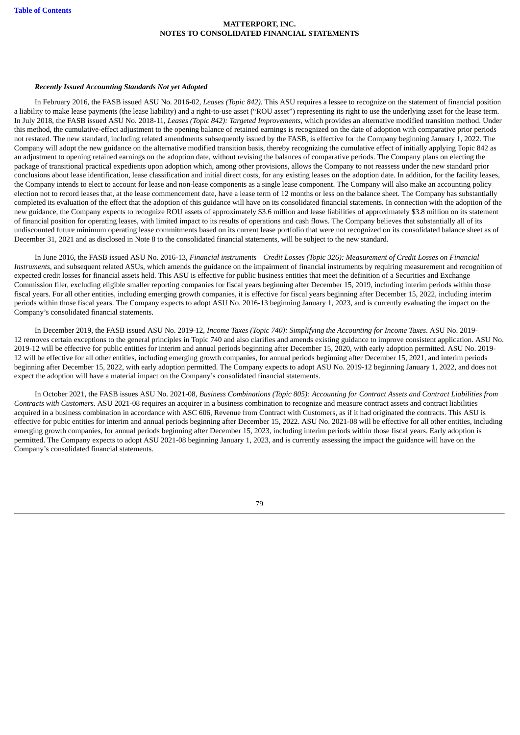#### *Recently Issued Accounting Standards Not yet Adopted*

In February 2016, the FASB issued ASU No. 2016-02, *Leases (Topic 842).* This ASU requires a lessee to recognize on the statement of financial position a liability to make lease payments (the lease liability) and a right-to-use asset ("ROU asset") representing its right to use the underlying asset for the lease term. In July 2018, the FASB issued ASU No. 2018-11, *Leases (Topic 842): Targeted Improvements*, which provides an alternative modified transition method. Under this method, the cumulative-effect adjustment to the opening balance of retained earnings is recognized on the date of adoption with comparative prior periods not restated. The new standard, including related amendments subsequently issued by the FASB, is effective for the Company beginning January 1, 2022. The Company will adopt the new guidance on the alternative modified transition basis, thereby recognizing the cumulative effect of initially applying Topic 842 as an adjustment to opening retained earnings on the adoption date, without revising the balances of comparative periods. The Company plans on electing the package of transitional practical expedients upon adoption which, among other provisions, allows the Company to not reassess under the new standard prior conclusions about lease identification, lease classification and initial direct costs, for any existing leases on the adoption date. In addition, for the facility leases, the Company intends to elect to account for lease and non-lease components as a single lease component. The Company will also make an accounting policy election not to record leases that, at the lease commencement date, have a lease term of 12 months or less on the balance sheet. The Company has substantially completed its evaluation of the effect that the adoption of this guidance will have on its consolidated financial statements. In connection with the adoption of the new guidance, the Company expects to recognize ROU assets of approximately \$3.6 million and lease liabilities of approximately \$3.8 million on its statement of financial position for operating leases, with limited impact to its results of operations and cash flows. The Company believes that substantially all of its undiscounted future minimum operating lease commitments based on its current lease portfolio that were not recognized on its consolidated balance sheet as of December 31, 2021 and as disclosed in Note 8 to the consolidated financial statements, will be subject to the new standard.

In June 2016, the FASB issued ASU No. 2016-13, *Financial instruments—Credit Losses (Topic 326): Measurement of Credit Losses on Financial Instruments*, and subsequent related ASUs, which amends the guidance on the impairment of financial instruments by requiring measurement and recognition of expected credit losses for financial assets held. This ASU is effective for public business entities that meet the definition of a Securities and Exchange Commission filer, excluding eligible smaller reporting companies for fiscal years beginning after December 15, 2019, including interim periods within those fiscal years. For all other entities, including emerging growth companies, it is effective for fiscal years beginning after December 15, 2022, including interim periods within those fiscal years. The Company expects to adopt ASU No. 2016-13 beginning January 1, 2023, and is currently evaluating the impact on the Company's consolidated financial statements.

In December 2019, the FASB issued ASU No. 2019-12, *Income Taxes (Topic 740): Simplifying the Accounting for Income Taxes*. ASU No. 2019- 12 removes certain exceptions to the general principles in Topic 740 and also clarifies and amends existing guidance to improve consistent application. ASU No. 2019-12 will be effective for public entities for interim and annual periods beginning after December 15, 2020, with early adoption permitted. ASU No. 2019- 12 will be effective for all other entities, including emerging growth companies, for annual periods beginning after December 15, 2021, and interim periods beginning after December 15, 2022, with early adoption permitted. The Company expects to adopt ASU No. 2019-12 beginning January 1, 2022, and does not expect the adoption will have a material impact on the Company's consolidated financial statements.

In October 2021, the FASB issues ASU No. 2021-08, Business Combinations (Topic 805): Accounting for Contract Assets and Contract Liabilities from *Contracts with Customers.* ASU 2021-08 requires an acquirer in a business combination to recognize and measure contract assets and contract liabilities acquired in a business combination in accordance with ASC 606, Revenue from Contract with Customers, as if it had originated the contracts. This ASU is effective for pubic entities for interim and annual periods beginning after December 15, 2022. ASU No. 2021-08 will be effective for all other entities, including emerging growth companies, for annual periods beginning after December 15, 2023, including interim periods within those fiscal years. Early adoption is permitted. The Company expects to adopt ASU 2021-08 beginning January 1, 2023, and is currently assessing the impact the guidance will have on the Company's consolidated financial statements.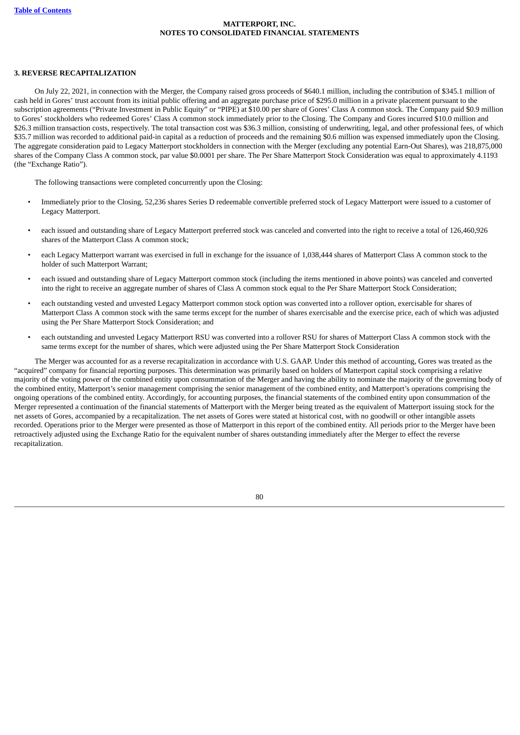### **3. REVERSE RECAPITALIZATION**

On July 22, 2021, in connection with the Merger, the Company raised gross proceeds of \$640.1 million, including the contribution of \$345.1 million of cash held in Gores' trust account from its initial public offering and an aggregate purchase price of \$295.0 million in a private placement pursuant to the subscription agreements ("Private Investment in Public Equity" or "PIPE) at \$10.00 per share of Gores' Class A common stock. The Company paid \$0.9 million to Gores' stockholders who redeemed Gores' Class A common stock immediately prior to the Closing. The Company and Gores incurred \$10.0 million and \$26.3 million transaction costs, respectively. The total transaction cost was \$36.3 million, consisting of underwriting, legal, and other professional fees, of which \$35.7 million was recorded to additional paid-in capital as a reduction of proceeds and the remaining \$0.6 million was expensed immediately upon the Closing. The aggregate consideration paid to Legacy Matterport stockholders in connection with the Merger (excluding any potential Earn-Out Shares), was 218,875,000 shares of the Company Class A common stock, par value \$0.0001 per share. The Per Share Matterport Stock Consideration was equal to approximately 4.1193 (the "Exchange Ratio").

The following transactions were completed concurrently upon the Closing:

- Immediately prior to the Closing, 52,236 shares Series D redeemable convertible preferred stock of Legacy Matterport were issued to a customer of Legacy Matterport.
- each issued and outstanding share of Legacy Matterport preferred stock was canceled and converted into the right to receive a total of 126,460,926 shares of the Matterport Class A common stock;
- each Legacy Matterport warrant was exercised in full in exchange for the issuance of 1,038,444 shares of Matterport Class A common stock to the holder of such Matterport Warrant;
- each issued and outstanding share of Legacy Matterport common stock (including the items mentioned in above points) was canceled and converted into the right to receive an aggregate number of shares of Class A common stock equal to the Per Share Matterport Stock Consideration;
- each outstanding vested and unvested Legacy Matterport common stock option was converted into a rollover option, exercisable for shares of Matterport Class A common stock with the same terms except for the number of shares exercisable and the exercise price, each of which was adjusted using the Per Share Matterport Stock Consideration; and
- each outstanding and unvested Legacy Matterport RSU was converted into a rollover RSU for shares of Matterport Class A common stock with the same terms except for the number of shares, which were adjusted using the Per Share Matterport Stock Consideration

The Merger was accounted for as a reverse recapitalization in accordance with U.S. GAAP. Under this method of accounting, Gores was treated as the "acquired" company for financial reporting purposes. This determination was primarily based on holders of Matterport capital stock comprising a relative majority of the voting power of the combined entity upon consummation of the Merger and having the ability to nominate the majority of the governing body of the combined entity, Matterport's senior management comprising the senior management of the combined entity, and Matterport's operations comprising the ongoing operations of the combined entity. Accordingly, for accounting purposes, the financial statements of the combined entity upon consummation of the Merger represented a continuation of the financial statements of Matterport with the Merger being treated as the equivalent of Matterport issuing stock for the net assets of Gores, accompanied by a recapitalization. The net assets of Gores were stated at historical cost, with no goodwill or other intangible assets recorded. Operations prior to the Merger were presented as those of Matterport in this report of the combined entity. All periods prior to the Merger have been retroactively adjusted using the Exchange Ratio for the equivalent number of shares outstanding immediately after the Merger to effect the reverse recapitalization.

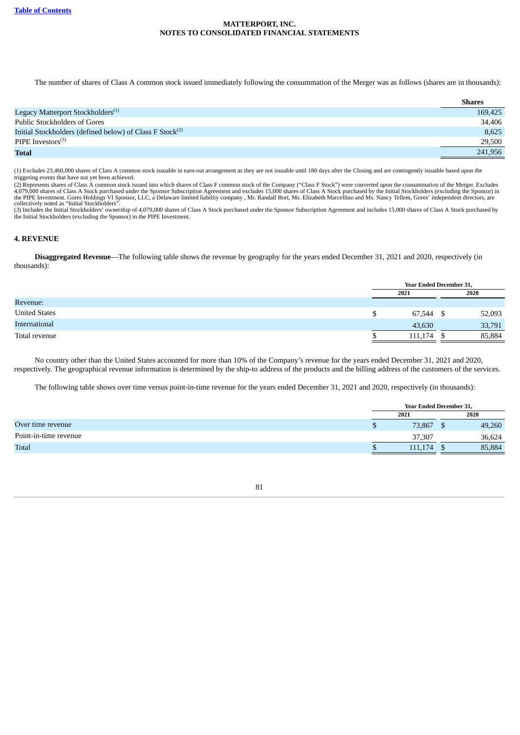The number of shares of Class A common stock issued immediately following the consummation of the Merger was as follows (shares are in thousands):

|                                                                      | <b>Shares</b> |
|----------------------------------------------------------------------|---------------|
| Legacy Matterport Stockholders <sup>(1)</sup>                        | 169,425       |
| Public Stockholders of Gores                                         | 34,406        |
| Initial Stockholders (defined below) of Class F Stock <sup>(2)</sup> | 8,625         |
| PIPE Investors $(3)$                                                 | 29,500        |
| <b>Total</b>                                                         | 241,956       |

(1) Excludes 23,460,000 shares of Class A common stock issuable in earn-out arrangement as they are not issuable until 180 days after the Closing and are contingently issuable based upon the triggering events that have not yet been achieved.

(2) Represents shares of Class A common stock issued into which shares of Class F common stock of the Company ("Class F Stock") were converted upon the consummation of the Merger. Excludes<br>4,079,000 shares of Class A Stock

(3) Includes the Initial Stockholders' ownership of 4,079,000 shares of Class A Stock purchased under the Sponsor Subscription Agreement and includes 15,000 shares of Class A Stock purchased by the Initial Stockholders (excluding the Sponsor) in the PIPE Investment.

# **4. REVENUE**

**Disaggregated Revenue**—The following table shows the revenue by geography for the years ended December 31, 2021 and 2020, respectively (in thousands):

|                      | <b>Year Ended December 31,</b> |  |        |  |  |
|----------------------|--------------------------------|--|--------|--|--|
|                      | 2021                           |  | 2020   |  |  |
| Revenue:             |                                |  |        |  |  |
| <b>United States</b> | 67,544                         |  | 52,093 |  |  |
| International        | 43,630                         |  | 33,791 |  |  |
| Total revenue        | 111,174                        |  | 85,884 |  |  |

No country other than the United States accounted for more than 10% of the Company's revenue for the years ended December 31, 2021 and 2020, respectively. The geographical revenue information is determined by the ship-to address of the products and the billing address of the customers of the services.

The following table shows over time versus point-in-time revenue for the years ended December 31, 2021 and 2020, respectively (in thousands):

|                       | <b>Year Ended December 31,</b> |  |        |  |  |  |
|-----------------------|--------------------------------|--|--------|--|--|--|
|                       | 2021                           |  | 2020   |  |  |  |
| Over time revenue     | 73,867                         |  | 49,260 |  |  |  |
| Point-in-time revenue | 37,307                         |  | 36,624 |  |  |  |
| <b>Total</b>          | 111,174                        |  | 85,884 |  |  |  |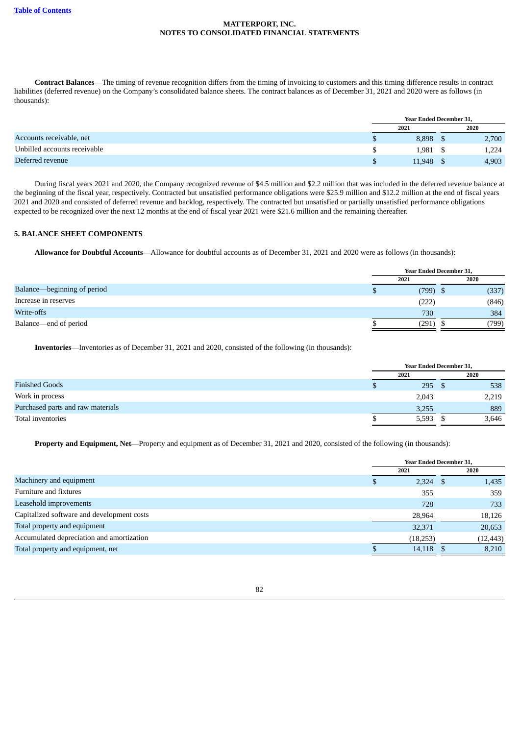**Contract Balances**—The timing of revenue recognition differs from the timing of invoicing to customers and this timing difference results in contract liabilities (deferred revenue) on the Company's consolidated balance sheets. The contract balances as of December 31, 2021 and 2020 were as follows (in thousands):

|                              | Year Ended December 31, |  |       |  |  |
|------------------------------|-------------------------|--|-------|--|--|
|                              | 2021                    |  | 2020  |  |  |
| Accounts receivable, net     | 8.898                   |  | 2,700 |  |  |
| Unbilled accounts receivable | 1,981                   |  | 1,224 |  |  |
| Deferred revenue             | 11.948                  |  | 4,903 |  |  |

During fiscal years 2021 and 2020, the Company recognized revenue of \$4.5 million and \$2.2 million that was included in the deferred revenue balance at the beginning of the fiscal year, respectively. Contracted but unsatisfied performance obligations were \$25.9 million and \$12.2 million at the end of fiscal years 2021 and 2020 and consisted of deferred revenue and backlog, respectively. The contracted but unsatisfied or partially unsatisfied performance obligations expected to be recognized over the next 12 months at the end of fiscal year 2021 were \$21.6 million and the remaining thereafter.

# **5. BALANCE SHEET COMPONENTS**

**Allowance for Doubtful Accounts**—Allowance for doubtful accounts as of December 31, 2021 and 2020 were as follows (in thousands):

| <b>Year Ended December 31,</b> |                                     |  |  |  |
|--------------------------------|-------------------------------------|--|--|--|
| 2021                           | 2020                                |  |  |  |
|                                | (337)                               |  |  |  |
|                                | (846)                               |  |  |  |
|                                | 384                                 |  |  |  |
|                                | (799)                               |  |  |  |
|                                | $(799)$ \$<br>(222)<br>730<br>(291) |  |  |  |

**Inventories**—Inventories as of December 31, 2021 and 2020, consisted of the following (in thousands):

|                                   | <b>Year Ended December 31,</b> |       |  |       |  |
|-----------------------------------|--------------------------------|-------|--|-------|--|
|                                   |                                | 2021  |  | 2020  |  |
| <b>Finished Goods</b>             |                                | 295   |  | 538   |  |
| Work in process                   |                                | 2,043 |  | 2,219 |  |
| Purchased parts and raw materials |                                | 3,255 |  | 889   |  |
| Total inventories                 |                                | 5,593 |  | 3,646 |  |

**Property and Equipment, Net**—Property and equipment as of December 31, 2021 and 2020, consisted of the following (in thousands):

|                                            |           | <b>Year Ended December 31,</b> |           |  |  |  |
|--------------------------------------------|-----------|--------------------------------|-----------|--|--|--|
|                                            | 2021      |                                | 2020      |  |  |  |
| Machinery and equipment                    | 2,324     | - S                            | 1,435     |  |  |  |
| Furniture and fixtures                     | 355       |                                | 359       |  |  |  |
| Leasehold improvements                     | 728       |                                | 733       |  |  |  |
| Capitalized software and development costs | 28,964    |                                | 18,126    |  |  |  |
| Total property and equipment               | 32,371    |                                | 20,653    |  |  |  |
| Accumulated depreciation and amortization  | (18, 253) |                                | (12, 443) |  |  |  |
| Total property and equipment, net          | 14,118    |                                | 8,210     |  |  |  |
|                                            |           |                                |           |  |  |  |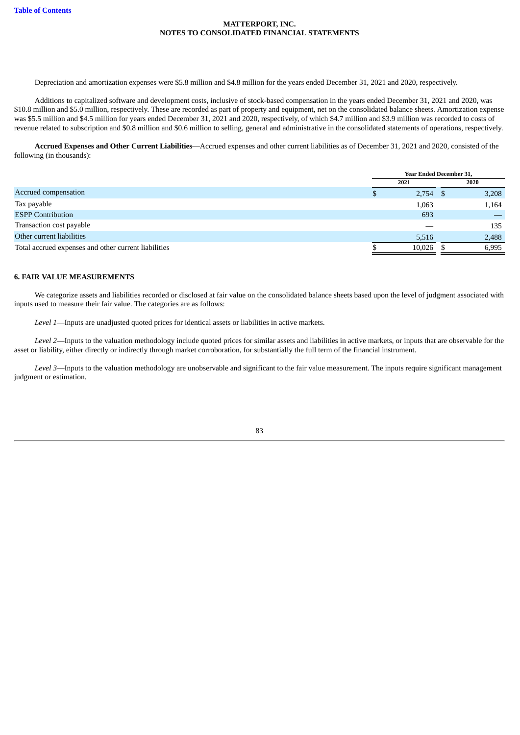Depreciation and amortization expenses were \$5.8 million and \$4.8 million for the years ended December 31, 2021 and 2020, respectively.

Additions to capitalized software and development costs, inclusive of stock-based compensation in the years ended December 31, 2021 and 2020, was \$10.8 million and \$5.0 million, respectively. These are recorded as part of property and equipment, net on the consolidated balance sheets. Amortization expense was \$5.5 million and \$4.5 million for years ended December 31, 2021 and 2020, respectively, of which \$4.7 million and \$3.9 million was recorded to costs of revenue related to subscription and \$0.8 million and \$0.6 million to selling, general and administrative in the consolidated statements of operations, respectively.

**Accrued Expenses and Other Current Liabilities**—Accrued expenses and other current liabilities as of December 31, 2021 and 2020, consisted of the following (in thousands):

|                                                      | <b>Year Ended December 31,</b> |     |       |  |  |
|------------------------------------------------------|--------------------------------|-----|-------|--|--|
|                                                      | 2021                           |     | 2020  |  |  |
| Accrued compensation                                 | 2,754                          | - S | 3,208 |  |  |
| Tax payable                                          | 1,063                          |     | 1,164 |  |  |
| <b>ESPP Contribution</b>                             | 693                            |     |       |  |  |
| Transaction cost payable                             |                                |     | 135   |  |  |
| Other current liabilities                            | 5,516                          |     | 2,488 |  |  |
| Total accrued expenses and other current liabilities | 10,026                         |     | 6,995 |  |  |

### **6. FAIR VALUE MEASUREMENTS**

We categorize assets and liabilities recorded or disclosed at fair value on the consolidated balance sheets based upon the level of judgment associated with inputs used to measure their fair value. The categories are as follows:

*Level 1*—Inputs are unadjusted quoted prices for identical assets or liabilities in active markets.

*Level 2*—Inputs to the valuation methodology include quoted prices for similar assets and liabilities in active markets, or inputs that are observable for the asset or liability, either directly or indirectly through market corroboration, for substantially the full term of the financial instrument.

*Level 3*—Inputs to the valuation methodology are unobservable and significant to the fair value measurement. The inputs require significant management judgment or estimation.

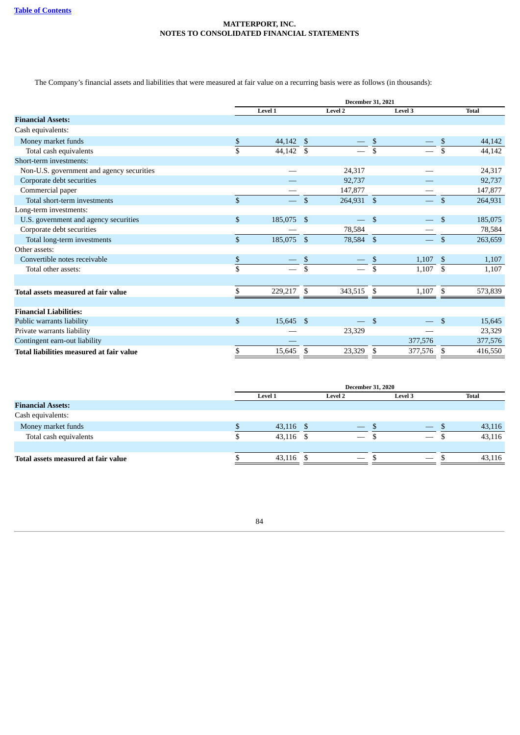The Company's financial assets and liabilities that were measured at fair value on a recurring basis were as follows (in thousands):

|                                           |               | <b>December 31, 2021</b> |                         |               |               |          |                |              |
|-------------------------------------------|---------------|--------------------------|-------------------------|---------------|---------------|----------|----------------|--------------|
|                                           |               | Level 1                  |                         | Level 2       |               | Level 3  |                | <b>Total</b> |
| <b>Financial Assets:</b>                  |               |                          |                         |               |               |          |                |              |
| Cash equivalents:                         |               |                          |                         |               |               |          |                |              |
| Money market funds                        | \$            | 44,142                   | -\$                     |               |               |          |                | 44,142       |
| Total cash equivalents                    | \$            | 44,142 \$                |                         |               | \$            |          | \$             | 44,142       |
| Short-term investments:                   |               |                          |                         |               |               |          |                |              |
| Non-U.S. government and agency securities |               |                          |                         | 24,317        |               |          |                | 24,317       |
| Corporate debt securities                 |               |                          |                         | 92,737        |               |          |                | 92,737       |
| Commercial paper                          |               |                          |                         | 147,877       |               |          |                | 147,877      |
| Total short-term investments              | $\mathsf{\$}$ | $\equiv$                 | $\mathbf{s}$            | 264,931 \$    |               | $\equiv$ | $\mathfrak{S}$ | 264,931      |
| Long-term investments:                    |               |                          |                         |               |               |          |                |              |
| U.S. government and agency securities     | \$            | 185,075 \$               |                         | $\frac{1}{2}$ | $\mathbf S$   |          | \$             | 185,075      |
| Corporate debt securities                 |               |                          |                         | 78,584        |               |          |                | 78,584       |
| Total long-term investments               | \$            | 185,075                  | $\mathbf{s}$            | 78,584        | $\mathbf{s}$  |          | $\mathsf{\$}$  | 263,659      |
| Other assets:                             |               |                          |                         |               |               |          |                |              |
| Convertible notes receivable              | $rac{1}{3}$   |                          |                         |               |               | 1,107    | \$             | 1,107        |
| Total other assets:                       |               |                          | $\overline{\mathbf{s}}$ |               | \$            | 1,107    | $\mathbb{S}$   | 1,107        |
|                                           |               |                          |                         |               |               |          |                |              |
| Total assets measured at fair value       | \$            | 229,217                  | - \$                    | 343,515 \$    |               | 1,107    | \$             | 573,839      |
|                                           |               |                          |                         |               |               |          |                |              |
| <b>Financial Liabilities:</b>             |               |                          |                         |               |               |          |                |              |
| Public warrants liability                 | \$            | 15,645 \$                |                         |               | $\mathbf S$   |          | \$             | 15,645       |
| Private warrants liability                |               |                          |                         | 23,329        |               |          |                | 23,329       |
| Contingent earn-out liability             |               |                          |                         |               |               | 377,576  |                | 377,576      |
| Total liabilities measured at fair value  | \$            | 15,645                   | <sup>\$</sup>           | 23,329        | $\mathcal{S}$ | 377,576  | \$             | 416,550      |

|                                     | <b>December 31, 2020</b> |  |                          |  |                                 |     |              |  |
|-------------------------------------|--------------------------|--|--------------------------|--|---------------------------------|-----|--------------|--|
|                                     | Level 1                  |  | Level 2                  |  | Level 3                         |     | <b>Total</b> |  |
| <b>Financial Assets:</b>            |                          |  |                          |  |                                 |     |              |  |
| Cash equivalents:                   |                          |  |                          |  |                                 |     |              |  |
| Money market funds                  | $43,116$ \$              |  | $\overline{\phantom{m}}$ |  | $\overline{\phantom{a}}$        | - 8 | 43,116       |  |
| Total cash equivalents              | 43,116 \$                |  | $\overline{\phantom{m}}$ |  | $\hspace{0.1mm}-\hspace{0.1mm}$ |     | 43,116       |  |
|                                     |                          |  |                          |  |                                 |     |              |  |
| Total assets measured at fair value | 43.116                   |  | $\overline{\phantom{a}}$ |  |                                 |     | 43,116       |  |
|                                     |                          |  |                          |  |                                 |     |              |  |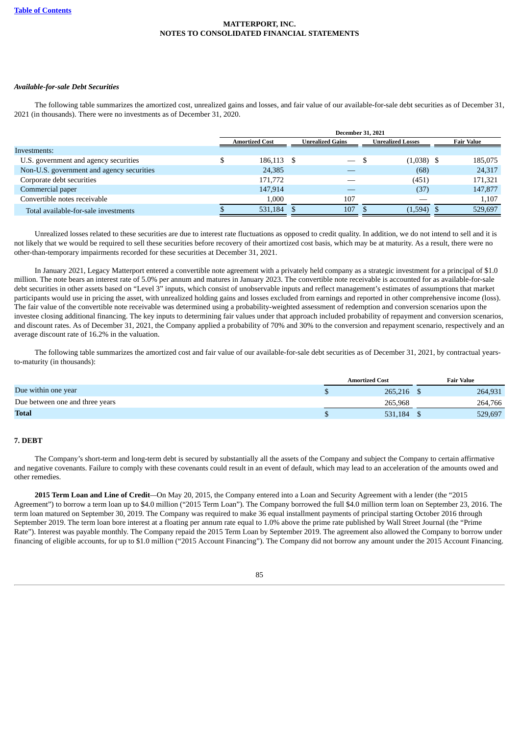#### *Available-for-sale Debt Securities*

The following table summarizes the amortized cost, unrealized gains and losses, and fair value of our available-for-sale debt securities as of December 31, 2021 (in thousands). There were no investments as of December 31, 2020.

|                                           | <b>December 31, 2021</b> |                       |  |                          |  |                          |  |                   |  |
|-------------------------------------------|--------------------------|-----------------------|--|--------------------------|--|--------------------------|--|-------------------|--|
|                                           |                          | <b>Amortized Cost</b> |  | <b>Unrealized Gains</b>  |  | <b>Unrealized Losses</b> |  | <b>Fair Value</b> |  |
| Investments:                              |                          |                       |  |                          |  |                          |  |                   |  |
| U.S. government and agency securities     |                          | 186,113 \$            |  | $\overline{\phantom{0}}$ |  | $(1,038)$ \$             |  | 185,075           |  |
| Non-U.S. government and agency securities |                          | 24,385                |  |                          |  | (68)                     |  | 24,317            |  |
| Corporate debt securities                 |                          | 171,772               |  |                          |  | (451)                    |  | 171,321           |  |
| Commercial paper                          |                          | 147,914               |  |                          |  | (37)                     |  | 147,877           |  |
| Convertible notes receivable              |                          | 1,000                 |  | 107                      |  |                          |  | 1,107             |  |
| Total available-for-sale investments      |                          | 531,184 \$            |  | 107                      |  | $(1,594)$ \$             |  | 529,697           |  |

Unrealized losses related to these securities are due to interest rate fluctuations as opposed to credit quality. In addition, we do not intend to sell and it is not likely that we would be required to sell these securities before recovery of their amortized cost basis, which may be at maturity. As a result, there were no other-than-temporary impairments recorded for these securities at December 31, 2021.

In January 2021, Legacy Matterport entered a convertible note agreement with a privately held company as a strategic investment for a principal of \$1.0 million. The note bears an interest rate of 5.0% per annum and matures in January 2023. The convertible note receivable is accounted for as available-for-sale debt securities in other assets based on "Level 3" inputs, which consist of unobservable inputs and reflect management's estimates of assumptions that market participants would use in pricing the asset, with unrealized holding gains and losses excluded from earnings and reported in other comprehensive income (loss). The fair value of the convertible note receivable was determined using a probability-weighted assessment of redemption and conversion scenarios upon the investee closing additional financing. The key inputs to determining fair values under that approach included probability of repayment and conversion scenarios, and discount rates. As of December 31, 2021, the Company applied a probability of 70% and 30% to the conversion and repayment scenario, respectively and an average discount rate of 16.2% in the valuation.

The following table summarizes the amortized cost and fair value of our available-for-sale debt securities as of December 31, 2021, by contractual yearsto-maturity (in thousands):

|                                 | <b>Amortized Cost</b> |         | <b>Fair Value</b> |
|---------------------------------|-----------------------|---------|-------------------|
| Due within one year             |                       | 265,216 | 264,931           |
| Due between one and three years |                       | 265,968 | 264,766           |
| <b>Total</b>                    |                       | 531.184 | 529,697           |

### **7. DEBT**

The Company's short-term and long-term debt is secured by substantially all the assets of the Company and subject the Company to certain affirmative and negative covenants. Failure to comply with these covenants could result in an event of default, which may lead to an acceleration of the amounts owed and other remedies.

**2015 Term Loan and Line of Credit***—*On May 20, 2015, the Company entered into a Loan and Security Agreement with a lender (the "2015 Agreement") to borrow a term loan up to \$4.0 million ("2015 Term Loan"). The Company borrowed the full \$4.0 million term loan on September 23, 2016. The term loan matured on September 30, 2019. The Company was required to make 36 equal installment payments of principal starting October 2016 through September 2019. The term loan bore interest at a floating per annum rate equal to 1.0% above the prime rate published by Wall Street Journal (the "Prime Rate"). Interest was payable monthly. The Company repaid the 2015 Term Loan by September 2019. The agreement also allowed the Company to borrow under financing of eligible accounts, for up to \$1.0 million ("2015 Account Financing"). The Company did not borrow any amount under the 2015 Account Financing.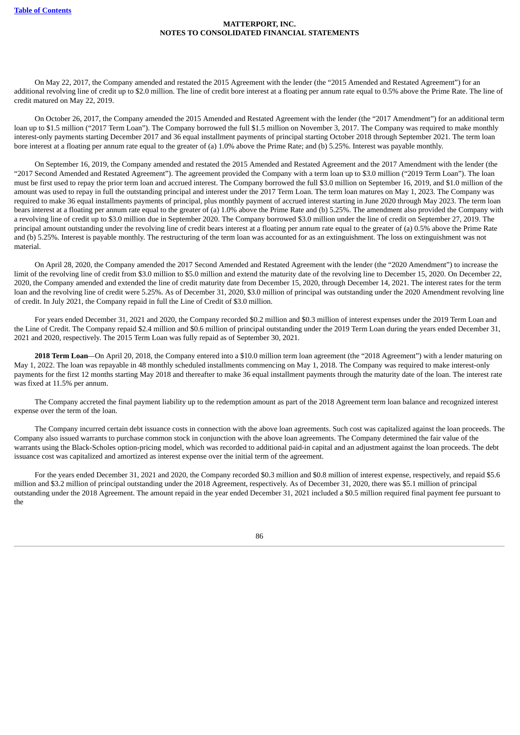On May 22, 2017, the Company amended and restated the 2015 Agreement with the lender (the "2015 Amended and Restated Agreement") for an additional revolving line of credit up to \$2.0 million. The line of credit bore interest at a floating per annum rate equal to 0.5% above the Prime Rate. The line of credit matured on May 22, 2019.

On October 26, 2017, the Company amended the 2015 Amended and Restated Agreement with the lender (the "2017 Amendment") for an additional term loan up to \$1.5 million ("2017 Term Loan"). The Company borrowed the full \$1.5 million on November 3, 2017. The Company was required to make monthly interest-only payments starting December 2017 and 36 equal installment payments of principal starting October 2018 through September 2021. The term loan bore interest at a floating per annum rate equal to the greater of (a) 1.0% above the Prime Rate; and (b) 5.25%. Interest was payable monthly.

On September 16, 2019, the Company amended and restated the 2015 Amended and Restated Agreement and the 2017 Amendment with the lender (the "2017 Second Amended and Restated Agreement"). The agreement provided the Company with a term loan up to \$3.0 million ("2019 Term Loan"). The loan must be first used to repay the prior term loan and accrued interest. The Company borrowed the full \$3.0 million on September 16, 2019, and \$1.0 million of the amount was used to repay in full the outstanding principal and interest under the 2017 Term Loan. The term loan matures on May 1, 2023. The Company was required to make 36 equal installments payments of principal, plus monthly payment of accrued interest starting in June 2020 through May 2023. The term loan bears interest at a floating per annum rate equal to the greater of (a) 1.0% above the Prime Rate and (b) 5.25%. The amendment also provided the Company with a revolving line of credit up to \$3.0 million due in September 2020. The Company borrowed \$3.0 million under the line of credit on September 27, 2019. The principal amount outstanding under the revolving line of credit bears interest at a floating per annum rate equal to the greater of (a) 0.5% above the Prime Rate and (b) 5.25%. Interest is payable monthly. The restructuring of the term loan was accounted for as an extinguishment. The loss on extinguishment was not material.

On April 28, 2020, the Company amended the 2017 Second Amended and Restated Agreement with the lender (the "2020 Amendment") to increase the limit of the revolving line of credit from \$3.0 million to \$5.0 million and extend the maturity date of the revolving line to December 15, 2020. On December 22, 2020, the Company amended and extended the line of credit maturity date from December 15, 2020, through December 14, 2021. The interest rates for the term loan and the revolving line of credit were 5.25%. As of December 31, 2020, \$3.0 million of principal was outstanding under the 2020 Amendment revolving line of credit. In July 2021, the Company repaid in full the Line of Credit of \$3.0 million.

For years ended December 31, 2021 and 2020, the Company recorded \$0.2 million and \$0.3 million of interest expenses under the 2019 Term Loan and the Line of Credit. The Company repaid \$2.4 million and \$0.6 million of principal outstanding under the 2019 Term Loan during the years ended December 31, 2021 and 2020, respectively. The 2015 Term Loan was fully repaid as of September 30, 2021.

**2018 Term Loan***—*On April 20, 2018, the Company entered into a \$10.0 million term loan agreement (the "2018 Agreement") with a lender maturing on May 1, 2022. The loan was repayable in 48 monthly scheduled installments commencing on May 1, 2018. The Company was required to make interest-only payments for the first 12 months starting May 2018 and thereafter to make 36 equal installment payments through the maturity date of the loan. The interest rate was fixed at 11.5% per annum.

The Company accreted the final payment liability up to the redemption amount as part of the 2018 Agreement term loan balance and recognized interest expense over the term of the loan.

The Company incurred certain debt issuance costs in connection with the above loan agreements. Such cost was capitalized against the loan proceeds. The Company also issued warrants to purchase common stock in conjunction with the above loan agreements. The Company determined the fair value of the warrants using the Black-Scholes option-pricing model, which was recorded to additional paid-in capital and an adjustment against the loan proceeds. The debt issuance cost was capitalized and amortized as interest expense over the initial term of the agreement.

For the years ended December 31, 2021 and 2020, the Company recorded \$0.3 million and \$0.8 million of interest expense, respectively, and repaid \$5.6 million and \$3.2 million of principal outstanding under the 2018 Agreement, respectively. As of December 31, 2020, there was \$5.1 million of principal outstanding under the 2018 Agreement. The amount repaid in the year ended December 31, 2021 included a \$0.5 million required final payment fee pursuant to the

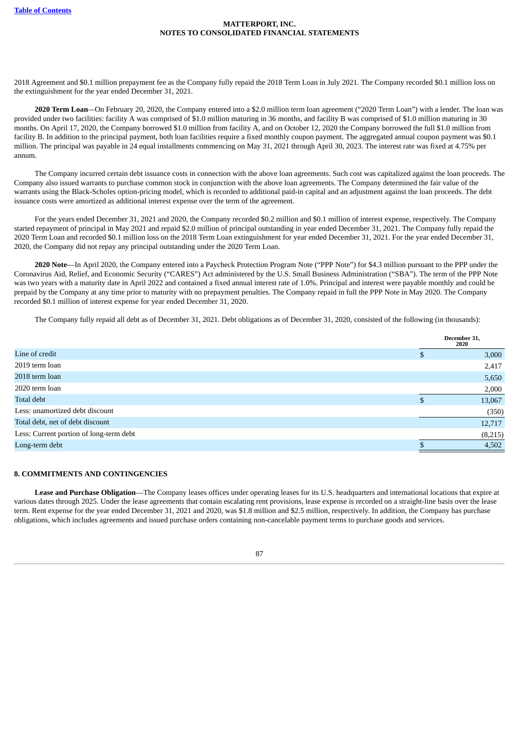2018 Agreement and \$0.1 million prepayment fee as the Company fully repaid the 2018 Term Loan in July 2021. The Company recorded \$0.1 million loss on the extinguishment for the year ended December 31, 2021.

**2020 Term Loan***—*On February 20, 2020, the Company entered into a \$2.0 million term loan agreement ("2020 Term Loan") with a lender. The loan was provided under two facilities: facility A was comprised of \$1.0 million maturing in 36 months, and facility B was comprised of \$1.0 million maturing in 30 months. On April 17, 2020, the Company borrowed \$1.0 million from facility A, and on October 12, 2020 the Company borrowed the full \$1.0 million from facility B. In addition to the principal payment, both loan facilities require a fixed monthly coupon payment. The aggregated annual coupon payment was \$0.1 million. The principal was payable in 24 equal installments commencing on May 31, 2021 through April 30, 2023. The interest rate was fixed at 4.75% per annum.

The Company incurred certain debt issuance costs in connection with the above loan agreements. Such cost was capitalized against the loan proceeds. The Company also issued warrants to purchase common stock in conjunction with the above loan agreements. The Company determined the fair value of the warrants using the Black-Scholes option-pricing model, which is recorded to additional paid-in capital and an adjustment against the loan proceeds. The debt issuance costs were amortized as additional interest expense over the term of the agreement.

For the years ended December 31, 2021 and 2020, the Company recorded \$0.2 million and \$0.1 million of interest expense, respectively. The Company started repayment of principal in May 2021 and repaid \$2.0 million of principal outstanding in year ended December 31, 2021. The Company fully repaid the 2020 Term Loan and recorded \$0.1 million loss on the 2018 Term Loan extinguishment for year ended December 31, 2021. For the year ended December 31, 2020, the Company did not repay any principal outstanding under the 2020 Term Loan.

**2020 Note**—In April 2020, the Company entered into a Paycheck Protection Program Note ("PPP Note") for \$4.3 million pursuant to the PPP under the Coronavirus Aid, Relief, and Economic Security ("CARES") Act administered by the U.S. Small Business Administration ("SBA"). The term of the PPP Note was two years with a maturity date in April 2022 and contained a fixed annual interest rate of 1.0%. Principal and interest were payable monthly and could be prepaid by the Company at any time prior to maturity with no prepayment penalties. The Company repaid in full the PPP Note in May 2020. The Company recorded \$0.1 million of interest expense for year ended December 31, 2020.

The Company fully repaid all debt as of December 31, 2021. Debt obligations as of December 31, 2020, consisted of the following (in thousands):

|                                         | December 31,<br>2020 |
|-----------------------------------------|----------------------|
| Line of credit                          | 3,000                |
| 2019 term loan                          | 2,417                |
| 2018 term loan                          | 5,650                |
| 2020 term loan                          | 2,000                |
| Total debt                              | 13,067               |
| Less: unamortized debt discount         | (350)                |
| Total debt, net of debt discount        | 12,717               |
| Less: Current portion of long-term debt | (8,215)              |
| Long-term debt                          | 4,502                |

# **8. COMMITMENTS AND CONTINGENCIES**

**Lease and Purchase Obligation**—The Company leases offices under operating leases for its U.S. headquarters and international locations that expire at various dates through 2025. Under the lease agreements that contain escalating rent provisions, lease expense is recorded on a straight-line basis over the lease term. Rent expense for the year ended December 31, 2021 and 2020, was \$1.8 million and \$2.5 million, respectively. In addition, the Company has purchase obligations, which includes agreements and issued purchase orders containing non-cancelable payment terms to purchase goods and services.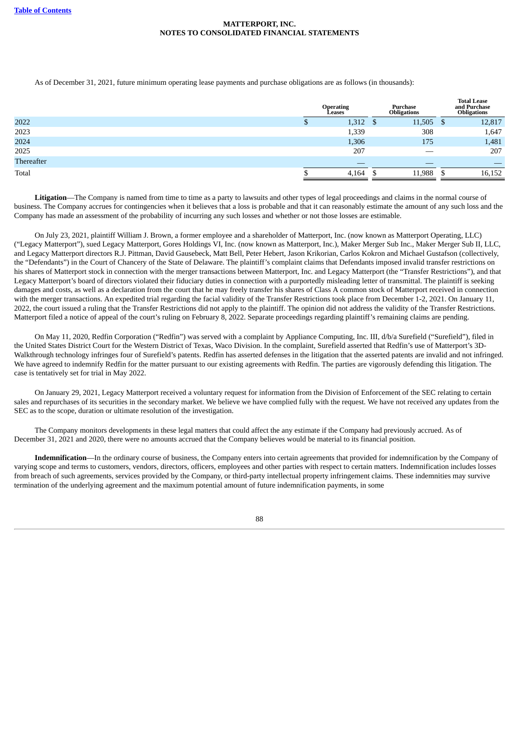### As of December 31, 2021, future minimum operating lease payments and purchase obligations are as follows (in thousands):

|            |   | <b>Operating</b><br>Leases | Purchase<br><b>Obligations</b> |    | <b>Total Lease</b><br>and Purchase<br><b>Obligations</b> |
|------------|---|----------------------------|--------------------------------|----|----------------------------------------------------------|
| 2022       | Ψ | 1,312                      | 11,505                         | -S | 12,817                                                   |
| 2023       |   | 1,339                      | 308                            |    | 1,647                                                    |
| 2024       |   | 1,306                      | 175                            |    | 1,481                                                    |
| 2025       |   | 207                        |                                |    | 207                                                      |
| Thereafter |   |                            |                                |    |                                                          |
| Total      |   | 4,164                      | 11,988                         | ъ  | 16,152                                                   |

**Litigation**—The Company is named from time to time as a party to lawsuits and other types of legal proceedings and claims in the normal course of business. The Company accrues for contingencies when it believes that a loss is probable and that it can reasonably estimate the amount of any such loss and the Company has made an assessment of the probability of incurring any such losses and whether or not those losses are estimable.

On July 23, 2021, plaintiff William J. Brown, a former employee and a shareholder of Matterport, Inc. (now known as Matterport Operating, LLC) ("Legacy Matterport"), sued Legacy Matterport, Gores Holdings VI, Inc. (now known as Matterport, Inc.), Maker Merger Sub Inc., Maker Merger Sub II, LLC, and Legacy Matterport directors R.J. Pittman, David Gausebeck, Matt Bell, Peter Hebert, Jason Krikorian, Carlos Kokron and Michael Gustafson (collectively, the "Defendants") in the Court of Chancery of the State of Delaware. The plaintiff's complaint claims that Defendants imposed invalid transfer restrictions on his shares of Matterport stock in connection with the merger transactions between Matterport, Inc. and Legacy Matterport (the "Transfer Restrictions"), and that Legacy Matterport's board of directors violated their fiduciary duties in connection with a purportedly misleading letter of transmittal. The plaintiff is seeking damages and costs, as well as a declaration from the court that he may freely transfer his shares of Class A common stock of Matterport received in connection with the merger transactions. An expedited trial regarding the facial validity of the Transfer Restrictions took place from December 1-2, 2021. On January 11, 2022, the court issued a ruling that the Transfer Restrictions did not apply to the plaintiff. The opinion did not address the validity of the Transfer Restrictions. Matterport filed a notice of appeal of the court's ruling on February 8, 2022. Separate proceedings regarding plaintiff's remaining claims are pending.

On May 11, 2020, Redfin Corporation ("Redfin") was served with a complaint by Appliance Computing, Inc. III, d/b/a Surefield ("Surefield"), filed in the United States District Court for the Western District of Texas, Waco Division. In the complaint, Surefield asserted that Redfin's use of Matterport's 3D-Walkthrough technology infringes four of Surefield's patents. Redfin has asserted defenses in the litigation that the asserted patents are invalid and not infringed. We have agreed to indemnify Redfin for the matter pursuant to our existing agreements with Redfin. The parties are vigorously defending this litigation. The case is tentatively set for trial in May 2022.

On January 29, 2021, Legacy Matterport received a voluntary request for information from the Division of Enforcement of the SEC relating to certain sales and repurchases of its securities in the secondary market. We believe we have complied fully with the request. We have not received any updates from the SEC as to the scope, duration or ultimate resolution of the investigation.

The Company monitors developments in these legal matters that could affect the any estimate if the Company had previously accrued. As of December 31, 2021 and 2020, there were no amounts accrued that the Company believes would be material to its financial position.

**Indemnification**—In the ordinary course of business, the Company enters into certain agreements that provided for indemnification by the Company of varying scope and terms to customers, vendors, directors, officers, employees and other parties with respect to certain matters. Indemnification includes losses from breach of such agreements, services provided by the Company, or third-party intellectual property infringement claims. These indemnities may survive termination of the underlying agreement and the maximum potential amount of future indemnification payments, in some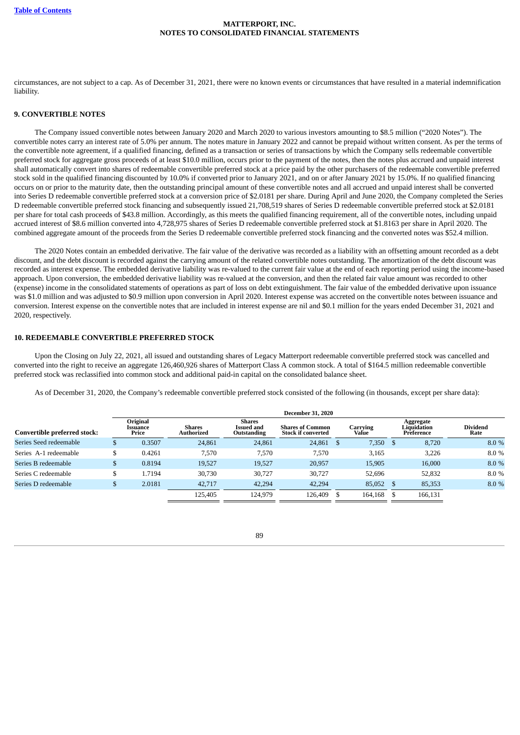circumstances, are not subject to a cap. As of December 31, 2021, there were no known events or circumstances that have resulted in a material indemnification liability.

# **9. CONVERTIBLE NOTES**

The Company issued convertible notes between January 2020 and March 2020 to various investors amounting to \$8.5 million ("2020 Notes"). The convertible notes carry an interest rate of 5.0% per annum. The notes mature in January 2022 and cannot be prepaid without written consent. As per the terms of the convertible note agreement, if a qualified financing, defined as a transaction or series of transactions by which the Company sells redeemable convertible preferred stock for aggregate gross proceeds of at least \$10.0 million, occurs prior to the payment of the notes, then the notes plus accrued and unpaid interest shall automatically convert into shares of redeemable convertible preferred stock at a price paid by the other purchasers of the redeemable convertible preferred stock sold in the qualified financing discounted by 10.0% if converted prior to January 2021, and on or after January 2021 by 15.0%. If no qualified financing occurs on or prior to the maturity date, then the outstanding principal amount of these convertible notes and all accrued and unpaid interest shall be converted into Series D redeemable convertible preferred stock at a conversion price of \$2.0181 per share. During April and June 2020, the Company completed the Series D redeemable convertible preferred stock financing and subsequently issued 21,708,519 shares of Series D redeemable convertible preferred stock at \$2.0181 per share for total cash proceeds of \$43.8 million. Accordingly, as this meets the qualified financing requirement, all of the convertible notes, including unpaid accrued interest of \$8.6 million converted into 4,728,975 shares of Series D redeemable convertible preferred stock at \$1.8163 per share in April 2020. The combined aggregate amount of the proceeds from the Series D redeemable convertible preferred stock financing and the converted notes was \$52.4 million.

The 2020 Notes contain an embedded derivative. The fair value of the derivative was recorded as a liability with an offsetting amount recorded as a debt discount, and the debt discount is recorded against the carrying amount of the related convertible notes outstanding. The amortization of the debt discount was recorded as interest expense. The embedded derivative liability was re-valued to the current fair value at the end of each reporting period using the income-based approach. Upon conversion, the embedded derivative liability was re-valued at the conversion, and then the related fair value amount was recorded to other (expense) income in the consolidated statements of operations as part of loss on debt extinguishment. The fair value of the embedded derivative upon issuance was \$1.0 million and was adjusted to \$0.9 million upon conversion in April 2020. Interest expense was accreted on the convertible notes between issuance and conversion. Interest expense on the convertible notes that are included in interest expense are nil and \$0.1 million for the years ended December 31, 2021 and 2020, respectively.

### **10. REDEEMABLE CONVERTIBLE PREFERRED STOCK**

Upon the Closing on July 22, 2021, all issued and outstanding shares of Legacy Matterport redeemable convertible preferred stock was cancelled and converted into the right to receive an aggregate 126,460,926 shares of Matterport Class A common stock. A total of \$164.5 million redeemable convertible preferred stock was reclassified into common stock and additional paid-in capital on the consolidated balance sheet.

As of December 31, 2020, the Company's redeemable convertible preferred stock consisted of the following (in thousands, except per share data):

|                              |    | <b>December 31, 2020</b>      |                             |                                                   |                                                      |  |                   |  |                                        |                         |
|------------------------------|----|-------------------------------|-----------------------------|---------------------------------------------------|------------------------------------------------------|--|-------------------|--|----------------------------------------|-------------------------|
| Convertible preferred stock: |    | Original<br>Issuance<br>Price | <b>Shares</b><br>Authorized | <b>Shares</b><br><b>Issued and</b><br>Outstanding | <b>Shares of Common</b><br><b>Stock if converted</b> |  | Carrying<br>Value |  | Aggregate<br>Liquidation<br>Preference | <b>Dividend</b><br>Rate |
| Series Seed redeemable       | D  | 0.3507                        | 24.861                      | 24.861                                            | 24,861                                               |  | 7,350             |  | 8,720                                  | 8.0%                    |
| Series A-1 redeemable        | Æ  | 0.4261                        | 7,570                       | 7,570                                             | 7,570                                                |  | 3.165             |  | 3,226                                  | 8.0%                    |
| Series B redeemable          | Ъ. | 0.8194                        | 19.527                      | 19.527                                            | 20.957                                               |  | 15.905            |  | 16.000                                 | 8.0 %                   |
| Series C redeemable          |    | 1.7194                        | 30,730                      | 30.727                                            | 30,727                                               |  | 52.696            |  | 52,832                                 | 8.0%                    |
| Series D redeemable          |    | 2.0181                        | 42,717                      | 42,294                                            | 42,294                                               |  | 85,052            |  | 85,353                                 | 8.0 %                   |
|                              |    |                               | 125.405                     | 124,979                                           | 126,409                                              |  | 164.168           |  | 166,131                                |                         |

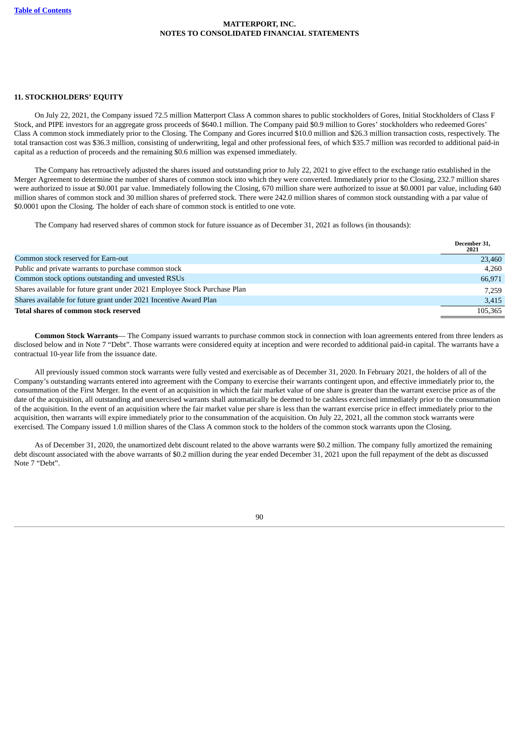### **11. STOCKHOLDERS' EQUITY**

On July 22, 2021, the Company issued 72.5 million Matterport Class A common shares to public stockholders of Gores, Initial Stockholders of Class F Stock, and PIPE investors for an aggregate gross proceeds of \$640.1 million. The Company paid \$0.9 million to Gores' stockholders who redeemed Gores' Class A common stock immediately prior to the Closing. The Company and Gores incurred \$10.0 million and \$26.3 million transaction costs, respectively. The total transaction cost was \$36.3 million, consisting of underwriting, legal and other professional fees, of which \$35.7 million was recorded to additional paid-in capital as a reduction of proceeds and the remaining \$0.6 million was expensed immediately.

The Company has retroactively adjusted the shares issued and outstanding prior to July 22, 2021 to give effect to the exchange ratio established in the Merger Agreement to determine the number of shares of common stock into which they were converted. Immediately prior to the Closing, 232.7 million shares were authorized to issue at \$0.001 par value. Immediately following the Closing, 670 million share were authorized to issue at \$0.0001 par value, including 640 million shares of common stock and 30 million shares of preferred stock. There were 242.0 million shares of common stock outstanding with a par value of \$0.0001 upon the Closing. The holder of each share of common stock is entitled to one vote.

The Company had reserved shares of common stock for future issuance as of December 31, 2021 as follows (in thousands):

|                                                                           | December 31,<br>2021 |
|---------------------------------------------------------------------------|----------------------|
| Common stock reserved for Earn-out                                        | 23,460               |
| Public and private warrants to purchase common stock                      | 4.260                |
| Common stock options outstanding and unvested RSUs                        | 66,971               |
| Shares available for future grant under 2021 Employee Stock Purchase Plan | 7.259                |
| Shares available for future grant under 2021 Incentive Award Plan         | 3,415                |
| Total shares of common stock reserved                                     | 105,365              |

**Common Stock Warrants**— The Company issued warrants to purchase common stock in connection with loan agreements entered from three lenders as disclosed below and in Note 7 "Debt". Those warrants were considered equity at inception and were recorded to additional paid-in capital. The warrants have a contractual 10-year life from the issuance date.

All previously issued common stock warrants were fully vested and exercisable as of December 31, 2020. In February 2021, the holders of all of the Company's outstanding warrants entered into agreement with the Company to exercise their warrants contingent upon, and effective immediately prior to, the consummation of the First Merger. In the event of an acquisition in which the fair market value of one share is greater than the warrant exercise price as of the date of the acquisition, all outstanding and unexercised warrants shall automatically be deemed to be cashless exercised immediately prior to the consummation of the acquisition. In the event of an acquisition where the fair market value per share is less than the warrant exercise price in effect immediately prior to the acquisition, then warrants will expire immediately prior to the consummation of the acquisition. On July 22, 2021, all the common stock warrants were exercised. The Company issued 1.0 million shares of the Class A common stock to the holders of the common stock warrants upon the Closing.

As of December 31, 2020, the unamortized debt discount related to the above warrants were \$0.2 million. The company fully amortized the remaining debt discount associated with the above warrants of \$0.2 million during the year ended December 31, 2021 upon the full repayment of the debt as discussed Note 7 "Debt".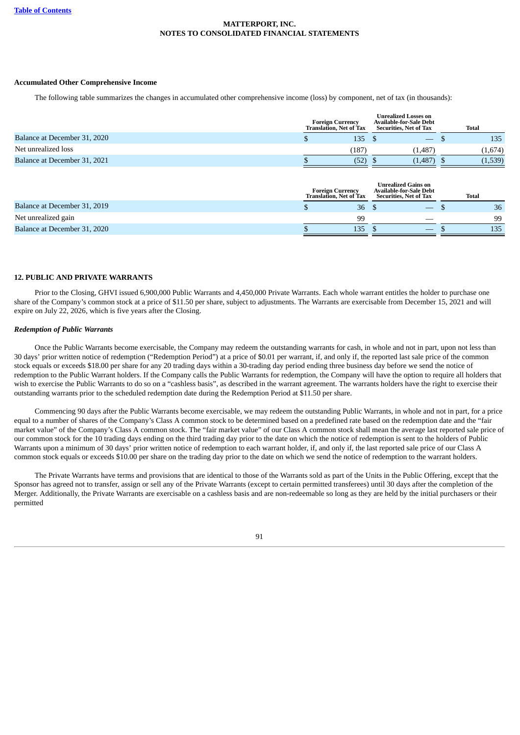### **Accumulated Other Comprehensive Income**

The following table summarizes the changes in accumulated other comprehensive income (loss) by component, net of tax (in thousands):

|                              | <b>Foreign Currency</b><br><b>Translation. Net of Tax</b> | Unrealized Losses on<br>Available-for-Sale Debt<br><b>Securities. Net of Tax</b> | <b>Total</b> |
|------------------------------|-----------------------------------------------------------|----------------------------------------------------------------------------------|--------------|
| Balance at December 31, 2020 | 135<br>ъ                                                  |                                                                                  | 135          |
| Net unrealized loss          | $^{\prime}187$                                            | (1.487)                                                                          | (1,674)      |
| Balance at December 31, 2021 | (52)<br>υО                                                | (1,487)                                                                          | (1,539)      |

|                              | <b>Foreign Currency</b><br><b>Translation. Net of Tax</b> | Unrealized Gains on<br>Available-for-Sale Debt<br>Securities. Net of Tax | <b>Total</b> |
|------------------------------|-----------------------------------------------------------|--------------------------------------------------------------------------|--------------|
| Balance at December 31, 2019 | 36                                                        |                                                                          | 36           |
| Net unrealized gain          | 99                                                        |                                                                          | 99           |
| Balance at December 31, 2020 | 135                                                       | $-$                                                                      | 135          |
|                              |                                                           |                                                                          |              |

### **12. PUBLIC AND PRIVATE WARRANTS**

Prior to the Closing, GHVI issued 6,900,000 Public Warrants and 4,450,000 Private Warrants. Each whole warrant entitles the holder to purchase one share of the Company's common stock at a price of \$11.50 per share, subject to adjustments. The Warrants are exercisable from December 15, 2021 and will expire on July 22, 2026, which is five years after the Closing.

# *Redemption of Public Warrants*

Once the Public Warrants become exercisable, the Company may redeem the outstanding warrants for cash, in whole and not in part, upon not less than 30 days' prior written notice of redemption ("Redemption Period") at a price of \$0.01 per warrant, if, and only if, the reported last sale price of the common stock equals or exceeds \$18.00 per share for any 20 trading days within a 30-trading day period ending three business day before we send the notice of redemption to the Public Warrant holders. If the Company calls the Public Warrants for redemption, the Company will have the option to require all holders that wish to exercise the Public Warrants to do so on a "cashless basis", as described in the warrant agreement. The warrants holders have the right to exercise their outstanding warrants prior to the scheduled redemption date during the Redemption Period at \$11.50 per share.

Commencing 90 days after the Public Warrants become exercisable, we may redeem the outstanding Public Warrants, in whole and not in part, for a price equal to a number of shares of the Company's Class A common stock to be determined based on a predefined rate based on the redemption date and the "fair market value" of the Company's Class A common stock. The "fair market value" of our Class A common stock shall mean the average last reported sale price of our common stock for the 10 trading days ending on the third trading day prior to the date on which the notice of redemption is sent to the holders of Public Warrants upon a minimum of 30 days' prior written notice of redemption to each warrant holder, if, and only if, the last reported sale price of our Class A common stock equals or exceeds \$10.00 per share on the trading day prior to the date on which we send the notice of redemption to the warrant holders.

The Private Warrants have terms and provisions that are identical to those of the Warrants sold as part of the Units in the Public Offering, except that the Sponsor has agreed not to transfer, assign or sell any of the Private Warrants (except to certain permitted transferees) until 30 days after the completion of the Merger. Additionally, the Private Warrants are exercisable on a cashless basis and are non-redeemable so long as they are held by the initial purchasers or their permitted

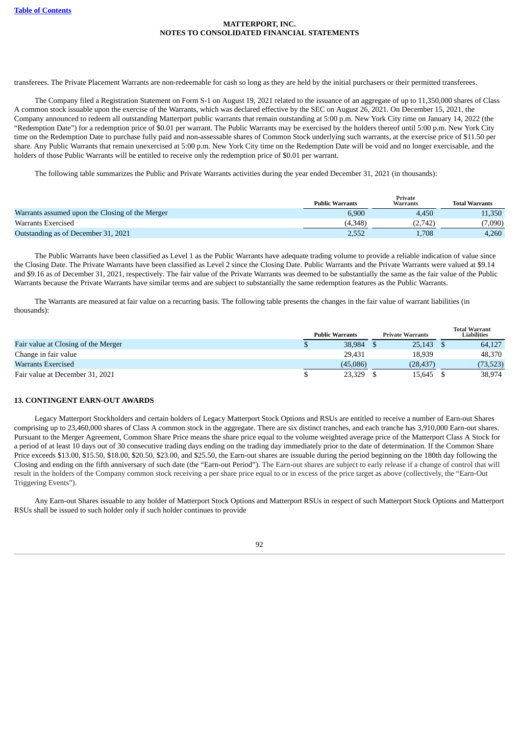transferees. The Private Placement Warrants are non-redeemable for cash so long as they are held by the initial purchasers or their permitted transferees.

The Company filed a Registration Statement on Form S-1 on August 19, 2021 related to the issuance of an aggregate of up to 11,350,000 shares of Class A common stock issuable upon the exercise of the Warrants, which was declared effective by the SEC on August 26, 2021. On December 15, 2021, the Company announced to redeem all outstanding Matterport public warrants that remain outstanding at 5:00 p.m. New York City time on January 14, 2022 (the "Redemption Date") for a redemption price of \$0.01 per warrant. The Public Warrants may be exercised by the holders thereof until 5:00 p.m. New York City time on the Redemption Date to purchase fully paid and non-assessable shares of Common Stock underlying such warrants, at the exercise price of \$11.50 per share. Any Public Warrants that remain unexercised at 5:00 p.m. New York City time on the Redemption Date will be void and no longer exercisable, and the holders of those Public Warrants will be entitled to receive only the redemption price of \$0.01 per warrant.

The following table summarizes the Public and Private Warrants activities during the year ended December 31, 2021 (in thousands):

|                                                 | Private                |                 |                       |
|-------------------------------------------------|------------------------|-----------------|-----------------------|
|                                                 | <b>Public Warrants</b> | <b>Warrants</b> | <b>Total Warrants</b> |
| Warrants assumed upon the Closing of the Merger | 6.900                  | 4.450           | 11,350                |
| Warrants Exercised                              | (4.348)                | (2,742)         | (7,090)               |
| Outstanding as of December 31, 2021             | 2,552                  | 1,708           | 4,260                 |

The Public Warrants have been classified as Level 1 as the Public Warrants have adequate trading volume to provide a reliable indication of value since the Closing Date. The Private Warrants have been classified as Level 2 since the Closing Date. Public Warrants and the Private Warrants were valued at \$9.14 and \$9.16 as of December 31, 2021, respectively. The fair value of the Private Warrants was deemed to be substantially the same as the fair value of the Public Warrants because the Private Warrants have similar terms and are subject to substantially the same redemption features as the Public Warrants.

The Warrants are measured at fair value on a recurring basis. The following table presents the changes in the fair value of warrant liabilities (in thousands):

|                                          | <b>Public Warrants</b> | <b>Private Warrants</b> | <b>Total Warrant</b><br>Liabilities |
|------------------------------------------|------------------------|-------------------------|-------------------------------------|
| Fair value at Closing of the Merger<br>Ф | 38.984                 | 25.143                  | 64,127                              |
| Change in fair value                     | 29.431                 | 18.939                  | 48.370                              |
| Warrants Exercised                       | (45,086)               | (28, 437)               | (73, 523)                           |
| Fair value at December 31, 2021          | 23.329                 | 15.645                  | 38,974                              |

### **13. CONTINGENT EARN-OUT AWARDS**

Legacy Matterport Stockholders and certain holders of Legacy Matterport Stock Options and RSUs are entitled to receive a number of Earn-out Shares comprising up to 23,460,000 shares of Class A common stock in the aggregate. There are six distinct tranches, and each tranche has 3,910,000 Earn-out shares. Pursuant to the Merger Agreement, Common Share Price means the share price equal to the volume weighted average price of the Matterport Class A Stock for a period of at least 10 days out of 30 consecutive trading days ending on the trading day immediately prior to the date of determination. If the Common Share Price exceeds \$13.00, \$15.50, \$18.00, \$20.50, \$23.00, and \$25.50, the Earn-out shares are issuable during the period beginning on the 180th day following the Closing and ending on the fifth anniversary of such date (the "Earn-out Period"). The Earn-out shares are subject to early release if a change of control that will result in the holders of the Company common stock receiving a per share price equal to or in excess of the price target as above (collectively, the "Earn-Out Triggering Events").

Any Earn-out Shares issuable to any holder of Matterport Stock Options and Matterport RSUs in respect of such Matterport Stock Options and Matterport RSUs shall be issued to such holder only if such holder continues to provide

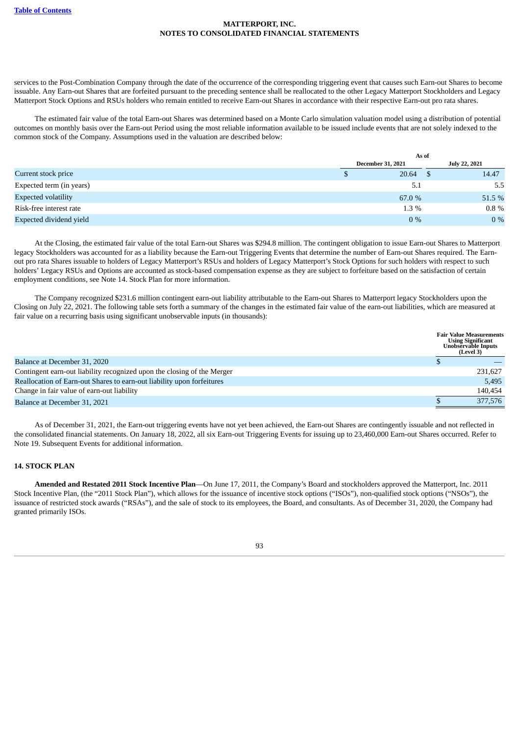services to the Post-Combination Company through the date of the occurrence of the corresponding triggering event that causes such Earn-out Shares to become issuable. Any Earn-out Shares that are forfeited pursuant to the preceding sentence shall be reallocated to the other Legacy Matterport Stockholders and Legacy Matterport Stock Options and RSUs holders who remain entitled to receive Earn-out Shares in accordance with their respective Earn-out pro rata shares.

The estimated fair value of the total Earn-out Shares was determined based on a Monte Carlo simulation valuation model using a distribution of potential outcomes on monthly basis over the Earn-out Period using the most reliable information available to be issued include events that are not solely indexed to the common stock of the Company. Assumptions used in the valuation are described below:

|                            | As of |                          |  |                      |  |
|----------------------------|-------|--------------------------|--|----------------------|--|
|                            |       | <b>December 31, 2021</b> |  | <b>July 22, 2021</b> |  |
| Current stock price        | ზ     | 20.64                    |  | 14.47                |  |
| Expected term (in years)   |       | 5.1                      |  | 5.5                  |  |
| <b>Expected volatility</b> |       | 67.0 %                   |  | 51.5 %               |  |
| Risk-free interest rate    |       | $1.3\%$                  |  | $0.8\%$              |  |
| Expected dividend yield    |       | $0\%$                    |  | $0\%$                |  |

At the Closing, the estimated fair value of the total Earn-out Shares was \$294.8 million. The contingent obligation to issue Earn-out Shares to Matterport legacy Stockholders was accounted for as a liability because the Earn-out Triggering Events that determine the number of Earn-out Shares required. The Earnout pro rata Shares issuable to holders of Legacy Matterport's RSUs and holders of Legacy Matterport's Stock Options for such holders with respect to such holders' Legacy RSUs and Options are accounted as stock-based compensation expense as they are subject to forfeiture based on the satisfaction of certain employment conditions, see Note 14. Stock Plan for more information.

The Company recognized \$231.6 million contingent earn-out liability attributable to the Earn-out Shares to Matterport legacy Stockholders upon the Closing on July 22, 2021. The following table sets forth a summary of the changes in the estimated fair value of the earn-out liabilities, which are measured at fair value on a recurring basis using significant unobservable inputs (in thousands):

|                                                                         | <b>Fair Value Measurements</b><br><b>Using Significant</b><br><b>Unobservable Inputs</b><br>(Level 3) |
|-------------------------------------------------------------------------|-------------------------------------------------------------------------------------------------------|
| Balance at December 31, 2020                                            |                                                                                                       |
| Contingent earn-out liability recognized upon the closing of the Merger | 231,627                                                                                               |
| Reallocation of Earn-out Shares to earn-out liability upon forfeitures  | 5,495                                                                                                 |
| Change in fair value of earn-out liability                              | 140.454                                                                                               |
| Balance at December 31, 2021                                            | 377,576                                                                                               |

As of December 31, 2021, the Earn-out triggering events have not yet been achieved, the Earn-out Shares are contingently issuable and not reflected in the consolidated financial statements. On January 18, 2022, all six Earn-out Triggering Events for issuing up to 23,460,000 Earn-out Shares occurred. Refer to Note 19. Subsequent Events for additional information.

### **14. STOCK PLAN**

**Amended and Restated 2011 Stock Incentive Plan**—On June 17, 2011, the Company's Board and stockholders approved the Matterport, Inc. 2011 Stock Incentive Plan, (the "2011 Stock Plan"), which allows for the issuance of incentive stock options ("ISOs"), non-qualified stock options ("NSOs"), the issuance of restricted stock awards ("RSAs"), and the sale of stock to its employees, the Board, and consultants. As of December 31, 2020, the Company had granted primarily ISOs.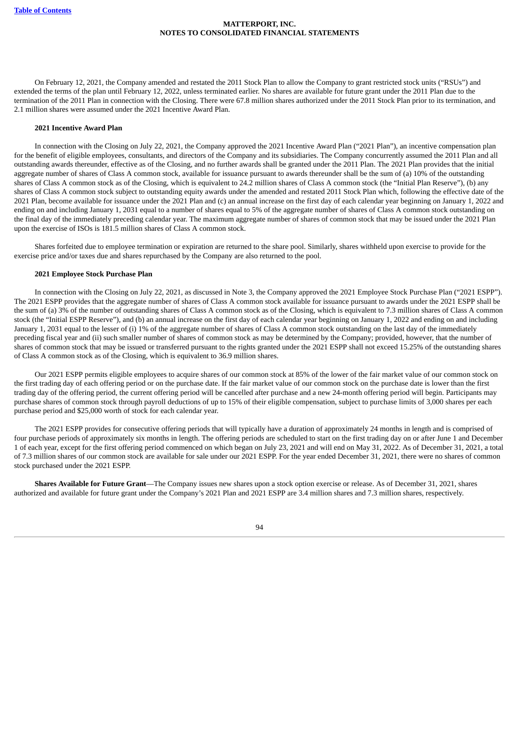On February 12, 2021, the Company amended and restated the 2011 Stock Plan to allow the Company to grant restricted stock units ("RSUs") and extended the terms of the plan until February 12, 2022, unless terminated earlier. No shares are available for future grant under the 2011 Plan due to the termination of the 2011 Plan in connection with the Closing. There were 67.8 million shares authorized under the 2011 Stock Plan prior to its termination, and 2.1 million shares were assumed under the 2021 Incentive Award Plan.

### **2021 Incentive Award Plan**

In connection with the Closing on July 22, 2021, the Company approved the 2021 Incentive Award Plan ("2021 Plan"), an incentive compensation plan for the benefit of eligible employees, consultants, and directors of the Company and its subsidiaries. The Company concurrently assumed the 2011 Plan and all outstanding awards thereunder, effective as of the Closing, and no further awards shall be granted under the 2011 Plan. The 2021 Plan provides that the initial aggregate number of shares of Class A common stock, available for issuance pursuant to awards thereunder shall be the sum of (a) 10% of the outstanding shares of Class A common stock as of the Closing, which is equivalent to 24.2 million shares of Class A common stock (the "Initial Plan Reserve"), (b) any shares of Class A common stock subject to outstanding equity awards under the amended and restated 2011 Stock Plan which, following the effective date of the 2021 Plan, become available for issuance under the 2021 Plan and (c) an annual increase on the first day of each calendar year beginning on January 1, 2022 and ending on and including January 1, 2031 equal to a number of shares equal to 5% of the aggregate number of shares of Class A common stock outstanding on the final day of the immediately preceding calendar year. The maximum aggregate number of shares of common stock that may be issued under the 2021 Plan upon the exercise of ISOs is 181.5 million shares of Class A common stock.

Shares forfeited due to employee termination or expiration are returned to the share pool. Similarly, shares withheld upon exercise to provide for the exercise price and/or taxes due and shares repurchased by the Company are also returned to the pool.

#### **2021 Employee Stock Purchase Plan**

In connection with the Closing on July 22, 2021, as discussed in Note 3, the Company approved the 2021 Employee Stock Purchase Plan ("2021 ESPP"). The 2021 ESPP provides that the aggregate number of shares of Class A common stock available for issuance pursuant to awards under the 2021 ESPP shall be the sum of (a) 3% of the number of outstanding shares of Class A common stock as of the Closing, which is equivalent to 7.3 million shares of Class A common stock (the "Initial ESPP Reserve"), and (b) an annual increase on the first day of each calendar year beginning on January 1, 2022 and ending on and including January 1, 2031 equal to the lesser of (i) 1% of the aggregate number of shares of Class A common stock outstanding on the last day of the immediately preceding fiscal year and (ii) such smaller number of shares of common stock as may be determined by the Company; provided, however, that the number of shares of common stock that may be issued or transferred pursuant to the rights granted under the 2021 ESPP shall not exceed 15.25% of the outstanding shares of Class A common stock as of the Closing, which is equivalent to 36.9 million shares.

Our 2021 ESPP permits eligible employees to acquire shares of our common stock at 85% of the lower of the fair market value of our common stock on the first trading day of each offering period or on the purchase date. If the fair market value of our common stock on the purchase date is lower than the first trading day of the offering period, the current offering period will be cancelled after purchase and a new 24-month offering period will begin. Participants may purchase shares of common stock through payroll deductions of up to 15% of their eligible compensation, subject to purchase limits of 3,000 shares per each purchase period and \$25,000 worth of stock for each calendar year.

The 2021 ESPP provides for consecutive offering periods that will typically have a duration of approximately 24 months in length and is comprised of four purchase periods of approximately six months in length. The offering periods are scheduled to start on the first trading day on or after June 1 and December 1 of each year, except for the first offering period commenced on which began on July 23, 2021 and will end on May 31, 2022. As of December 31, 2021, a total of 7.3 million shares of our common stock are available for sale under our 2021 ESPP. For the year ended December 31, 2021, there were no shares of common stock purchased under the 2021 ESPP.

**Shares Available for Future Grant**—The Company issues new shares upon a stock option exercise or release. As of December 31, 2021, shares authorized and available for future grant under the Company's 2021 Plan and 2021 ESPP are 3.4 million shares and 7.3 million shares, respectively.

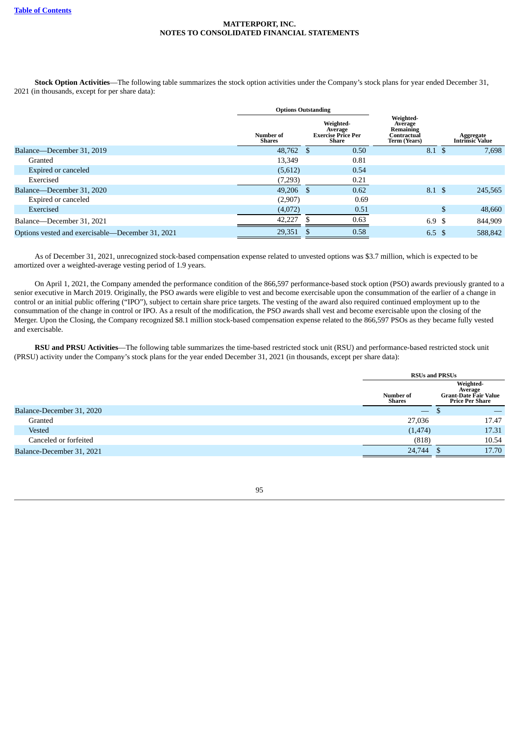**Stock Option Activities**—The following table summarizes the stock option activities under the Company's stock plans for year ended December 31, 2021 (in thousands, except for per share data):

|                                                  | <b>Options Outstanding</b> |  |                                                            |                                                                         |                              |
|--------------------------------------------------|----------------------------|--|------------------------------------------------------------|-------------------------------------------------------------------------|------------------------------|
|                                                  | Number of<br><b>Shares</b> |  | Weighted-<br>Average<br><b>Exercise Price Per</b><br>Share | Weighted-<br>Average<br>Remaining<br>Contractual<br><b>Term (Years)</b> | Aggregate<br>Intrinsic Value |
| Balance—December 31, 2019                        | 48,762 \$                  |  | 0.50                                                       | 8.1 \$                                                                  | 7,698                        |
| Granted                                          | 13,349                     |  | 0.81                                                       |                                                                         |                              |
| Expired or canceled                              | (5,612)                    |  | 0.54                                                       |                                                                         |                              |
| Exercised                                        | (7,293)                    |  | 0.21                                                       |                                                                         |                              |
| Balance—December 31, 2020                        | 49,206 \$                  |  | 0.62                                                       | 8.1 \$                                                                  | 245,565                      |
| Expired or canceled                              | (2,907)                    |  | 0.69                                                       |                                                                         |                              |
| Exercised                                        | (4,072)                    |  | 0.51                                                       |                                                                         | \$<br>48,660                 |
| Balance-December 31, 2021                        | 42,227                     |  | 0.63                                                       | 6.9 <sup>5</sup>                                                        | 844,909                      |
| Options vested and exercisable—December 31, 2021 | 29,351                     |  | 0.58                                                       | 6.5 <sup>5</sup>                                                        | 588,842                      |

As of December 31, 2021, unrecognized stock-based compensation expense related to unvested options was \$3.7 million, which is expected to be amortized over a weighted-average vesting period of 1.9 years.

On April 1, 2021, the Company amended the performance condition of the 866,597 performance-based stock option (PSO) awards previously granted to a senior executive in March 2019. Originally, the PSO awards were eligible to vest and become exercisable upon the consummation of the earlier of a change in control or an initial public offering ("IPO"), subject to certain share price targets. The vesting of the award also required continued employment up to the consummation of the change in control or IPO. As a result of the modification, the PSO awards shall vest and become exercisable upon the closing of the Merger. Upon the Closing, the Company recognized \$8.1 million stock-based compensation expense related to the 866,597 PSOs as they became fully vested and exercisable.

**RSU and PRSU Activities**—The following table summarizes the time-based restricted stock unit (RSU) and performance-based restricted stock unit (PRSU) activity under the Company's stock plans for the year ended December 31, 2021 (in thousands, except per share data):

|                           | <b>RSUs and PRSUs</b>           |                                                                                |  |  |
|---------------------------|---------------------------------|--------------------------------------------------------------------------------|--|--|
|                           | Number of<br>Shares             | Weighted-<br>Average<br><b>Grant-Date Fair Value</b><br><b>Price Per Share</b> |  |  |
| Balance-December 31, 2020 | $\hspace{0.1mm}-\hspace{0.1mm}$ | ۰D                                                                             |  |  |
| Granted                   | 27,036                          | 17.47                                                                          |  |  |
| Vested                    | (1, 474)                        | 17.31                                                                          |  |  |
| Canceled or forfeited     | (818)                           | 10.54                                                                          |  |  |
| Balance-December 31, 2021 | 24,744                          | 17.70                                                                          |  |  |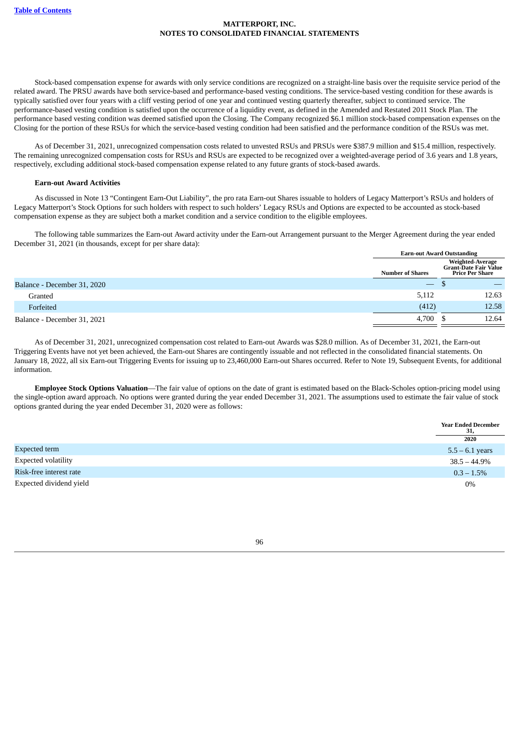Stock-based compensation expense for awards with only service conditions are recognized on a straight-line basis over the requisite service period of the related award. The PRSU awards have both service-based and performance-based vesting conditions. The service-based vesting condition for these awards is typically satisfied over four years with a cliff vesting period of one year and continued vesting quarterly thereafter, subject to continued service. The performance-based vesting condition is satisfied upon the occurrence of a liquidity event, as defined in the Amended and Restated 2011 Stock Plan. The performance based vesting condition was deemed satisfied upon the Closing. The Company recognized \$6.1 million stock-based compensation expenses on the Closing for the portion of these RSUs for which the service-based vesting condition had been satisfied and the performance condition of the RSUs was met.

As of December 31, 2021, unrecognized compensation costs related to unvested RSUs and PRSUs were \$387.9 million and \$15.4 million, respectively. The remaining unrecognized compensation costs for RSUs and RSUs are expected to be recognized over a weighted-average period of 3.6 years and 1.8 years, respectively, excluding additional stock-based compensation expense related to any future grants of stock-based awards.

#### **Earn-out Award Activities**

As discussed in Note 13 "Contingent Earn-Out Liability", the pro rata Earn-out Shares issuable to holders of Legacy Matterport's RSUs and holders of Legacy Matterport's Stock Options for such holders with respect to such holders' Legacy RSUs and Options are expected to be accounted as stock-based compensation expense as they are subject both a market condition and a service condition to the eligible employees.

The following table summarizes the Earn-out Award activity under the Earn-out Arrangement pursuant to the Merger Agreement during the year ended December 31, 2021 (in thousands, except for per share data):

|                             | <b>Earn-out Award Outstanding</b> |                                                                            |  |
|-----------------------------|-----------------------------------|----------------------------------------------------------------------------|--|
|                             | <b>Number of Shares</b>           | Weighted-Average<br><b>Grant-Date Fair Value</b><br><b>Price Per Share</b> |  |
| Balance - December 31, 2020 | — S                               |                                                                            |  |
| Granted                     | 5,112                             | 12.63                                                                      |  |
| Forfeited                   | (412)                             | 12.58                                                                      |  |
| Balance - December 31, 2021 | 4,700                             | 12.64                                                                      |  |

As of December 31, 2021, unrecognized compensation cost related to Earn-out Awards was \$28.0 million. As of December 31, 2021, the Earn-out Triggering Events have not yet been achieved, the Earn-out Shares are contingently issuable and not reflected in the consolidated financial statements. On January 18, 2022, all six Earn-out Triggering Events for issuing up to 23,460,000 Earn-out Shares occurred. Refer to Note 19, Subsequent Events, for additional information.

**Employee Stock Options Valuation**—The fair value of options on the date of grant is estimated based on the Black-Scholes option-pricing model using the single-option award approach. No options were granted during the year ended December 31, 2021. The assumptions used to estimate the fair value of stock options granted during the year ended December 31, 2020 were as follows:

|                         | <b>Year Ended December</b><br>31, |  |
|-------------------------|-----------------------------------|--|
|                         | 2020                              |  |
| Expected term           | $5.5 - 6.1$ years                 |  |
| Expected volatility     | $38.5 - 44.9\%$                   |  |
| Risk-free interest rate | $0.3 - 1.5\%$                     |  |
| Expected dividend yield | 0%                                |  |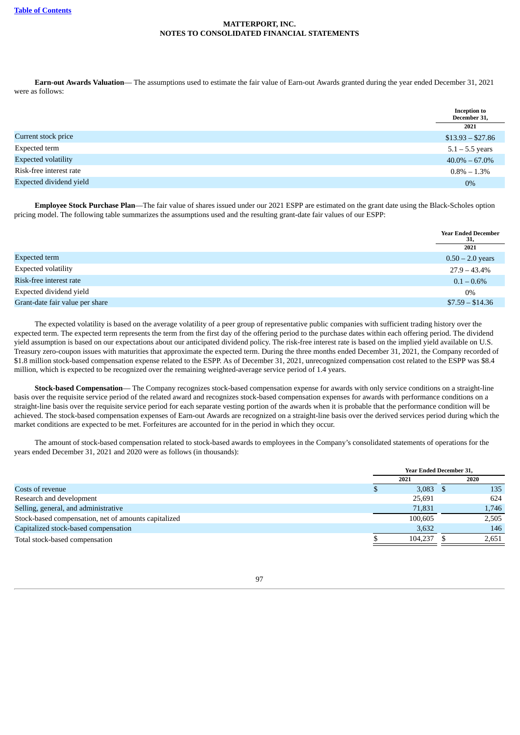**Earn-out Awards Valuation**— The assumptions used to estimate the fair value of Earn-out Awards granted during the year ended December 31, 2021 were as follows:

| <b>Inception to</b><br>December 31, |
|-------------------------------------|
| 2021                                |
| $$13.93 - $27.86$                   |
| $5.1 - 5.5$ years                   |
| $40.0\% - 67.0\%$                   |
| $0.8\% - 1.3\%$                     |
| 0%                                  |
|                                     |

**Employee Stock Purchase Plan**—The fair value of shares issued under our 2021 ESPP are estimated on the grant date using the Black-Scholes option pricing model. The following table summarizes the assumptions used and the resulting grant-date fair values of our ESPP:

|                                 | <b>Year Ended December</b><br>31. |
|---------------------------------|-----------------------------------|
|                                 | 2021                              |
| Expected term                   | $0.50 - 2.0$ years                |
| <b>Expected volatility</b>      | $27.9 - 43.4\%$                   |
| Risk-free interest rate         | $0.1 - 0.6\%$                     |
| Expected dividend yield         | $0\%$                             |
| Grant-date fair value per share | $$7.59 - $14.36$                  |

The expected volatility is based on the average volatility of a peer group of representative public companies with sufficient trading history over the expected term. The expected term represents the term from the first day of the offering period to the purchase dates within each offering period. The dividend yield assumption is based on our expectations about our anticipated dividend policy. The risk-free interest rate is based on the implied yield available on U.S. Treasury zero-coupon issues with maturities that approximate the expected term. During the three months ended December 31, 2021, the Company recorded of \$1.8 million stock-based compensation expense related to the ESPP. As of December 31, 2021, unrecognized compensation cost related to the ESPP was \$8.4 million, which is expected to be recognized over the remaining weighted-average service period of 1.4 years.

**Stock-based Compensation**— The Company recognizes stock-based compensation expense for awards with only service conditions on a straight-line basis over the requisite service period of the related award and recognizes stock-based compensation expenses for awards with performance conditions on a straight-line basis over the requisite service period for each separate vesting portion of the awards when it is probable that the performance condition will be achieved. The stock-based compensation expenses of Earn-out Awards are recognized on a straight-line basis over the derived services period during which the market conditions are expected to be met. Forfeitures are accounted for in the period in which they occur.

The amount of stock-based compensation related to stock-based awards to employees in the Company's consolidated statements of operations for the years ended December 31, 2021 and 2020 were as follows (in thousands):

|                                                      | <b>Year Ended December 31.</b> |         |  |       |
|------------------------------------------------------|--------------------------------|---------|--|-------|
|                                                      |                                | 2021    |  | 2020  |
| Costs of revenue                                     |                                | 3.083   |  | 135   |
| Research and development                             |                                | 25,691  |  | 624   |
| Selling, general, and administrative                 |                                | 71.831  |  | 1,746 |
| Stock-based compensation, net of amounts capitalized |                                | 100,605 |  | 2,505 |
| Capitalized stock-based compensation                 |                                | 3.632   |  | 146   |
| Total stock-based compensation                       |                                | 104,237 |  | 2,651 |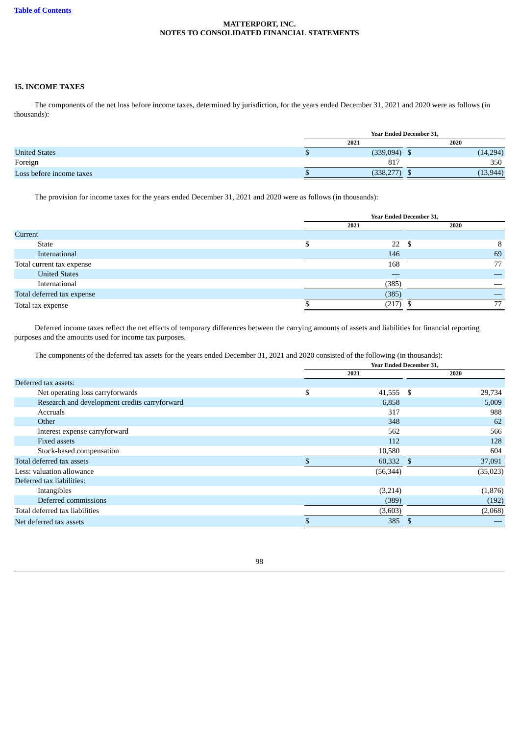# **15. INCOME TAXES**

The components of the net loss before income taxes, determined by jurisdiction, for the years ended December 31, 2021 and 2020 were as follows (in thousands):

|                          | <b>Year Ended December 31,</b> |            |                |  |
|--------------------------|--------------------------------|------------|----------------|--|
|                          | 2021                           |            | 2020           |  |
| <b>United States</b>     |                                | (339,094)  | (14,294)<br>-S |  |
| Foreign                  |                                | 817        | 350            |  |
| Loss before income taxes |                                | (338, 277) | (13, 944)      |  |

The provision for income taxes for the years ended December 31, 2021 and 2020 were as follows (in thousands):

|                            | <b>Year Ended December 31,</b> |        |  |
|----------------------------|--------------------------------|--------|--|
|                            | 2021                           | 2020   |  |
| Current                    |                                |        |  |
| State                      | 22                             | 8<br>S |  |
| International              | 146                            | 69     |  |
| Total current tax expense  | 168                            | 77     |  |
| <b>United States</b>       | __                             | __     |  |
| International              | (385)                          |        |  |
| Total deferred tax expense | (385)                          |        |  |
| Total tax expense          | (217)                          | 77     |  |
|                            |                                |        |  |

Deferred income taxes reflect the net effects of temporary differences between the carrying amounts of assets and liabilities for financial reporting purposes and the amounts used for income tax purposes.

The components of the deferred tax assets for the years ended December 31, 2021 and 2020 consisted of the following (in thousands):

|                                               | <b>Year Ended December 31,</b> |              |  |  |
|-----------------------------------------------|--------------------------------|--------------|--|--|
|                                               | 2021                           | 2020         |  |  |
| Deferred tax assets:                          |                                |              |  |  |
| Net operating loss carryforwards              | \$<br>41,555 \$                | 29,734       |  |  |
| Research and development credits carryforward | 6,858                          | 5,009        |  |  |
| Accruals                                      | 317                            | 988          |  |  |
| Other                                         | 348                            | 62           |  |  |
| Interest expense carryforward                 | 562                            | 566          |  |  |
| Fixed assets                                  | 112                            | 128          |  |  |
| Stock-based compensation                      | 10,580                         | 604          |  |  |
| Total deferred tax assets                     | 60,332                         | 37,091<br>-S |  |  |
| Less: valuation allowance                     | (56, 344)                      | (35,023)     |  |  |
| Deferred tax liabilities:                     |                                |              |  |  |
| Intangibles                                   | (3,214)                        | (1,876)      |  |  |
| Deferred commissions                          | (389)                          | (192)        |  |  |
| Total deferred tax liabilities                | (3,603)                        | (2,068)      |  |  |
| Net deferred tax assets                       | 385                            |              |  |  |
|                                               |                                |              |  |  |

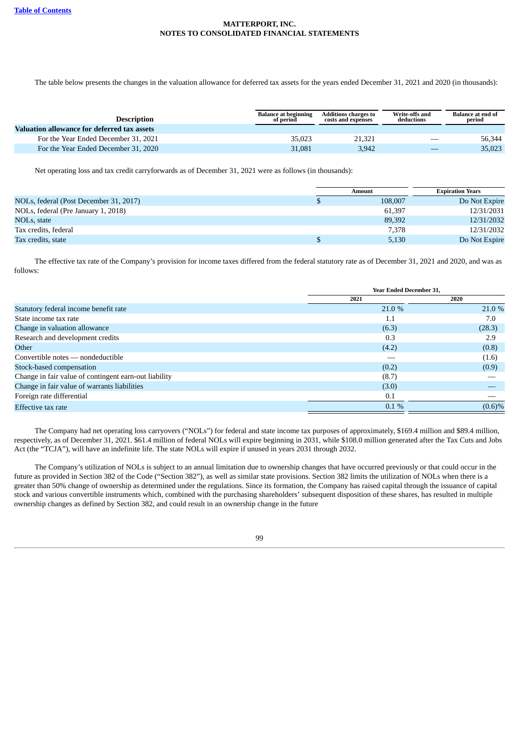The table below presents the changes in the valuation allowance for deferred tax assets for the years ended December 31, 2021 and 2020 (in thousands):

| <b>Description</b>                          | <b>Balance at beginning</b><br>of period | <b>Additions charges to</b><br>costs and expenses | Write-offs and<br>deductions      | <b>Balance at end of</b><br>period |
|---------------------------------------------|------------------------------------------|---------------------------------------------------|-----------------------------------|------------------------------------|
| Valuation allowance for deferred tax assets |                                          |                                                   |                                   |                                    |
| For the Year Ended December 31, 2021        | 35.023                                   | 21.321                                            |                                   | 56.344                             |
| For the Year Ended December 31, 2020        | 31,081                                   | 3.942                                             | $\overbrace{\phantom{aaaaa}}^{x}$ | 35,023                             |

Net operating loss and tax credit carryforwards as of December 31, 2021 were as follows (in thousands):

|                                        | Amount |         | <b>Expiration Years</b> |
|----------------------------------------|--------|---------|-------------------------|
| NOLs, federal (Post December 31, 2017) |        | 108,007 | Do Not Expire           |
| NOLs, federal (Pre January 1, 2018)    |        | 61,397  | 12/31/2031              |
| NOLs, state                            |        | 89,392  | 12/31/2032              |
| Tax credits, federal                   |        | 7.378   | 12/31/2032              |
| Tax credits, state                     |        | 5,130   | Do Not Expire           |

The effective tax rate of the Company's provision for income taxes differed from the federal statutory rate as of December 31, 2021 and 2020, and was as follows:

|                                                       | <b>Year Ended December 31,</b> |           |  |
|-------------------------------------------------------|--------------------------------|-----------|--|
|                                                       | 2021                           | 2020      |  |
| Statutory federal income benefit rate                 | 21.0 %                         | 21.0 %    |  |
| State income tax rate                                 | $1.1\,$                        | 7.0       |  |
| Change in valuation allowance                         | (6.3)                          | (28.3)    |  |
| Research and development credits                      | 0.3                            | 2.9       |  |
| Other                                                 | (4.2)                          | (0.8)     |  |
| Convertible notes — nondeductible                     |                                | (1.6)     |  |
| Stock-based compensation                              | (0.2)                          | (0.9)     |  |
| Change in fair value of contingent earn-out liability | (8.7)                          |           |  |
| Change in fair value of warrants liabilities          | (3.0)                          |           |  |
| Foreign rate differential                             | 0.1                            |           |  |
| Effective tax rate                                    | $0.1\%$                        | $(0.6)\%$ |  |

The Company had net operating loss carryovers ("NOLs") for federal and state income tax purposes of approximately, \$169.4 million and \$89.4 million, respectively, as of December 31, 2021. \$61.4 million of federal NOLs will expire beginning in 2031, while \$108.0 million generated after the Tax Cuts and Jobs Act (the "TCJA"), will have an indefinite life. The state NOLs will expire if unused in years 2031 through 2032.

The Company's utilization of NOLs is subject to an annual limitation due to ownership changes that have occurred previously or that could occur in the future as provided in Section 382 of the Code ("Section 382"), as well as similar state provisions. Section 382 limits the utilization of NOLs when there is a greater than 50% change of ownership as determined under the regulations. Since its formation, the Company has raised capital through the issuance of capital stock and various convertible instruments which, combined with the purchasing shareholders' subsequent disposition of these shares, has resulted in multiple ownership changes as defined by Section 382, and could result in an ownership change in the future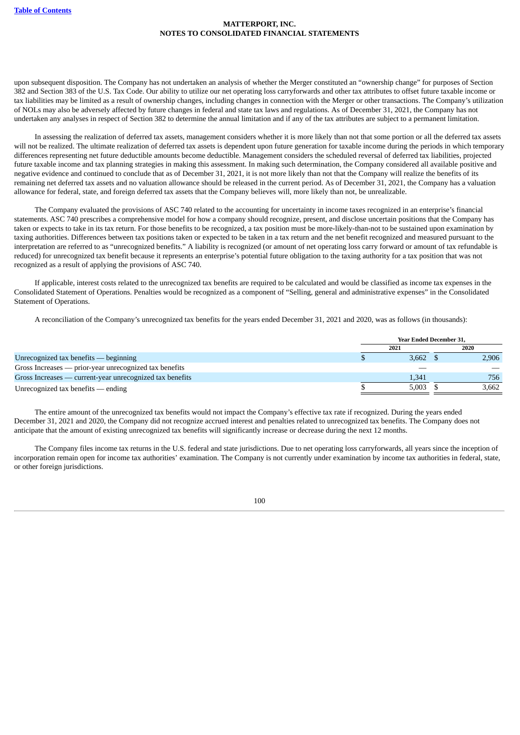upon subsequent disposition. The Company has not undertaken an analysis of whether the Merger constituted an "ownership change" for purposes of Section 382 and Section 383 of the U.S. Tax Code. Our ability to utilize our net operating loss carryforwards and other tax attributes to offset future taxable income or tax liabilities may be limited as a result of ownership changes, including changes in connection with the Merger or other transactions. The Company's utilization of NOLs may also be adversely affected by future changes in federal and state tax laws and regulations. As of December 31, 2021, the Company has not undertaken any analyses in respect of Section 382 to determine the annual limitation and if any of the tax attributes are subject to a permanent limitation.

In assessing the realization of deferred tax assets, management considers whether it is more likely than not that some portion or all the deferred tax assets will not be realized. The ultimate realization of deferred tax assets is dependent upon future generation for taxable income during the periods in which temporary differences representing net future deductible amounts become deductible. Management considers the scheduled reversal of deferred tax liabilities, projected future taxable income and tax planning strategies in making this assessment. In making such determination, the Company considered all available positive and negative evidence and continued to conclude that as of December 31, 2021, it is not more likely than not that the Company will realize the benefits of its remaining net deferred tax assets and no valuation allowance should be released in the current period. As of December 31, 2021, the Company has a valuation allowance for federal, state, and foreign deferred tax assets that the Company believes will, more likely than not, be unrealizable.

The Company evaluated the provisions of ASC 740 related to the accounting for uncertainty in income taxes recognized in an enterprise's financial statements. ASC 740 prescribes a comprehensive model for how a company should recognize, present, and disclose uncertain positions that the Company has taken or expects to take in its tax return. For those benefits to be recognized, a tax position must be more-likely-than-not to be sustained upon examination by taxing authorities. Differences between tax positions taken or expected to be taken in a tax return and the net benefit recognized and measured pursuant to the interpretation are referred to as "unrecognized benefits." A liability is recognized (or amount of net operating loss carry forward or amount of tax refundable is reduced) for unrecognized tax benefit because it represents an enterprise's potential future obligation to the taxing authority for a tax position that was not recognized as a result of applying the provisions of ASC 740.

If applicable, interest costs related to the unrecognized tax benefits are required to be calculated and would be classified as income tax expenses in the Consolidated Statement of Operations. Penalties would be recognized as a component of "Selling, general and administrative expenses" in the Consolidated Statement of Operations.

A reconciliation of the Company's unrecognized tax benefits for the years ended December 31, 2021 and 2020, was as follows (in thousands):

|                                                          | Year Ended December 31, |            |  |       |
|----------------------------------------------------------|-------------------------|------------|--|-------|
|                                                          |                         | 2021       |  | 2020  |
| Unrecognized tax benefits $-$ beginning                  |                         | $3,662$ \$ |  | 2,906 |
| Gross Increases — prior-year unrecognized tax benefits   |                         |            |  |       |
| Gross Increases — current-year unrecognized tax benefits |                         | 1.341      |  | 756   |
| Unrecognized tax benefits $-$ ending                     |                         | 5,003      |  | 3.662 |

The entire amount of the unrecognized tax benefits would not impact the Company's effective tax rate if recognized. During the years ended December 31, 2021 and 2020, the Company did not recognize accrued interest and penalties related to unrecognized tax benefits. The Company does not anticipate that the amount of existing unrecognized tax benefits will significantly increase or decrease during the next 12 months.

The Company files income tax returns in the U.S. federal and state jurisdictions. Due to net operating loss carryforwards, all years since the inception of incorporation remain open for income tax authorities' examination. The Company is not currently under examination by income tax authorities in federal, state, or other foreign jurisdictions.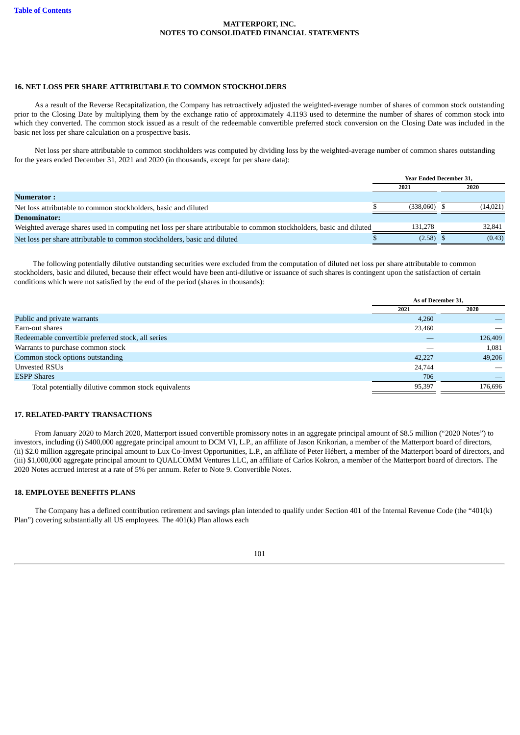# **16. NET LOSS PER SHARE ATTRIBUTABLE TO COMMON STOCKHOLDERS**

As a result of the Reverse Recapitalization, the Company has retroactively adjusted the weighted-average number of shares of common stock outstanding prior to the Closing Date by multiplying them by the exchange ratio of approximately 4.1193 used to determine the number of shares of common stock into which they converted. The common stock issued as a result of the redeemable convertible preferred stock conversion on the Closing Date was included in the basic net loss per share calculation on a prospective basis.

Net loss per share attributable to common stockholders was computed by dividing loss by the weighted-average number of common shares outstanding for the years ended December 31, 2021 and 2020 (in thousands, except for per share data):

|                                                                                                                                | <b>Year Ended December 31.</b> |           |        |          |
|--------------------------------------------------------------------------------------------------------------------------------|--------------------------------|-----------|--------|----------|
|                                                                                                                                |                                | 2021      |        | 2020     |
| <b>Numerator:</b>                                                                                                              |                                |           |        |          |
| Net loss attributable to common stockholders, basic and diluted                                                                |                                | (338,060) |        | (14,021) |
| <b>Denominator:</b>                                                                                                            |                                |           |        |          |
| 131.278<br>Weighted average shares used in computing net loss per share attributable to common stockholders, basic and diluted |                                |           | 32.841 |          |
| Net loss per share attributable to common stockholders, basic and diluted                                                      |                                | (2.58)    |        | (0.43)   |

The following potentially dilutive outstanding securities were excluded from the computation of diluted net loss per share attributable to common stockholders, basic and diluted, because their effect would have been anti-dilutive or issuance of such shares is contingent upon the satisfaction of certain conditions which were not satisfied by the end of the period (shares in thousands):

|                                                     |        | As of December 31. |  |
|-----------------------------------------------------|--------|--------------------|--|
|                                                     | 2021   | 2020               |  |
| Public and private warrants                         | 4.260  |                    |  |
| Earn-out shares                                     | 23,460 |                    |  |
| Redeemable convertible preferred stock, all series  |        | 126,409            |  |
| Warrants to purchase common stock                   |        | 1,081              |  |
| Common stock options outstanding                    | 42,227 | 49,206             |  |
| Unvested RSUs                                       | 24,744 |                    |  |
| <b>ESPP Shares</b>                                  | 706    |                    |  |
| Total potentially dilutive common stock equivalents | 95,397 | 176.696            |  |

## **17. RELATED-PARTY TRANSACTIONS**

From January 2020 to March 2020, Matterport issued convertible promissory notes in an aggregate principal amount of \$8.5 million ("2020 Notes") to investors, including (i) \$400,000 aggregate principal amount to DCM VI, L.P., an affiliate of Jason Krikorian, a member of the Matterport board of directors, (ii) \$2.0 million aggregate principal amount to Lux Co-Invest Opportunities, L.P., an affiliate of Peter Hébert, a member of the Matterport board of directors, and (iii) \$1,000,000 aggregate principal amount to QUALCOMM Ventures LLC, an affiliate of Carlos Kokron, a member of the Matterport board of directors. The 2020 Notes accrued interest at a rate of 5% per annum. Refer to Note 9. Convertible Notes.

# **18. EMPLOYEE BENEFITS PLANS**

The Company has a defined contribution retirement and savings plan intended to qualify under Section 401 of the Internal Revenue Code (the "401(k) Plan") covering substantially all US employees. The 401(k) Plan allows each

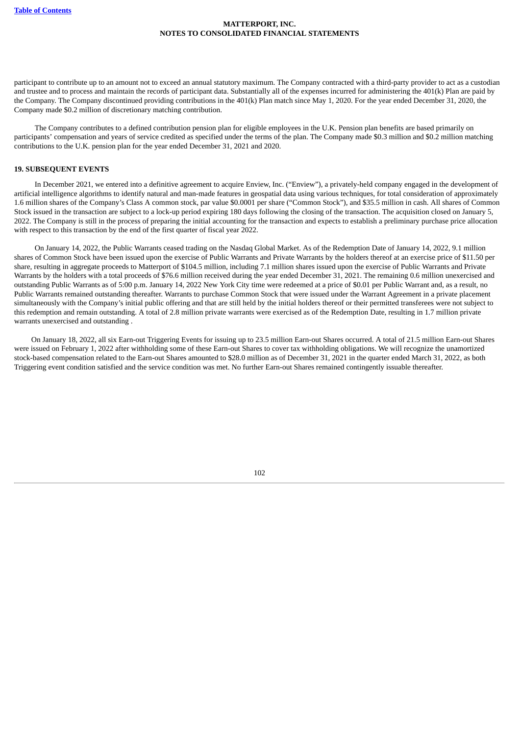participant to contribute up to an amount not to exceed an annual statutory maximum. The Company contracted with a third-party provider to act as a custodian and trustee and to process and maintain the records of participant data. Substantially all of the expenses incurred for administering the 401(k) Plan are paid by the Company. The Company discontinued providing contributions in the 401(k) Plan match since May 1, 2020. For the year ended December 31, 2020, the Company made \$0.2 million of discretionary matching contribution.

The Company contributes to a defined contribution pension plan for eligible employees in the U.K. Pension plan benefits are based primarily on participants' compensation and years of service credited as specified under the terms of the plan. The Company made \$0.3 million and \$0.2 million matching contributions to the U.K. pension plan for the year ended December 31, 2021 and 2020.

### **19. SUBSEQUENT EVENTS**

In December 2021, we entered into a definitive agreement to acquire Enview, Inc. ("Enview"), a privately-held company engaged in the development of artificial intelligence algorithms to identify natural and man-made features in geospatial data using various techniques, for total consideration of approximately 1.6 million shares of the Company's Class A common stock, par value \$0.0001 per share ("Common Stock"), and \$35.5 million in cash. All shares of Common Stock issued in the transaction are subject to a lock-up period expiring 180 days following the closing of the transaction. The acquisition closed on January 5, 2022. The Company is still in the process of preparing the initial accounting for the transaction and expects to establish a preliminary purchase price allocation with respect to this transaction by the end of the first quarter of fiscal year 2022.

On January 14, 2022, the Public Warrants ceased trading on the Nasdaq Global Market. As of the Redemption Date of January 14, 2022, 9.1 million shares of Common Stock have been issued upon the exercise of Public Warrants and Private Warrants by the holders thereof at an exercise price of \$11.50 per share, resulting in aggregate proceeds to Matterport of \$104.5 million, including 7.1 million shares issued upon the exercise of Public Warrants and Private Warrants by the holders with a total proceeds of \$76.6 million received during the year ended December 31, 2021. The remaining 0.6 million unexercised and outstanding Public Warrants as of 5:00 p.m. January 14, 2022 New York City time were redeemed at a price of \$0.01 per Public Warrant and, as a result, no Public Warrants remained outstanding thereafter. Warrants to purchase Common Stock that were issued under the Warrant Agreement in a private placement simultaneously with the Company's initial public offering and that are still held by the initial holders thereof or their permitted transferees were not subject to this redemption and remain outstanding. A total of 2.8 million private warrants were exercised as of the Redemption Date, resulting in 1.7 million private warrants unexercised and outstanding .

On January 18, 2022, all six Earn-out Triggering Events for issuing up to 23.5 million Earn-out Shares occurred. A total of 21.5 million Earn-out Shares were issued on February 1, 2022 after withholding some of these Earn-out Shares to cover tax withholding obligations. We will recognize the unamortized stock-based compensation related to the Earn-out Shares amounted to \$28.0 million as of December 31, 2021 in the quarter ended March 31, 2022, as both Triggering event condition satisfied and the service condition was met. No further Earn-out Shares remained contingently issuable thereafter.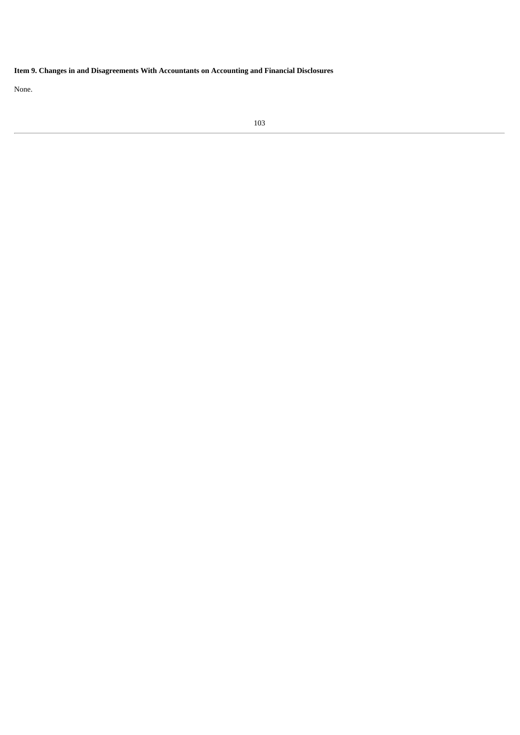# **Item 9. Changes in and Disagreements With Accountants on Accounting and Financial Disclosures**

None.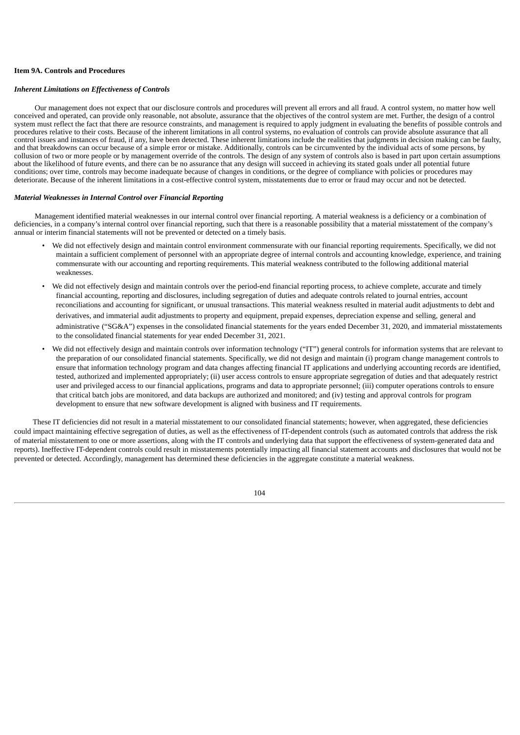# **Item 9A. Controls and Procedures**

#### *Inherent Limitations on Effectiveness of Controls*

Our management does not expect that our disclosure controls and procedures will prevent all errors and all fraud. A control system, no matter how well conceived and operated, can provide only reasonable, not absolute, assurance that the objectives of the control system are met. Further, the design of a control system must reflect the fact that there are resource constraints, and management is required to apply judgment in evaluating the benefits of possible controls and procedures relative to their costs. Because of the inherent limitations in all control systems, no evaluation of controls can provide absolute assurance that all control issues and instances of fraud, if any, have been detected. These inherent limitations include the realities that judgments in decision making can be faulty, and that breakdowns can occur because of a simple error or mistake. Additionally, controls can be circumvented by the individual acts of some persons, by collusion of two or more people or by management override of the controls. The design of any system of controls also is based in part upon certain assumptions about the likelihood of future events, and there can be no assurance that any design will succeed in achieving its stated goals under all potential future conditions; over time, controls may become inadequate because of changes in conditions, or the degree of compliance with policies or procedures may deteriorate. Because of the inherent limitations in a cost-effective control system, misstatements due to error or fraud may occur and not be detected.

#### *Material Weaknesses in Internal Control over Financial Reporting*

Management identified material weaknesses in our internal control over financial reporting. A material weakness is a deficiency or a combination of deficiencies, in a company's internal control over financial reporting, such that there is a reasonable possibility that a material misstatement of the company's annual or interim financial statements will not be prevented or detected on a timely basis.

- We did not effectively design and maintain control environment commensurate with our financial reporting requirements. Specifically, we did not maintain a sufficient complement of personnel with an appropriate degree of internal controls and accounting knowledge, experience, and training commensurate with our accounting and reporting requirements. This material weakness contributed to the following additional material weaknesses.
- We did not effectively design and maintain controls over the period-end financial reporting process, to achieve complete, accurate and timely financial accounting, reporting and disclosures, including segregation of duties and adequate controls related to journal entries, account reconciliations and accounting for significant, or unusual transactions. This material weakness resulted in material audit adjustments to debt and derivatives, and immaterial audit adjustments to property and equipment, prepaid expenses, depreciation expense and selling, general and administrative ("SG&A") expenses in the consolidated financial statements for the years ended December 31, 2020, and immaterial misstatements to the consolidated financial statements for year ended December 31, 2021.
- We did not effectively design and maintain controls over information technology ("IT") general controls for information systems that are relevant to the preparation of our consolidated financial statements. Specifically, we did not design and maintain (i) program change management controls to ensure that information technology program and data changes affecting financial IT applications and underlying accounting records are identified, tested, authorized and implemented appropriately; (ii) user access controls to ensure appropriate segregation of duties and that adequately restrict user and privileged access to our financial applications, programs and data to appropriate personnel; (iii) computer operations controls to ensure that critical batch jobs are monitored, and data backups are authorized and monitored; and (iv) testing and approval controls for program development to ensure that new software development is aligned with business and IT requirements.

These IT deficiencies did not result in a material misstatement to our consolidated financial statements; however, when aggregated, these deficiencies could impact maintaining effective segregation of duties, as well as the effectiveness of IT-dependent controls (such as automated controls that address the risk of material misstatement to one or more assertions, along with the IT controls and underlying data that support the effectiveness of system-generated data and reports). Ineffective IT-dependent controls could result in misstatements potentially impacting all financial statement accounts and disclosures that would not be prevented or detected. Accordingly, management has determined these deficiencies in the aggregate constitute a material weakness.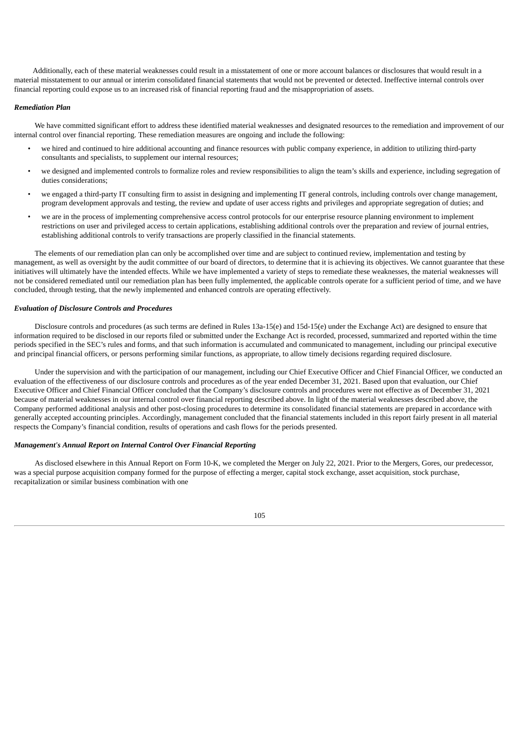Additionally, each of these material weaknesses could result in a misstatement of one or more account balances or disclosures that would result in a material misstatement to our annual or interim consolidated financial statements that would not be prevented or detected. Ineffective internal controls over financial reporting could expose us to an increased risk of financial reporting fraud and the misappropriation of assets.

### *Remediation Plan*

We have committed significant effort to address these identified material weaknesses and designated resources to the remediation and improvement of our internal control over financial reporting. These remediation measures are ongoing and include the following:

- we hired and continued to hire additional accounting and finance resources with public company experience, in addition to utilizing third-party consultants and specialists, to supplement our internal resources;
- we designed and implemented controls to formalize roles and review responsibilities to align the team's skills and experience, including segregation of duties considerations:
- we engaged a third-party IT consulting firm to assist in designing and implementing IT general controls, including controls over change management, program development approvals and testing, the review and update of user access rights and privileges and appropriate segregation of duties; and
- we are in the process of implementing comprehensive access control protocols for our enterprise resource planning environment to implement restrictions on user and privileged access to certain applications, establishing additional controls over the preparation and review of journal entries, establishing additional controls to verify transactions are properly classified in the financial statements.

The elements of our remediation plan can only be accomplished over time and are subject to continued review, implementation and testing by management, as well as oversight by the audit committee of our board of directors, to determine that it is achieving its objectives. We cannot guarantee that these initiatives will ultimately have the intended effects. While we have implemented a variety of steps to remediate these weaknesses, the material weaknesses will not be considered remediated until our remediation plan has been fully implemented, the applicable controls operate for a sufficient period of time, and we have concluded, through testing, that the newly implemented and enhanced controls are operating effectively.

### *Evaluation of Disclosure Controls and Procedures*

Disclosure controls and procedures (as such terms are defined in Rules 13a-15(e) and 15d-15(e) under the Exchange Act) are designed to ensure that information required to be disclosed in our reports filed or submitted under the Exchange Act is recorded, processed, summarized and reported within the time periods specified in the SEC's rules and forms, and that such information is accumulated and communicated to management, including our principal executive and principal financial officers, or persons performing similar functions, as appropriate, to allow timely decisions regarding required disclosure.

Under the supervision and with the participation of our management, including our Chief Executive Officer and Chief Financial Officer, we conducted an evaluation of the effectiveness of our disclosure controls and procedures as of the year ended December 31, 2021. Based upon that evaluation, our Chief Executive Officer and Chief Financial Officer concluded that the Company's disclosure controls and procedures were not effective as of December 31, 2021 because of material weaknesses in our internal control over financial reporting described above. In light of the material weaknesses described above, the Company performed additional analysis and other post-closing procedures to determine its consolidated financial statements are prepared in accordance with generally accepted accounting principles. Accordingly, management concluded that the financial statements included in this report fairly present in all material respects the Company's financial condition, results of operations and cash flows for the periods presented.

### *Management's Annual Report on Internal Control Over Financial Reporting*

As disclosed elsewhere in this Annual Report on Form 10-K, we completed the Merger on July 22, 2021. Prior to the Mergers, Gores, our predecessor, was a special purpose acquisition company formed for the purpose of effecting a merger, capital stock exchange, asset acquisition, stock purchase, recapitalization or similar business combination with one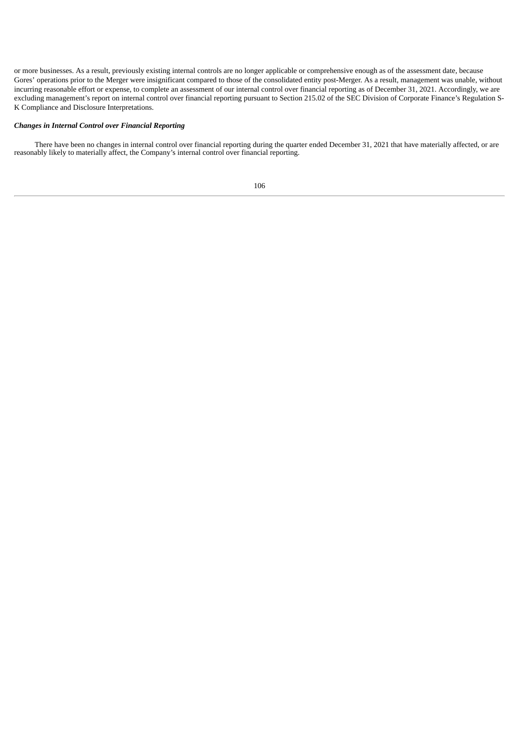or more businesses. As a result, previously existing internal controls are no longer applicable or comprehensive enough as of the assessment date, because Gores' operations prior to the Merger were insignificant compared to those of the consolidated entity post-Merger. As a result, management was unable, without incurring reasonable effort or expense, to complete an assessment of our internal control over financial reporting as of December 31, 2021. Accordingly, we are excluding management's report on internal control over financial reporting pursuant to Section 215.02 of the SEC Division of Corporate Finance's Regulation S-K Compliance and Disclosure Interpretations.

# *Changes in Internal Control over Financial Reporting*

There have been no changes in internal control over financial reporting during the quarter ended December 31, 2021 that have materially affected, or are reasonably likely to materially affect, the Company's internal control over financial reporting.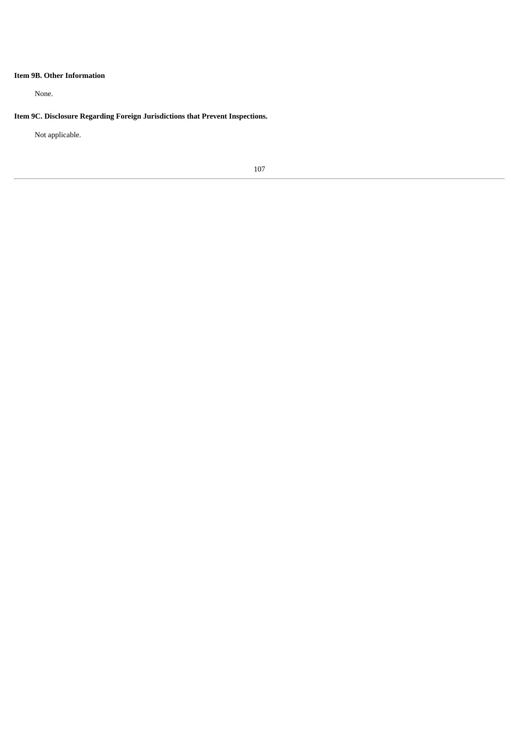# **Item 9B. Other Information**

None.

# **Item 9C. Disclosure Regarding Foreign Jurisdictions that Prevent Inspections.**

Not applicable.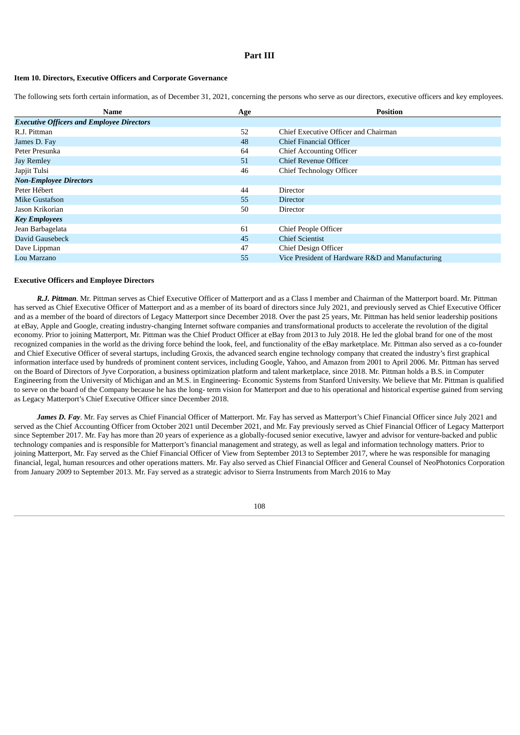# **Part III**

### **Item 10. Directors, Executive Officers and Corporate Governance**

The following sets forth certain information, as of December 31, 2021, concerning the persons who serve as our directors, executive officers and key employees.

| Name                                             | Age | <b>Position</b>                                  |
|--------------------------------------------------|-----|--------------------------------------------------|
| <b>Executive Officers and Employee Directors</b> |     |                                                  |
| R.J. Pittman                                     | 52  | Chief Executive Officer and Chairman             |
| James D. Fay                                     | 48  | <b>Chief Financial Officer</b>                   |
| Peter Presunka                                   | 64  | <b>Chief Accounting Officer</b>                  |
| Jay Remley                                       | 51  | Chief Revenue Officer                            |
| Japjit Tulsi                                     | 46  | Chief Technology Officer                         |
| <b>Non-Employee Directors</b>                    |     |                                                  |
| Peter Hébert                                     | 44  | Director                                         |
| Mike Gustafson                                   | 55  | <b>Director</b>                                  |
| Jason Krikorian                                  | 50  | Director                                         |
| <b>Key Employees</b>                             |     |                                                  |
| Jean Barbagelata                                 | 61  | Chief People Officer                             |
| David Gausebeck                                  | 45  | <b>Chief Scientist</b>                           |
| Dave Lippman                                     | 47  | Chief Design Officer                             |
| Lou Marzano                                      | 55  | Vice President of Hardware R&D and Manufacturing |

#### **Executive Officers and Employee Directors**

*R.J. Pittman*. Mr. Pittman serves as Chief Executive Officer of Matterport and as a Class I member and Chairman of the Matterport board. Mr. Pittman has served as Chief Executive Officer of Matterport and as a member of its board of directors since July 2021, and previously served as Chief Executive Officer and as a member of the board of directors of Legacy Matterport since December 2018. Over the past 25 years, Mr. Pittman has held senior leadership positions at eBay, Apple and Google, creating industry-changing Internet software companies and transformational products to accelerate the revolution of the digital economy. Prior to joining Matterport, Mr. Pittman was the Chief Product Officer at eBay from 2013 to July 2018. He led the global brand for one of the most recognized companies in the world as the driving force behind the look, feel, and functionality of the eBay marketplace. Mr. Pittman also served as a co-founder and Chief Executive Officer of several startups, including Groxis, the advanced search engine technology company that created the industry's first graphical information interface used by hundreds of prominent content services, including Google, Yahoo, and Amazon from 2001 to April 2006. Mr. Pittman has served on the Board of Directors of Jyve Corporation, a business optimization platform and talent marketplace, since 2018. Mr. Pittman holds a B.S. in Computer Engineering from the University of Michigan and an M.S. in Engineering- Economic Systems from Stanford University. We believe that Mr. Pittman is qualified to serve on the board of the Company because he has the long- term vision for Matterport and due to his operational and historical expertise gained from serving as Legacy Matterport's Chief Executive Officer since December 2018.

*James D. Fay*. Mr. Fay serves as Chief Financial Officer of Matterport. Mr. Fay has served as Matterport's Chief Financial Officer since July 2021 and served as the Chief Accounting Officer from October 2021 until December 2021, and Mr. Fay previously served as Chief Financial Officer of Legacy Matterport since September 2017. Mr. Fay has more than 20 years of experience as a globally-focused senior executive, lawyer and advisor for venture-backed and public technology companies and is responsible for Matterport's financial management and strategy, as well as legal and information technology matters. Prior to joining Matterport, Mr. Fay served as the Chief Financial Officer of View from September 2013 to September 2017, where he was responsible for managing financial, legal, human resources and other operations matters. Mr. Fay also served as Chief Financial Officer and General Counsel of NeoPhotonics Corporation from January 2009 to September 2013. Mr. Fay served as a strategic advisor to Sierra Instruments from March 2016 to May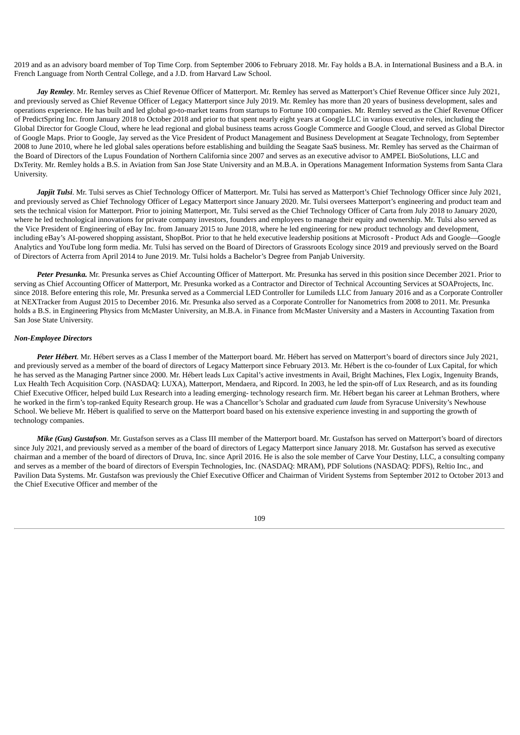2019 and as an advisory board member of Top Time Corp. from September 2006 to February 2018. Mr. Fay holds a B.A. in International Business and a B.A. in French Language from North Central College, and a J.D. from Harvard Law School.

*Jay Remley*. Mr. Remley serves as Chief Revenue Officer of Matterport. Mr. Remley has served as Matterport's Chief Revenue Officer since July 2021, and previously served as Chief Revenue Officer of Legacy Matterport since July 2019. Mr. Remley has more than 20 years of business development, sales and operations experience. He has built and led global go-to-market teams from startups to Fortune 100 companies. Mr. Remley served as the Chief Revenue Officer of PredictSpring Inc. from January 2018 to October 2018 and prior to that spent nearly eight years at Google LLC in various executive roles, including the Global Director for Google Cloud, where he lead regional and global business teams across Google Commerce and Google Cloud, and served as Global Director of Google Maps. Prior to Google, Jay served as the Vice President of Product Management and Business Development at Seagate Technology, from September 2008 to June 2010, where he led global sales operations before establishing and building the Seagate SaaS business. Mr. Remley has served as the Chairman of the Board of Directors of the Lupus Foundation of Northern California since 2007 and serves as an executive advisor to AMPEL BioSolutions, LLC and DxTerity. Mr. Remley holds a B.S. in Aviation from San Jose State University and an M.B.A. in Operations Management Information Systems from Santa Clara University.

*Japjit Tulsi*. Mr. Tulsi serves as Chief Technology Officer of Matterport. Mr. Tulsi has served as Matterport's Chief Technology Officer since July 2021, and previously served as Chief Technology Officer of Legacy Matterport since January 2020. Mr. Tulsi oversees Matterport's engineering and product team and sets the technical vision for Matterport. Prior to joining Matterport, Mr. Tulsi served as the Chief Technology Officer of Carta from July 2018 to January 2020, where he led technological innovations for private company investors, founders and employees to manage their equity and ownership. Mr. Tulsi also served as the Vice President of Engineering of eBay Inc. from January 2015 to June 2018, where he led engineering for new product technology and development, including eBay's AI-powered shopping assistant, ShopBot. Prior to that he held executive leadership positions at Microsoft - Product Ads and Google—Google Analytics and YouTube long form media. Mr. Tulsi has served on the Board of Directors of Grassroots Ecology since 2019 and previously served on the Board of Directors of Acterra from April 2014 to June 2019. Mr. Tulsi holds a Bachelor's Degree from Panjab University.

*Peter Presunka.* Mr. Presunka serves as Chief Accounting Officer of Matterport. Mr. Presunka has served in this position since December 2021. Prior to serving as Chief Accounting Officer of Matterport, Mr. Presunka worked as a Contractor and Director of Technical Accounting Services at SOAProjects, Inc. since 2018. Before entering this role, Mr. Presunka served as a Commercial LED Controller for Lumileds LLC from January 2016 and as a Corporate Controller at NEXTracker from August 2015 to December 2016. Mr. Presunka also served as a Corporate Controller for Nanometrics from 2008 to 2011. Mr. Presunka holds a B.S. in Engineering Physics from McMaster University, an M.B.A. in Finance from McMaster University and a Masters in Accounting Taxation from San Jose State University.

## *Non-Employee Directors*

*Peter Hébert*. Mr. Hébert serves as a Class I member of the Matterport board. Mr. Hébert has served on Matterport's board of directors since July 2021, and previously served as a member of the board of directors of Legacy Matterport since February 2013. Mr. Hébert is the co-founder of Lux Capital, for which he has served as the Managing Partner since 2000. Mr. Hébert leads Lux Capital's active investments in Avail, Bright Machines, Flex Logix, Ingenuity Brands, Lux Health Tech Acquisition Corp. (NASDAQ: LUXA), Matterport, Mendaera, and Ripcord. In 2003, he led the spin-off of Lux Research, and as its founding Chief Executive Officer, helped build Lux Research into a leading emerging- technology research firm. Mr. Hébert began his career at Lehman Brothers, where he worked in the firm's top-ranked Equity Research group. He was a Chancellor's Scholar and graduated *cum laude* from Syracuse University's Newhouse School. We believe Mr. Hébert is qualified to serve on the Matterport board based on his extensive experience investing in and supporting the growth of technology companies.

*Mike (Gus) Gustafson*. Mr. Gustafson serves as a Class III member of the Matterport board. Mr. Gustafson has served on Matterport's board of directors since July 2021, and previously served as a member of the board of directors of Legacy Matterport since January 2018. Mr. Gustafson has served as executive chairman and a member of the board of directors of Druva, Inc. since April 2016. He is also the sole member of Carve Your Destiny, LLC, a consulting company and serves as a member of the board of directors of Everspin Technologies, Inc. (NASDAQ: MRAM), PDF Solutions (NASDAQ: PDFS), Reltio Inc., and Pavilion Data Systems. Mr. Gustafson was previously the Chief Executive Officer and Chairman of Virident Systems from September 2012 to October 2013 and the Chief Executive Officer and member of the

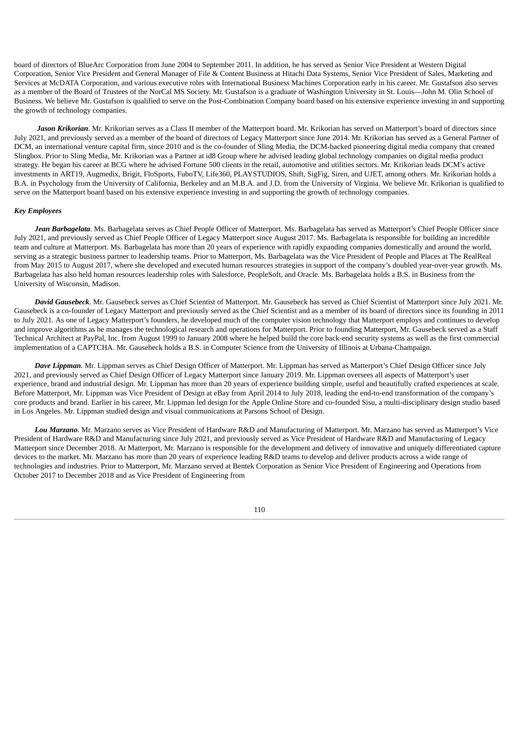board of directors of BlueArc Corporation from June 2004 to September 2011. In addition, he has served as Senior Vice President at Western Digital Corporation, Senior Vice President and General Manager of File & Content Business at Hitachi Data Systems, Senior Vice President of Sales, Marketing and Services at McDATA Corporation, and various executive roles with International Business Machines Corporation early in his career. Mr. Gustafson also serves as a member of the Board of Trustees of the NorCal MS Society. Mr. Gustafson is a graduate of Washington University in St. Louis—John M. Olin School of Business. We believe Mr. Gustafson is qualified to serve on the Post-Combination Company board based on his extensive experience investing in and supporting the growth of technology companies.

*Jason Krikorian*. Mr. Krikorian serves as a Class II member of the Matterport board. Mr. Krikorian has served on Matterport's board of directors since July 2021, and previously served as a member of the board of directors of Legacy Matterport since June 2014. Mr. Krikorian has served as a General Partner of DCM, an international venture capital firm, since 2010 and is the co-founder of Sling Media, the DCM-backed pioneering digital media company that created Slingbox. Prior to Sling Media, Mr. Krikorian was a Partner at id8 Group where he advised leading global technology companies on digital media product strategy. He began his career at BCG where he advised Fortune 500 clients in the retail, automotive and utilities sectors. Mr. Krikorian leads DCM's active investments in ART19, Augmedix, Brigit, FloSports, FuboTV, Life360, PLAYSTUDIOS, Shift, SigFig, Siren, and UJET, among others. Mr. Krikorian holds a B.A. in Psychology from the University of California, Berkeley and an M.B.A. and J.D. from the University of Virginia. We believe Mr. Krikorian is qualified to serve on the Matterport board based on his extensive experience investing in and supporting the growth of technology companies.

### *Key Employees*

*Jean Barbagelata*. Ms. Barbagelata serves as Chief People Officer of Matterport. Ms. Barbagelata has served as Matterport's Chief People Officer since July 2021, and previously served as Chief People Officer of Legacy Matterport since August 2017. Ms. Barbagelata is responsible for building an incredible team and culture at Matterport. Ms. Barbagelata has more than 20 years of experience with rapidly expanding companies domestically and around the world, serving as a strategic business partner to leadership teams. Prior to Matterport, Ms. Barbagelata was the Vice President of People and Places at The RealReal from May 2015 to August 2017, where she developed and executed human resources strategies in support of the company's doubled year-over-year growth. Ms. Barbagelata has also held human resources leadership roles with Salesforce, PeopleSoft, and Oracle. Ms. Barbagelata holds a B.S. in Business from the University of Wisconsin, Madison.

*David Gausebeck*. Mr. Gausebeck serves as Chief Scientist of Matterport. Mr. Gausebeck has served as Chief Scientist of Matterport since July 2021. Mr. Gausebeck is a co-founder of Legacy Matterport and previously served as the Chief Scientist and as a member of its board of directors since its founding in 2011 to July 2021. As one of Legacy Matterport's founders, he developed much of the computer vision technology that Matterport employs and continues to develop and improve algorithms as he manages the technological research and operations for Matterport. Prior to founding Matterport, Mr. Gausebeck served as a Staff Technical Architect at PayPal, Inc. from August 1999 to January 2008 where he helped build the core back-end security systems as well as the first commercial implementation of a CAPTCHA. Mr. Gausebeck holds a B.S. in Computer Science from the University of Illinois at Urbana-Champaign.

*Dave Lippman*. Mr. Lippman serves as Chief Design Officer of Matterport. Mr. Lippman has served as Matterport's Chief Design Officer since July 2021, and previously served as Chief Design Officer of Legacy Matterport since January 2019. Mr. Lippman oversees all aspects of Matterport's user experience, brand and industrial design. Mr. Lippman has more than 20 years of experience building simple, useful and beautifully crafted experiences at scale. Before Matterport, Mr. Lippman was Vice President of Design at eBay from April 2014 to July 2018, leading the end-to-end transformation of the company's core products and brand. Earlier in his career, Mr. Lippman led design for the Apple Online Store and co-founded Sisu, a multi-disciplinary design studio based in Los Angeles. Mr. Lippman studied design and visual communications at Parsons School of Design.

*Lou Marzano*. Mr. Marzano serves as Vice President of Hardware R&D and Manufacturing of Matterport. Mr. Marzano has served as Matterport's Vice President of Hardware R&D and Manufacturing since July 2021, and previously served as Vice President of Hardware R&D and Manufacturing of Legacy Matterport since December 2018. At Matterport, Mr. Marzano is responsible for the development and delivery of innovative and uniquely differentiated capture devices to the market. Mr. Marzano has more than 20 years of experience leading R&D teams to develop and deliver products across a wide range of technologies and industries. Prior to Matterport, Mr. Marzano served at Bentek Corporation as Senior Vice President of Engineering and Operations from October 2017 to December 2018 and as Vice President of Engineering from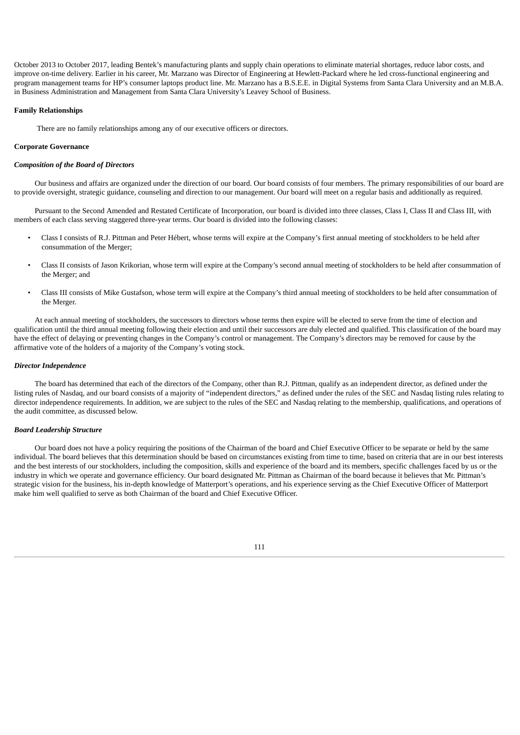October 2013 to October 2017, leading Bentek's manufacturing plants and supply chain operations to eliminate material shortages, reduce labor costs, and improve on-time delivery. Earlier in his career, Mr. Marzano was Director of Engineering at Hewlett-Packard where he led cross-functional engineering and program management teams for HP's consumer laptops product line. Mr. Marzano has a B.S.E.E. in Digital Systems from Santa Clara University and an M.B.A. in Business Administration and Management from Santa Clara University's Leavey School of Business.

## **Family Relationships**

There are no family relationships among any of our executive officers or directors.

## **Corporate Governance**

### *Composition of the Board of Directors*

Our business and affairs are organized under the direction of our board. Our board consists of four members. The primary responsibilities of our board are to provide oversight, strategic guidance, counseling and direction to our management. Our board will meet on a regular basis and additionally as required.

Pursuant to the Second Amended and Restated Certificate of Incorporation, our board is divided into three classes, Class I, Class II and Class III, with members of each class serving staggered three-year terms. Our board is divided into the following classes:

- Class I consists of R.J. Pittman and Peter Hébert, whose terms will expire at the Company's first annual meeting of stockholders to be held after consummation of the Merger;
- Class II consists of Jason Krikorian, whose term will expire at the Company's second annual meeting of stockholders to be held after consummation of the Merger; and
- Class III consists of Mike Gustafson, whose term will expire at the Company's third annual meeting of stockholders to be held after consummation of the Merger.

At each annual meeting of stockholders, the successors to directors whose terms then expire will be elected to serve from the time of election and qualification until the third annual meeting following their election and until their successors are duly elected and qualified. This classification of the board may have the effect of delaying or preventing changes in the Company's control or management. The Company's directors may be removed for cause by the affirmative vote of the holders of a majority of the Company's voting stock.

### *Director Independence*

The board has determined that each of the directors of the Company, other than R.J. Pittman, qualify as an independent director, as defined under the listing rules of Nasdaq, and our board consists of a majority of "independent directors," as defined under the rules of the SEC and Nasdaq listing rules relating to director independence requirements. In addition, we are subject to the rules of the SEC and Nasdaq relating to the membership, qualifications, and operations of the audit committee, as discussed below.

### *Board Leadership Structure*

Our board does not have a policy requiring the positions of the Chairman of the board and Chief Executive Officer to be separate or held by the same individual. The board believes that this determination should be based on circumstances existing from time to time, based on criteria that are in our best interests and the best interests of our stockholders, including the composition, skills and experience of the board and its members, specific challenges faced by us or the industry in which we operate and governance efficiency. Our board designated Mr. Pittman as Chairman of the board because it believes that Mr. Pittman's strategic vision for the business, his in-depth knowledge of Matterport's operations, and his experience serving as the Chief Executive Officer of Matterport make him well qualified to serve as both Chairman of the board and Chief Executive Officer.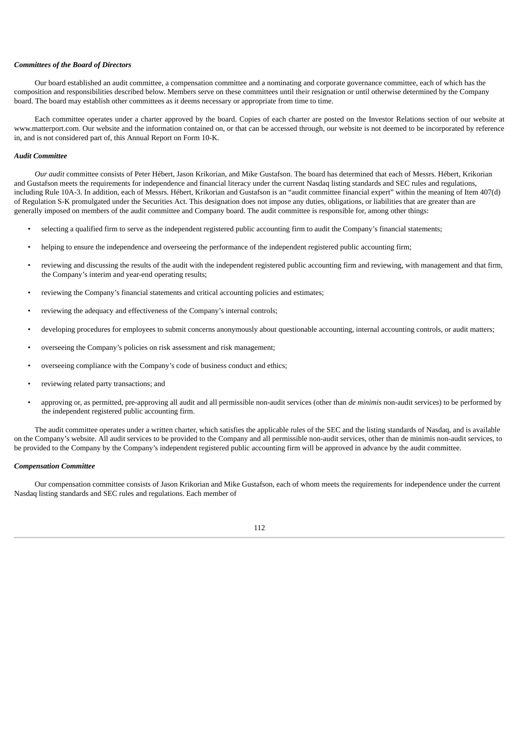## *Committees of the Board of Directors*

Our board established an audit committee, a compensation committee and a nominating and corporate governance committee, each of which has the composition and responsibilities described below. Members serve on these committees until their resignation or until otherwise determined by the Company board. The board may establish other committees as it deems necessary or appropriate from time to time.

Each committee operates under a charter approved by the board. Copies of each charter are posted on the Investor Relations section of our website at www.matterport.com. Our website and the information contained on, or that can be accessed through, our website is not deemed to be incorporated by reference in, and is not considered part of, this Annual Report on Form 10-K.

### *Audit Committee*

*Our audit* committee consists of Peter Hébert, Jason Krikorian, and Mike Gustafson. The board has determined that each of Messrs. Hébert, Krikorian and Gustafson meets the requirements for independence and financial literacy under the current Nasdaq listing standards and SEC rules and regulations, including Rule 10A-3. In addition, each of Messrs. Hébert, Krikorian and Gustafson is an "audit committee financial expert" within the meaning of Item 407(d) of Regulation S-K promulgated under the Securities Act. This designation does not impose any duties, obligations, or liabilities that are greater than are generally imposed on members of the audit committee and Company board. The audit committee is responsible for, among other things:

- selecting a qualified firm to serve as the independent registered public accounting firm to audit the Company's financial statements;
- helping to ensure the independence and overseeing the performance of the independent registered public accounting firm;
- reviewing and discussing the results of the audit with the independent registered public accounting firm and reviewing, with management and that firm, the Company's interim and year-end operating results;
- reviewing the Company's financial statements and critical accounting policies and estimates;
- reviewing the adequacy and effectiveness of the Company's internal controls;
- developing procedures for employees to submit concerns anonymously about questionable accounting, internal accounting controls, or audit matters;
- overseeing the Company's policies on risk assessment and risk management;
- overseeing compliance with the Company's code of business conduct and ethics;
- reviewing related party transactions; and
- approving or, as permitted, pre-approving all audit and all permissible non-audit services (other than *de minimis* non-audit services) to be performed by the independent registered public accounting firm.

The audit committee operates under a written charter, which satisfies the applicable rules of the SEC and the listing standards of Nasdaq, and is available on the Company's website. All audit services to be provided to the Company and all permissible non-audit services, other than de minimis non-audit services, to be provided to the Company by the Company's independent registered public accounting firm will be approved in advance by the audit committee.

## *Compensation Committee*

Our compensation committee consists of Jason Krikorian and Mike Gustafson, each of whom meets the requirements for independence under the current Nasdaq listing standards and SEC rules and regulations. Each member of

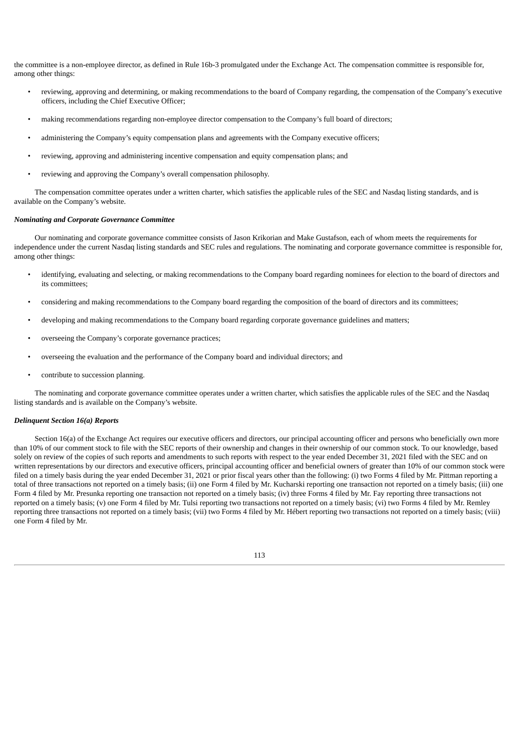the committee is a non-employee director, as defined in Rule 16b-3 promulgated under the Exchange Act. The compensation committee is responsible for, among other things:

- reviewing, approving and determining, or making recommendations to the board of Company regarding, the compensation of the Company's executive officers, including the Chief Executive Officer;
- making recommendations regarding non-employee director compensation to the Company's full board of directors;
- administering the Company's equity compensation plans and agreements with the Company executive officers;
- reviewing, approving and administering incentive compensation and equity compensation plans; and
- reviewing and approving the Company's overall compensation philosophy.

The compensation committee operates under a written charter, which satisfies the applicable rules of the SEC and Nasdaq listing standards, and is available on the Company's website.

### *Nominating and Corporate Governance Committee*

Our nominating and corporate governance committee consists of Jason Krikorian and Make Gustafson, each of whom meets the requirements for independence under the current Nasdaq listing standards and SEC rules and regulations. The nominating and corporate governance committee is responsible for, among other things:

- identifying, evaluating and selecting, or making recommendations to the Company board regarding nominees for election to the board of directors and its committees;
- considering and making recommendations to the Company board regarding the composition of the board of directors and its committees;
- developing and making recommendations to the Company board regarding corporate governance guidelines and matters;
- overseeing the Company's corporate governance practices;
- overseeing the evaluation and the performance of the Company board and individual directors; and
- contribute to succession planning.

The nominating and corporate governance committee operates under a written charter, which satisfies the applicable rules of the SEC and the Nasdaq listing standards and is available on the Company's website.

### *Delinquent Section 16(a) Reports*

Section 16(a) of the Exchange Act requires our executive officers and directors, our principal accounting officer and persons who beneficially own more than 10% of our comment stock to file with the SEC reports of their ownership and changes in their ownership of our common stock. To our knowledge, based solely on review of the copies of such reports and amendments to such reports with respect to the year ended December 31, 2021 filed with the SEC and on written representations by our directors and executive officers, principal accounting officer and beneficial owners of greater than 10% of our common stock were filed on a timely basis during the year ended December 31, 2021 or prior fiscal years other than the following: (i) two Forms 4 filed by Mr. Pittman reporting a total of three transactions not reported on a timely basis; (ii) one Form 4 filed by Mr. Kucharski reporting one transaction not reported on a timely basis; (iii) one Form 4 filed by Mr. Presunka reporting one transaction not reported on a timely basis; (iv) three Forms 4 filed by Mr. Fay reporting three transactions not reported on a timely basis; (v) one Form 4 filed by Mr. Tulsi reporting two transactions not reported on a timely basis; (vi) two Forms 4 filed by Mr. Remley reporting three transactions not reported on a timely basis; (vii) two Forms 4 filed by Mr. Hébert reporting two transactions not reported on a timely basis; (viii) one Form 4 filed by Mr.

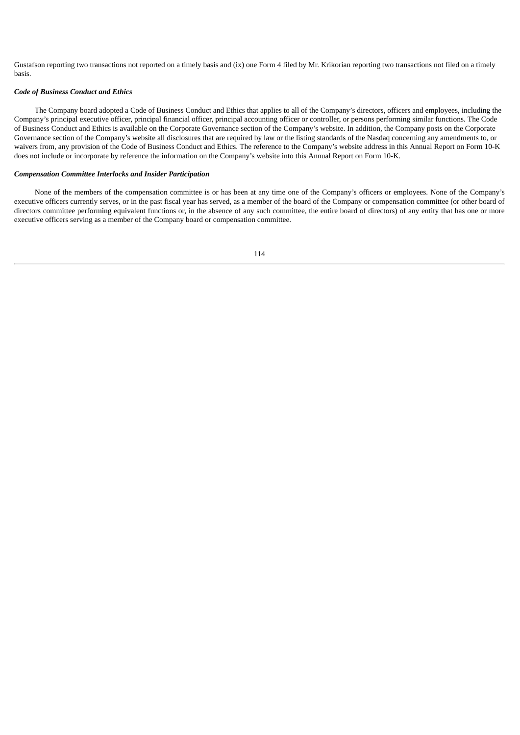Gustafson reporting two transactions not reported on a timely basis and (ix) one Form 4 filed by Mr. Krikorian reporting two transactions not filed on a timely basis.

## *Code of Business Conduct and Ethics*

The Company board adopted a Code of Business Conduct and Ethics that applies to all of the Company's directors, officers and employees, including the Company's principal executive officer, principal financial officer, principal accounting officer or controller, or persons performing similar functions. The Code of Business Conduct and Ethics is available on the Corporate Governance section of the Company's website. In addition, the Company posts on the Corporate Governance section of the Company's website all disclosures that are required by law or the listing standards of the Nasdaq concerning any amendments to, or waivers from, any provision of the Code of Business Conduct and Ethics. The reference to the Company's website address in this Annual Report on Form 10-K does not include or incorporate by reference the information on the Company's website into this Annual Report on Form 10-K.

### *Compensation Committee Interlocks and Insider Participation*

None of the members of the compensation committee is or has been at any time one of the Company's officers or employees. None of the Company's executive officers currently serves, or in the past fiscal year has served, as a member of the board of the Company or compensation committee (or other board of directors committee performing equivalent functions or, in the absence of any such committee, the entire board of directors) of any entity that has one or more executive officers serving as a member of the Company board or compensation committee.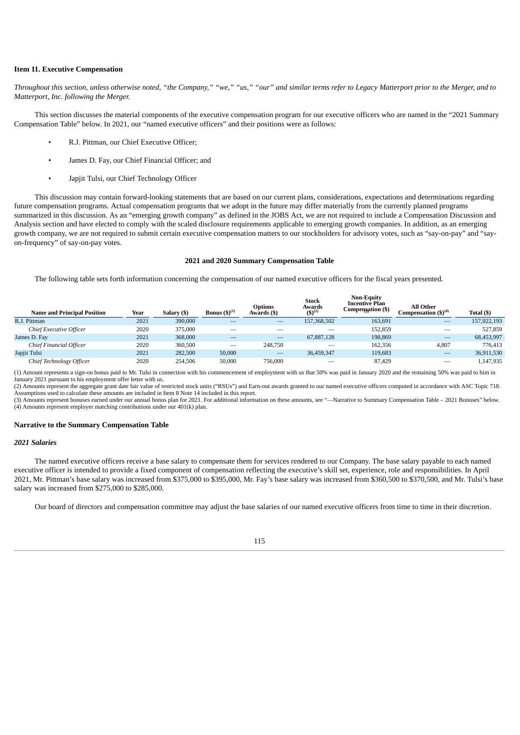### **Item 11. Executive Compensation**

Throughout this section, unless otherwise noted, "the Company," "we," "us," "our" and similar terms refer to Legacy Matterport prior to the Merger, and to *Matterport, Inc. following the Merger.*

This section discusses the material components of the executive compensation program for our executive officers who are named in the "2021 Summary Compensation Table" below. In 2021, our "named executive officers" and their positions were as follows:

- R.J. Pittman, our Chief Executive Officer;
- James D. Fay, our Chief Financial Officer; and
- Japjit Tulsi, our Chief Technology Officer

This discussion may contain forward-looking statements that are based on our current plans, considerations, expectations and determinations regarding future compensation programs. Actual compensation programs that we adopt in the future may differ materially from the currently planned programs summarized in this discussion. As an "emerging growth company" as defined in the JOBS Act, we are not required to include a Compensation Discussion and Analysis section and have elected to comply with the scaled disclosure requirements applicable to emerging growth companies. In addition, as an emerging growth company, we are not required to submit certain executive compensation matters to our stockholders for advisory votes, such as "say-on-pay" and "sayon-frequency" of say-on-pay votes.

### **2021 and 2020 Summary Compensation Table**

The following table sets forth information concerning the compensation of our named executive officers for the fiscal years presented.

|                                    |      |             |                                            | <b>Options</b>           | Stock<br>Awards | <b>Non-Equity</b><br><b>Incentive Plan</b><br>Compensation (\$) | <b>All Other</b>          |             |
|------------------------------------|------|-------------|--------------------------------------------|--------------------------|-----------------|-----------------------------------------------------------------|---------------------------|-------------|
| <b>Name and Principal Position</b> | Year | Salary (\$) | <b>Bonus</b> $({}^{\circ}\!\!\!\!3)^{(1)}$ | Awards (\$)              | $(5)^{(2)}$     |                                                                 | Compensation $(\$)^{(4)}$ | Total (\$)  |
| R.J. Pittman                       | 2021 | 390,000     |                                            | $\overline{\phantom{a}}$ | 157,368,502     | 163.691                                                         |                           | 157,922,193 |
| Chief Executive Officer            | 2020 | 375,000     |                                            |                          |                 | 152.859                                                         |                           | 527,859     |
| James D. Fay                       | 2021 | 368,000     |                                            | $\overline{\phantom{0}}$ | 67,887,128      | 198,869                                                         | —                         | 68,453,997  |
| Chief Financial Officer            | 2020 | 360,500     | --                                         | 248,750                  |                 | 162.356                                                         | 4.807                     | 776,413     |
| Japjit Tulsi                       | 2021 | 282,500     | 50,000                                     | $\overline{\phantom{a}}$ | 36,459,347      | 119.683                                                         | $-$                       | 36,911,530  |
| Chief Technology Officer           | 2020 | 254,506     | 50,000                                     | 756,000                  |                 | 87.429                                                          | —                         | 1,147,935   |

(1) Amount represents a sign-on bonus paid to Mr. Tulsi in connection with his commencement of employment with us that 50% was paid in January 2020 and the remaining 50% was paid to him in January 2021 pursuant to his employment offer letter with us.

(2) Amounts represent the aggregate grant date fair value of restricted stock units ("RSUs") and Earn-out awards granted to our named executive officers computed in accordance with ASC Topic 718. Assumptions used to calculate these amounts are included in Item 8 Note 14 included in this report.

(3) Amounts represent bonuses earned under our annual bonus plan for 2021. For additional information on these amounts, see "—Narrative to Summary Compensation Table – 2021 Bonuses" below. (4) Amounts represent employer matching contributions under our 401(k) plan.

### **Narrative to the Summary Compensation Table**

### *2021 Salaries*

The named executive officers receive a base salary to compensate them for services rendered to our Company. The base salary payable to each named executive officer is intended to provide a fixed component of compensation reflecting the executive's skill set, experience, role and responsibilities. In April 2021, Mr. Pittman's base salary was increased from \$375,000 to \$395,000, Mr. Fay's base salary was increased from \$360,500 to \$370,500, and Mr. Tulsi's base salary was increased from \$275,000 to \$285,000.

Our board of directors and compensation committee may adjust the base salaries of our named executive officers from time to time in their discretion.

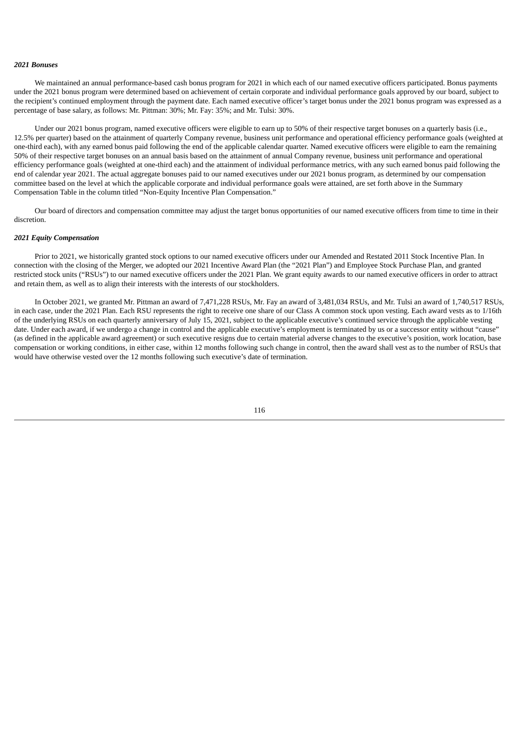## *2021 Bonuses*

We maintained an annual performance-based cash bonus program for 2021 in which each of our named executive officers participated. Bonus payments under the 2021 bonus program were determined based on achievement of certain corporate and individual performance goals approved by our board, subject to the recipient's continued employment through the payment date. Each named executive officer's target bonus under the 2021 bonus program was expressed as a percentage of base salary, as follows: Mr. Pittman: 30%; Mr. Fay: 35%; and Mr. Tulsi: 30%.

Under our 2021 bonus program, named executive officers were eligible to earn up to 50% of their respective target bonuses on a quarterly basis (i.e., 12.5% per quarter) based on the attainment of quarterly Company revenue, business unit performance and operational efficiency performance goals (weighted at one-third each), with any earned bonus paid following the end of the applicable calendar quarter. Named executive officers were eligible to earn the remaining 50% of their respective target bonuses on an annual basis based on the attainment of annual Company revenue, business unit performance and operational efficiency performance goals (weighted at one-third each) and the attainment of individual performance metrics, with any such earned bonus paid following the end of calendar year 2021. The actual aggregate bonuses paid to our named executives under our 2021 bonus program, as determined by our compensation committee based on the level at which the applicable corporate and individual performance goals were attained, are set forth above in the Summary Compensation Table in the column titled "Non-Equity Incentive Plan Compensation."

Our board of directors and compensation committee may adjust the target bonus opportunities of our named executive officers from time to time in their discretion.

### *2021 Equity Compensation*

Prior to 2021, we historically granted stock options to our named executive officers under our Amended and Restated 2011 Stock Incentive Plan. In connection with the closing of the Merger, we adopted our 2021 Incentive Award Plan (the "2021 Plan") and Employee Stock Purchase Plan, and granted restricted stock units ("RSUs") to our named executive officers under the 2021 Plan. We grant equity awards to our named executive officers in order to attract and retain them, as well as to align their interests with the interests of our stockholders.

In October 2021, we granted Mr. Pittman an award of 7,471,228 RSUs, Mr. Fay an award of 3,481,034 RSUs, and Mr. Tulsi an award of 1,740,517 RSUs, in each case, under the 2021 Plan. Each RSU represents the right to receive one share of our Class A common stock upon vesting. Each award vests as to 1/16th of the underlying RSUs on each quarterly anniversary of July 15, 2021, subject to the applicable executive's continued service through the applicable vesting date. Under each award, if we undergo a change in control and the applicable executive's employment is terminated by us or a successor entity without "cause" (as defined in the applicable award agreement) or such executive resigns due to certain material adverse changes to the executive's position, work location, base compensation or working conditions, in either case, within 12 months following such change in control, then the award shall vest as to the number of RSUs that would have otherwise vested over the 12 months following such executive's date of termination.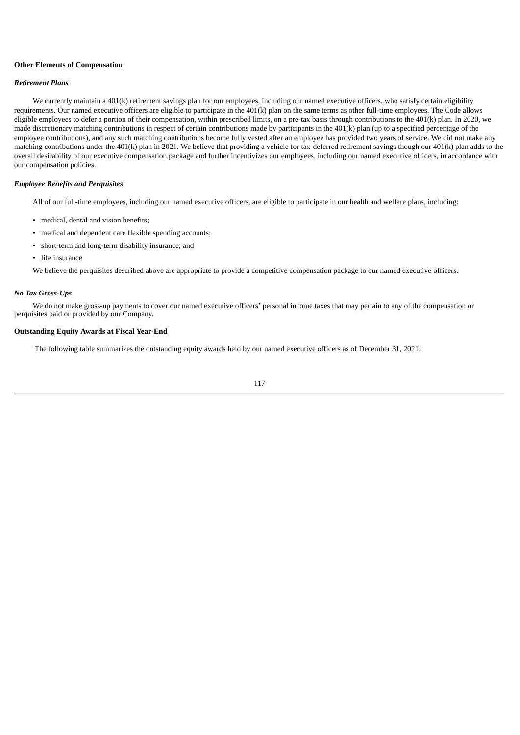## **Other Elements of Compensation**

### *Retirement Plans*

We currently maintain a 401(k) retirement savings plan for our employees, including our named executive officers, who satisfy certain eligibility requirements. Our named executive officers are eligible to participate in the 401(k) plan on the same terms as other full-time employees. The Code allows eligible employees to defer a portion of their compensation, within prescribed limits, on a pre-tax basis through contributions to the 401(k) plan. In 2020, we made discretionary matching contributions in respect of certain contributions made by participants in the 401(k) plan (up to a specified percentage of the employee contributions), and any such matching contributions become fully vested after an employee has provided two years of service. We did not make any matching contributions under the 401(k) plan in 2021. We believe that providing a vehicle for tax-deferred retirement savings though our 401(k) plan adds to the overall desirability of our executive compensation package and further incentivizes our employees, including our named executive officers, in accordance with our compensation policies.

## *Employee Benefits and Perquisites*

All of our full-time employees, including our named executive officers, are eligible to participate in our health and welfare plans, including:

- medical, dental and vision benefits;
- medical and dependent care flexible spending accounts;
- short-term and long-term disability insurance; and
- life insurance

We believe the perquisites described above are appropriate to provide a competitive compensation package to our named executive officers.

### *No Tax Gross-Ups*

We do not make gross-up payments to cover our named executive officers' personal income taxes that may pertain to any of the compensation or perquisites paid or provided by our Company.

## **Outstanding Equity Awards at Fiscal Year-End**

The following table summarizes the outstanding equity awards held by our named executive officers as of December 31, 2021:

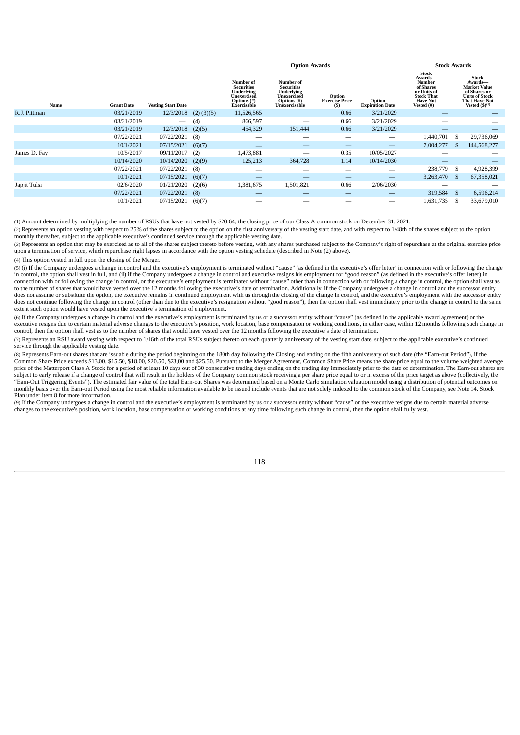|              |                   |                                 |                | <b>Option Awards</b>                                                                             |                                                                                                    |                                        |                                  | <b>Stock Awards</b>                                                                                                 |              |                                                                                                                                        |  |
|--------------|-------------------|---------------------------------|----------------|--------------------------------------------------------------------------------------------------|----------------------------------------------------------------------------------------------------|----------------------------------------|----------------------------------|---------------------------------------------------------------------------------------------------------------------|--------------|----------------------------------------------------------------------------------------------------------------------------------------|--|
| Name         | <b>Grant Date</b> | <b>Vesting Start Date</b>       |                | Number of<br><b>Securities</b><br><b>Underlying</b><br>Unexercised<br>Options (#)<br>Exercisable | Number of<br><b>Securities</b><br>Underlying<br><b>Unexercised</b><br>Options (#)<br>Unexercisable | Option<br><b>Exercise Price</b><br>(S) | Option<br><b>Expiration Date</b> | <b>Stock</b><br>Awards-<br>Number<br>of Shares<br>or Units of<br><b>Stock That</b><br><b>Have Not</b><br>Vested (#) |              | <b>Stock</b><br>Awards-<br><b>Market Value</b><br>of Shares or<br><b>Units of Stock</b><br><b>That Have Not</b><br>Vested $(\$)^{(1)}$ |  |
| R.J. Pittman | 03/21/2019        | 12/3/2018                       | $(2)$ $(3)(5)$ | 11,526,565                                                                                       |                                                                                                    | 0.66                                   | 3/21/2029                        |                                                                                                                     |              |                                                                                                                                        |  |
|              | 03/21/2019        | $\hspace{0.1mm}-\hspace{0.1mm}$ | (4)            | 866,597                                                                                          |                                                                                                    | 0.66                                   | 3/21/2029                        |                                                                                                                     |              |                                                                                                                                        |  |
|              | 03/21/2019        | 12/3/2018                       | (2)(5)         | 454,329                                                                                          | 151,444                                                                                            | 0.66                                   | 3/21/2029                        |                                                                                                                     |              |                                                                                                                                        |  |
|              | 07/22/2021        | 07/22/2021                      | (8)            | —                                                                                                |                                                                                                    |                                        |                                  | 1,440,701                                                                                                           | - \$         | 29,736,069                                                                                                                             |  |
|              | 10/1/2021         | 07/15/2021                      | (6)(7)         | —                                                                                                |                                                                                                    | --                                     | $\overline{\phantom{m}}$         | 7,004,277                                                                                                           | - \$         | 144,568,277                                                                                                                            |  |
| James D. Fay | 10/5/2017         | 09/11/2017                      | (2)            | 1,473,881                                                                                        |                                                                                                    | 0.35                                   | 10/05/2027                       |                                                                                                                     |              |                                                                                                                                        |  |
|              | 10/14/2020        | 10/14/2020                      | (2)(9)         | 125,213                                                                                          | 364,728                                                                                            | 1.14                                   | 10/14/2030                       |                                                                                                                     |              |                                                                                                                                        |  |
|              | 07/22/2021        | 07/22/2021                      | (8)            |                                                                                                  |                                                                                                    |                                        |                                  | 238,779                                                                                                             | - \$         | 4,928,399                                                                                                                              |  |
|              | 10/1/2021         | 07/15/2021                      | (6)(7)         |                                                                                                  |                                                                                                    |                                        |                                  | 3,263,470 \$                                                                                                        |              | 67,358,021                                                                                                                             |  |
| Japjit Tulsi | 02/6/2020         | 01/21/2020                      | (2)(6)         | 1,381,675                                                                                        | 1,501,821                                                                                          | 0.66                                   | 2/06/2030                        |                                                                                                                     |              |                                                                                                                                        |  |
|              | 07/22/2021        | 07/22/2021                      | (8)            |                                                                                                  |                                                                                                    |                                        |                                  | 319,584                                                                                                             | - \$         | 6,596,214                                                                                                                              |  |
|              | 10/1/2021         | 07/15/2021                      | (6)(7)         |                                                                                                  |                                                                                                    |                                        |                                  | 1,631,735                                                                                                           | $\mathbf{s}$ | 33,679,010                                                                                                                             |  |

(1) Amount determined by multiplying the number of RSUs that have not vested by \$20.64, the closing price of our Class A common stock on December 31, 2021.

(2) Represents an option vesting with respect to 25% of the shares subject to the option on the first anniversary of the vesting start date, and with respect to 1/48th of the shares subject to the option monthly thereafter, subject to the applicable executive's continued service through the applicable vesting date.

(3) Represents an option that may be exercised as to all of the shares subject thereto before vesting, with any shares purchased subject to the Company's right of repurchase at the original exercise price upon a termination of service, which repurchase right lapses in accordance with the option vesting schedule (described in Note (2) above).

(4) This option vested in full upon the closing of the Merger.

(5) (i) If the Company undergoes a change in control and the executive's employment is terminated without "cause" (as defined in the executive's offer letter) in connection with or following the change in control, the option shall vest in full, and (ii) if the Company undergoes a change in control and executive resigns his employment for "good reason" (as defined in the executive's offer letter) in connection with or following the change in control, or the executive's employment is terminated without "cause" other than in connection with or following a change in control, the option shall vest as to the number of shares that would have vested over the 12 months following the executive's date of termination. Additionally, if the Company undergoes a change in control and the successor entity does not assume or substitute the option, the executive remains in continued employment with us through the closing of the change in control, and the executive's employment with the successor entity<br>does not continue follo extent such option would have vested upon the executive's termination of employment.

(6) If the Company undergoes a change in control and the executive's employment is terminated by us or a successor entity without "cause" (as defined in the applicable award agreement) or the executive resigns due to certain material adverse changes to the executive's position, work location, base compensation or working conditions, in either case, within 12 months following such change in control, then the option shall vest as to the number of shares that would have vested over the 12 months following the executive's date of termination.

(7) Represents an RSU award vesting with respect to 1/16th of the total RSUs subject thereto on each quarterly anniversary of the vesting start date, subject to the applicable executive's continued service through the applicable vesting date.

(8) Represents Earn-out shares that are issuable during the period beginning on the 180th day following the Closing and ending on the fifth anniversary of such date (the "Earn-out Period"), if the Common Share Price exceeds \$13.00, \$15.50, \$18.00, \$20.50, \$23,00 and \$25.50. Pursuant to the Merger Agreement, Common Share Price means the share price equal to the volume weighted average<br>price of the Matterport Class A subject to early release if a change of control that will result in the holders of the Company common stock receiving a per share price equal to or in excess of the price target as above (collectively, the "Earn-Out Triggering Events"). The estimated fair value of the total Earn-out Shares was determined based on a Monte Carlo simulation valuation model using a distribution of potential outcomes on monthly basis over the Earn-out Period using the most reliable information available to be issued include events that are not solely indexed to the common stock of the Company, see Note 14. Stock Plan under item 8 for more information.

(9) If the Company undergoes a change in control and the executive's employment is terminated by us or a successor entity without "cause" or the executive resigns due to certain material adverse changes to the executive's position, work location, base compensation or working conditions at any time following such change in control, then the option shall fully vest.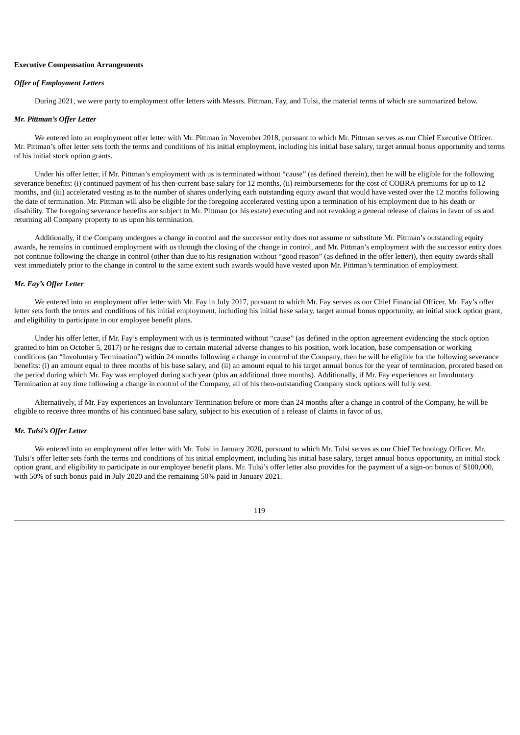### **Executive Compensation Arrangements**

### *Offer of Employment Letters*

During 2021, we were party to employment offer letters with Messrs. Pittman, Fay, and Tulsi, the material terms of which are summarized below.

#### *Mr. Pittman's Offer Letter*

We entered into an employment offer letter with Mr. Pittman in November 2018, pursuant to which Mr. Pittman serves as our Chief Executive Officer. Mr. Pittman's offer letter sets forth the terms and conditions of his initial employment, including his initial base salary, target annual bonus opportunity and terms of his initial stock option grants.

Under his offer letter, if Mr. Pittman's employment with us is terminated without "cause" (as defined therein), then he will be eligible for the following severance benefits: (i) continued payment of his then-current base salary for 12 months, (ii) reimbursements for the cost of COBRA premiums for up to 12 months, and (iii) accelerated vesting as to the number of shares underlying each outstanding equity award that would have vested over the 12 months following the date of termination. Mr. Pittman will also be eligible for the foregoing accelerated vesting upon a termination of his employment due to his death or disability. The foregoing severance benefits are subject to Mr. Pittman (or his estate) executing and not revoking a general release of claims in favor of us and returning all Company property to us upon his termination.

Additionally, if the Company undergoes a change in control and the successor entity does not assume or substitute Mr. Pittman's outstanding equity awards, he remains in continued employment with us through the closing of the change in control, and Mr. Pittman's employment with the successor entity does not continue following the change in control (other than due to his resignation without "good reason" (as defined in the offer letter)), then equity awards shall vest immediately prior to the change in control to the same extent such awards would have vested upon Mr. Pittman's termination of employment.

### *Mr. Fay's Offer Letter*

We entered into an employment offer letter with Mr. Fay in July 2017, pursuant to which Mr. Fay serves as our Chief Financial Officer. Mr. Fay's offer letter sets forth the terms and conditions of his initial employment, including his initial base salary, target annual bonus opportunity, an initial stock option grant, and eligibility to participate in our employee benefit plans.

Under his offer letter, if Mr. Fay's employment with us is terminated without "cause" (as defined in the option agreement evidencing the stock option granted to him on October 5, 2017) or he resigns due to certain material adverse changes to his position, work location, base compensation or working conditions (an "Involuntary Termination") within 24 months following a change in control of the Company, then he will be eligible for the following severance benefits: (i) an amount equal to three months of his base salary, and (ii) an amount equal to his target annual bonus for the year of termination, prorated based on the period during which Mr. Fay was employed during such year (plus an additional three months). Additionally, if Mr. Fay experiences an Involuntary Termination at any time following a change in control of the Company, all of his then-outstanding Company stock options will fully vest.

Alternatively, if Mr. Fay experiences an Involuntary Termination before or more than 24 months after a change in control of the Company, he will be eligible to receive three months of his continued base salary, subject to his execution of a release of claims in favor of us.

### *Mr. Tulsi's Offer Letter*

We entered into an employment offer letter with Mr. Tulsi in January 2020, pursuant to which Mr. Tulsi serves as our Chief Technology Officer. Mr. Tulsi's offer letter sets forth the terms and conditions of his initial employment, including his initial base salary, target annual bonus opportunity, an initial stock option grant, and eligibility to participate in our employee benefit plans. Mr. Tulsi's offer letter also provides for the payment of a sign-on bonus of \$100,000, with 50% of such bonus paid in July 2020 and the remaining 50% paid in January 2021.

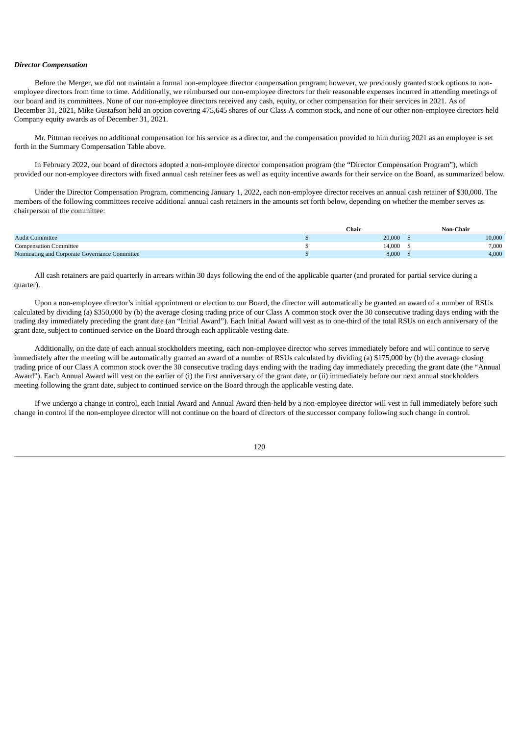### *Director Compensation*

Before the Merger, we did not maintain a formal non-employee director compensation program; however, we previously granted stock options to nonemployee directors from time to time. Additionally, we reimbursed our non-employee directors for their reasonable expenses incurred in attending meetings of our board and its committees. None of our non-employee directors received any cash, equity, or other compensation for their services in 2021. As of December 31, 2021, Mike Gustafson held an option covering 475,645 shares of our Class A common stock, and none of our other non-employee directors held Company equity awards as of December 31, 2021.

Mr. Pittman receives no additional compensation for his service as a director, and the compensation provided to him during 2021 as an employee is set forth in the Summary Compensation Table above.

In February 2022, our board of directors adopted a non-employee director compensation program (the "Director Compensation Program"), which provided our non-employee directors with fixed annual cash retainer fees as well as equity incentive awards for their service on the Board, as summarized below.

Under the Director Compensation Program, commencing January 1, 2022, each non-employee director receives an annual cash retainer of \$30,000. The members of the following committees receive additional annual cash retainers in the amounts set forth below, depending on whether the member serves as chairperson of the committee:

|                                               | ${\bf hair}$ |        | <b>Non-Chair</b> |
|-----------------------------------------------|--------------|--------|------------------|
| <b>Audit Committee</b>                        |              | 20,000 | 10,000           |
| <b>Compensation Committee</b>                 |              | 14,000 | 7,000            |
| Nominating and Corporate Governance Committee |              | 8,000  | 4.000            |

All cash retainers are paid quarterly in arrears within 30 days following the end of the applicable quarter (and prorated for partial service during a quarter).

Upon a non-employee director's initial appointment or election to our Board, the director will automatically be granted an award of a number of RSUs calculated by dividing (a) \$350,000 by (b) the average closing trading price of our Class A common stock over the 30 consecutive trading days ending with the trading day immediately preceding the grant date (an "Initial Award"). Each Initial Award will vest as to one-third of the total RSUs on each anniversary of the grant date, subject to continued service on the Board through each applicable vesting date.

Additionally, on the date of each annual stockholders meeting, each non-employee director who serves immediately before and will continue to serve immediately after the meeting will be automatically granted an award of a number of RSUs calculated by dividing (a) \$175,000 by (b) the average closing trading price of our Class A common stock over the 30 consecutive trading days ending with the trading day immediately preceding the grant date (the "Annual Award"). Each Annual Award will vest on the earlier of (i) the first anniversary of the grant date, or (ii) immediately before our next annual stockholders meeting following the grant date, subject to continued service on the Board through the applicable vesting date.

If we undergo a change in control, each Initial Award and Annual Award then-held by a non-employee director will vest in full immediately before such change in control if the non-employee director will not continue on the board of directors of the successor company following such change in control.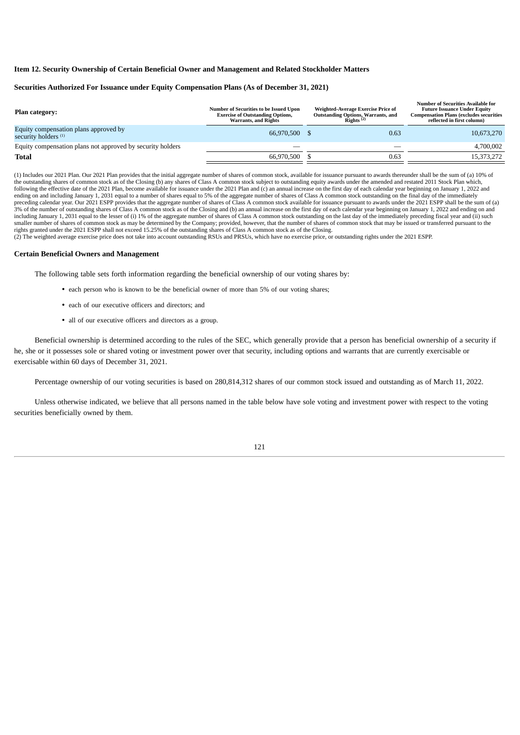### **Item 12. Security Ownership of Certain Beneficial Owner and Management and Related Stockholder Matters**

### **Securities Authorized For Issuance under Equity Compensation Plans (As of December 31, 2021)**

| <b>Plan category:</b>                                         | <b>Number of Securities to be Issued Upon</b><br><b>Exercise of Outstanding Options,</b><br><b>Warrants, and Rights</b> | <b>Weighted-Average Exercise Price of</b><br><b>Outstanding Options, Warrants, and</b><br>Rights <sup>(2)</sup> | <b>Number of Securities Available for</b><br><b>Future Issuance Under Equity</b><br><b>Compensation Plans (excludes securities</b><br>reflected in first column) |  |  |
|---------------------------------------------------------------|-------------------------------------------------------------------------------------------------------------------------|-----------------------------------------------------------------------------------------------------------------|------------------------------------------------------------------------------------------------------------------------------------------------------------------|--|--|
| Equity compensation plans approved by<br>security holders (1) | 66,970,500                                                                                                              | 0.63                                                                                                            | 10,673,270                                                                                                                                                       |  |  |
| Equity compensation plans not approved by security holders    |                                                                                                                         |                                                                                                                 | 4,700,002                                                                                                                                                        |  |  |
| <b>Total</b>                                                  | 66,970,500                                                                                                              | 0.63                                                                                                            | 15,373,272                                                                                                                                                       |  |  |

(1) Includes our 2021 Plan. Our 2021 Plan provides that the initial aggregate number of shares of common stock, available for issuance pursuant to awards thereunder shall be the sum of (a) 10% of the outstanding shares of common stock as of the Closing (b) any shares of Class A common stock subject to outstanding equity awards under the amended and restated 2011 Stock Plan which, following the effective date of the 2021 Plan, become available for issuance under the 2021 Plan and (c) an annual increase on the first day of each calendar year beginning on January 1, 2022 and following the effective da ending on and including January 1, 2031 equal to a number of shares equal to 5% of the aggregate number of shares of Class A common stock outstanding on the final day of the immediately preceding calendar year. Our 2021 ESPP provides that the aggregate number of shares of Class A common stock available for issuance pursuant to awards under the 2021 ESPP shall be the sum of (a) 3% of the number of outstanding shares of Class A common stock as of the Closing and (b) an annual increase on the first day of each calendar year beginning on January 1, 2022 and ending on and including January 1, 2031 equal to the lesser of (i) 1% of the aggregate number of shares of Class A common stock outstanding on the last day of the immediately preceding fiscal year and (ii) such including January 1, 2031 smaller number of shares of common stock as may be determined by the Company; provided, however, that the number of shares of common stock that may be issued or transferred pursuant to the rights granted under the 2021 ESPP shall not exceed 15.25% of the outstanding shares of Class A common stock as of the Closing.

(2) The weighted average exercise price does not take into account outstanding RSUs and PRSUs, which have no exercise price, or outstanding rights under the 2021 ESPP.

### **Certain Beneficial Owners and Management**

The following table sets forth information regarding the beneficial ownership of our voting shares by:

- each person who is known to be the beneficial owner of more than 5% of our voting shares;
- each of our executive officers and directors; and
- all of our executive officers and directors as a group.

Beneficial ownership is determined according to the rules of the SEC, which generally provide that a person has beneficial ownership of a security if he, she or it possesses sole or shared voting or investment power over that security, including options and warrants that are currently exercisable or exercisable within 60 days of December 31, 2021.

Percentage ownership of our voting securities is based on 280,814,312 shares of our common stock issued and outstanding as of March 11, 2022.

Unless otherwise indicated, we believe that all persons named in the table below have sole voting and investment power with respect to the voting securities beneficially owned by them.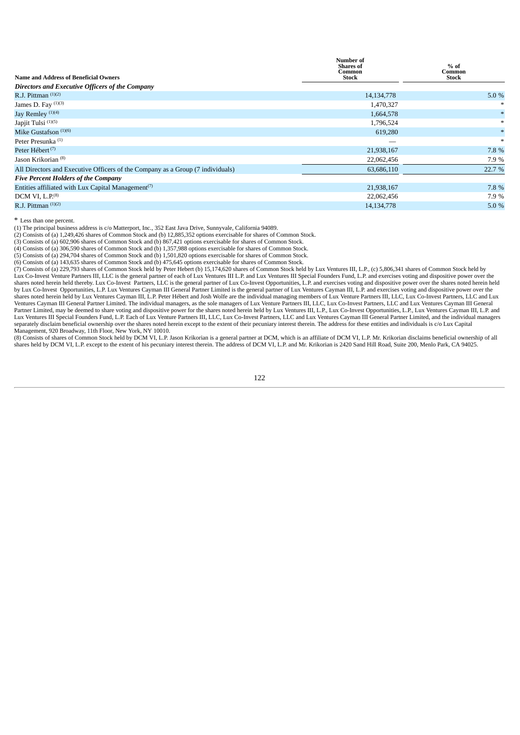| <b>Name and Address of Beneficial Owners</b>                                   | Number of<br><b>Shares</b> of<br>Common<br>Stock | $%$ of<br>Common<br>Stock |
|--------------------------------------------------------------------------------|--------------------------------------------------|---------------------------|
| Directors and Executive Officers of the Company                                |                                                  |                           |
| R.J. Pittman <sup>(1)(2)</sup>                                                 | 14, 134, 778                                     | 5.0 %                     |
| James D. Fay $(1)(3)$                                                          | 1,470,327                                        | *                         |
| Jay Remley <sup>(1)(4)</sup>                                                   | 1,664,578                                        |                           |
| Japjit Tulsi (1)(5)                                                            | 1,796,524                                        |                           |
| Mike Gustafson $(1)(6)$                                                        | 619,280                                          |                           |
| Peter Presunka <sup>(1)</sup>                                                  |                                                  | *                         |
| Peter Hébert <sup>(7)</sup>                                                    | 21,938,167                                       | 7.8 %                     |
| Jason Krikorian <sup>(8)</sup>                                                 | 22,062,456                                       | 7.9 %                     |
| All Directors and Executive Officers of the Company as a Group (7 individuals) | 63,686,110                                       | 22.7 %                    |
| <b>Five Percent Holders of the Company</b>                                     |                                                  |                           |
| Entities affiliated with Lux Capital Management <sup>(7)</sup>                 | 21,938,167                                       | 7.8 %                     |
| DCM VI, $L.P.(8)$                                                              | 22,062,456                                       | 7.9 %                     |
| R.J. Pittman $(1)(2)$                                                          | 14, 134, 778                                     | 5.0%                      |

\* Less than one percent.

(1) The principal business address is c/o Matterport, Inc., 352 East Java Drive, Sunnyvale, California 94089.

(2) Consists of (a) 1,249,426 shares of Common Stock and (b) 12,885,352 options exercisable for shares of Common Stock.

(3) Consists of (a) 602,906 shares of Common Stock and (b) 867,421 options exercisable for shares of Common Stock.

(4) Consists of (a) 306,590 shares of Common Stock and (b) 1,357,988 options exercisable for shares of Common Stock. (5) Consists of (a) 294,704 shares of Common Stock and (b) 1,501,820 options exercisable for shares of Common Stock.

(6) Consists of (a) 143,635 shares of Common Stock and (b) 475,645 options exercisable for shares of Common Stock.

(7) Consists of (a) 229,793 shares of Common Stock held by Peter Hebert (b) 15,174,620 shares of Common Stock held by Lux Ventures III, L.P., (c) 5,806,341 shares of Common Stock held by Lux Co-Invest Venture Partners III, LLC is the general partner of each of Lux Ventures III L.P. and Lux Ventures III Special Founders Fund, L.P. and exercises voting and dispositive power over the shares noted herein held thereby. Lux Co-Invest Partners, LLC is the general partner of Lux Co-Invest Opportunities, L.P. and exercises voting and dispositive power over the shares noted herein held<br>by Lux Co-Invest Opport Ventures Cayman III General Partner Limited. The individual managers, as the sole managers of Lux Venture Partners III, LLC, Lux Co-Invest Partners, LLC and Lux Ventures Cayman III General Partner Limited, may be deemed to share voting and dispositive power for the shares noted herein held by Lux Ventures III, L.P., Lux Co-Invest Opportunities, L.P., Lux Ventures Cayman III, L.P. and Lux Ventures III Special Founders Fund, L.P. Each of Lux Venture Partners III, LLC, Lux Co-Invest Partners, LLC and Lux Ventures Cayman III General Partner Limited, and the individual managers<br>separately disclaim beneficia Management, 920 Broadway, 11th Floor, New York, NY 10010.

(8) Consists of shares of Common Stock held by DCM VI, L.P. Jason Krikorian is a general partner at DCM, which is an affiliate of DCM VI, L.P. Mr. Krikorian disclaims beneficial ownership of all shares held by DCM VI, L.P. except to the extent of his pecuniary interest therein. The address of DCM VI, L.P. and Mr. Krikorian is 2420 Sand Hill Road, Suite 200, Menlo Park, CA 94025.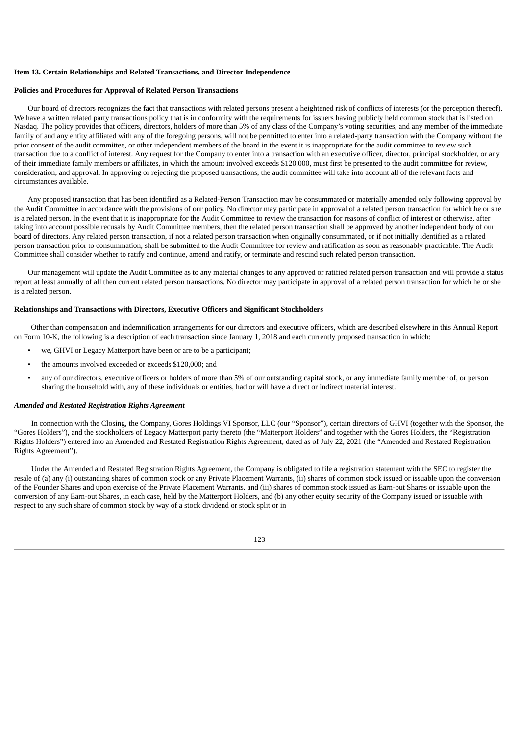### **Item 13. Certain Relationships and Related Transactions, and Director Independence**

## **Policies and Procedures for Approval of Related Person Transactions**

Our board of directors recognizes the fact that transactions with related persons present a heightened risk of conflicts of interests (or the perception thereof). We have a written related party transactions policy that is in conformity with the requirements for issuers having publicly held common stock that is listed on Nasdaq. The policy provides that officers, directors, holders of more than 5% of any class of the Company's voting securities, and any member of the immediate family of and any entity affiliated with any of the foregoing persons, will not be permitted to enter into a related-party transaction with the Company without the prior consent of the audit committee, or other independent members of the board in the event it is inappropriate for the audit committee to review such transaction due to a conflict of interest. Any request for the Company to enter into a transaction with an executive officer, director, principal stockholder, or any of their immediate family members or affiliates, in which the amount involved exceeds \$120,000, must first be presented to the audit committee for review, consideration, and approval. In approving or rejecting the proposed transactions, the audit committee will take into account all of the relevant facts and circumstances available.

Any proposed transaction that has been identified as a Related-Person Transaction may be consummated or materially amended only following approval by the Audit Committee in accordance with the provisions of our policy. No director may participate in approval of a related person transaction for which he or she is a related person. In the event that it is inappropriate for the Audit Committee to review the transaction for reasons of conflict of interest or otherwise, after taking into account possible recusals by Audit Committee members, then the related person transaction shall be approved by another independent body of our board of directors. Any related person transaction, if not a related person transaction when originally consummated, or if not initially identified as a related person transaction prior to consummation, shall be submitted to the Audit Committee for review and ratification as soon as reasonably practicable. The Audit Committee shall consider whether to ratify and continue, amend and ratify, or terminate and rescind such related person transaction.

Our management will update the Audit Committee as to any material changes to any approved or ratified related person transaction and will provide a status report at least annually of all then current related person transactions. No director may participate in approval of a related person transaction for which he or she is a related person.

## **Relationships and Transactions with Directors, Executive Officers and Significant Stockholders**

Other than compensation and indemnification arrangements for our directors and executive officers, which are described elsewhere in this Annual Report on Form 10-K, the following is a description of each transaction since January 1, 2018 and each currently proposed transaction in which:

- we, GHVI or Legacy Matterport have been or are to be a participant;
- the amounts involved exceeded or exceeds \$120,000; and
- any of our directors, executive officers or holders of more than 5% of our outstanding capital stock, or any immediate family member of, or person sharing the household with, any of these individuals or entities, had or will have a direct or indirect material interest.

### *Amended and Restated Registration Rights Agreement*

In connection with the Closing, the Company, Gores Holdings VI Sponsor, LLC (our "Sponsor"), certain directors of GHVI (together with the Sponsor, the "Gores Holders"), and the stockholders of Legacy Matterport party thereto (the "Matterport Holders" and together with the Gores Holders, the "Registration Rights Holders") entered into an Amended and Restated Registration Rights Agreement, dated as of July 22, 2021 (the "Amended and Restated Registration Rights Agreement").

Under the Amended and Restated Registration Rights Agreement, the Company is obligated to file a registration statement with the SEC to register the resale of (a) any (i) outstanding shares of common stock or any Private Placement Warrants, (ii) shares of common stock issued or issuable upon the conversion of the Founder Shares and upon exercise of the Private Placement Warrants, and (iii) shares of common stock issued as Earn-out Shares or issuable upon the conversion of any Earn-out Shares, in each case, held by the Matterport Holders, and (b) any other equity security of the Company issued or issuable with respect to any such share of common stock by way of a stock dividend or stock split or in

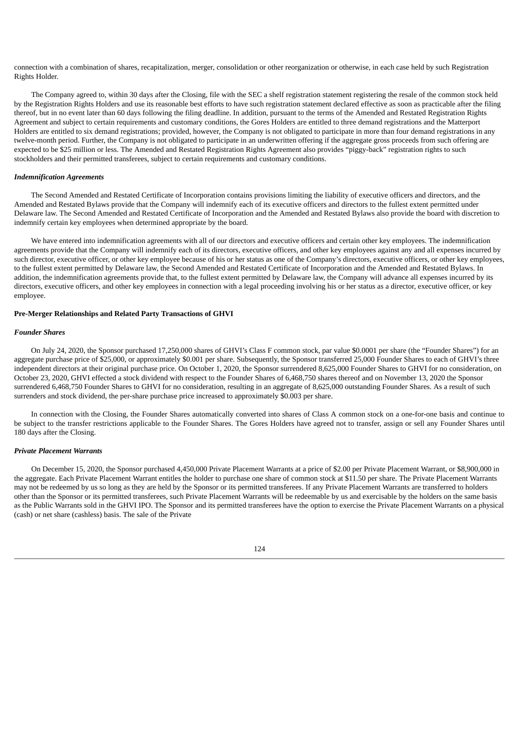connection with a combination of shares, recapitalization, merger, consolidation or other reorganization or otherwise, in each case held by such Registration Rights Holder.

The Company agreed to, within 30 days after the Closing, file with the SEC a shelf registration statement registering the resale of the common stock held by the Registration Rights Holders and use its reasonable best efforts to have such registration statement declared effective as soon as practicable after the filing thereof, but in no event later than 60 days following the filing deadline. In addition, pursuant to the terms of the Amended and Restated Registration Rights Agreement and subject to certain requirements and customary conditions, the Gores Holders are entitled to three demand registrations and the Matterport Holders are entitled to six demand registrations; provided, however, the Company is not obligated to participate in more than four demand registrations in any twelve-month period. Further, the Company is not obligated to participate in an underwritten offering if the aggregate gross proceeds from such offering are expected to be \$25 million or less. The Amended and Restated Registration Rights Agreement also provides "piggy-back" registration rights to such stockholders and their permitted transferees, subject to certain requirements and customary conditions.

## *Indemnification Agreements*

The Second Amended and Restated Certificate of Incorporation contains provisions limiting the liability of executive officers and directors, and the Amended and Restated Bylaws provide that the Company will indemnify each of its executive officers and directors to the fullest extent permitted under Delaware law. The Second Amended and Restated Certificate of Incorporation and the Amended and Restated Bylaws also provide the board with discretion to indemnify certain key employees when determined appropriate by the board.

We have entered into indemnification agreements with all of our directors and executive officers and certain other key employees. The indemnification agreements provide that the Company will indemnify each of its directors, executive officers, and other key employees against any and all expenses incurred by such director, executive officer, or other key employee because of his or her status as one of the Company's directors, executive officers, or other key employees, to the fullest extent permitted by Delaware law, the Second Amended and Restated Certificate of Incorporation and the Amended and Restated Bylaws. In addition, the indemnification agreements provide that, to the fullest extent permitted by Delaware law, the Company will advance all expenses incurred by its directors, executive officers, and other key employees in connection with a legal proceeding involving his or her status as a director, executive officer, or key employee.

## **Pre-Merger Relationships and Related Party Transactions of GHVI**

### *Founder Shares*

On July 24, 2020, the Sponsor purchased 17,250,000 shares of GHVI's Class F common stock, par value \$0.0001 per share (the "Founder Shares") for an aggregate purchase price of \$25,000, or approximately \$0.001 per share. Subsequently, the Sponsor transferred 25,000 Founder Shares to each of GHVI's three independent directors at their original purchase price. On October 1, 2020, the Sponsor surrendered 8,625,000 Founder Shares to GHVI for no consideration, on October 23, 2020, GHVI effected a stock dividend with respect to the Founder Shares of 6,468,750 shares thereof and on November 13, 2020 the Sponsor surrendered 6,468,750 Founder Shares to GHVI for no consideration, resulting in an aggregate of 8,625,000 outstanding Founder Shares. As a result of such surrenders and stock dividend, the per-share purchase price increased to approximately \$0.003 per share.

In connection with the Closing, the Founder Shares automatically converted into shares of Class A common stock on a one-for-one basis and continue to be subject to the transfer restrictions applicable to the Founder Shares. The Gores Holders have agreed not to transfer, assign or sell any Founder Shares until 180 days after the Closing.

### *Private Placement Warrants*

On December 15, 2020, the Sponsor purchased 4,450,000 Private Placement Warrants at a price of \$2.00 per Private Placement Warrant, or \$8,900,000 in the aggregate. Each Private Placement Warrant entitles the holder to purchase one share of common stock at \$11.50 per share. The Private Placement Warrants may not be redeemed by us so long as they are held by the Sponsor or its permitted transferees. If any Private Placement Warrants are transferred to holders other than the Sponsor or its permitted transferees, such Private Placement Warrants will be redeemable by us and exercisable by the holders on the same basis as the Public Warrants sold in the GHVI IPO. The Sponsor and its permitted transferees have the option to exercise the Private Placement Warrants on a physical (cash) or net share (cashless) basis. The sale of the Private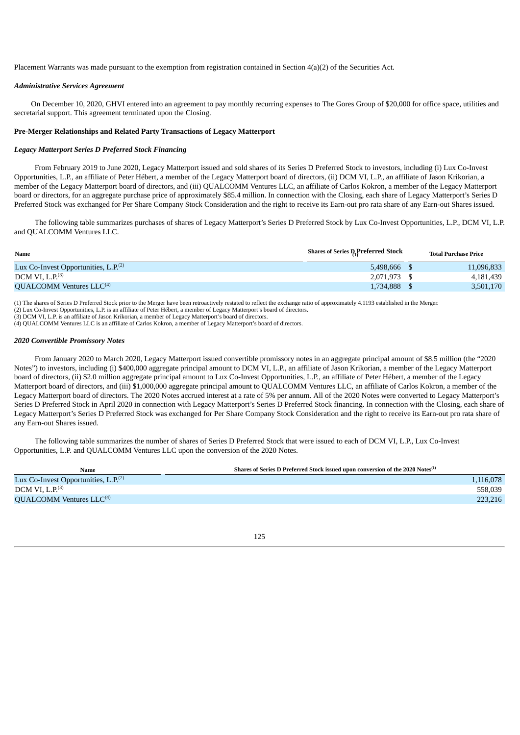Placement Warrants was made pursuant to the exemption from registration contained in Section 4(a)(2) of the Securities Act.

### *Administrative Services Agreement*

On December 10, 2020, GHVI entered into an agreement to pay monthly recurring expenses to The Gores Group of \$20,000 for office space, utilities and secretarial support. This agreement terminated upon the Closing.

### **Pre-Merger Relationships and Related Party Transactions of Legacy Matterport**

## *Legacy Matterport Series D Preferred Stock Financing*

From February 2019 to June 2020, Legacy Matterport issued and sold shares of its Series D Preferred Stock to investors, including (i) Lux Co-Invest Opportunities, L.P., an affiliate of Peter Hébert, a member of the Legacy Matterport board of directors, (ii) DCM VI, L.P., an affiliate of Jason Krikorian, a member of the Legacy Matterport board of directors, and (iii) QUALCOMM Ventures LLC, an affiliate of Carlos Kokron, a member of the Legacy Matterport board or directors, for an aggregate purchase price of approximately \$85.4 million. In connection with the Closing, each share of Legacy Matterport's Series D Preferred Stock was exchanged for Per Share Company Stock Consideration and the right to receive its Earn-out pro rata share of any Earn-out Shares issued.

The following table summarizes purchases of shares of Legacy Matterport's Series D Preferred Stock by Lux Co-Invest Opportunities, L.P., DCM VI, L.P. and QUALCOMM Ventures LLC.

| Name                                    | Shares of Series $D_i$ Preferred Stock | <b>Total Purchase Price</b> |
|-----------------------------------------|----------------------------------------|-----------------------------|
| Lux Co-Invest Opportunities, L.P. $(2)$ | 5.498.666                              | 11,096,833                  |
| DCM VI, $L.P(3)$                        | 2,071,973 \$                           | 4.181.439                   |
| $QUALCOMM$ Ventures $LLC(4)$            | 1.734.888                              | 3,501,170                   |

(1) The shares of Series D Preferred Stock prior to the Merger have been retroactively restated to reflect the exchange ratio of approximately 4.1193 established in the Merger.

(2) Lux Co-Invest Opportunities, L.P. is an affiliate of Peter Hébert, a member of Legacy Matterport's board of directors.<br>(3) DCM VI, L.P. is an affiliate of Jason Krikorian, a member of Legacy Matterport's board of direc

(4) QUALCOMM Ventures LLC is an affiliate of Carlos Kokron, a member of Legacy Matterport's board of directors.

### *2020 Convertible Promissory Notes*

From January 2020 to March 2020, Legacy Matterport issued convertible promissory notes in an aggregate principal amount of \$8.5 million (the "2020 Notes") to investors, including (i) \$400,000 aggregate principal amount to DCM VI, L.P., an affiliate of Jason Krikorian, a member of the Legacy Matterport board of directors, (ii) \$2.0 million aggregate principal amount to Lux Co-Invest Opportunities, L.P., an affiliate of Peter Hébert, a member of the Legacy Matterport board of directors, and (iii) \$1,000,000 aggregate principal amount to QUALCOMM Ventures LLC, an affiliate of Carlos Kokron, a member of the Legacy Matterport board of directors. The 2020 Notes accrued interest at a rate of 5% per annum. All of the 2020 Notes were converted to Legacy Matterport's Series D Preferred Stock in April 2020 in connection with Legacy Matterport's Series D Preferred Stock financing. In connection with the Closing, each share of Legacy Matterport's Series D Preferred Stock was exchanged for Per Share Company Stock Consideration and the right to receive its Earn-out pro rata share of any Earn-out Shares issued.

The following table summarizes the number of shares of Series D Preferred Stock that were issued to each of DCM VI, L.P., Lux Co-Invest Opportunities, L.P. and QUALCOMM Ventures LLC upon the conversion of the 2020 Notes.

| Name                                             | Shares of Series D Preferred Stock issued upon conversion of the 2020 Notes <sup>(1)</sup> |
|--------------------------------------------------|--------------------------------------------------------------------------------------------|
| Lux Co-Invest Opportunities, L.P. <sup>(2)</sup> | 1.116.078                                                                                  |
| DCM VI. $L.P(3)$                                 | 558.039                                                                                    |
| $QUALCOMM$ Ventures $LLC(4)$                     | 223,216                                                                                    |
|                                                  |                                                                                            |

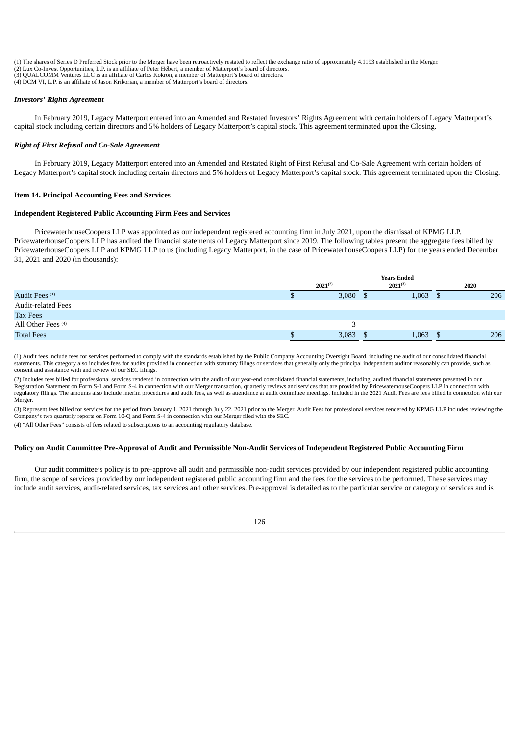(1) The shares of Series D Preferred Stock prior to the Merger have been retroactively restated to reflect the exchange ratio of approximately 4.1193 established in the Merger.

(2) Lux Co-Invest Opportunities, L.P. is an affiliate of Peter Hébert, a member of Matterport's board of directors. (3) QUALCOMM Ventures LLC is an affiliate of Carlos Kokron, a member of Matterport's board of directors.

(4) DCM VI, L.P. is an affiliate of Jason Krikorian, a member of Matterport's board of directors.

#### *Investors' Rights Agreement*

In February 2019, Legacy Matterport entered into an Amended and Restated Investors' Rights Agreement with certain holders of Legacy Matterport's capital stock including certain directors and 5% holders of Legacy Matterport's capital stock. This agreement terminated upon the Closing.

#### *Right of First Refusal and Co-Sale Agreement*

In February 2019, Legacy Matterport entered into an Amended and Restated Right of First Refusal and Co-Sale Agreement with certain holders of Legacy Matterport's capital stock including certain directors and 5% holders of Legacy Matterport's capital stock. This agreement terminated upon the Closing.

#### **Item 14. Principal Accounting Fees and Services**

### **Independent Registered Public Accounting Firm Fees and Services**

PricewaterhouseCoopers LLP was appointed as our independent registered accounting firm in July 2021, upon the dismissal of KPMG LLP. PricewaterhouseCoopers LLP has audited the financial statements of Legacy Matterport since 2019. The following tables present the aggregate fees billed by PricewaterhouseCoopers LLP and KPMG LLP to us (including Legacy Matterport, in the case of PricewaterhouseCoopers LLP) for the years ended December 31, 2021 and 2020 (in thousands):

|                               | <b>Years Ended</b> |                 |                   |  |
|-------------------------------|--------------------|-----------------|-------------------|--|
|                               | $2021^{(2)}$       | $2021^{(3)}$    | 2020              |  |
| Audit Fees <sup>(1)</sup>     | 3,080              | 1,063<br>Ъ      | 206<br>ూ          |  |
| <b>Audit-related Fees</b>     |                    | $\qquad \qquad$ |                   |  |
| <b>Tax Fees</b>               |                    |                 |                   |  |
| All Other Fees <sup>(4)</sup> |                    | $\qquad \qquad$ | $\qquad \qquad -$ |  |
| <b>Total Fees</b>             | 3,083              | 1,063           | 206               |  |

(1) Audit fees include fees for services performed to comply with the standards established by the Public Company Accounting Oversight Board, including the audit of our consolidated financial statements. This category also includes fees for audits provided in connection with statutory filings or services that generally only the principal independent auditor reasonably can provide, such as consent and assistance with and review of our SEC filings.

(2) Includes fees billed for professional services rendered in connection with the audit of our year-end consolidated financial statements, including, audited financial statements presented in our Registration Statement on Form S-1 and Form S-4 in connection with our Merger transaction, quarterly reviews and services that are provided by PricewaterhouseCoopers LLP in connection with regulatory filings. The amounts also include interim procedures and audit fees, as well as attendance at audit committee meetings. Included in the 2021 Audit Fees are fees billed in connection with our Merger.

(3) Represent fees billed for services for the period from January 1, 2021 through July 22, 2021 prior to the Merger. Audit Fees for professional services rendered by KPMG LLP includes reviewing the Company's two quarterly reports on Form 10-Q and Form S-4 in connection with our Merger filed with the SEC.

(4) "All Other Fees" consists of fees related to subscriptions to an accounting regulatory database.

### Policy on Audit Committee Pre-Approval of Audit and Permissible Non-Audit Services of Independent Registered Public Accounting Firm

Our audit committee's policy is to pre‑approve all audit and permissible non‑audit services provided by our independent registered public accounting firm, the scope of services provided by our independent registered public accounting firm and the fees for the services to be performed. These services may include audit services, audit-related services, tax services and other services. Pre-approval is detailed as to the particular service or category of services and is

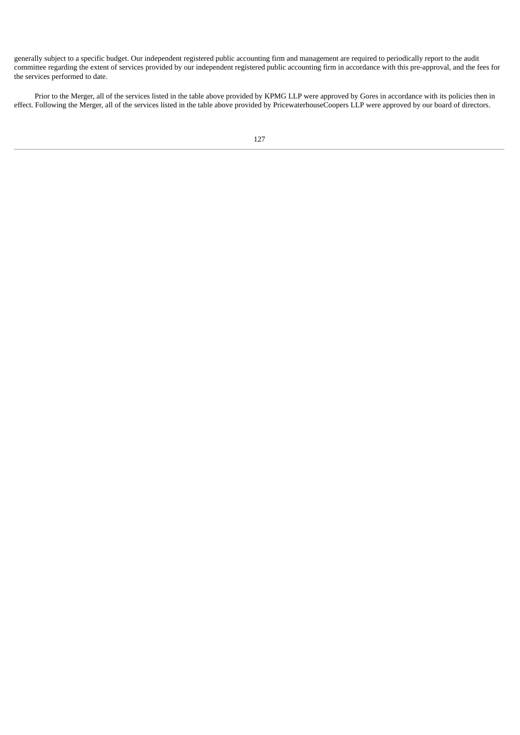generally subject to a specific budget. Our independent registered public accounting firm and management are required to periodically report to the audit committee regarding the extent of services provided by our independent registered public accounting firm in accordance with this pre-approval, and the fees for the services performed to date.

Prior to the Merger, all of the services listed in the table above provided by KPMG LLP were approved by Gores in accordance with its policies then in effect. Following the Merger, all of the services listed in the table above provided by PricewaterhouseCoopers LLP were approved by our board of directors.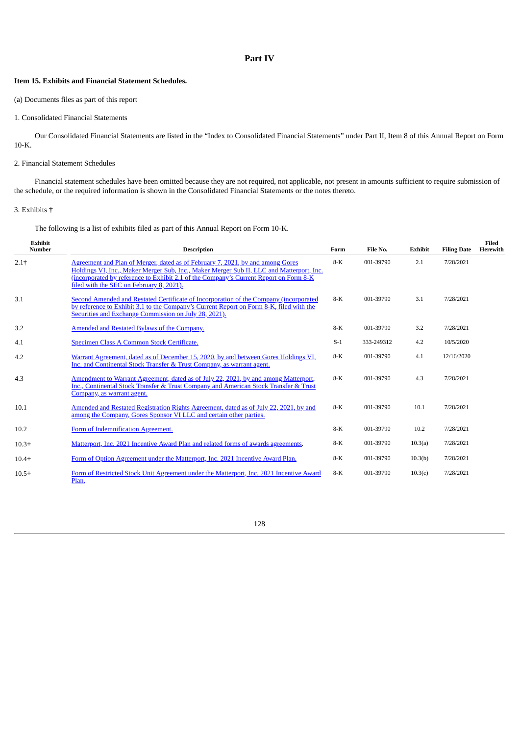## **Part IV**

## **Item 15. Exhibits and Financial Statement Schedules.**

(a) Documents files as part of this report

### 1. Consolidated Financial Statements

Our Consolidated Financial Statements are listed in the "Index to Consolidated Financial Statements" under Part II, Item 8 of this Annual Report on Form 10-K.

## 2. Financial Statement Schedules

Financial statement schedules have been omitted because they are not required, not applicable, not present in amounts sufficient to require submission of the schedule, or the required information is shown in the Consolidated Financial Statements or the notes thereto.

### 3. Exhibits †

The following is a list of exhibits filed as part of this Annual Report on Form 10-K.

| Exhibit<br><b>Number</b> | <b>Description</b>                                                                                                                                                                                                                                                                                              | Form  | File No.   | <b>Exhibit</b> | <b>Filing Date</b> | Filed<br>Herewith |
|--------------------------|-----------------------------------------------------------------------------------------------------------------------------------------------------------------------------------------------------------------------------------------------------------------------------------------------------------------|-------|------------|----------------|--------------------|-------------------|
| $2.1+$                   | Agreement and Plan of Merger, dated as of February 7, 2021, by and among Gores<br>Holdings VI, Inc., Maker Merger Sub, Inc., Maker Merger Sub II, LLC and Matterport, Inc.<br>(incorporated by reference to Exhibit 2.1 of the Company's Current Report on Form 8-K<br>filed with the SEC on February 8, 2021). | $8-K$ | 001-39790  | 2.1            | 7/28/2021          |                   |
| 3.1                      | Second Amended and Restated Certificate of Incorporation of the Company (incorporated<br>by reference to Exhibit 3.1 to the Company's Current Report on Form 8-K, filed with the<br>Securities and Exchange Commission on July 28, 2021).                                                                       | $8-K$ | 001-39790  | 3.1            | 7/28/2021          |                   |
| 3.2                      | Amended and Restated Bylaws of the Company.                                                                                                                                                                                                                                                                     | $8-K$ | 001-39790  | 3.2            | 7/28/2021          |                   |
| 4.1                      | Specimen Class A Common Stock Certificate.                                                                                                                                                                                                                                                                      | $S-1$ | 333-249312 | 4.2            | 10/5/2020          |                   |
| 4.2                      | Warrant Agreement, dated as of December 15, 2020, by and between Gores Holdings VI,<br>Inc. and Continental Stock Transfer & Trust Company, as warrant agent.                                                                                                                                                   | $8-K$ | 001-39790  | 4.1            | 12/16/2020         |                   |
| 4.3                      | Amendment to Warrant Agreement, dated as of July 22, 2021, by and among Matterport,<br>Inc., Continental Stock Transfer & Trust Company and American Stock Transfer & Trust<br>Company, as warrant agent.                                                                                                       | $8-K$ | 001-39790  | 4.3            | 7/28/2021          |                   |
| 10.1                     | Amended and Restated Registration Rights Agreement, dated as of July 22, 2021, by and<br>among the Company, Gores Sponsor VI LLC and certain other parties.                                                                                                                                                     | $8-K$ | 001-39790  | 10.1           | 7/28/2021          |                   |
| 10.2                     | Form of Indemnification Agreement.                                                                                                                                                                                                                                                                              | $8-K$ | 001-39790  | 10.2           | 7/28/2021          |                   |
| $10.3+$                  | Matterport, Inc. 2021 Incentive Award Plan and related forms of awards agreements.                                                                                                                                                                                                                              | $8-K$ | 001-39790  | 10.3(a)        | 7/28/2021          |                   |
| $10.4+$                  | Form of Option Agreement under the Matterport, Inc. 2021 Incentive Award Plan.                                                                                                                                                                                                                                  | $8-K$ | 001-39790  | 10.3(b)        | 7/28/2021          |                   |
| $10.5+$                  | Form of Restricted Stock Unit Agreement under the Matterport, Inc. 2021 Incentive Award<br>Plan.                                                                                                                                                                                                                | $8-K$ | 001-39790  | 10.3(c)        | 7/28/2021          |                   |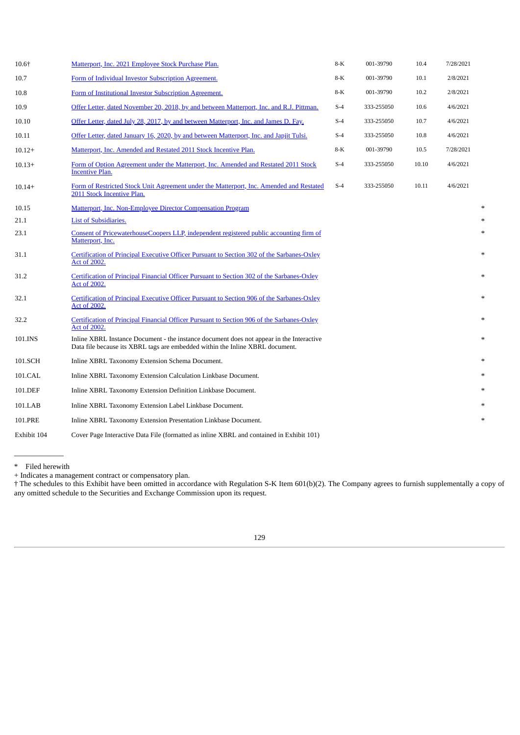| 10.6†       | Matterport, Inc. 2021 Employee Stock Purchase Plan.                                                                                                                       | $8-K$ | 001-39790  | 10.4  | 7/28/2021 |        |
|-------------|---------------------------------------------------------------------------------------------------------------------------------------------------------------------------|-------|------------|-------|-----------|--------|
| 10.7        | Form of Individual Investor Subscription Agreement.                                                                                                                       | 8-K   | 001-39790  | 10.1  | 2/8/2021  |        |
| 10.8        | Form of Institutional Investor Subscription Agreement.                                                                                                                    | $8-K$ | 001-39790  | 10.2  | 2/8/2021  |        |
| 10.9        | Offer Letter, dated November 20, 2018, by and between Matterport, Inc. and R.J. Pittman.                                                                                  | $S-4$ | 333-255050 | 10.6  | 4/6/2021  |        |
| 10.10       | Offer Letter, dated July 28, 2017, by and between Matterport, Inc. and James D. Fay.                                                                                      | $S-4$ | 333-255050 | 10.7  | 4/6/2021  |        |
| 10.11       | Offer Letter, dated January 16, 2020, by and between Matterport, Inc. and Japjit Tulsi.                                                                                   | $S-4$ | 333-255050 | 10.8  | 4/6/2021  |        |
| $10.12+$    | Matterport, Inc. Amended and Restated 2011 Stock Incentive Plan.                                                                                                          | 8-K   | 001-39790  | 10.5  | 7/28/2021 |        |
| $10.13+$    | Form of Option Agreement under the Matterport, Inc. Amended and Restated 2011 Stock<br><b>Incentive Plan.</b>                                                             | $S-4$ | 333-255050 | 10.10 | 4/6/2021  |        |
| $10.14+$    | Form of Restricted Stock Unit Agreement under the Matterport, Inc. Amended and Restated<br>2011 Stock Incentive Plan.                                                     | $S-4$ | 333-255050 | 10.11 | 4/6/2021  |        |
| 10.15       | Matterport, Inc. Non-Employee Director Compensation Program                                                                                                               |       |            |       |           |        |
| 21.1        | <b>List of Subsidiaries.</b>                                                                                                                                              |       |            |       |           |        |
| 23.1        | Consent of PricewaterhouseCoopers LLP, independent registered public accounting firm of<br>Matterport, Inc.                                                               |       |            |       |           |        |
| 31.1        | Certification of Principal Executive Officer Pursuant to Section 302 of the Sarbanes-Oxley<br>Act of 2002.                                                                |       |            |       |           |        |
| 31.2        | Certification of Principal Financial Officer Pursuant to Section 302 of the Sarbanes-Oxley<br><b>Act of 2002.</b>                                                         |       |            |       |           |        |
| 32.1        | Certification of Principal Executive Officer Pursuant to Section 906 of the Sarbanes-Oxley<br>Act of 2002.                                                                |       |            |       |           |        |
| 32.2        | Certification of Principal Financial Officer Pursuant to Section 906 of the Sarbanes-Oxley<br><b>Act of 2002.</b>                                                         |       |            |       |           |        |
| 101.INS     | Inline XBRL Instance Document - the instance document does not appear in the Interactive<br>Data file because its XBRL tags are embedded within the Inline XBRL document. |       |            |       |           |        |
| 101.SCH     | Inline XBRL Taxonomy Extension Schema Document.                                                                                                                           |       |            |       |           |        |
| 101.CAL     | Inline XBRL Taxonomy Extension Calculation Linkbase Document.                                                                                                             |       |            |       |           |        |
| 101.DEF     | Inline XBRL Taxonomy Extension Definition Linkbase Document.                                                                                                              |       |            |       |           |        |
| 101.LAB     | Inline XBRL Taxonomy Extension Label Linkbase Document.                                                                                                                   |       |            |       |           |        |
| 101.PRE     | Inline XBRL Taxonomy Extension Presentation Linkbase Document.                                                                                                            |       |            |       |           | $\ast$ |
| Exhibit 104 | Cover Page Interactive Data File (formatted as inline XBRL and contained in Exhibit 101)                                                                                  |       |            |       |           |        |

 $\overline{\phantom{a}}$ \* Filed herewith

<sup>†</sup> The schedules to this Exhibit have been omitted in accordance with Regulation S-K Item 601(b)(2). The Company agrees to furnish supplementally a copy of any omitted schedule to the Securities and Exchange Commission upon its request.



<sup>+</sup> Indicates a management contract or compensatory plan.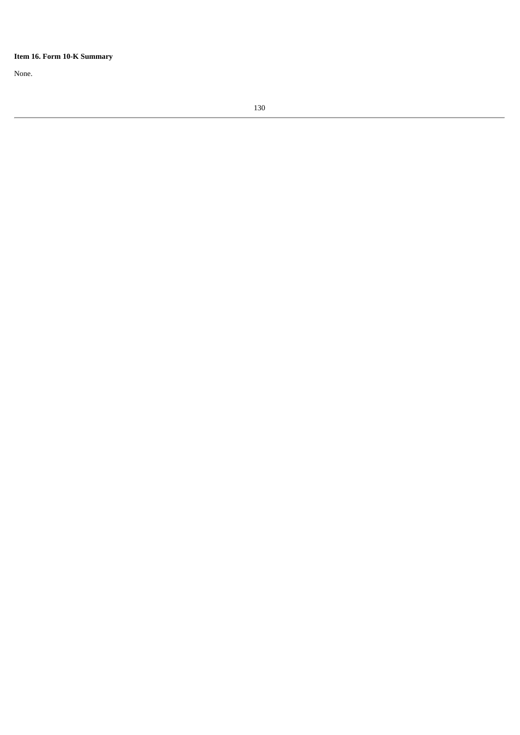# **Item 16. Form 10-K Summary**

None.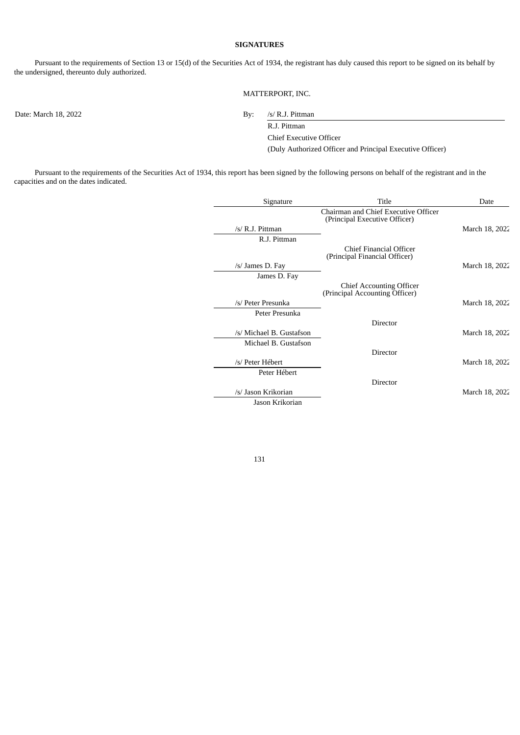## **SIGNATURES**

Pursuant to the requirements of Section 13 or 15(d) of the Securities Act of 1934, the registrant has duly caused this report to be signed on its behalf by the undersigned, thereunto duly authorized.

MATTERPORT, INC.

Date: March 18, 2022 By: /s/ R.J. Pittman

R.J. Pittman Chief Executive Officer

(Duly Authorized Officer and Principal Executive Officer)

Pursuant to the requirements of the Securities Act of 1934, this report has been signed by the following persons on behalf of the registrant and in the capacities and on the dates indicated.

| Signature                | Title                                                                 | Date           |
|--------------------------|-----------------------------------------------------------------------|----------------|
|                          | Chairman and Chief Executive Officer<br>(Principal Executive Officer) |                |
| /s/ R.J. Pittman         |                                                                       | March 18, 2022 |
| R.J. Pittman             |                                                                       |                |
|                          | Chief Financial Officer<br>(Principal Financial Officer)              |                |
| /s/ James D. Fay         |                                                                       | March 18, 2022 |
| James D. Fay             |                                                                       |                |
|                          | <b>Chief Accounting Officer</b><br>(Principal Accounting Officer)     |                |
| /s/ Peter Presunka       |                                                                       | March 18, 2022 |
| Peter Presunka           |                                                                       |                |
|                          | Director                                                              |                |
| /s/ Michael B. Gustafson |                                                                       | March 18, 2022 |
| Michael B. Gustafson     |                                                                       |                |
|                          | Director                                                              |                |
| /s/ Peter Hébert         |                                                                       | March 18, 2022 |
| Peter Hébert             |                                                                       |                |
|                          | Director                                                              |                |
| /s/ Jason Krikorian      |                                                                       | March 18, 2022 |
| Jason Krikorian          |                                                                       |                |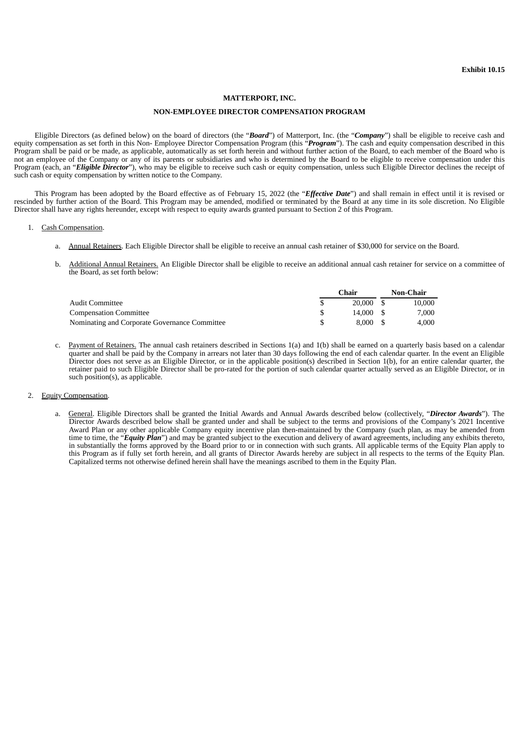### **MATTERPORT, INC.**

## **NON-EMPLOYEE DIRECTOR COMPENSATION PROGRAM**

<span id="page-131-0"></span>Eligible Directors (as defined below) on the board of directors (the "*Board*") of Matterport, Inc. (the "*Company*") shall be eligible to receive cash and equity compensation as set forth in this Non- Employee Director Compensation Program (this "*Program*"). The cash and equity compensation described in this Program shall be paid or be made, as applicable, automatically as set forth herein and without further action of the Board, to each member of the Board who is not an employee of the Company or any of its parents or subsidiaries and who is determined by the Board to be eligible to receive compensation under this Program (each, an "*Eligible Director*"), who may be eligible to receive such cash or equity compensation, unless such Eligible Director declines the receipt of such cash or equity compensation by written notice to the Company.

This Program has been adopted by the Board effective as of February 15, 2022 (the "*Effective Date*") and shall remain in effect until it is revised or rescinded by further action of the Board. This Program may be amended, modified or terminated by the Board at any time in its sole discretion. No Eligible Director shall have any rights hereunder, except with respect to equity awards granted pursuant to Section 2 of this Program.

### 1. Cash Compensation.

- a. Annual Retainers. Each Eligible Director shall be eligible to receive an annual cash retainer of \$30,000 for service on the Board.
- b. Additional Annual Retainers. An Eligible Director shall be eligible to receive an additional annual cash retainer for service on a committee of the Board, as set forth below:

|                                               | Chair     | Non-Chair |
|-----------------------------------------------|-----------|-----------|
| Audit Committee                               | 20.000 \$ | 10,000    |
| Compensation Committee                        | 14.000 \$ | 7.000     |
| Nominating and Corporate Governance Committee | 8.000 S   | 4.000     |

- c. Payment of Retainers. The annual cash retainers described in Sections  $1(a)$  and  $1(b)$  shall be earned on a quarterly basis based on a calendar quarter and shall be paid by the Company in arrears not later than 30 days following the end of each calendar quarter. In the event an Eligible Director does not serve as an Eligible Director, or in the applicable position(s) described in Section 1(b), for an entire calendar quarter, the retainer paid to such Eligible Director shall be pro-rated for the portion of such calendar quarter actually served as an Eligible Director, or in such position(s), as applicable.
- 2. Equity Compensation.
	- a. General. Eligible Directors shall be granted the Initial Awards and Annual Awards described below (collectively, "*Director Awards*"). The Director Awards described below shall be granted under and shall be subject to the terms and provisions of the Company's 2021 Incentive Award Plan or any other applicable Company equity incentive plan then-maintained by the Company (such plan, as may be amended from time to time, the "*Equity Plan*") and may be granted subject to the execution and delivery of award agreements, including any exhibits thereto, in substantially the forms approved by the Board prior to or in connection with such grants. All applicable terms of the Equity Plan apply to this Program as if fully set forth herein, and all grants of Director Awards hereby are subject in all respects to the terms of the Equity Plan. Capitalized terms not otherwise defined herein shall have the meanings ascribed to them in the Equity Plan.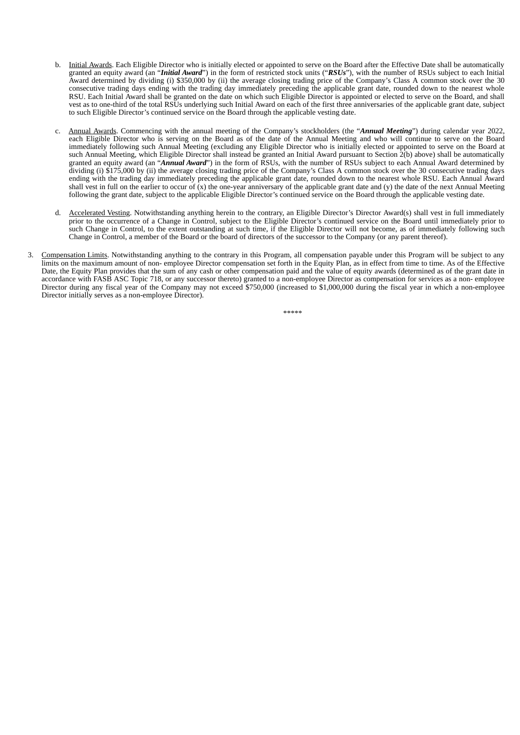- b. Initial Awards. Each Eligible Director who is initially elected or appointed to serve on the Board after the Effective Date shall be automatically granted an equity award (an "*Initial Award*") in the form of restricted stock units ("*RSUs*"), with the number of RSUs subject to each Initial Award determined by dividing (i) \$350,000 by (ii) the average closing trading price of the Company's Class A common stock over the 30 consecutive trading days ending with the trading day immediately preceding the applicable grant date, rounded down to the nearest whole RSU. Each Initial Award shall be granted on the date on which such Eligible Director is appointed or elected to serve on the Board, and shall vest as to one-third of the total RSUs underlying such Initial Award on each of the first three anniversaries of the applicable grant date, subject to such Eligible Director's continued service on the Board through the applicable vesting date.
- c. Annual Awards. Commencing with the annual meeting of the Company's stockholders (the "*Annual Meeting*") during calendar year 2022, each Eligible Director who is serving on the Board as of the date of the Annual Meeting and who will continue to serve on the Board immediately following such Annual Meeting (excluding any Eligible Director who is initially elected or appointed to serve on the Board at such Annual Meeting, which Eligible Director shall instead be granted an Initial Award pursuant to Section 2(b) above) shall be automatically granted an equity award (an "*Annual Award*") in the form of RSUs, with the number of RSUs subject to each Annual Award determined by dividing (i) \$175,000 by (ii) the average closing trading price of the Company's Class A common stock over the 30 consecutive trading days ending with the trading day immediately preceding the applicable grant date, rounded down to the nearest whole RSU. Each Annual Award shall vest in full on the earlier to occur of  $(x)$  the one-year anniversary of the applicable grant date and  $(y)$  the date of the next Annual Meeting following the grant date, subject to the applicable Eligible Director's continued service on the Board through the applicable vesting date.
- Accelerated Vesting. Notwithstanding anything herein to the contrary, an Eligible Director's Director Award(s) shall vest in full immediately prior to the occurrence of a Change in Control, subject to the Eligible Director's continued service on the Board until immediately prior to such Change in Control, to the extent outstanding at such time, if the Eligible Director will not become, as of immediately following such Change in Control, a member of the Board or the board of directors of the successor to the Company (or any parent thereof).
- 3. Compensation Limits. Notwithstanding anything to the contrary in this Program, all compensation payable under this Program will be subject to any limits on the maximum amount of non- employee Director compensation set forth in the Equity Plan, as in effect from time to time. As of the Effective Date, the Equity Plan provides that the sum of any cash or other compensation paid and the value of equity awards (determined as of the grant date in accordance with FASB ASC Topic 718, or any successor thereto) granted to a non-employee Director as compensation for services as a non- employee Director during any fiscal year of the Company may not exceed \$750,000 (increased to \$1,000,000 during the fiscal year in which a non-employee Director initially serves as a non-employee Director).

\*\*\*\*\*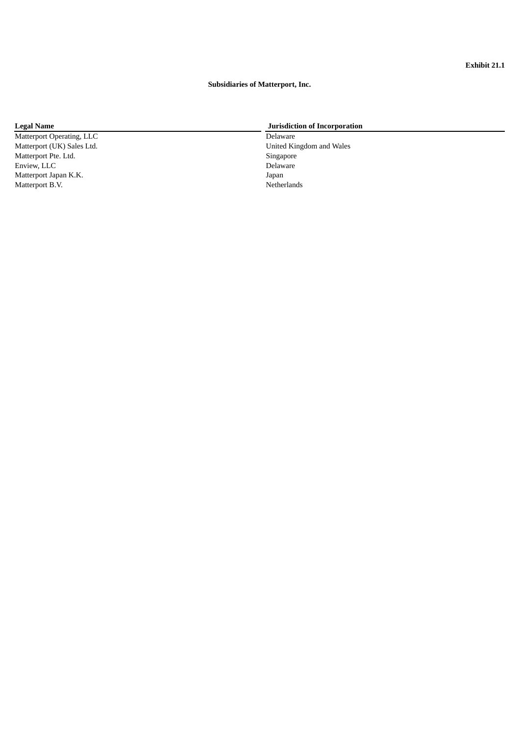# **Subsidiaries of Matterport, Inc.**

<span id="page-133-0"></span>

| <b>Legal Name</b>          | Jurisdiction of Incorporation |
|----------------------------|-------------------------------|
| Matterport Operating, LLC  | Delaware                      |
| Matterport (UK) Sales Ltd. | United Kingdom and Wales      |
| Matterport Pte. Ltd.       | Singapore                     |
| Enview, LLC                | Delaware                      |
| Matterport Japan K.K.      | Japan                         |
| Matterport B.V.            | Netherlands                   |
|                            |                               |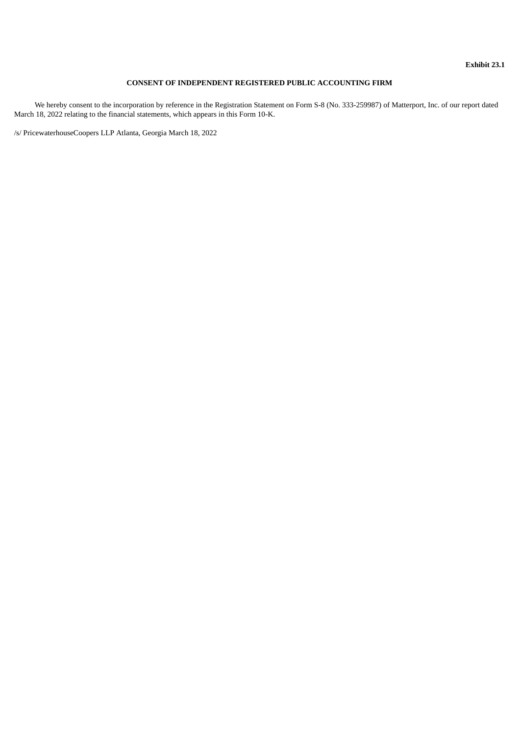# **CONSENT OF INDEPENDENT REGISTERED PUBLIC ACCOUNTING FIRM**

<span id="page-134-0"></span>We hereby consent to the incorporation by reference in the Registration Statement on Form S-8 (No. 333-259987) of Matterport, Inc. of our report dated March 18, 2022 relating to the financial statements, which appears in this Form 10-K.

/s/ PricewaterhouseCoopers LLP Atlanta, Georgia March 18, 2022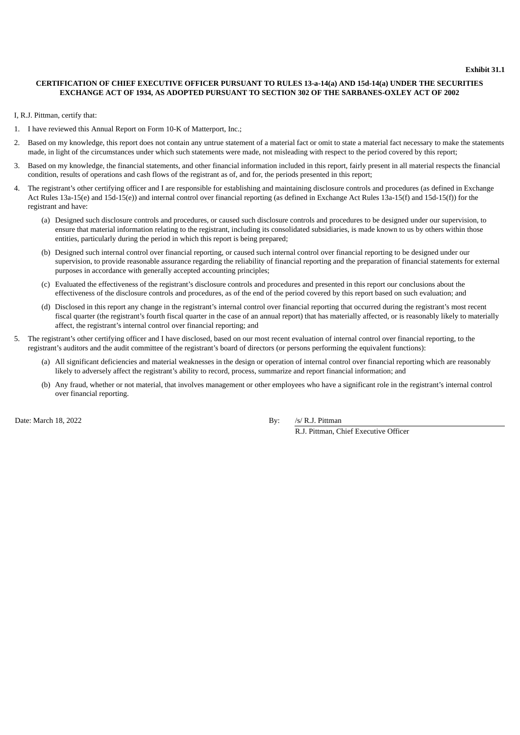### **Exhibit 31.1**

## <span id="page-135-0"></span>**CERTIFICATION OF CHIEF EXECUTIVE OFFICER PURSUANT TO RULES 13-a-14(a) AND 15d-14(a) UNDER THE SECURITIES EXCHANGE ACT OF 1934, AS ADOPTED PURSUANT TO SECTION 302 OF THE SARBANES-OXLEY ACT OF 2002**

I, R.J. Pittman, certify that:

- 1. I have reviewed this Annual Report on Form 10-K of Matterport, Inc.;
- 2. Based on my knowledge, this report does not contain any untrue statement of a material fact or omit to state a material fact necessary to make the statements made, in light of the circumstances under which such statements were made, not misleading with respect to the period covered by this report;
- 3. Based on my knowledge, the financial statements, and other financial information included in this report, fairly present in all material respects the financial condition, results of operations and cash flows of the registrant as of, and for, the periods presented in this report;
- 4. The registrant's other certifying officer and I are responsible for establishing and maintaining disclosure controls and procedures (as defined in Exchange Act Rules 13a-15(e) and 15d-15(e)) and internal control over financial reporting (as defined in Exchange Act Rules 13a-15(f) and 15d-15(f)) for the registrant and have:
	- (a) Designed such disclosure controls and procedures, or caused such disclosure controls and procedures to be designed under our supervision, to ensure that material information relating to the registrant, including its consolidated subsidiaries, is made known to us by others within those entities, particularly during the period in which this report is being prepared;
	- (b) Designed such internal control over financial reporting, or caused such internal control over financial reporting to be designed under our supervision, to provide reasonable assurance regarding the reliability of financial reporting and the preparation of financial statements for external purposes in accordance with generally accepted accounting principles;
	- (c) Evaluated the effectiveness of the registrant's disclosure controls and procedures and presented in this report our conclusions about the effectiveness of the disclosure controls and procedures, as of the end of the period covered by this report based on such evaluation; and
	- (d) Disclosed in this report any change in the registrant's internal control over financial reporting that occurred during the registrant's most recent fiscal quarter (the registrant's fourth fiscal quarter in the case of an annual report) that has materially affected, or is reasonably likely to materially affect, the registrant's internal control over financial reporting; and
- 5. The registrant's other certifying officer and I have disclosed, based on our most recent evaluation of internal control over financial reporting, to the registrant's auditors and the audit committee of the registrant's board of directors (or persons performing the equivalent functions):
	- (a) All significant deficiencies and material weaknesses in the design or operation of internal control over financial reporting which are reasonably likely to adversely affect the registrant's ability to record, process, summarize and report financial information; and
	- (b) Any fraud, whether or not material, that involves management or other employees who have a significant role in the registrant's internal control over financial reporting.

Date: March 18, 2022 By: /s/ R.J. Pittman

R.J. Pittman, Chief Executive Officer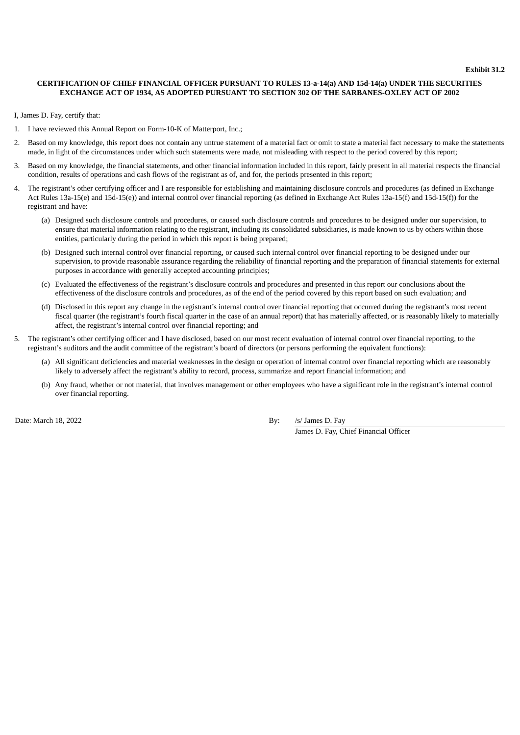### **Exhibit 31.2**

## <span id="page-136-0"></span>**CERTIFICATION OF CHIEF FINANCIAL OFFICER PURSUANT TO RULES 13-a-14(a) AND 15d-14(a) UNDER THE SECURITIES EXCHANGE ACT OF 1934, AS ADOPTED PURSUANT TO SECTION 302 OF THE SARBANES-OXLEY ACT OF 2002**

I, James D. Fay, certify that:

- 1. I have reviewed this Annual Report on Form-10-K of Matterport, Inc.;
- 2. Based on my knowledge, this report does not contain any untrue statement of a material fact or omit to state a material fact necessary to make the statements made, in light of the circumstances under which such statements were made, not misleading with respect to the period covered by this report;
- 3. Based on my knowledge, the financial statements, and other financial information included in this report, fairly present in all material respects the financial condition, results of operations and cash flows of the registrant as of, and for, the periods presented in this report;
- 4. The registrant's other certifying officer and I are responsible for establishing and maintaining disclosure controls and procedures (as defined in Exchange Act Rules 13a-15(e) and 15d-15(e)) and internal control over financial reporting (as defined in Exchange Act Rules 13a-15(f) and 15d-15(f)) for the registrant and have:
	- (a) Designed such disclosure controls and procedures, or caused such disclosure controls and procedures to be designed under our supervision, to ensure that material information relating to the registrant, including its consolidated subsidiaries, is made known to us by others within those entities, particularly during the period in which this report is being prepared;
	- (b) Designed such internal control over financial reporting, or caused such internal control over financial reporting to be designed under our supervision, to provide reasonable assurance regarding the reliability of financial reporting and the preparation of financial statements for external purposes in accordance with generally accepted accounting principles;
	- (c) Evaluated the effectiveness of the registrant's disclosure controls and procedures and presented in this report our conclusions about the effectiveness of the disclosure controls and procedures, as of the end of the period covered by this report based on such evaluation; and
	- (d) Disclosed in this report any change in the registrant's internal control over financial reporting that occurred during the registrant's most recent fiscal quarter (the registrant's fourth fiscal quarter in the case of an annual report) that has materially affected, or is reasonably likely to materially affect, the registrant's internal control over financial reporting; and
- 5. The registrant's other certifying officer and I have disclosed, based on our most recent evaluation of internal control over financial reporting, to the registrant's auditors and the audit committee of the registrant's board of directors (or persons performing the equivalent functions):
	- (a) All significant deficiencies and material weaknesses in the design or operation of internal control over financial reporting which are reasonably likely to adversely affect the registrant's ability to record, process, summarize and report financial information; and
	- (b) Any fraud, whether or not material, that involves management or other employees who have a significant role in the registrant's internal control over financial reporting.

Date: March 18, 2022 **By:** /s/ James D. Fay

James D. Fay, Chief Financial Officer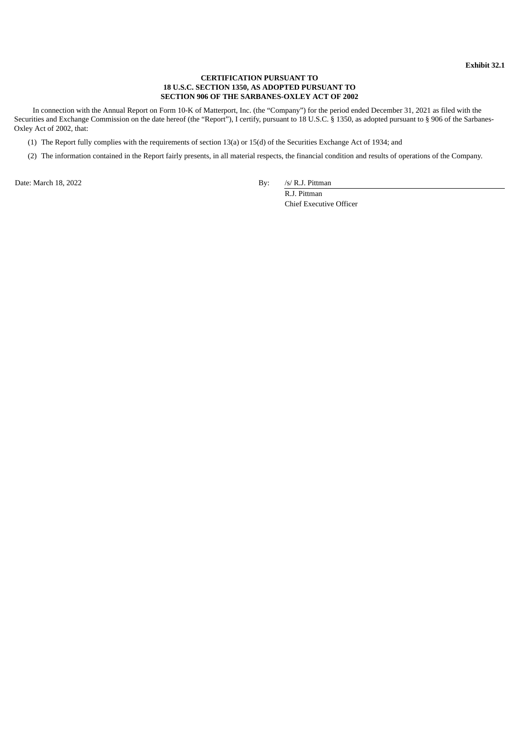## **CERTIFICATION PURSUANT TO 18 U.S.C. SECTION 1350, AS ADOPTED PURSUANT TO SECTION 906 OF THE SARBANES-OXLEY ACT OF 2002**

<span id="page-137-0"></span>In connection with the Annual Report on Form 10-K of Matterport, Inc. (the "Company") for the period ended December 31, 2021 as filed with the Securities and Exchange Commission on the date hereof (the "Report"), I certify, pursuant to 18 U.S.C. § 1350, as adopted pursuant to § 906 of the Sarbanes-Oxley Act of 2002, that:

- (1) The Report fully complies with the requirements of section 13(a) or 15(d) of the Securities Exchange Act of 1934; and
- (2) The information contained in the Report fairly presents, in all material respects, the financial condition and results of operations of the Company.

Date: March 18, 2022 By: */s/ R.J. Pittman* 

R.J. Pittman Chief Executive Officer